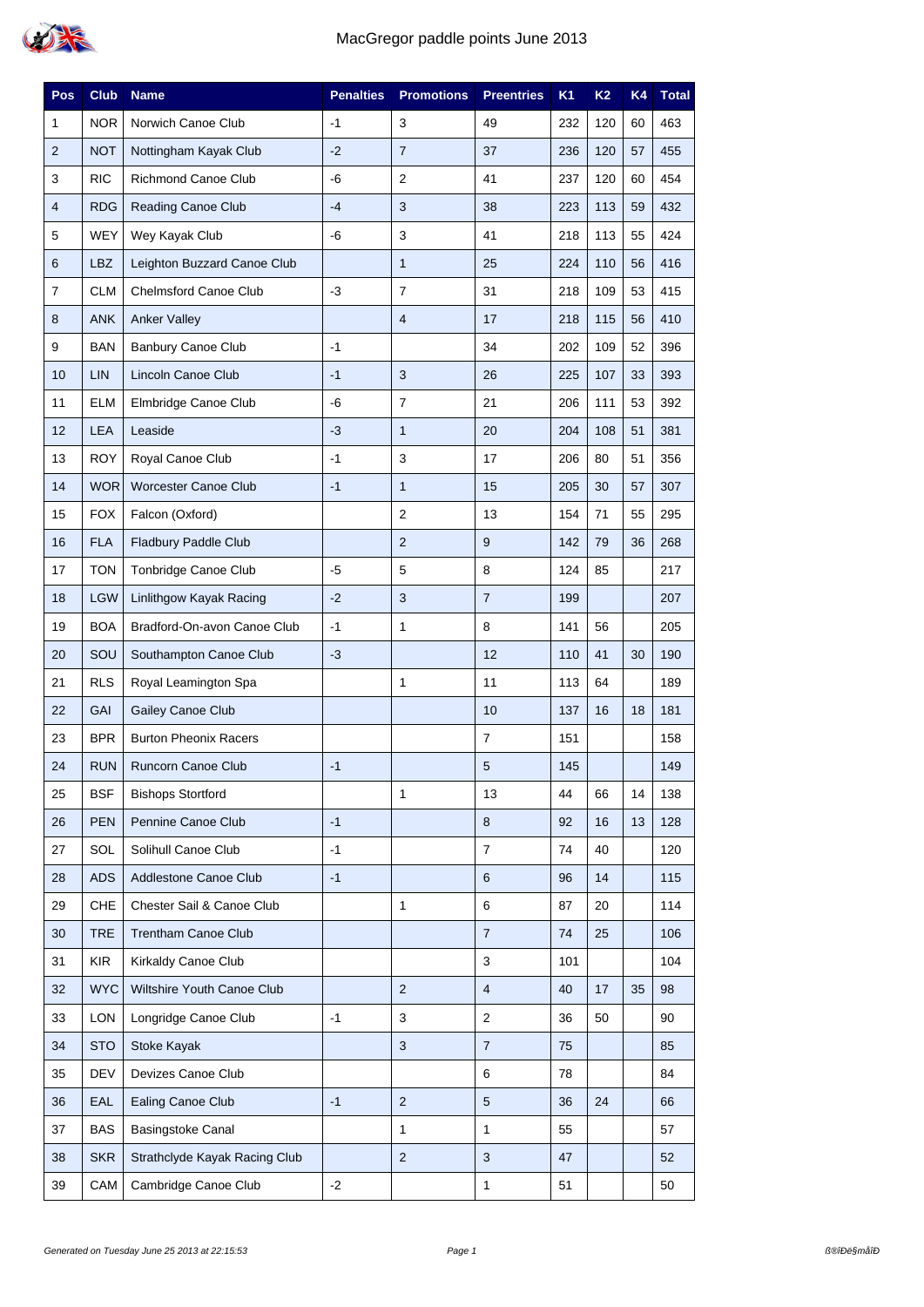

| Pos            | <b>Club</b> | <b>Name</b>                   | <b>Penalties</b> | <b>Promotions</b> | <b>Preentries</b> | <b>K1</b> | K <sub>2</sub> | K4 | <b>Total</b> |
|----------------|-------------|-------------------------------|------------------|-------------------|-------------------|-----------|----------------|----|--------------|
| 1              | <b>NOR</b>  | Norwich Canoe Club            | $-1$             | 3                 | 49                | 232       | 120            | 60 | 463          |
| $\overline{2}$ | <b>NOT</b>  | Nottingham Kayak Club         | $-2$             | $\overline{7}$    | 37                | 236       | 120            | 57 | 455          |
| 3              | <b>RIC</b>  | Richmond Canoe Club           | -6               | 2                 | 41                | 237       | 120            | 60 | 454          |
| 4              | <b>RDG</b>  | <b>Reading Canoe Club</b>     | $-4$             | 3                 | 38                | 223       | 113            | 59 | 432          |
| $\mathbf 5$    | <b>WEY</b>  | Wey Kayak Club                | -6               | 3                 | 41                | 218       | 113            | 55 | 424          |
| 6              | LBZ         | Leighton Buzzard Canoe Club   |                  | $\mathbf{1}$      | 25                | 224       | 110            | 56 | 416          |
| $\overline{7}$ | <b>CLM</b>  | <b>Chelmsford Canoe Club</b>  | $-3$             | $\overline{7}$    | 31                | 218       | 109            | 53 | 415          |
| 8              | <b>ANK</b>  | <b>Anker Valley</b>           |                  | $\overline{4}$    | 17                | 218       | 115            | 56 | 410          |
| 9              | <b>BAN</b>  | <b>Banbury Canoe Club</b>     | $-1$             |                   | 34                | 202       | 109            | 52 | 396          |
| 10             | <b>LIN</b>  | Lincoln Canoe Club            | $-1$             | $\sqrt{3}$        | 26                | 225       | 107            | 33 | 393          |
| 11             | <b>ELM</b>  | Elmbridge Canoe Club          | -6               | $\overline{7}$    | 21                | 206       | 111            | 53 | 392          |
| 12             | LEA         | Leaside                       | $-3$             | $\mathbf{1}$      | 20                | 204       | 108            | 51 | 381          |
| 13             | <b>ROY</b>  | Royal Canoe Club              | $-1$             | 3                 | 17                | 206       | 80             | 51 | 356          |
| 14             | <b>WOR</b>  | <b>Worcester Canoe Club</b>   | $-1$             | $\mathbf{1}$      | 15                | 205       | 30             | 57 | 307          |
| 15             | <b>FOX</b>  | Falcon (Oxford)               |                  | $\overline{2}$    | 13                | 154       | 71             | 55 | 295          |
| 16             | <b>FLA</b>  | Fladbury Paddle Club          |                  | $\overline{2}$    | 9                 | 142       | 79             | 36 | 268          |
| 17             | <b>TON</b>  | Tonbridge Canoe Club          | $-5$             | $\mathbf 5$       | 8                 | 124       | 85             |    | 217          |
| 18             | <b>LGW</b>  | Linlithgow Kayak Racing       | $-2$             | $\sqrt{3}$        | $\overline{7}$    | 199       |                |    | 207          |
| 19             | <b>BOA</b>  | Bradford-On-avon Canoe Club   | $-1$             | $\mathbf{1}$      | 8                 | 141       | 56             |    | 205          |
| 20             | SOU         | Southampton Canoe Club        | $-3$             |                   | 12                | 110       | 41             | 30 | 190          |
| 21             | <b>RLS</b>  | Royal Leamington Spa          |                  | 1                 | 11                | 113       | 64             |    | 189          |
| 22             | GAI         | Gailey Canoe Club             |                  |                   | 10                | 137       | 16             | 18 | 181          |
| 23             | <b>BPR</b>  | <b>Burton Pheonix Racers</b>  |                  |                   | $\overline{7}$    | 151       |                |    | 158          |
| 24             | <b>RUN</b>  | Runcorn Canoe Club            | $-1$             |                   | 5                 | 145       |                |    | 149          |
| 25             | <b>BSF</b>  | <b>Bishops Stortford</b>      |                  | $\mathbf{1}$      | 13                | 44        | 66             | 14 | 138          |
| 26             | <b>PEN</b>  | Pennine Canoe Club            | $-1$             |                   | 8                 | 92        | 16             | 13 | 128          |
| 27             | SOL         | Solihull Canoe Club           | $-1$             |                   | $\overline{7}$    | 74        | 40             |    | 120          |
| 28             | <b>ADS</b>  | Addlestone Canoe Club         | $-1$             |                   | 6                 | 96        | 14             |    | 115          |
| 29             | CHE         | Chester Sail & Canoe Club     |                  | $\mathbf{1}$      | 6                 | 87        | 20             |    | 114          |
| 30             | <b>TRE</b>  | Trentham Canoe Club           |                  |                   | $\overline{7}$    | 74        | 25             |    | 106          |
| 31             | <b>KIR</b>  | Kirkaldy Canoe Club           |                  |                   | 3                 | 101       |                |    | 104          |
| 32             | <b>WYC</b>  | Wiltshire Youth Canoe Club    |                  | $\sqrt{2}$        | $\overline{4}$    | 40        | 17             | 35 | 98           |
| 33             | <b>LON</b>  | Longridge Canoe Club          | $-1$             | $\sqrt{3}$        | 2                 | 36        | 50             |    | 90           |
| 34             | <b>STO</b>  | Stoke Kayak                   |                  | $\mathbf{3}$      | $\overline{7}$    | 75        |                |    | 85           |
| 35             | DEV         | Devizes Canoe Club            |                  |                   | 6                 | 78        |                |    | 84           |
| 36             | EAL         | Ealing Canoe Club             | $-1$             | $\mathbf 2$       | $5\phantom{1}$    | 36        | 24             |    | 66           |
| 37             | <b>BAS</b>  | Basingstoke Canal             |                  | $\mathbf{1}$      | 1                 | 55        |                |    | 57           |
| 38             | <b>SKR</b>  | Strathclyde Kayak Racing Club |                  | $\overline{c}$    | 3                 | 47        |                |    | 52           |
| 39             | CAM         | Cambridge Canoe Club          | $-2$             |                   | $\mathbf{1}$      | 51        |                |    | 50           |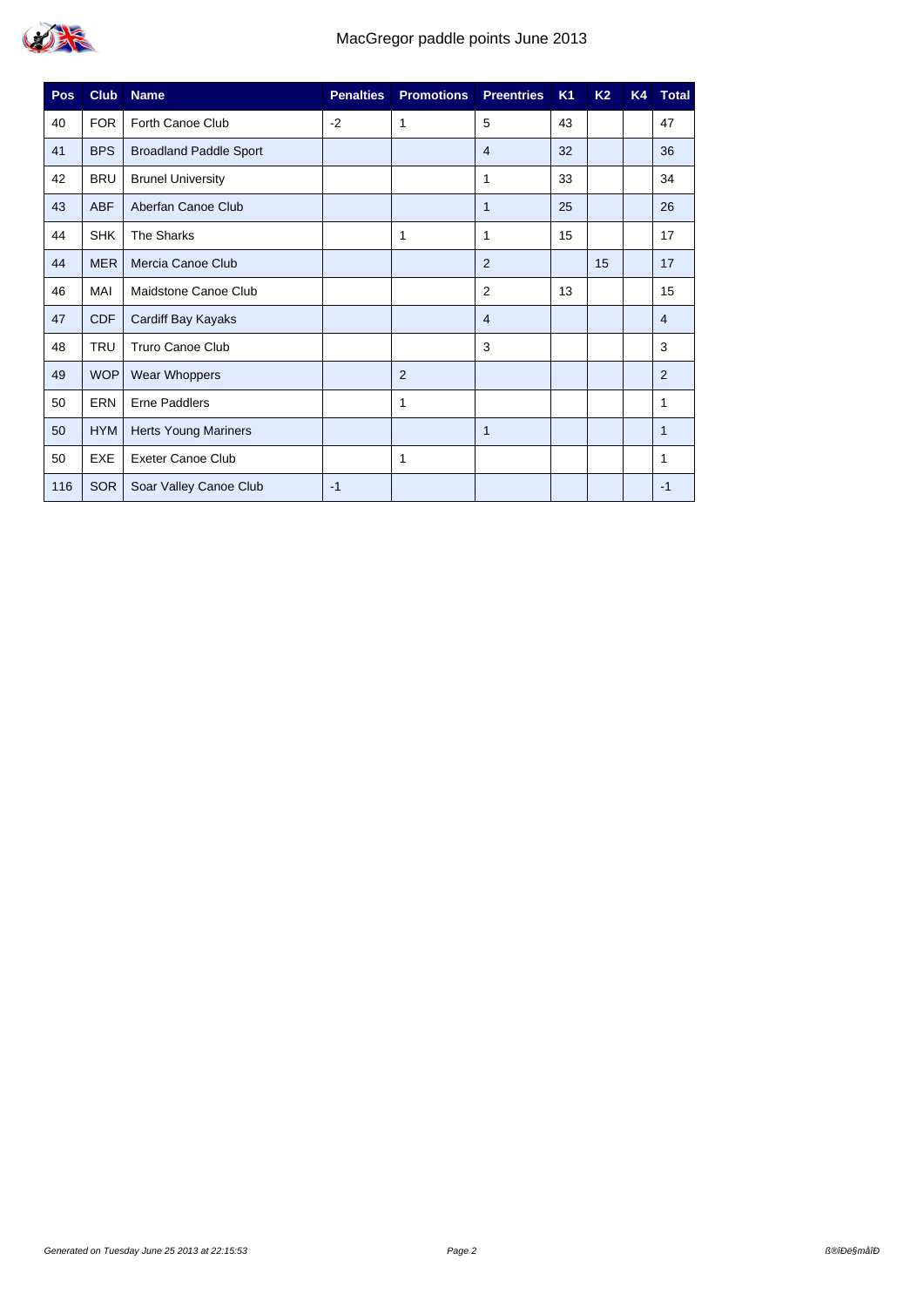

| Pos, | <b>Club</b> | <b>Name</b>                   | <b>Penalties</b> | <b>Promotions</b> | <b>Preentries</b> | K <sub>1</sub> | <b>K2</b> | K4 | <b>Total</b>   |
|------|-------------|-------------------------------|------------------|-------------------|-------------------|----------------|-----------|----|----------------|
| 40   | <b>FOR</b>  | Forth Canoe Club              | $-2$             | 1                 | 5                 | 43             |           |    | 47             |
| 41   | <b>BPS</b>  | <b>Broadland Paddle Sport</b> |                  |                   | $\overline{4}$    | 32             |           |    | 36             |
| 42   | <b>BRU</b>  | <b>Brunel University</b>      |                  |                   | 1                 | 33             |           |    | 34             |
| 43   | <b>ABF</b>  | Aberfan Canoe Club            |                  |                   | 1                 | 25             |           |    | 26             |
| 44   | <b>SHK</b>  | The Sharks                    |                  | 1                 | 1                 | 15             |           |    | 17             |
| 44   | <b>MER</b>  | Mercia Canoe Club             |                  |                   | 2                 |                | 15        |    | 17             |
| 46   | MAI         | Maidstone Canoe Club          |                  |                   | 2                 | 13             |           |    | 15             |
| 47   | <b>CDF</b>  | Cardiff Bay Kayaks            |                  |                   | $\overline{4}$    |                |           |    | $\overline{4}$ |
| 48   | <b>TRU</b>  | <b>Truro Canoe Club</b>       |                  |                   | 3                 |                |           |    | 3              |
| 49   | <b>WOP</b>  | Wear Whoppers                 |                  | $\overline{2}$    |                   |                |           |    | 2              |
| 50   | ERN         | <b>Erne Paddlers</b>          |                  | 1                 |                   |                |           |    | 1              |
| 50   | <b>HYM</b>  | <b>Herts Young Mariners</b>   |                  |                   | 1                 |                |           |    | 1              |
| 50   | <b>EXE</b>  | <b>Exeter Canoe Club</b>      |                  | 1                 |                   |                |           |    | 1              |
| 116  | <b>SOR</b>  | Soar Valley Canoe Club        | $-1$             |                   |                   |                |           |    | $-1$           |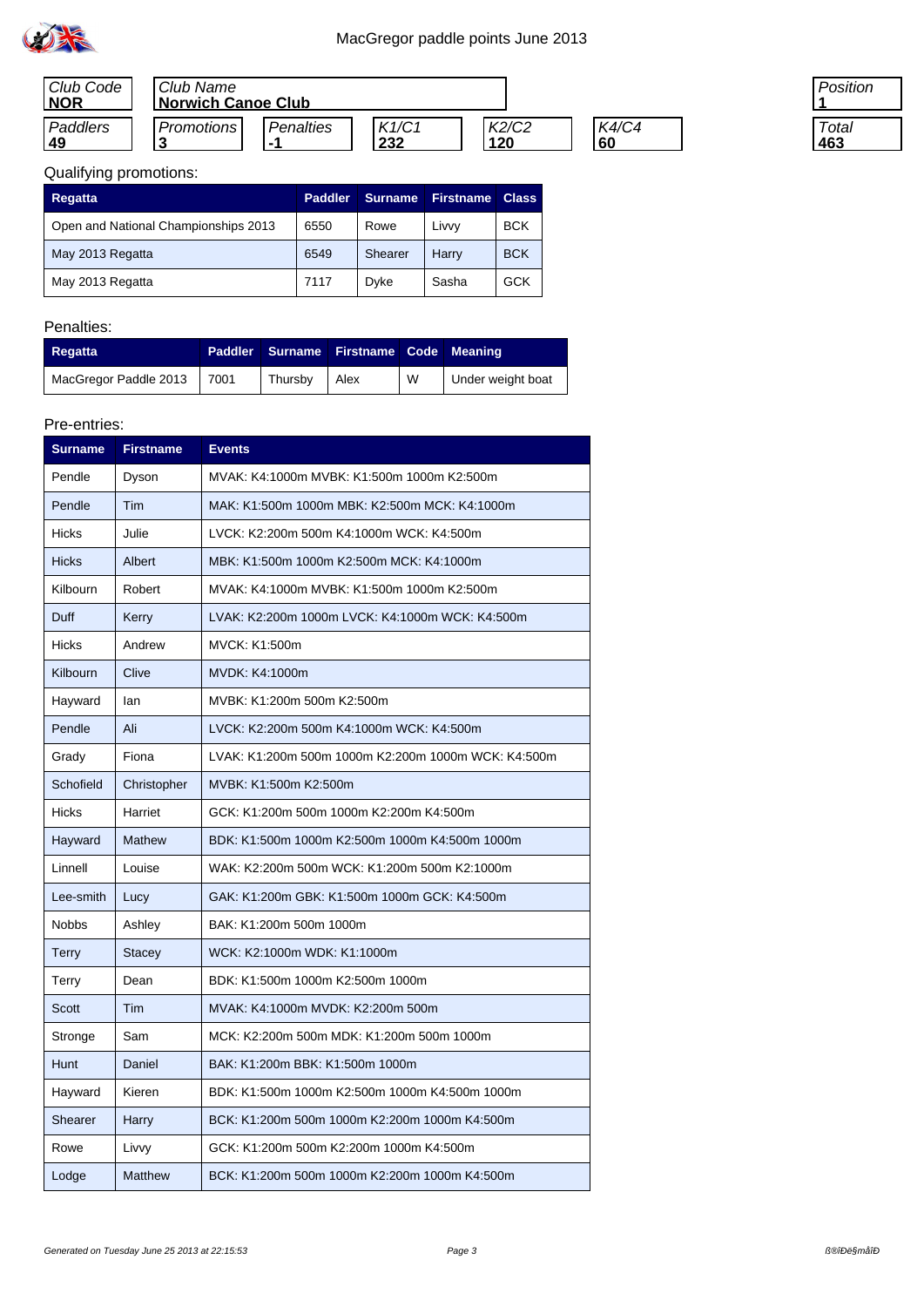

| Club Code  | Club Name                 |             |       |       |       |  |  |  |
|------------|---------------------------|-------------|-------|-------|-------|--|--|--|
| <b>NOR</b> | <b>Norwich Canoe Club</b> |             |       |       |       |  |  |  |
| Paddlers   | <b>Promotions</b>         | Penalties   | K1/C1 | K2/C2 | K4/C4 |  |  |  |
| 49         |                           | . The first | 232   | 120   | 60    |  |  |  |

| 'osition |
|----------|
|          |
| Total    |
|          |

# Qualifying promotions:

| <b>Regatta</b>                       | <b>Paddler</b> | <b>Surname</b> | <b>Firstname</b> | <b>Class</b> |
|--------------------------------------|----------------|----------------|------------------|--------------|
| Open and National Championships 2013 | 6550           | Rowe           | Livvv            | <b>BCK</b>   |
| May 2013 Regatta                     | 6549           | Shearer        | Harry            | <b>BCK</b>   |
| May 2013 Regatta                     | 7117           | Dvke           | Sasha            | GCK          |

### Penalties:

| <b>Regatta</b>             |         | Paddler Surname Firstname Code Meaning |   |                   |
|----------------------------|---------|----------------------------------------|---|-------------------|
| MacGregor Paddle 2013 7001 | Thursby | Alex                                   | W | Under weight boat |

| <b>Surname</b> | <b>Firstname</b> | <b>Events</b>                                       |
|----------------|------------------|-----------------------------------------------------|
| Pendle         | Dyson            | MVAK: K4:1000m MVBK: K1:500m 1000m K2:500m          |
| Pendle         | Tim              | MAK: K1:500m 1000m MBK: K2:500m MCK: K4:1000m       |
| <b>Hicks</b>   | Julie            | LVCK: K2:200m 500m K4:1000m WCK: K4:500m            |
| <b>Hicks</b>   | Albert           | MBK: K1:500m 1000m K2:500m MCK: K4:1000m            |
| Kilbourn       | Robert           | MVAK: K4:1000m MVBK: K1:500m 1000m K2:500m          |
| Duff           | Kerry            | LVAK: K2:200m 1000m LVCK: K4:1000m WCK: K4:500m     |
| <b>Hicks</b>   | Andrew           | MVCK: K1:500m                                       |
| Kilbourn       | Clive            | MVDK: K4:1000m                                      |
| Hayward        | lan              | MVBK: K1:200m 500m K2:500m                          |
| Pendle         | Ali              | LVCK: K2:200m 500m K4:1000m WCK: K4:500m            |
| Grady          | Fiona            | LVAK: K1:200m 500m 1000m K2:200m 1000m WCK: K4:500m |
| Schofield      | Christopher      | MVBK: K1:500m K2:500m                               |
| <b>Hicks</b>   | Harriet          | GCK: K1:200m 500m 1000m K2:200m K4:500m             |
| Hayward        | <b>Mathew</b>    | BDK: K1:500m 1000m K2:500m 1000m K4:500m 1000m      |
| Linnell        | Louise           | WAK: K2:200m 500m WCK: K1:200m 500m K2:1000m        |
| Lee-smith      | Lucy             | GAK: K1:200m GBK: K1:500m 1000m GCK: K4:500m        |
| <b>Nobbs</b>   | Ashley           | BAK: K1:200m 500m 1000m                             |
| <b>Terry</b>   | <b>Stacey</b>    | WCK: K2:1000m WDK: K1:1000m                         |
| Terry          | Dean             | BDK: K1:500m 1000m K2:500m 1000m                    |
| Scott          | Tim              | MVAK: K4:1000m MVDK: K2:200m 500m                   |
| Stronge        | Sam              | MCK: K2:200m 500m MDK: K1:200m 500m 1000m           |
| Hunt           | Daniel           | BAK: K1:200m BBK: K1:500m 1000m                     |
| Hayward        | Kieren           | BDK: K1:500m 1000m K2:500m 1000m K4:500m 1000m      |
| Shearer        | Harry            | BCK: K1:200m 500m 1000m K2:200m 1000m K4:500m       |
| Rowe           | Livvy            | GCK: K1:200m 500m K2:200m 1000m K4:500m             |
| Lodge          | Matthew          | BCK: K1:200m 500m 1000m K2:200m 1000m K4:500m       |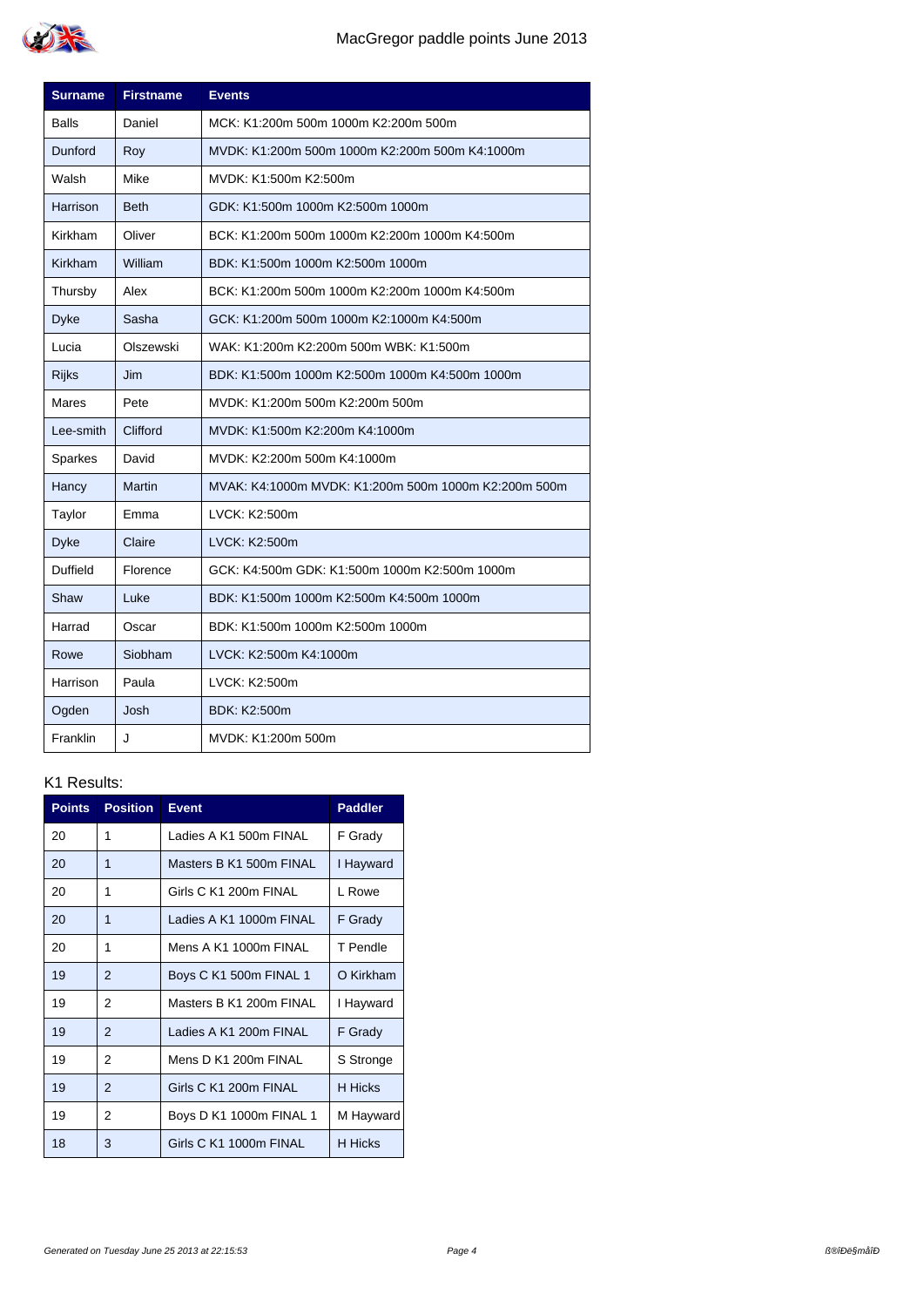

| <b>Surname</b> | <b>Firstname</b> | <b>Events</b>                                        |
|----------------|------------------|------------------------------------------------------|
| Balls          | Daniel           | MCK: K1:200m 500m 1000m K2:200m 500m                 |
| Dunford        | Roy              | MVDK: K1:200m 500m 1000m K2:200m 500m K4:1000m       |
| Walsh          | Mike             | MVDK: K1:500m K2:500m                                |
| Harrison       | <b>Beth</b>      | GDK: K1:500m 1000m K2:500m 1000m                     |
| Kirkham        | Oliver           | BCK: K1:200m 500m 1000m K2:200m 1000m K4:500m        |
| Kirkham        | William          | BDK: K1:500m 1000m K2:500m 1000m                     |
| Thursby        | Alex             | BCK: K1:200m 500m 1000m K2:200m 1000m K4:500m        |
| <b>Dyke</b>    | Sasha            | GCK: K1:200m 500m 1000m K2:1000m K4:500m             |
| Lucia          | Olszewski        | WAK: K1:200m K2:200m 500m WBK: K1:500m               |
| <b>Rijks</b>   | Jim              | BDK: K1:500m 1000m K2:500m 1000m K4:500m 1000m       |
| Mares          | Pete             | MVDK: K1:200m 500m K2:200m 500m                      |
| Lee-smith      | Clifford         | MVDK: K1:500m K2:200m K4:1000m                       |
| Sparkes        | David            | MVDK: K2:200m 500m K4:1000m                          |
| Hancy          | <b>Martin</b>    | MVAK: K4:1000m MVDK: K1:200m 500m 1000m K2:200m 500m |
| Taylor         | Emma             | LVCK: K2:500m                                        |
| <b>Dyke</b>    | Claire           | LVCK: K2:500m                                        |
| Duffield       | Florence         | GCK: K4:500m GDK: K1:500m 1000m K2:500m 1000m        |
| Shaw           | Luke             | BDK: K1:500m 1000m K2:500m K4:500m 1000m             |
| Harrad         | Oscar            | BDK: K1:500m 1000m K2:500m 1000m                     |
| Rowe           | Siobham          | LVCK: K2:500m K4:1000m                               |
| Harrison       | Paula            | LVCK: K2:500m                                        |
| Ogden          | Josh             | <b>BDK: K2:500m</b>                                  |
| Franklin       | J                | MVDK: K1:200m 500m                                   |

| <b>Points</b> | <b>Position</b> | <b>Event</b>            | <b>Paddler</b> |
|---------------|-----------------|-------------------------|----------------|
| 20            | 1               | Ladies A K1 500m FINAL  | F Grady        |
| 20            | 1               | Masters B K1 500m FINAL | I Hayward      |
| 20            | 1               | Girls C K1 200m FINAL   | I Rowe         |
| 20            | 1               | Ladies A K1 1000m FINAL | F Grady        |
| 20            | 1               | Mens A K1 1000m FINAI   | T Pendle       |
| 19            | $\mathfrak{p}$  | Boys C K1 500m FINAL 1  | O Kirkham      |
| 19            | 2               | Masters B K1 200m FINAL | I Hayward      |
| 19            | $\mathcal{P}$   | Ladies A K1 200m FINAL  | F Grady        |
| 19            | 2               | Mens D K1 200m FINAL    | S Stronge      |
| 19            | $\overline{2}$  | Girls C K1 200m FINAL   | <b>H</b> Hicks |
| 19            | 2               | Boys D K1 1000m FINAL 1 | M Hayward      |
| 18            | 3               | Girls C K1 1000m FINAL  | H Hicks        |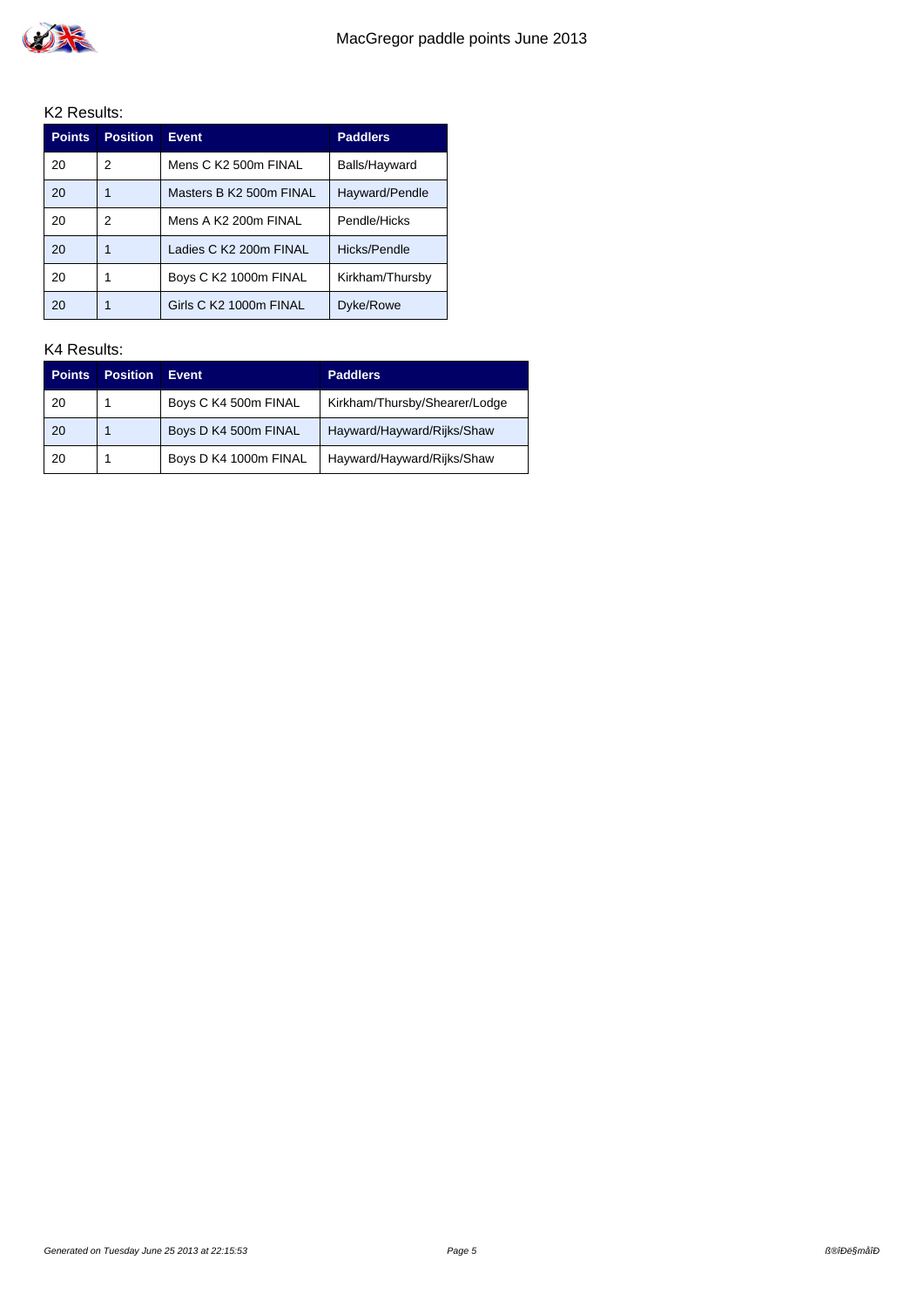

| <b>Points</b> | <b>Position</b> | <b>Event</b>            | <b>Paddlers</b> |
|---------------|-----------------|-------------------------|-----------------|
| 20            | 2               | Mens C K2 500m FINAL    | Balls/Hayward   |
| 20            |                 | Masters B K2 500m FINAL | Hayward/Pendle  |
| 20            | 2               | Mens A K2 200m FINAL    | Pendle/Hicks    |
| 20            |                 | Ladies C K2 200m FINAL  | Hicks/Pendle    |
| 20            |                 | Boys C K2 1000m FINAL   | Kirkham/Thursby |
| 20            |                 | Girls C K2 1000m FINAL  | Dyke/Rowe       |

| <b>Points</b> | <b>Position</b> | <b>Event</b>          | <b>Paddlers</b>               |
|---------------|-----------------|-----------------------|-------------------------------|
| 20            |                 | Boys C K4 500m FINAL  | Kirkham/Thursby/Shearer/Lodge |
| -20           |                 | Boys D K4 500m FINAL  | Hayward/Hayward/Rijks/Shaw    |
| 20            |                 | Boys D K4 1000m FINAL | Hayward/Hayward/Rijks/Shaw    |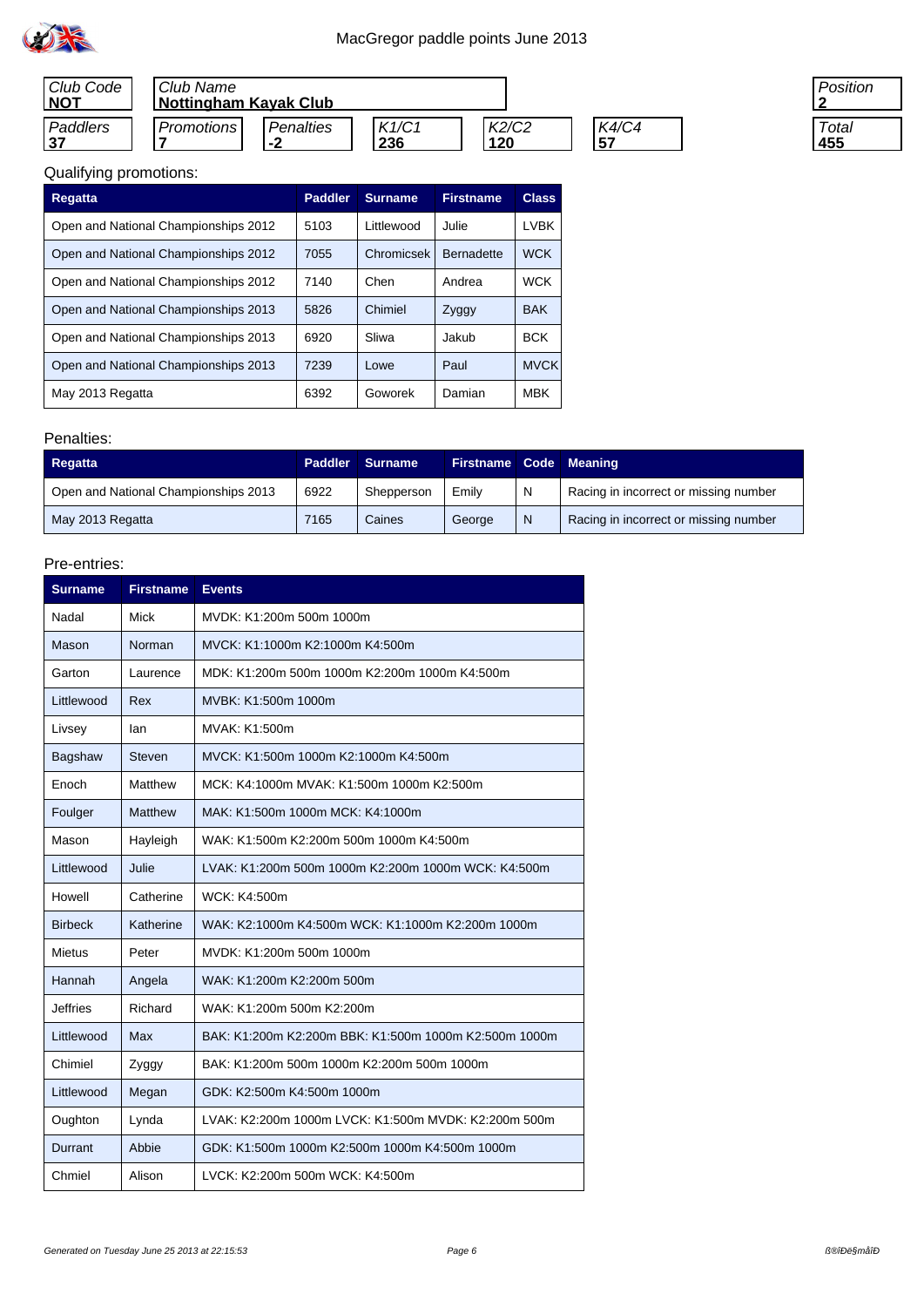

| Club Code<br><b>NOT</b> | Club Name         | <b>Nottingham Kayak Club</b> |       |       |       |  |  |  |  |
|-------------------------|-------------------|------------------------------|-------|-------|-------|--|--|--|--|
| Paddlers                | <b>Promotions</b> | Penalties                    | K1/C1 | K2/C2 | K4/C4 |  |  |  |  |
| 37                      |                   | -2                           | 236   | 120   | 157   |  |  |  |  |

| osition |
|---------|
|         |
| Total   |
| 5       |

# Qualifying promotions:

| <b>Regatta</b>                       | <b>Paddler</b> | <b>Surname</b> | <b>Firstname</b>  | <b>Class</b> |
|--------------------------------------|----------------|----------------|-------------------|--------------|
| Open and National Championships 2012 | 5103           | I ittlewood    | Julie.            | I VBK        |
| Open and National Championships 2012 | 7055           | Chromicsek     | <b>Bernadette</b> | <b>WCK</b>   |
| Open and National Championships 2012 | 7140           | Chen           | Andrea            | <b>WCK</b>   |
| Open and National Championships 2013 | 5826           | Chimiel        | Zyggy             | <b>BAK</b>   |
| Open and National Championships 2013 | 6920           | Sliwa          | Jakub             | <b>BCK</b>   |
| Open and National Championships 2013 | 7239           | Lowe           | Paul              | <b>MVCK</b>  |
| May 2013 Regatta                     | 6392           | Goworek        | Damian            | <b>MBK</b>   |

#### Penalties:

| <b>Regatta</b>                       |      | Paddler Surname | <b>Firstname Code Meaning</b> |   |                                       |
|--------------------------------------|------|-----------------|-------------------------------|---|---------------------------------------|
| Open and National Championships 2013 | 6922 | Shepperson      | Emily                         | N | Racing in incorrect or missing number |
| May 2013 Regatta                     | 7165 | Caines          | George                        | N | Racing in incorrect or missing number |

| <b>Surname</b>  | <b>Firstname</b> | <b>Events</b>                                         |
|-----------------|------------------|-------------------------------------------------------|
| Nadal           | Mick             | MVDK: K1:200m 500m 1000m                              |
| Mason           | Norman           | MVCK: K1:1000m K2:1000m K4:500m                       |
| Garton          | Laurence         | MDK: K1:200m 500m 1000m K2:200m 1000m K4:500m         |
| Littlewood      | Rex              | MVBK: K1:500m 1000m                                   |
| Livsey          | lan              | MVAK: K1:500m                                         |
| Bagshaw         | Steven           | MVCK: K1:500m 1000m K2:1000m K4:500m                  |
| Enoch           | Matthew          | MCK: K4:1000m MVAK: K1:500m 1000m K2:500m             |
| Foulger         | <b>Matthew</b>   | MAK: K1:500m 1000m MCK: K4:1000m                      |
| Mason           | Hayleigh         | WAK: K1:500m K2:200m 500m 1000m K4:500m               |
| Littlewood      | Julie            | LVAK: K1:200m 500m 1000m K2:200m 1000m WCK: K4:500m   |
| Howell          | Catherine        | WCK: K4:500m                                          |
| <b>Birbeck</b>  | Katherine        | WAK: K2:1000m K4:500m WCK: K1:1000m K2:200m 1000m     |
| <b>Mietus</b>   | Peter            | MVDK: K1:200m 500m 1000m                              |
| Hannah          | Angela           | WAK: K1:200m K2:200m 500m                             |
| <b>Jeffries</b> | Richard          | WAK: K1:200m 500m K2:200m                             |
| Littlewood      | Max              | BAK: K1:200m K2:200m BBK: K1:500m 1000m K2:500m 1000m |
| Chimiel         | Zyggy            | BAK: K1:200m 500m 1000m K2:200m 500m 1000m            |
| Littlewood      | Megan            | GDK: K2:500m K4:500m 1000m                            |
| Oughton         | Lynda            | LVAK: K2:200m 1000m LVCK: K1:500m MVDK: K2:200m 500m  |
| Durrant         | Abbie            | GDK: K1:500m 1000m K2:500m 1000m K4:500m 1000m        |
| Chmiel          | Alison           | LVCK: K2:200m 500m WCK: K4:500m                       |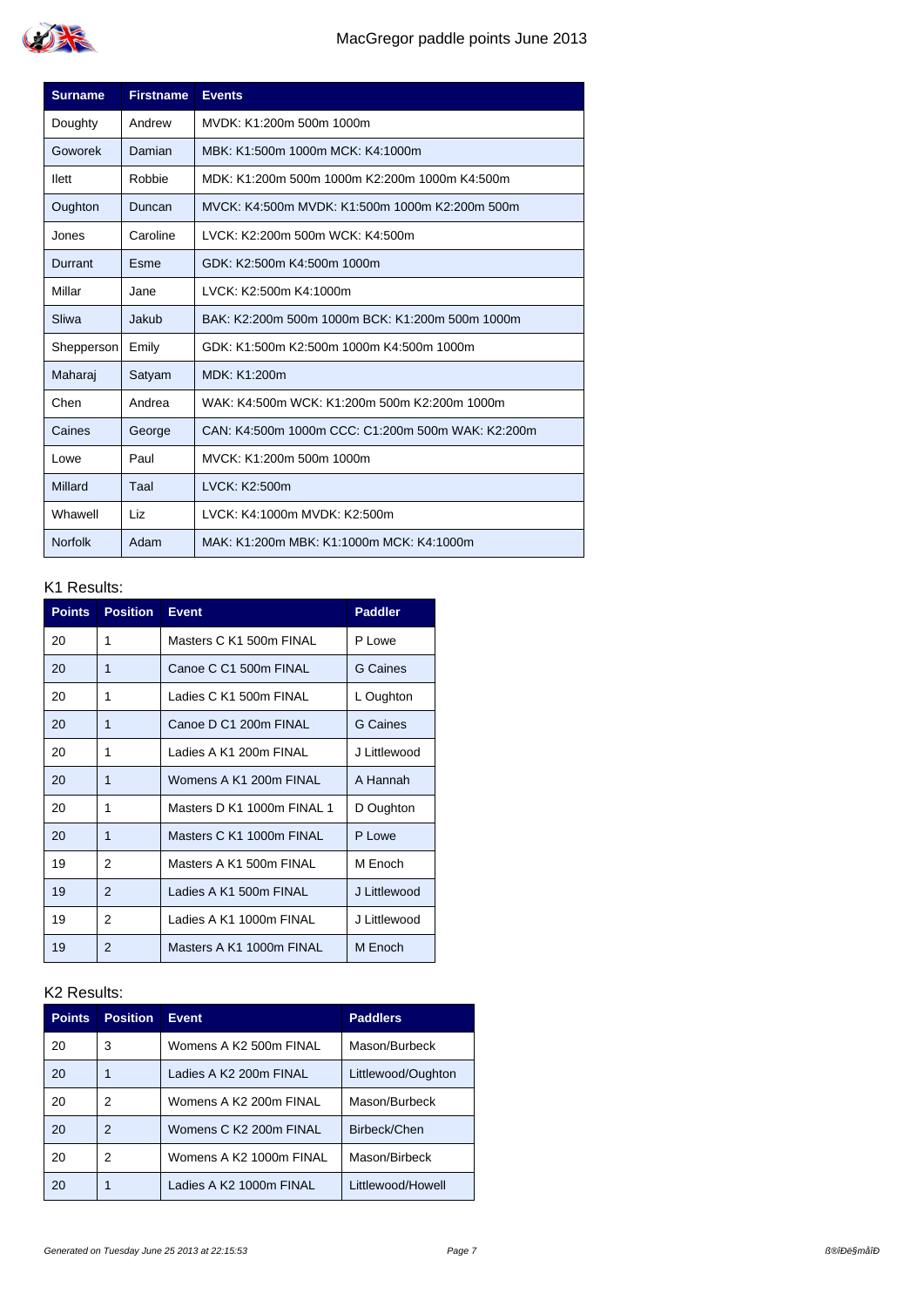

| <b>Surname</b> | <b>Firstname</b> | <b>Events</b>                                     |
|----------------|------------------|---------------------------------------------------|
| Doughty        | Andrew           | MVDK: K1:200m 500m 1000m                          |
| Goworek        | Damian           | MBK: K1:500m 1000m MCK: K4:1000m                  |
| llett          | Robbie           | MDK: K1:200m 500m 1000m K2:200m 1000m K4:500m     |
| Oughton        | Duncan           | MVCK: K4:500m MVDK: K1:500m 1000m K2:200m 500m    |
| Jones          | Caroline         | LVCK: K2:200m 500m WCK: K4:500m                   |
| Durrant        | Esme             | GDK: K2:500m K4:500m 1000m                        |
| Millar         | Jane             | LVCK: K2:500m K4:1000m                            |
| Sliwa          | Jakub            | BAK: K2:200m 500m 1000m BCK: K1:200m 500m 1000m   |
| Shepperson     | Emily            | GDK: K1:500m K2:500m 1000m K4:500m 1000m          |
| Maharaj        | Satyam           | MDK: K1:200m                                      |
| Chen           | Andrea           | WAK: K4:500m WCK: K1:200m 500m K2:200m 1000m      |
| Caines         | George           | CAN: K4:500m 1000m CCC: C1:200m 500m WAK: K2:200m |
| Lowe           | Paul             | MVCK: K1:200m 500m 1000m                          |
| <b>Millard</b> | Taal             | LVCK: K2:500m                                     |
| Whawell        | Liz              | LVCK: K4:1000m MVDK: K2:500m                      |
| <b>Norfolk</b> | Adam             | MAK: K1:200m MBK: K1:1000m MCK: K4:1000m          |

| <b>Points</b> | <b>Position</b> | <b>Event</b>               | <b>Paddler</b>  |
|---------------|-----------------|----------------------------|-----------------|
| 20            | 1               | Masters C K1 500m FINAL    | P Lowe          |
| 20            | 1               | Canoe C C1 500m FINAL      | <b>G</b> Caines |
| 20            | 1               | Ladies C K1 500m FINAL     | L Oughton       |
| 20            | 1               | Canoe D C1 200m FINAL      | G Caines        |
| 20            | 1               | Ladies A K1 200m FINAL     | J Littlewood    |
| 20            | 1               | Womens A K1 200m FINAL     | A Hannah        |
| 20            | 1               | Masters D K1 1000m FINAL 1 | D Oughton       |
| 20            | 1               | Masters C K1 1000m FINAL   | P Lowe          |
| 19            | 2               | Masters A K1 500m FINAL    | M Enoch         |
| 19            | 2               | Ladies A K1 500m FINAL     | J Littlewood    |
| 19            | 2               | Ladies A K1 1000m FINAL    | J Littlewood    |
| 19            | 2               | Masters A K1 1000m FINAL   | M Enoch         |

| <b>Points</b> | <b>Position</b> | <b>Event</b>            | <b>Paddlers</b>    |
|---------------|-----------------|-------------------------|--------------------|
| 20            | 3               | Womens A K2 500m FINAL  | Mason/Burbeck      |
| 20            |                 | Ladies A K2 200m FINAL  | Littlewood/Oughton |
| 20            | 2               | Womens A K2 200m FINAL  | Mason/Burbeck      |
| 20            | 2               | Womens C K2 200m FINAL  | Birbeck/Chen       |
| 20            | 2               | Womens A K2 1000m FINAL | Mason/Birbeck      |
| 20            |                 | Ladies A K2 1000m FINAL | Littlewood/Howell  |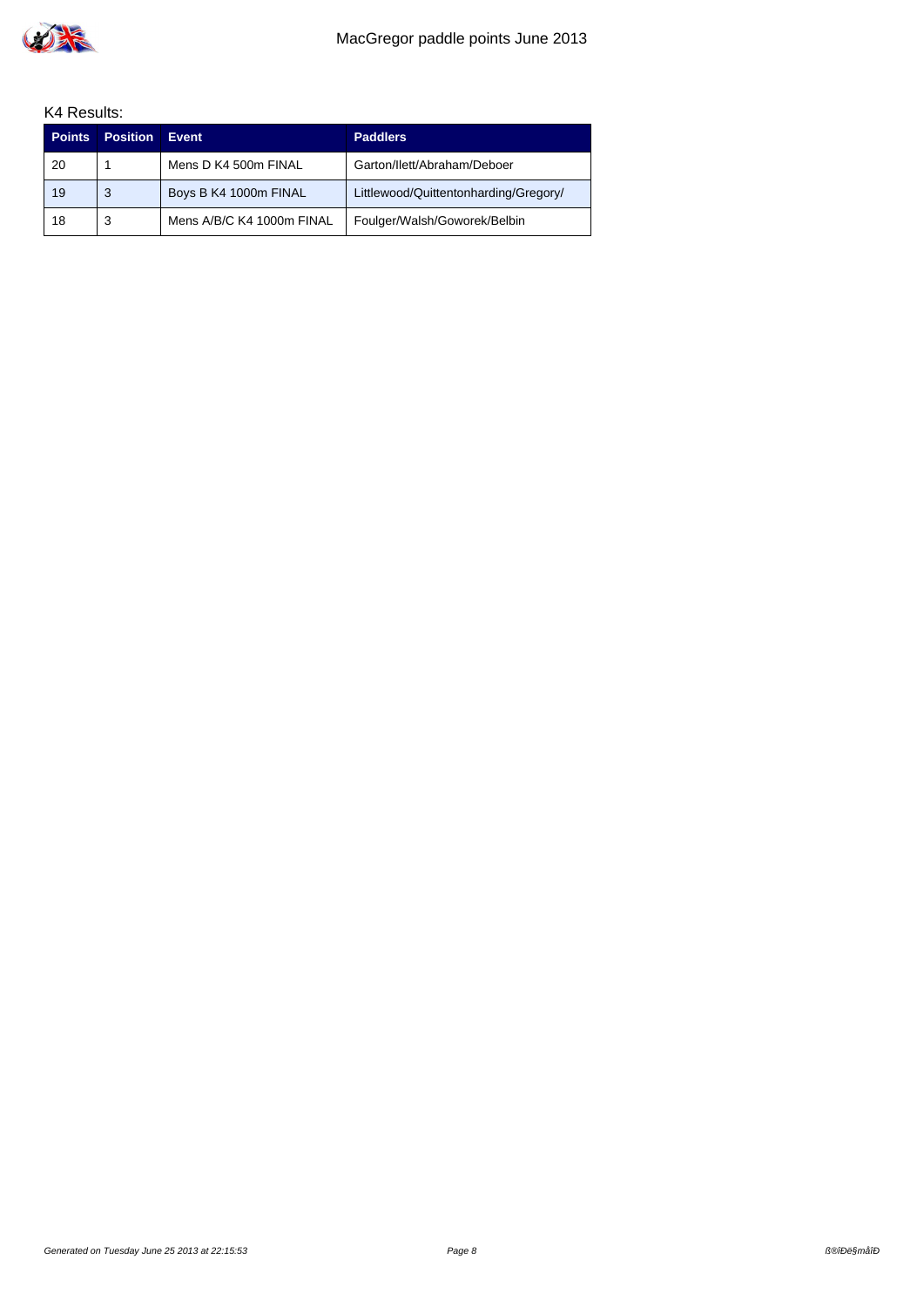

| <b>Points</b> | <b>Position</b> | Event                     | <b>Paddlers</b>                       |
|---------------|-----------------|---------------------------|---------------------------------------|
| 20            |                 | Mens D K4 500m FINAL      | Garton/Ilett/Abraham/Deboer           |
| 19            | 3               | Boys B K4 1000m FINAL     | Littlewood/Quittentonharding/Gregory/ |
| 18            | 3               | Mens A/B/C K4 1000m FINAL | Foulger/Walsh/Goworek/Belbin          |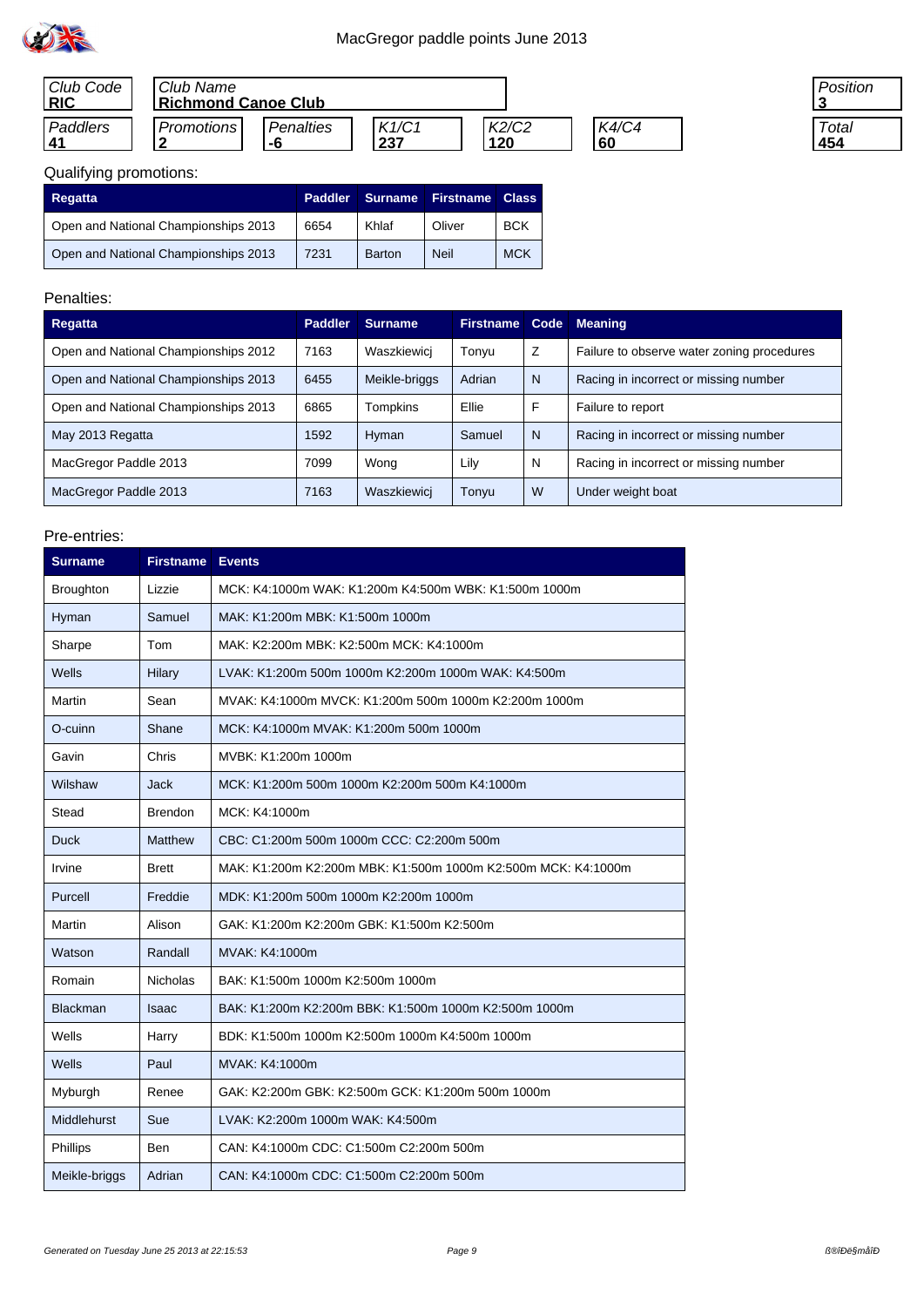

| Club Code<br><b>RIC</b> | Club Name<br>Richmond Canoe Club |           |       |       |              |
|-------------------------|----------------------------------|-----------|-------|-------|--------------|
| Paddlers                | Promotions                       | Penalties | K1/C1 | K2/C2 | <b>K4/C4</b> |
| 41                      |                                  | -h        | 237   | 120   | 60           |

#### Position **3 Total 454**

# Qualifying promotions:

| <b>Regatta</b>                       | Paddler | <b>Surname</b> | <b>Firstname</b> | <b>Class</b> |
|--------------------------------------|---------|----------------|------------------|--------------|
| Open and National Championships 2013 | 6654    | Khlaf          | Oliver           | <b>BCK</b>   |
| Open and National Championships 2013 | 7231    | Barton         | <b>Neil</b>      | <b>MCK</b>   |

## Penalties:

| Regatta                              | <b>Paddler</b> | <b>Surname</b> | <b>Firstname</b> | Code | <b>Meaning</b>                             |
|--------------------------------------|----------------|----------------|------------------|------|--------------------------------------------|
| Open and National Championships 2012 | 7163           | Waszkiewicj    | Tonyu            | Z    | Failure to observe water zoning procedures |
| Open and National Championships 2013 | 6455           | Meikle-briggs  | Adrian           | N    | Racing in incorrect or missing number      |
| Open and National Championships 2013 | 6865           | Tompkins       | Ellie            | F    | Failure to report                          |
| May 2013 Regatta                     | 1592           | Hyman          | Samuel           | N    | Racing in incorrect or missing number      |
| MacGregor Paddle 2013                | 7099           | Wong           | Lily             | N    | Racing in incorrect or missing number      |
| MacGregor Paddle 2013                | 7163           | Waszkiewicj    | Tonyu            | W    | Under weight boat                          |

| <b>Surname</b>     | <b>Firstname</b> | <b>Events</b>                                                 |
|--------------------|------------------|---------------------------------------------------------------|
| <b>Broughton</b>   | Lizzie           | MCK: K4:1000m WAK: K1:200m K4:500m WBK: K1:500m 1000m         |
| Hyman              | Samuel           | MAK: K1:200m MBK: K1:500m 1000m                               |
| Sharpe             | Tom              | MAK: K2:200m MBK: K2:500m MCK: K4:1000m                       |
| Wells              | Hilary           | LVAK: K1:200m 500m 1000m K2:200m 1000m WAK: K4:500m           |
| Martin             | Sean             | MVAK: K4:1000m MVCK: K1:200m 500m 1000m K2:200m 1000m         |
| O-cuinn            | Shane            | MCK: K4:1000m MVAK: K1:200m 500m 1000m                        |
| Gavin              | Chris            | MVBK: K1:200m 1000m                                           |
| Wilshaw            | Jack             | MCK: K1:200m 500m 1000m K2:200m 500m K4:1000m                 |
| Stead              | <b>Brendon</b>   | MCK: K4:1000m                                                 |
| <b>Duck</b>        | Matthew          | CBC: C1:200m 500m 1000m CCC: C2:200m 500m                     |
| Irvine             | <b>Brett</b>     | MAK: K1:200m K2:200m MBK: K1:500m 1000m K2:500m MCK: K4:1000m |
| Purcell            | Freddie          | MDK: K1:200m 500m 1000m K2:200m 1000m                         |
| Martin             | Alison           | GAK: K1:200m K2:200m GBK: K1:500m K2:500m                     |
| Watson             | Randall          | MVAK: K4:1000m                                                |
| Romain             | <b>Nicholas</b>  | BAK: K1:500m 1000m K2:500m 1000m                              |
| <b>Blackman</b>    | <b>Isaac</b>     | BAK: K1:200m K2:200m BBK: K1:500m 1000m K2:500m 1000m         |
| Wells              | Harry            | BDK: K1:500m 1000m K2:500m 1000m K4:500m 1000m                |
| Wells              | Paul             | MVAK: K4:1000m                                                |
| Myburgh            | Renee            | GAK: K2:200m GBK: K2:500m GCK: K1:200m 500m 1000m             |
| <b>Middlehurst</b> | Sue              | LVAK: K2:200m 1000m WAK: K4:500m                              |
| Phillips           | <b>Ben</b>       | CAN: K4:1000m CDC: C1:500m C2:200m 500m                       |
| Meikle-briggs      | Adrian           | CAN: K4:1000m CDC: C1:500m C2:200m 500m                       |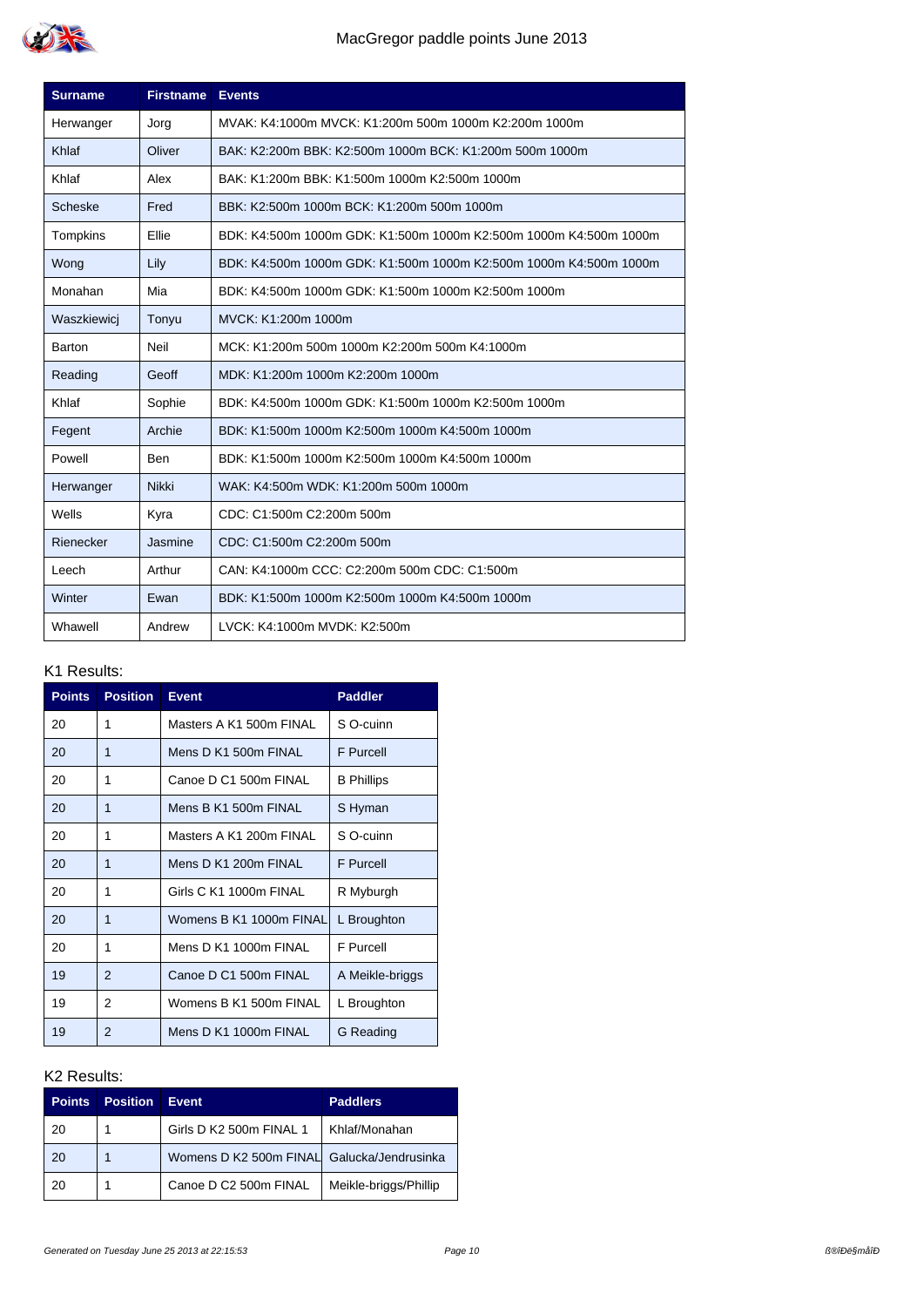

| <b>Surname</b> | <b>Firstname</b> | <b>Events</b>                                                     |  |
|----------------|------------------|-------------------------------------------------------------------|--|
| Herwanger      | Jorg             | MVAK: K4:1000m MVCK: K1:200m 500m 1000m K2:200m 1000m             |  |
| Khlaf          | Oliver           | BAK: K2:200m BBK: K2:500m 1000m BCK: K1:200m 500m 1000m           |  |
| Khlaf          | Alex             | BAK: K1:200m BBK: K1:500m 1000m K2:500m 1000m                     |  |
| Scheske        | Fred             | BBK: K2:500m 1000m BCK: K1:200m 500m 1000m                        |  |
| Tompkins       | Ellie            | BDK: K4:500m 1000m GDK: K1:500m 1000m K2:500m 1000m K4:500m 1000m |  |
| Wong           | Lily             | BDK: K4:500m 1000m GDK: K1:500m 1000m K2:500m 1000m K4:500m 1000m |  |
| Monahan        | Mia              | BDK: K4:500m 1000m GDK: K1:500m 1000m K2:500m 1000m               |  |
| Waszkiewicj    | Tonyu            | MVCK: K1:200m 1000m                                               |  |
| Barton         | Neil             | MCK: K1:200m 500m 1000m K2:200m 500m K4:1000m                     |  |
| Reading        | Geoff            | MDK: K1:200m 1000m K2:200m 1000m                                  |  |
| Khlaf          | Sophie           | BDK: K4:500m 1000m GDK: K1:500m 1000m K2:500m 1000m               |  |
| Fegent         | Archie           | BDK: K1:500m 1000m K2:500m 1000m K4:500m 1000m                    |  |
| Powell         | Ben              | BDK: K1:500m 1000m K2:500m 1000m K4:500m 1000m                    |  |
| Herwanger      | <b>Nikki</b>     | WAK: K4:500m WDK: K1:200m 500m 1000m                              |  |
| Wells          | Kyra             | CDC: C1:500m C2:200m 500m                                         |  |
| Rienecker      | Jasmine          | CDC: C1:500m C2:200m 500m                                         |  |
| Leech          | Arthur           | CAN: K4:1000m CCC: C2:200m 500m CDC: C1:500m                      |  |
| Winter         | Ewan             | BDK: K1:500m 1000m K2:500m 1000m K4:500m 1000m                    |  |
| Whawell        | Andrew           | LVCK: K4:1000m MVDK: K2:500m                                      |  |

| <b>Points</b> | <b>Position</b> | <b>Event</b>            | <b>Paddler</b>    |
|---------------|-----------------|-------------------------|-------------------|
| 20            | 1               | Masters A K1 500m FINAL | S O-cuinn         |
| 20            | 1               | Mens D K1 500m FINAL    | <b>F</b> Purcell  |
| 20            | 1               | Canoe D C1 500m FINAL   | <b>B</b> Phillips |
| 20            | 1               | Mens B K1 500m FINAL    | S Hyman           |
| 20            | 1               | Masters A K1 200m FINAL | S O-cuinn         |
| 20            | 1               | Mens D K1 200m FINAL    | <b>F</b> Purcell  |
| 20            | 1               | Girls C K1 1000m FINAL  | R Myburgh         |
| 20            | 1               | Womens B K1 1000m FINAL | L Broughton       |
| 20            | 1               | Mens D K1 1000m FINAL   | <b>F</b> Purcell  |
| 19            | $\mathcal{P}$   | Canoe D C1 500m FINAL   | A Meikle-briggs   |
| 19            | 2               | Womens B K1 500m FINAL  | L Broughton       |
| 19            | $\overline{2}$  | Mens D K1 1000m FINAL   | G Reading         |

| <b>Points</b> | <b>Position</b> | <b>Event</b>                               | <b>Paddlers</b>       |
|---------------|-----------------|--------------------------------------------|-----------------------|
| 20            |                 | Girls D K2 500m FINAL 1                    | Khlaf/Monahan         |
| 20            |                 | Womens D K2 500m FINAL Galucka/Jendrusinka |                       |
| 20            |                 | Canoe D C2 500m FINAL                      | Meikle-briggs/Phillip |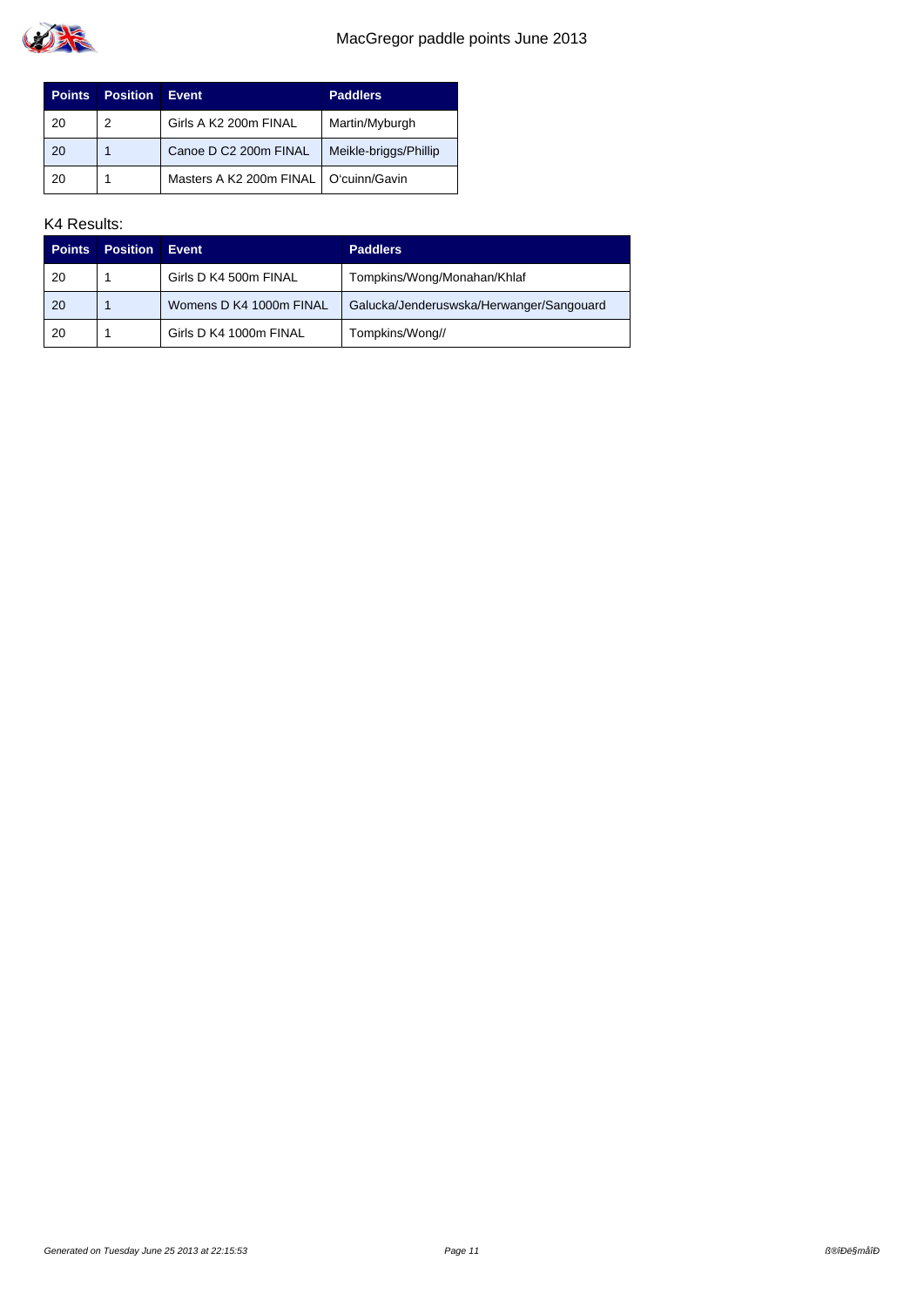

| <b>Points</b> | <b>Position</b> | <b>Event</b>                            | <b>Paddlers</b>       |
|---------------|-----------------|-----------------------------------------|-----------------------|
| -20           | 2               | Girls A K2 200m FINAL                   | Martin/Myburgh        |
| -20           |                 | Canoe D C2 200m FINAL                   | Meikle-briggs/Phillip |
| -20           |                 | Masters A K2 200m FINAL   O'cuinn/Gavin |                       |

| <b>Points</b> | <b>Position</b> | Event                   | <b>Paddlers</b>                          |
|---------------|-----------------|-------------------------|------------------------------------------|
| 20            |                 | Girls D K4 500m FINAL   | Tompkins/Wong/Monahan/Khlaf              |
| 20            |                 | Womens D K4 1000m FINAL | Galucka/Jenderuswska/Herwanger/Sangouard |
| 20            |                 | Girls D K4 1000m FINAL  | Tompkins/Wong//                          |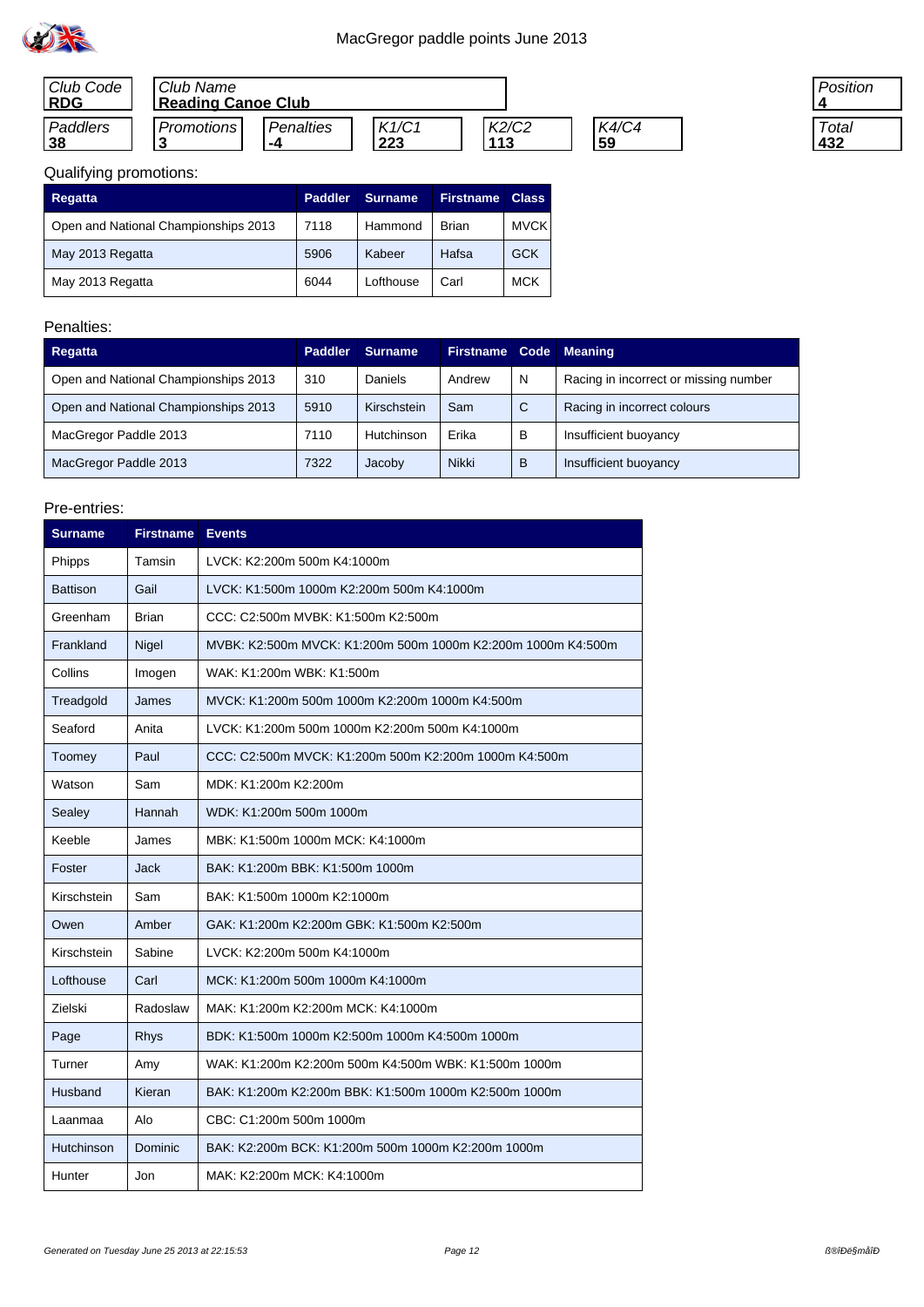

| Club Code<br><b>RDG</b> | Club Name<br><b>Reading Canoe Club</b> |                  |       |       |              |
|-------------------------|----------------------------------------|------------------|-------|-------|--------------|
| Paddlers                | Promotions                             | <b>Penalties</b> | K1/C1 | K2/C2 | <b>K4/C4</b> |
| <u>38</u>               |                                        | -4               | 223   | 113   | 59           |

| Position   |
|------------|
| Total<br>I |
| 432        |

# Qualifying promotions:

| <b>Regatta</b>                       | <b>Paddler</b> | <b>Surname</b> | <b>Firstname</b> | <b>Class</b> |
|--------------------------------------|----------------|----------------|------------------|--------------|
| Open and National Championships 2013 | 7118           | Hammond        | <b>Brian</b>     | <b>MVCK</b>  |
| May 2013 Regatta                     | 5906           | Kabeer         | Hafsa            | <b>GCK</b>   |
| May 2013 Regatta                     | 6044           | Lofthouse      | Carl             | <b>MCK</b>   |

## Penalties:

| Regatta                              | <b>Paddler</b> | <b>Surname</b> | Firstname Code Meaning |   |                                       |
|--------------------------------------|----------------|----------------|------------------------|---|---------------------------------------|
| Open and National Championships 2013 | 310            | Daniels        | Andrew                 | N | Racing in incorrect or missing number |
| Open and National Championships 2013 | 5910           | Kirschstein    | Sam                    | C | Racing in incorrect colours           |
| MacGregor Paddle 2013                | 7110           | Hutchinson     | Erika                  | в | Insufficient buoyancy                 |
| MacGregor Paddle 2013                | 7322           | Jacoby         | <b>Nikki</b>           | в | Insufficient buoyancy                 |

| <b>Surname</b>  | <b>Firstname</b> | <b>Events</b>                                                |
|-----------------|------------------|--------------------------------------------------------------|
| Phipps          | Tamsin           | LVCK: K2:200m 500m K4:1000m                                  |
| <b>Battison</b> | Gail             | LVCK: K1:500m 1000m K2:200m 500m K4:1000m                    |
| Greenham        | <b>Brian</b>     | CCC: C2:500m MVBK: K1:500m K2:500m                           |
| Frankland       | Nigel            | MVBK: K2:500m MVCK: K1:200m 500m 1000m K2:200m 1000m K4:500m |
| Collins         | Imogen           | WAK: K1:200m WBK: K1:500m                                    |
| Treadgold       | James            | MVCK: K1:200m 500m 1000m K2:200m 1000m K4:500m               |
| Seaford         | Anita            | LVCK: K1:200m 500m 1000m K2:200m 500m K4:1000m               |
| Toomey          | Paul             | CCC: C2:500m MVCK: K1:200m 500m K2:200m 1000m K4:500m        |
| Watson          | Sam              | MDK: K1:200m K2:200m                                         |
| Sealey          | Hannah           | WDK: K1:200m 500m 1000m                                      |
| Keeble          | James            | MBK: K1:500m 1000m MCK: K4:1000m                             |
| Foster          | Jack             | BAK: K1:200m BBK: K1:500m 1000m                              |
| Kirschstein     | Sam              | BAK: K1:500m 1000m K2:1000m                                  |
| Owen            | Amber            | GAK: K1:200m K2:200m GBK: K1:500m K2:500m                    |
| Kirschstein     | Sabine           | LVCK: K2:200m 500m K4:1000m                                  |
| Lofthouse       | Carl             | MCK: K1:200m 500m 1000m K4:1000m                             |
| Zielski         | Radoslaw         | MAK: K1:200m K2:200m MCK: K4:1000m                           |
| Page            | <b>Rhys</b>      | BDK: K1:500m 1000m K2:500m 1000m K4:500m 1000m               |
| Turner          | Amy              | WAK: K1:200m K2:200m 500m K4:500m WBK: K1:500m 1000m         |
| Husband         | Kieran           | BAK: K1:200m K2:200m BBK: K1:500m 1000m K2:500m 1000m        |
| Laanmaa         | Alo              | CBC: C1:200m 500m 1000m                                      |
| Hutchinson      | Dominic          | BAK: K2:200m BCK: K1:200m 500m 1000m K2:200m 1000m           |
| Hunter          | Jon              | MAK: K2:200m MCK: K4:1000m                                   |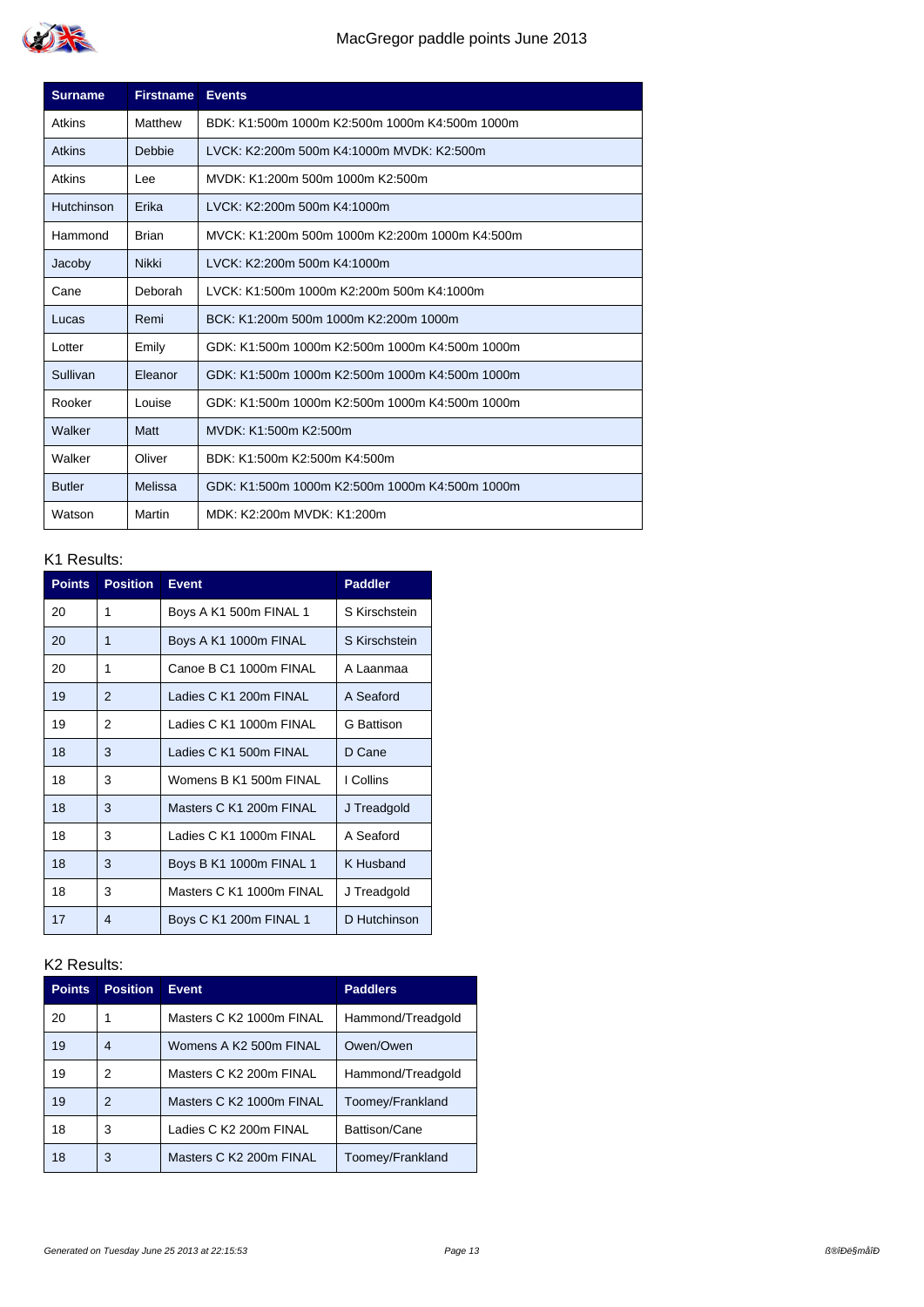

| <b>Surname</b> | <b>Firstname</b> | <b>Events</b>                                  |
|----------------|------------------|------------------------------------------------|
| Atkins         | Matthew          | BDK: K1:500m 1000m K2:500m 1000m K4:500m 1000m |
| <b>Atkins</b>  | Debbie           | LVCK: K2:200m 500m K4:1000m MVDK: K2:500m      |
| Atkins         | Lee              | MVDK: K1:200m 500m 1000m K2:500m               |
| Hutchinson     | Erika            | LVCK: K2:200m 500m K4:1000m                    |
| Hammond        | Brian            | MVCK: K1:200m 500m 1000m K2:200m 1000m K4:500m |
| Jacoby         | <b>Nikki</b>     | LVCK: K2:200m 500m K4:1000m                    |
| Cane           | Deborah          | LVCK: K1:500m 1000m K2:200m 500m K4:1000m      |
| Lucas          | Remi             | BCK: K1:200m 500m 1000m K2:200m 1000m          |
| Lotter         | Emily            | GDK: K1:500m 1000m K2:500m 1000m K4:500m 1000m |
| Sullivan       | Eleanor          | GDK: K1:500m 1000m K2:500m 1000m K4:500m 1000m |
| Rooker         | Louise           | GDK: K1:500m 1000m K2:500m 1000m K4:500m 1000m |
| Walker         | Matt             | MVDK: K1:500m K2:500m                          |
| Walker         | Oliver           | BDK: K1:500m K2:500m K4:500m                   |
| <b>Butler</b>  | Melissa          | GDK: K1:500m 1000m K2:500m 1000m K4:500m 1000m |
| Watson         | Martin           | MDK: K2:200m MVDK: K1:200m                     |

| <b>Points</b> | <b>Position</b> | <b>Event</b>             | <b>Paddler</b>    |
|---------------|-----------------|--------------------------|-------------------|
| 20            | 1               | Boys A K1 500m FINAL 1   | S Kirschstein     |
| 20            | 1               | Boys A K1 1000m FINAL    | S Kirschstein     |
| 20            | 1               | Canoe B C1 1000m FINAL   | A Laanmaa         |
| 19            | 2               | Ladies C K1 200m FINAL   | A Seaford         |
| 19            | 2               | Ladies C K1 1000m FINAL  | <b>G</b> Battison |
| 18            | 3               | Ladies C K1 500m FINAL   | D Cane            |
| 18            | 3               | Womens B K1 500m FINAL   | I Collins         |
| 18            | 3               | Masters C K1 200m FINAL  | J Treadgold       |
| 18            | 3               | Ladies C K1 1000m FINAL  | A Seaford         |
| 18            | 3               | Boys B K1 1000m FINAL 1  | K Husband         |
| 18            | 3               | Masters C K1 1000m FINAL | J Treadgold       |
| 17            | 4               | Boys C K1 200m FINAL 1   | D Hutchinson      |

| <b>Points</b> | <b>Position</b> | <b>Event</b>             | <b>Paddlers</b>   |
|---------------|-----------------|--------------------------|-------------------|
| 20            | 1               | Masters C K2 1000m FINAL | Hammond/Treadgold |
| 19            | 4               | Womens A K2 500m FINAL   | Owen/Owen         |
| 19            | 2               | Masters C K2 200m FINAL  | Hammond/Treadgold |
| 19            | 2               | Masters C K2 1000m FINAL | Toomey/Frankland  |
| 18            | 3               | Ladies C K2 200m FINAL   | Battison/Cane     |
| 18            | 3               | Masters C K2 200m FINAL  | Toomey/Frankland  |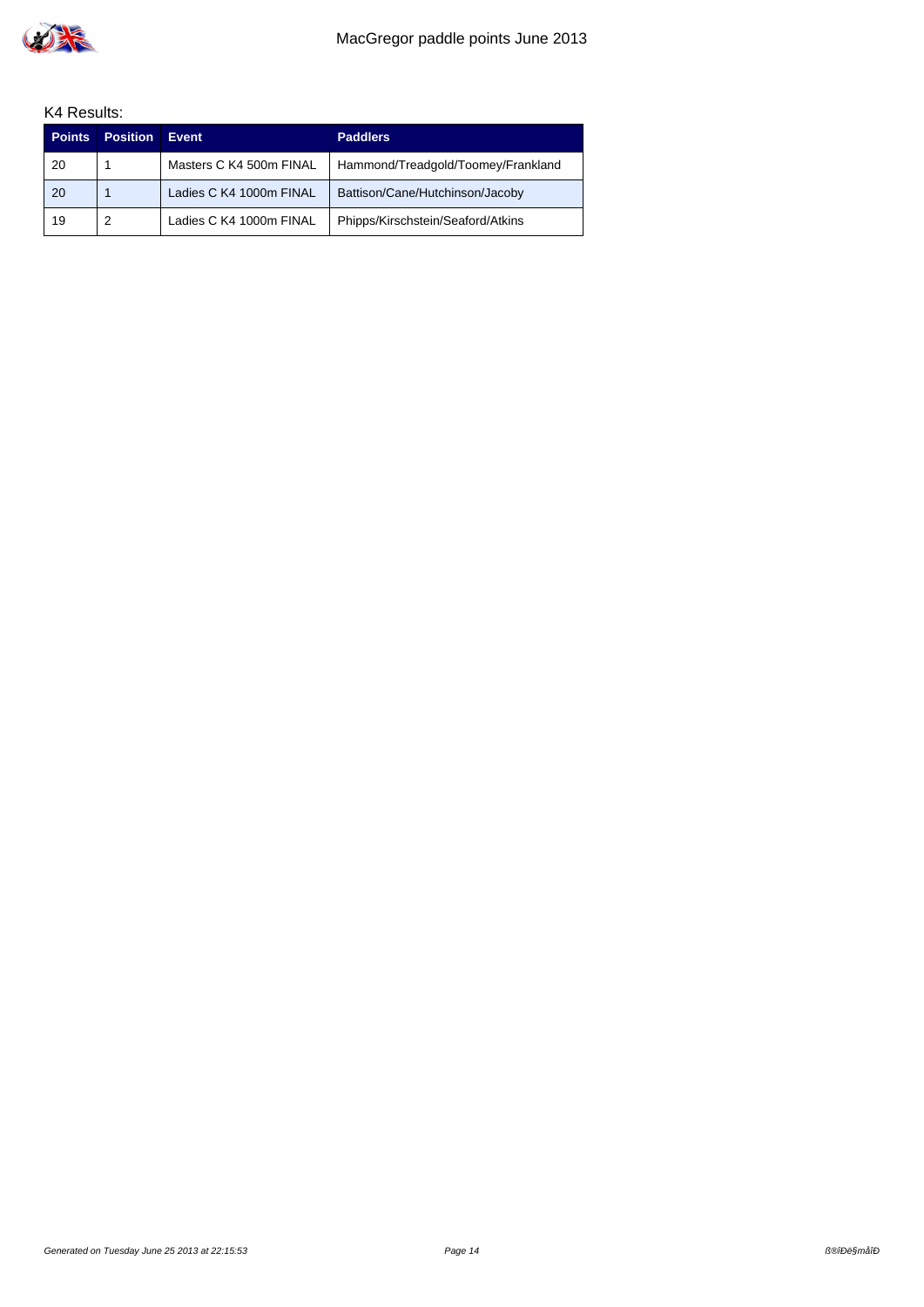

| <b>Points</b> | <b>Position</b> | Event                   | <b>Paddlers</b>                    |
|---------------|-----------------|-------------------------|------------------------------------|
| 20            |                 | Masters C K4 500m FINAL | Hammond/Treadgold/Toomey/Frankland |
| 20            |                 | Ladies C K4 1000m FINAL | Battison/Cane/Hutchinson/Jacoby    |
| 19            |                 | Ladies C K4 1000m FINAL | Phipps/Kirschstein/Seaford/Atkins  |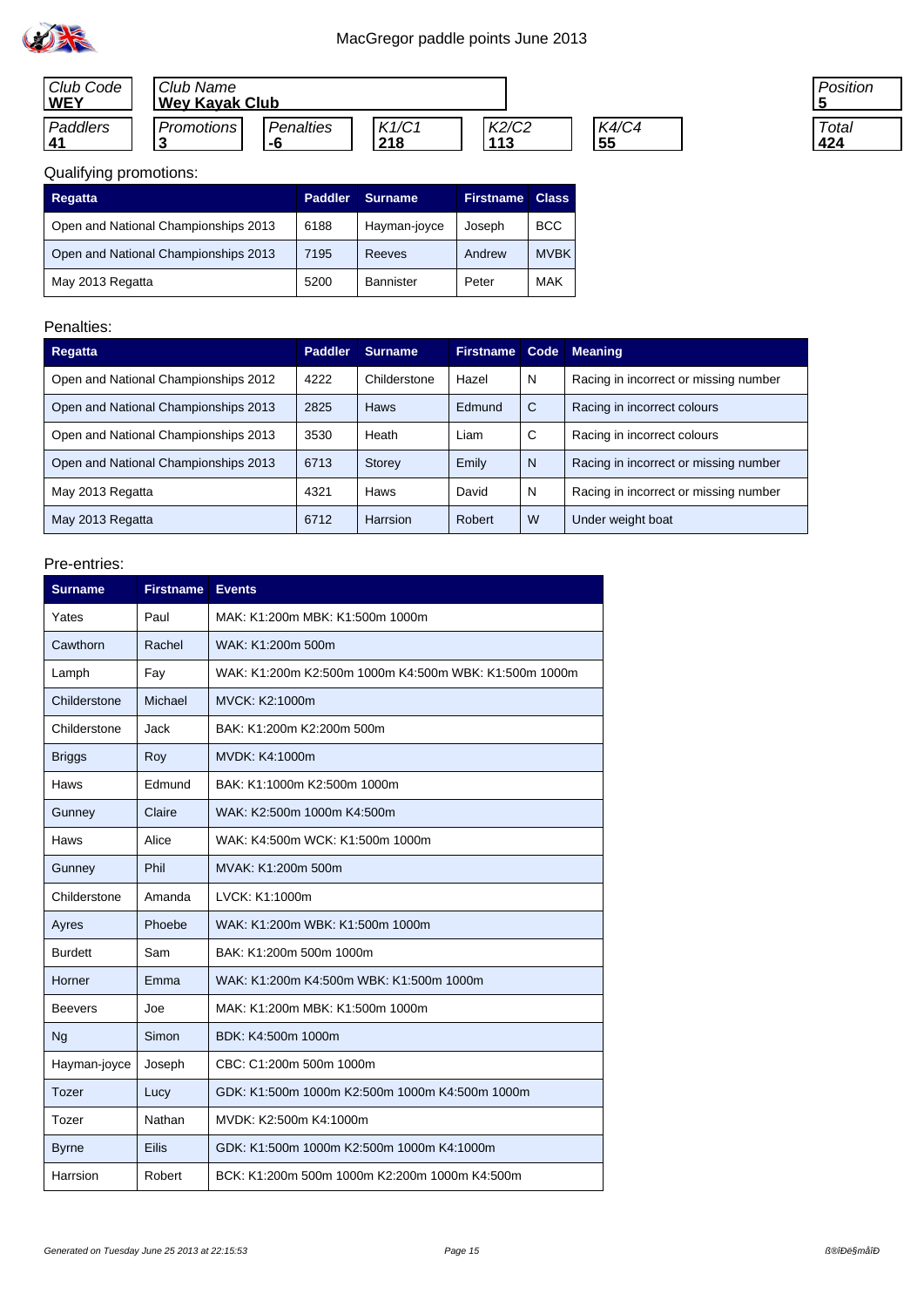

| Club Code<br><b>WEY</b> | Club Name<br><b>Wey Kayak Club</b> |           |       |       |       |
|-------------------------|------------------------------------|-----------|-------|-------|-------|
| Paddlers                | Promotions I                       | Penalties | K1/C1 | K2/C2 | K4/C4 |
| 41                      |                                    | -6        | 218   | 113   | 55    |



# Qualifying promotions:

| Regatta                              | <b>Paddler</b> | <b>Surname</b> | <b>Firstname</b> | <b>Class</b> |
|--------------------------------------|----------------|----------------|------------------|--------------|
| Open and National Championships 2013 | 6188           | Hayman-joyce   | Joseph           | <b>BCC</b>   |
| Open and National Championships 2013 | 7195           | Reeves         | Andrew           | <b>MVBK</b>  |
| May 2013 Regatta                     | 5200           | Bannister      | Peter            | <b>MAK</b>   |

### Penalties:

| <b>Regatta</b>                       | <b>Paddler</b> | <b>Surname</b> | <b>Firstname</b> |   | <b>Code Meaning</b>                   |
|--------------------------------------|----------------|----------------|------------------|---|---------------------------------------|
| Open and National Championships 2012 | 4222           | Childerstone   | Hazel            | N | Racing in incorrect or missing number |
| Open and National Championships 2013 | 2825           | Haws           | Edmund           | C | Racing in incorrect colours           |
| Open and National Championships 2013 | 3530           | Heath          | Liam             | C | Racing in incorrect colours           |
| Open and National Championships 2013 | 6713           | Storey         | Emily            | N | Racing in incorrect or missing number |
| May 2013 Regatta                     | 4321           | Haws           | David            | N | Racing in incorrect or missing number |
| May 2013 Regatta                     | 6712           | Harrsion       | Robert           | W | Under weight boat                     |

| <b>Surname</b> | <b>Firstname</b> | <b>Events</b>                                         |
|----------------|------------------|-------------------------------------------------------|
| Yates          | Paul             | MAK: K1:200m MBK: K1:500m 1000m                       |
| Cawthorn       | Rachel           | WAK: K1:200m 500m                                     |
| Lamph          | Fay              | WAK: K1:200m K2:500m 1000m K4:500m WBK: K1:500m 1000m |
| Childerstone   | Michael          | MVCK: K2:1000m                                        |
| Childerstone   | Jack             | BAK: K1:200m K2:200m 500m                             |
| <b>Briggs</b>  | Roy              | MVDK: K4:1000m                                        |
| Haws           | Edmund           | BAK: K1:1000m K2:500m 1000m                           |
| Gunney         | Claire           | WAK: K2:500m 1000m K4:500m                            |
| Haws           | Alice            | WAK: K4:500m WCK: K1:500m 1000m                       |
| Gunney         | Phil             | MVAK: K1:200m 500m                                    |
| Childerstone   | Amanda           | LVCK: K1:1000m                                        |
| Ayres          | Phoebe           | WAK: K1:200m WBK: K1:500m 1000m                       |
| <b>Burdett</b> | Sam              | BAK: K1:200m 500m 1000m                               |
| Horner         | Emma             | WAK: K1:200m K4:500m WBK: K1:500m 1000m               |
| Beevers        | Joe              | MAK: K1:200m MBK: K1:500m 1000m                       |
| Ng             | Simon            | BDK: K4:500m 1000m                                    |
| Hayman-joyce   | Joseph           | CBC: C1:200m 500m 1000m                               |
| Tozer          | Lucy             | GDK: K1:500m 1000m K2:500m 1000m K4:500m 1000m        |
| Tozer          | Nathan           | MVDK: K2:500m K4:1000m                                |
| <b>Byrne</b>   | <b>Eilis</b>     | GDK: K1:500m 1000m K2:500m 1000m K4:1000m             |
| Harrsion       | Robert           | BCK: K1:200m 500m 1000m K2:200m 1000m K4:500m         |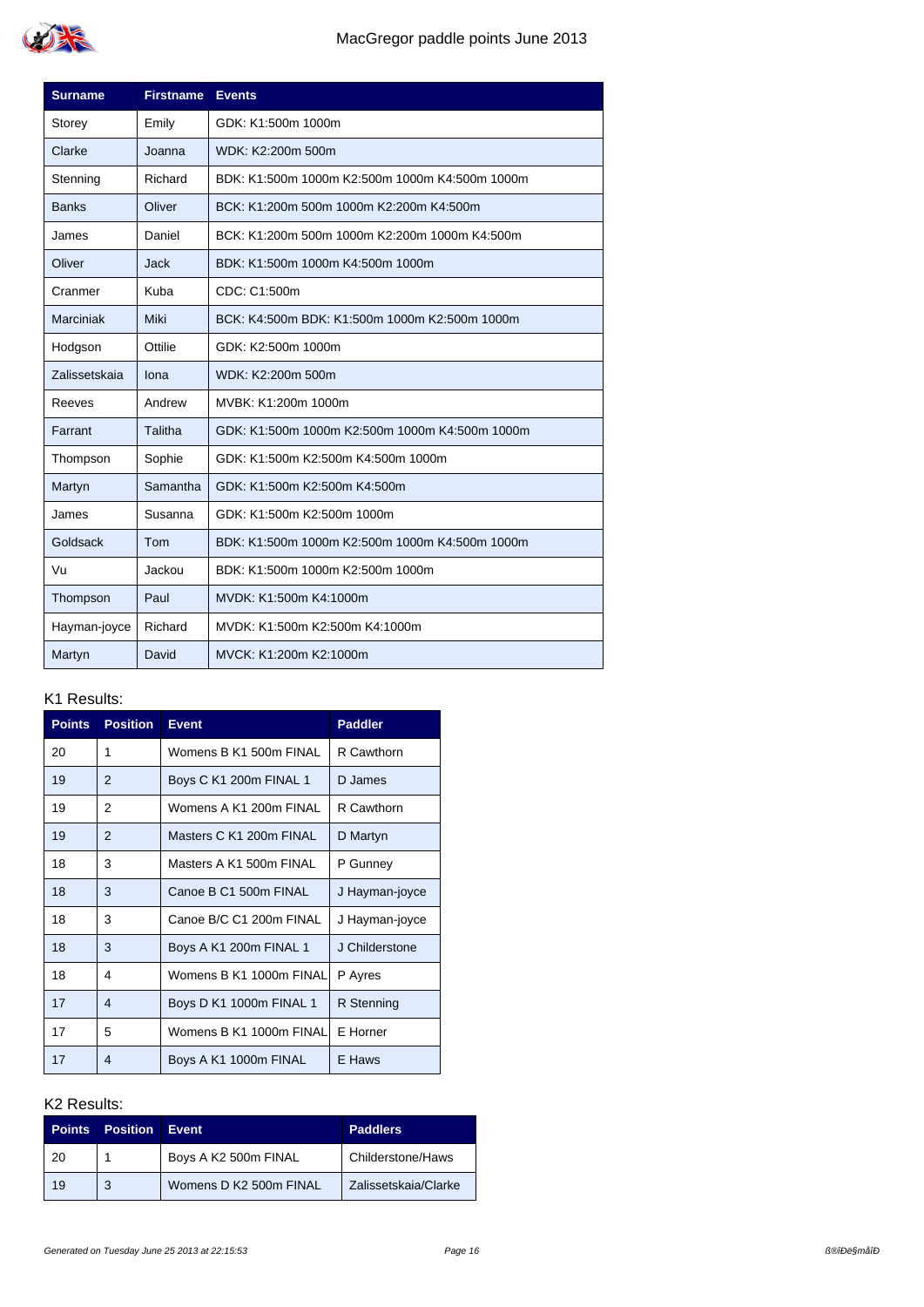

| <b>Surname</b> | <b>Firstname</b> | <b>Events</b>                                  |
|----------------|------------------|------------------------------------------------|
| Storey         | Emily            | GDK: K1:500m 1000m                             |
| Clarke         | Joanna           | WDK: K2:200m 500m                              |
| Stenning       | Richard          | BDK: K1:500m 1000m K2:500m 1000m K4:500m 1000m |
| <b>Banks</b>   | Oliver           | BCK: K1:200m 500m 1000m K2:200m K4:500m        |
| James          | Daniel           | BCK: K1:200m 500m 1000m K2:200m 1000m K4:500m  |
| Oliver         | Jack             | BDK: K1:500m 1000m K4:500m 1000m               |
| Cranmer        | Kuba             | CDC: C1:500m                                   |
| Marciniak      | Miki             | BCK: K4:500m BDK: K1:500m 1000m K2:500m 1000m  |
| Hodgson        | Ottilie          | GDK: K2:500m 1000m                             |
| Zalissetskaja  | lona             | WDK: K2:200m 500m                              |
| Reeves         | Andrew           | MVBK: K1:200m 1000m                            |
| Farrant        | Talitha          | GDK: K1:500m 1000m K2:500m 1000m K4:500m 1000m |
| Thompson       | Sophie           | GDK: K1:500m K2:500m K4:500m 1000m             |
| Martyn         | Samantha         | GDK: K1:500m K2:500m K4:500m                   |
| James          | Susanna          | GDK: K1:500m K2:500m 1000m                     |
| Goldsack       | Tom              | BDK: K1:500m 1000m K2:500m 1000m K4:500m 1000m |
| Vu             | Jackou           | BDK: K1:500m 1000m K2:500m 1000m               |
| Thompson       | Paul             | MVDK: K1:500m K4:1000m                         |
| Hayman-joyce   | Richard          | MVDK: K1:500m K2:500m K4:1000m                 |
| Martyn         | David            | MVCK: K1:200m K2:1000m                         |

| <b>Points</b> | <b>Position</b> | <b>Event</b>            | <b>Paddler</b> |
|---------------|-----------------|-------------------------|----------------|
| 20            | 1               | Womens B K1 500m FINAL  | R Cawthorn     |
| 19            | 2               | Boys C K1 200m FINAL 1  | D James        |
| 19            | 2               | Womens A K1 200m FINAL  | R Cawthorn     |
| 19            | $\overline{2}$  | Masters C K1 200m FINAL | D Martyn       |
| 18            | 3               | Masters A K1 500m FINAL | P Gunney       |
| 18            | 3               | Canoe B C1 500m FINAL   | J Hayman-joyce |
| 18            | 3               | Canoe B/C C1 200m FINAL | J Hayman-joyce |
| 18            | 3               | Boys A K1 200m FINAL 1  | J Childerstone |
| 18            | 4               | Womens B K1 1000m FINAL | P Ayres        |
| 17            | 4               | Boys D K1 1000m FINAL 1 | R Stenning     |
| 17            | 5               | Womens B K1 1000m FINAL | E Horner       |
| 17            | 4               | Boys A K1 1000m FINAL   | E Haws         |

| <b>Points</b> | <b>Position</b> | Event                  | <b>Paddlers</b>      |
|---------------|-----------------|------------------------|----------------------|
| 20            |                 | Boys A K2 500m FINAL   | Childerstone/Haws    |
| 19            | 3               | Womens D K2 500m FINAL | Zalissetskaia/Clarke |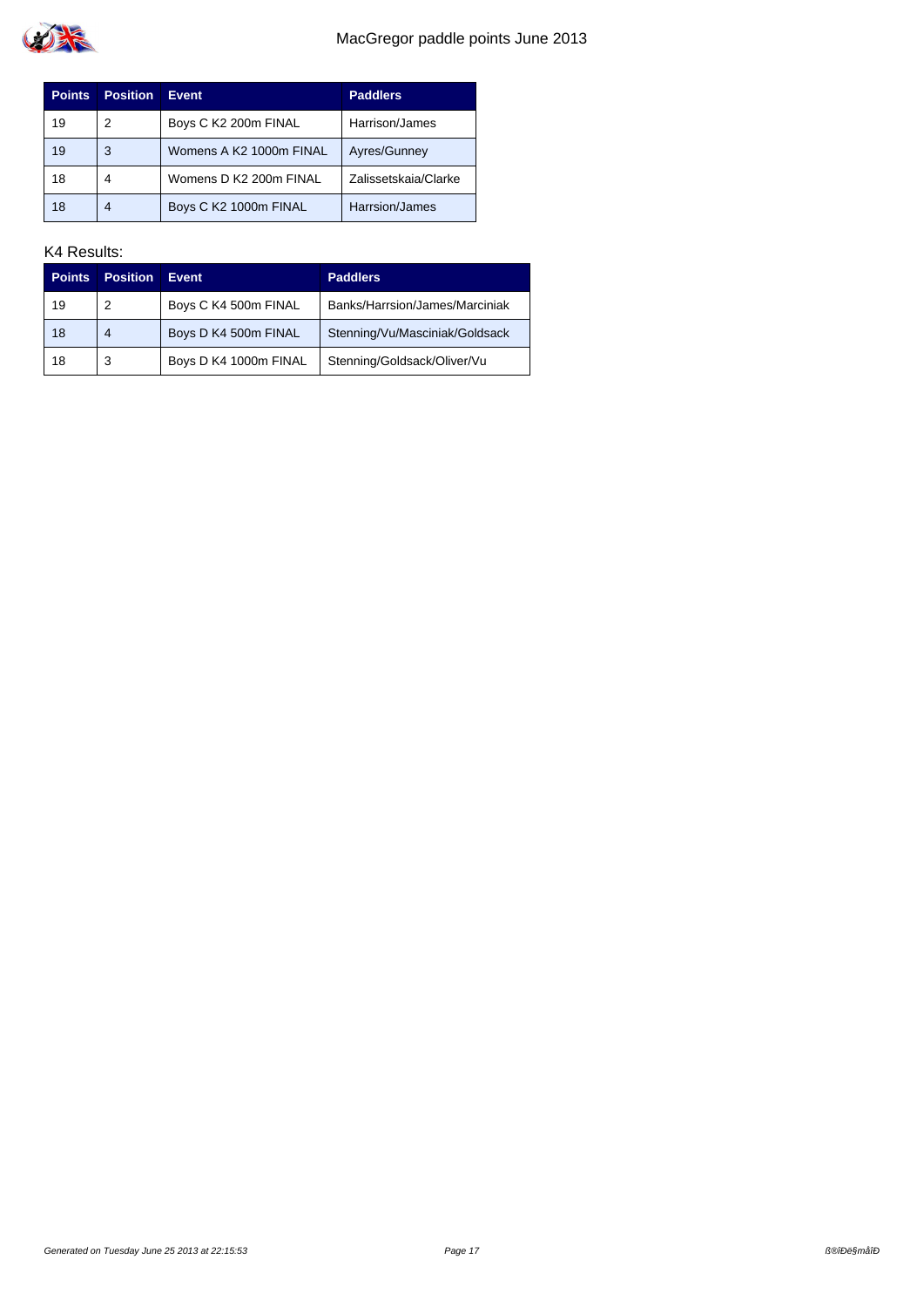

| <b>Points</b> | Position | <b>Event</b>            | <b>Paddlers</b>      |
|---------------|----------|-------------------------|----------------------|
| 19            | 2        | Boys C K2 200m FINAL    | Harrison/James       |
| 19            | 3        | Womens A K2 1000m FINAL | Ayres/Gunney         |
| 18            | 4        | Womens D K2 200m FINAL  | Zalissetskaja/Clarke |
| 18            | 4        | Boys C K2 1000m FINAL   | Harrsion/James       |

| <b>Points</b> | <b>Position</b> | <b>Event</b>          | <b>Paddlers</b>                |
|---------------|-----------------|-----------------------|--------------------------------|
| 19            | 2               | Boys C K4 500m FINAL  | Banks/Harrsion/James/Marciniak |
| 18            | 4               | Boys D K4 500m FINAL  | Stenning/Vu/Masciniak/Goldsack |
| 18            | 3               | Boys D K4 1000m FINAL | Stenning/Goldsack/Oliver/Vu    |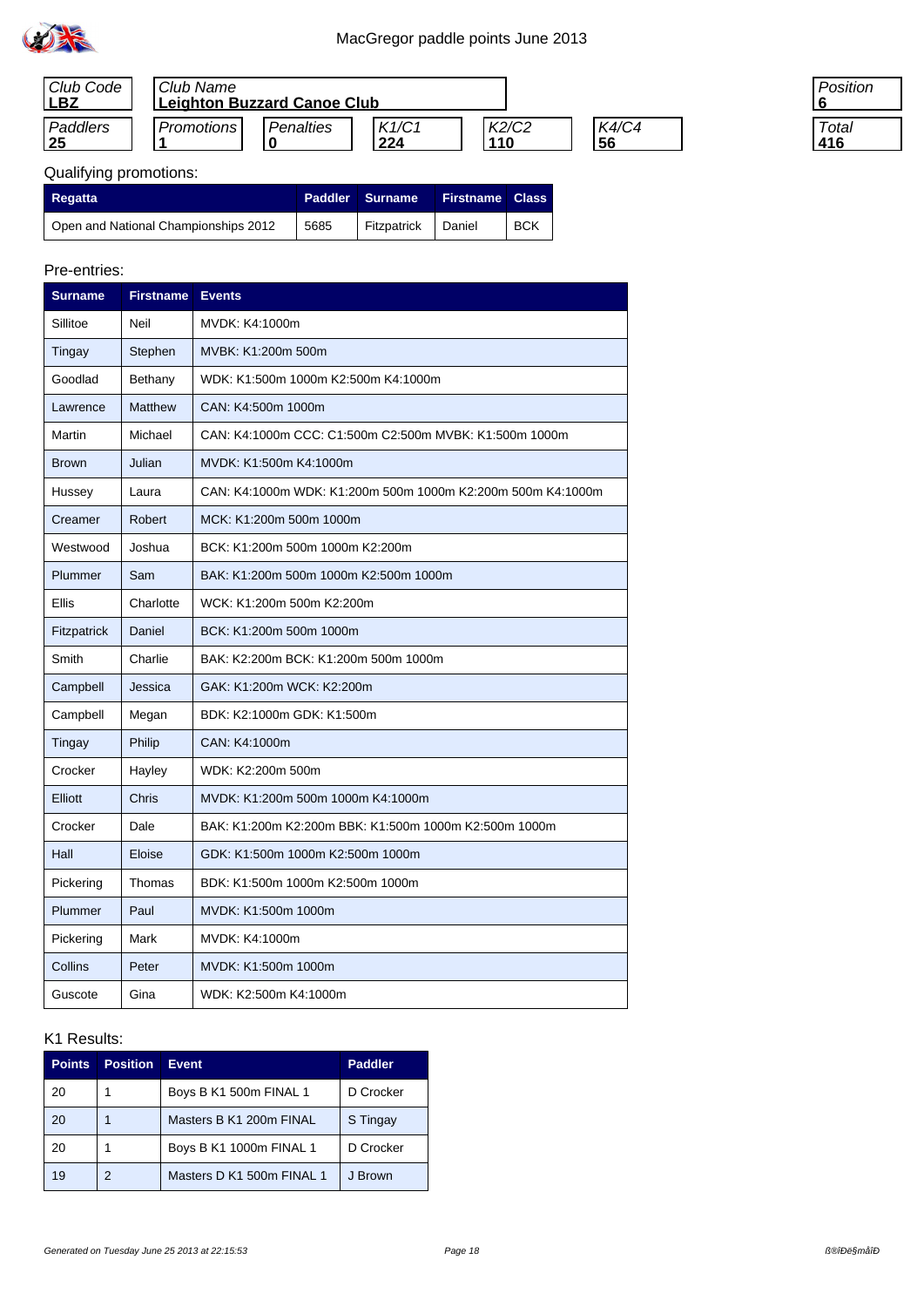

| Club Code<br><b>LB2</b> | Club Name<br><b>Leighton Buzzard Canoe Club</b> |           |                         |              |             |
|-------------------------|-------------------------------------------------|-----------|-------------------------|--------------|-------------|
| Paddlers<br>25          | <b>Promotions</b>                               | Penalties | K1/C1<br>$^{\circ}$ 224 | K2/C2<br>110 | K4/C4<br>56 |

| 'osition |  |
|----------|--|
|          |  |
| Total    |  |
| 16       |  |

# Qualifying promotions:

| <b>Regatta</b>                       |      | Paddler Surname    | <b>Firstname Class</b> |            |
|--------------------------------------|------|--------------------|------------------------|------------|
| Open and National Championships 2012 | 5685 | Fitzpatrick Daniel |                        | <b>BCK</b> |

#### Pre-entries:

| <b>Surname</b> | <b>Firstname</b> | <b>Events</b>                                               |
|----------------|------------------|-------------------------------------------------------------|
| Sillitoe       | Neil             | MVDK: K4:1000m                                              |
| Tingay         | Stephen          | MVBK: K1:200m 500m                                          |
| Goodlad        | Bethany          | WDK: K1:500m 1000m K2:500m K4:1000m                         |
| Lawrence       | <b>Matthew</b>   | CAN: K4:500m 1000m                                          |
| Martin         | Michael          | CAN: K4:1000m CCC: C1:500m C2:500m MVBK: K1:500m 1000m      |
| <b>Brown</b>   | Julian           | MVDK: K1:500m K4:1000m                                      |
| Hussey         | Laura            | CAN: K4:1000m WDK: K1:200m 500m 1000m K2:200m 500m K4:1000m |
| Creamer        | <b>Robert</b>    | MCK: K1:200m 500m 1000m                                     |
| Westwood       | Joshua           | BCK: K1:200m 500m 1000m K2:200m                             |
| Plummer        | Sam              | BAK: K1:200m 500m 1000m K2:500m 1000m                       |
| Ellis          | Charlotte        | WCK: K1:200m 500m K2:200m                                   |
| Fitzpatrick    | Daniel           | BCK: K1:200m 500m 1000m                                     |
| Smith          | Charlie          | BAK: K2:200m BCK: K1:200m 500m 1000m                        |
| Campbell       | Jessica          | GAK: K1:200m WCK: K2:200m                                   |
| Campbell       | Megan            | BDK: K2:1000m GDK: K1:500m                                  |
| Tingay         | Philip           | CAN: K4:1000m                                               |
| Crocker        | Hayley           | WDK: K2:200m 500m                                           |
| Elliott        | Chris            | MVDK: K1:200m 500m 1000m K4:1000m                           |
| Crocker        | Dale             | BAK: K1:200m K2:200m BBK: K1:500m 1000m K2:500m 1000m       |
| Hall           | Eloise           | GDK: K1:500m 1000m K2:500m 1000m                            |
| Pickering      | Thomas           | BDK: K1:500m 1000m K2:500m 1000m                            |
| Plummer        | Paul             | MVDK: K1:500m 1000m                                         |
| Pickering      | Mark             | MVDK: K4:1000m                                              |
| Collins        | Peter            | MVDK: K1:500m 1000m                                         |
| Guscote        | Gina             | WDK: K2:500m K4:1000m                                       |

| <b>Points</b> | <b>Position</b> | <b>Event</b>              | <b>Paddler</b> |
|---------------|-----------------|---------------------------|----------------|
| 20            |                 | Boys B K1 500m FINAL 1    | D Crocker      |
| 20            |                 | Masters B K1 200m FINAL   | S Tingay       |
| 20            |                 | Boys B K1 1000m FINAL 1   | D Crocker      |
| 19            | 2               | Masters D K1 500m FINAL 1 | J Brown        |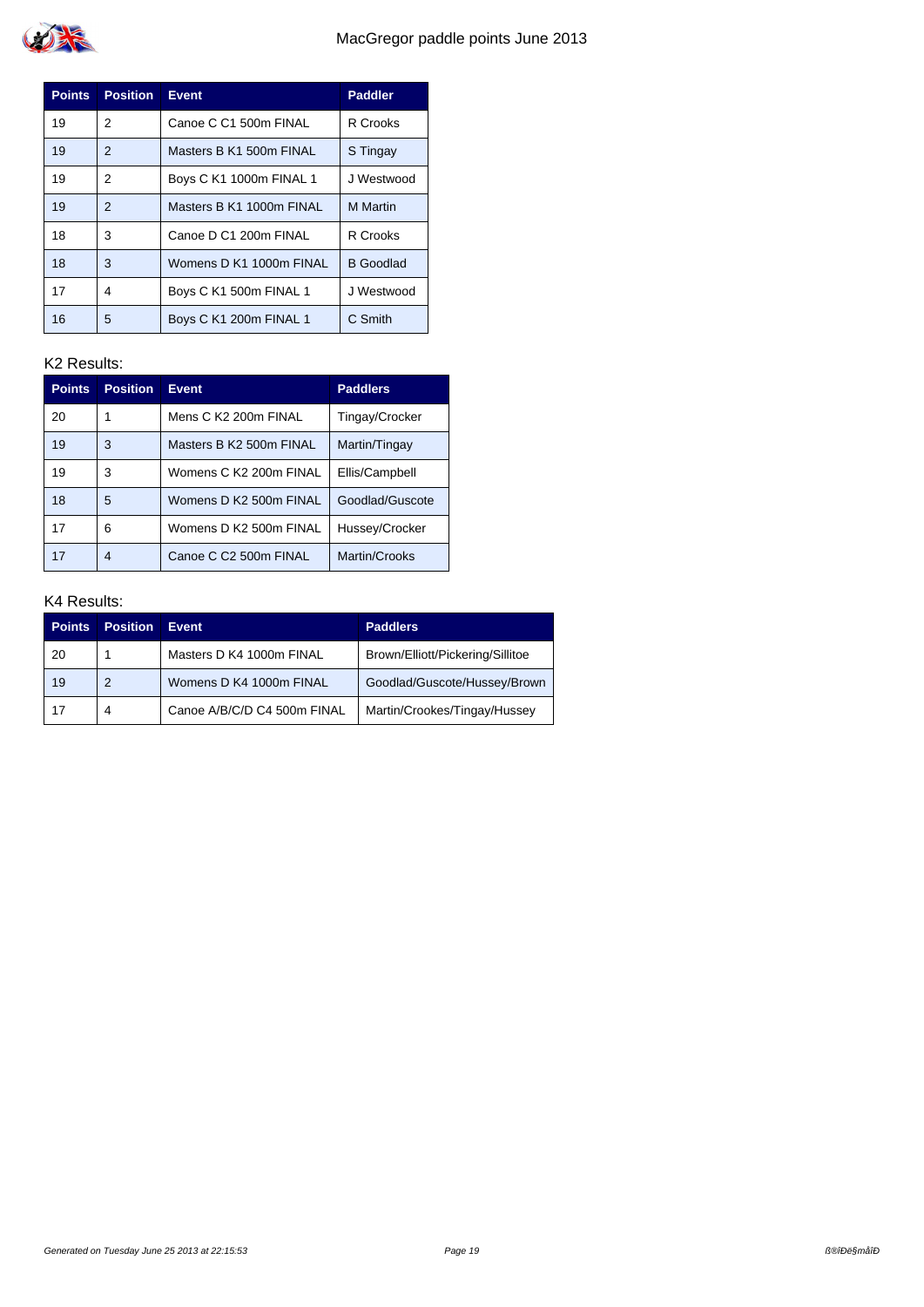| <b>Points</b> | <b>Position</b> | <b>Event</b>             | <b>Paddler</b>   |
|---------------|-----------------|--------------------------|------------------|
| 19            | 2               | Canoe C C1 500m FINAL    | R Crooks         |
| 19            | 2               | Masters B K1 500m FINAL  | S Tingay         |
| 19            | 2               | Boys C K1 1000m FINAL 1  | J Westwood       |
| 19            | 2               | Masters B K1 1000m FINAL | <b>M</b> Martin  |
| 18            | 3               | Canoe D C1 200m FINAL    | R Crooks         |
| 18            | 3               | Womens D K1 1000m FINAL  | <b>B</b> Goodlad |
| 17            | 4               | Boys C K1 500m FINAL 1   | J Westwood       |
| 16            | 5               | Boys C K1 200m FINAL 1   | C Smith          |

| <b>Points</b> | <b>Position</b> | <b>Event</b>            | <b>Paddlers</b> |
|---------------|-----------------|-------------------------|-----------------|
| 20            |                 | Mens C K2 200m FINAL    | Tingay/Crocker  |
| 19            | 3               | Masters B K2 500m FINAL | Martin/Tingay   |
| 19            | 3               | Womens C K2 200m FINAL  | Ellis/Campbell  |
| 18            | 5               | Womens D K2 500m FINAL  | Goodlad/Guscote |
| 17            | 6               | Womens D K2 500m FINAL  | Hussey/Crocker  |
| 17            | 4               | Canoe C C2 500m FINAL   | Martin/Crooks   |

| <b>Points</b> | <b>Position</b> | <b>Event</b>                | <b>Paddlers</b>                  |
|---------------|-----------------|-----------------------------|----------------------------------|
| 20            |                 | Masters D K4 1000m FINAL    | Brown/Elliott/Pickering/Sillitoe |
| 19            | 2               | Womens D K4 1000m FINAL     | Goodlad/Guscote/Hussey/Brown     |
| 17            | 4               | Canoe A/B/C/D C4 500m FINAL | Martin/Crookes/Tingay/Hussey     |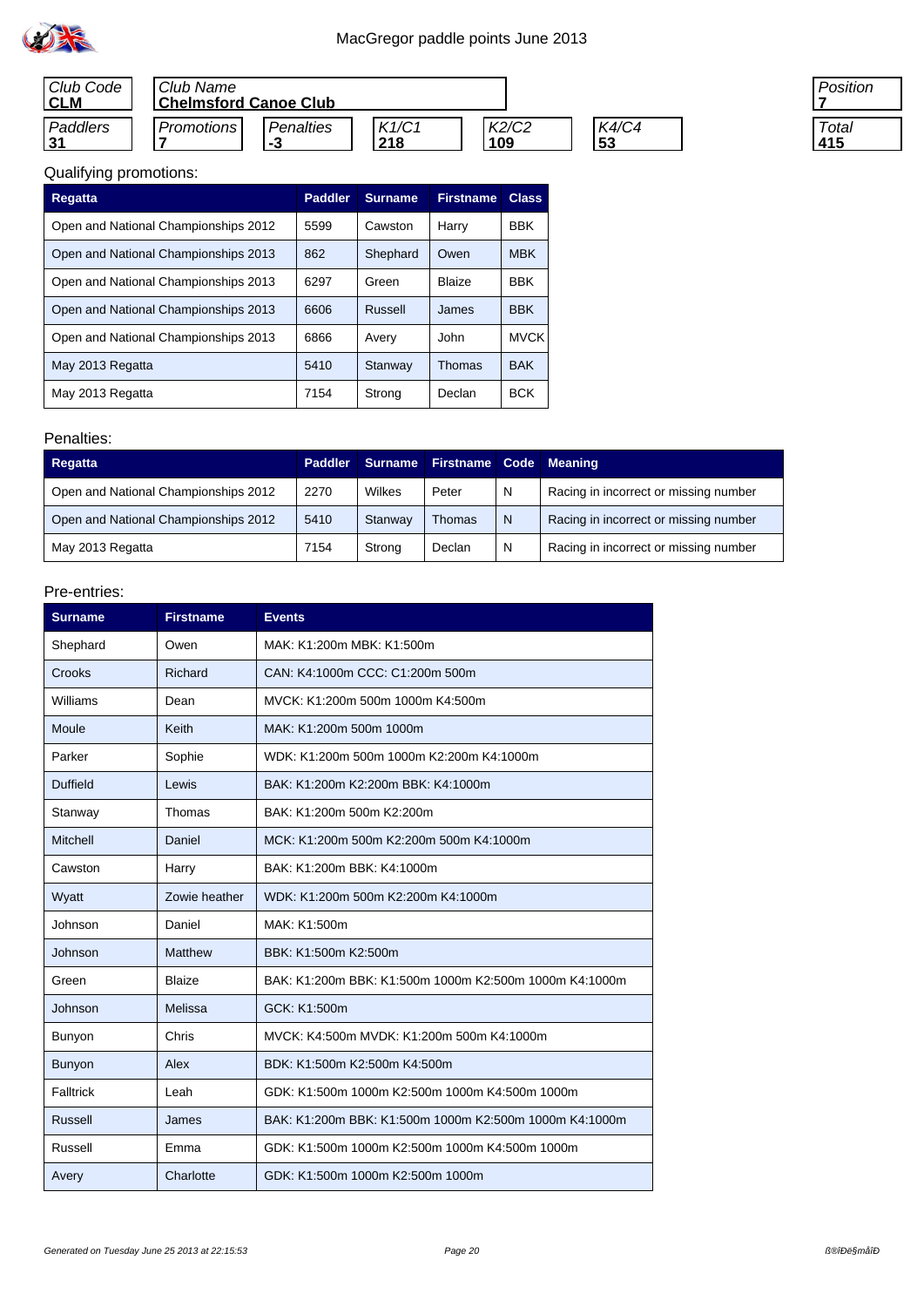

| Club Code<br><b>CLM</b> | Club Name<br><b>Chelmsford Canoe Club</b> |                  |              |              |             |
|-------------------------|-------------------------------------------|------------------|--------------|--------------|-------------|
| Paddlers                | Promotions                                | Penalties<br>- 3 | K1/C1<br>218 | K2/C2<br>109 | K4/C4<br>53 |



# Qualifying promotions:

| <b>Regatta</b>                       | <b>Paddler</b> | <b>Surname</b> | <b>Firstname</b> | <b>Class</b> |
|--------------------------------------|----------------|----------------|------------------|--------------|
| Open and National Championships 2012 | 5599           | Cawston        | Harry            | <b>BBK</b>   |
| Open and National Championships 2013 | 862            | Shephard       | Owen             | <b>MBK</b>   |
| Open and National Championships 2013 | 6297           | Green          | <b>Blaize</b>    | <b>BBK</b>   |
| Open and National Championships 2013 | 6606           | Russell        | James            | <b>BBK</b>   |
| Open and National Championships 2013 | 6866           | Avery          | John             | <b>MVCK</b>  |
| May 2013 Regatta                     | 5410           | Stanway        | <b>Thomas</b>    | <b>BAK</b>   |
| May 2013 Regatta                     | 7154           | Strong         | Declan           | <b>BCK</b>   |

#### Penalties:

| Regatta                              | <b>Paddler</b> | <b>Surname</b> | <b>Firstname Code</b> |   | Meaning                               |
|--------------------------------------|----------------|----------------|-----------------------|---|---------------------------------------|
| Open and National Championships 2012 | 2270           | Wilkes         | Peter                 | N | Racing in incorrect or missing number |
| Open and National Championships 2012 | 5410           | Stanway        | Thomas                | N | Racing in incorrect or missing number |
| May 2013 Regatta                     | 7154           | Strong         | Declan                | N | Racing in incorrect or missing number |

| <b>Surname</b>  | <b>Firstname</b> | <b>Events</b>                                          |  |  |  |
|-----------------|------------------|--------------------------------------------------------|--|--|--|
| Shephard        | Owen             | MAK: K1:200m MBK: K1:500m                              |  |  |  |
| Crooks          | Richard          | CAN: K4:1000m CCC: C1:200m 500m                        |  |  |  |
| Williams        | Dean             | MVCK: K1:200m 500m 1000m K4:500m                       |  |  |  |
| Moule           | Keith            | MAK: K1:200m 500m 1000m                                |  |  |  |
| Parker          | Sophie           | WDK: K1:200m 500m 1000m K2:200m K4:1000m               |  |  |  |
| <b>Duffield</b> | Lewis            | BAK: K1:200m K2:200m BBK: K4:1000m                     |  |  |  |
| Stanway         | Thomas           | BAK: K1:200m 500m K2:200m                              |  |  |  |
| Mitchell        | Daniel           | MCK: K1:200m 500m K2:200m 500m K4:1000m                |  |  |  |
| Cawston         | Harry            | BAK: K1:200m BBK: K4:1000m                             |  |  |  |
| Wyatt           | Zowie heather    | WDK: K1:200m 500m K2:200m K4:1000m                     |  |  |  |
| Johnson         | Daniel           | MAK: K1:500m                                           |  |  |  |
| Johnson         | Matthew          | BBK: K1:500m K2:500m                                   |  |  |  |
| Green           | Blaize           | BAK: K1:200m BBK: K1:500m 1000m K2:500m 1000m K4:1000m |  |  |  |
| Johnson         | Melissa          | GCK: K1:500m                                           |  |  |  |
| Bunyon          | Chris            | MVCK: K4:500m MVDK: K1:200m 500m K4:1000m              |  |  |  |
| Bunyon          | Alex             | BDK: K1:500m K2:500m K4:500m                           |  |  |  |
| Falltrick       | Leah             | GDK: K1:500m 1000m K2:500m 1000m K4:500m 1000m         |  |  |  |
| Russell         | James            | BAK: K1:200m BBK: K1:500m 1000m K2:500m 1000m K4:1000m |  |  |  |
| Russell         | Emma             | GDK: K1:500m 1000m K2:500m 1000m K4:500m 1000m         |  |  |  |
| Avery           | Charlotte        | GDK: K1:500m 1000m K2:500m 1000m                       |  |  |  |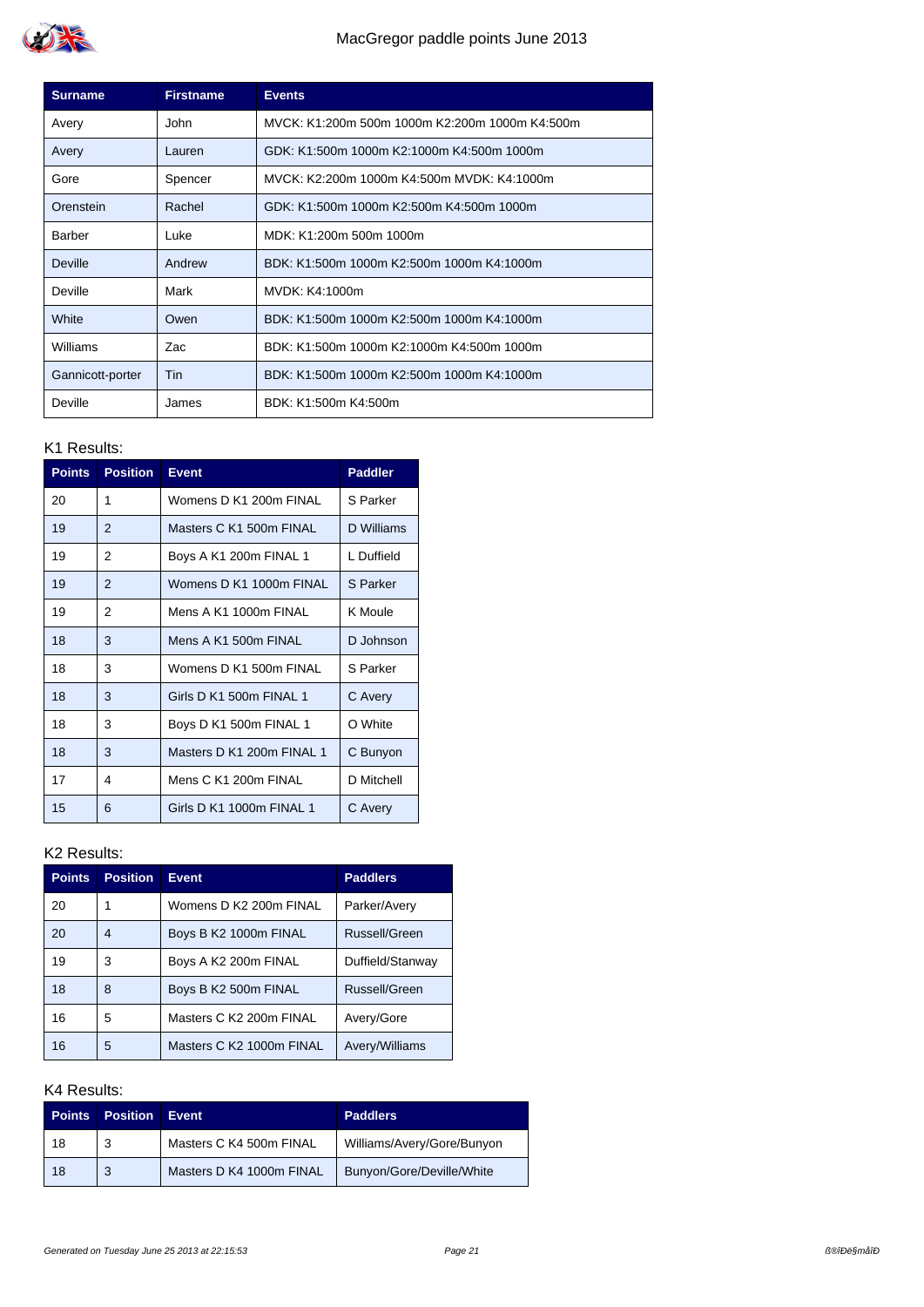

| <b>Surname</b>   | <b>Firstname</b> | <b>Events</b>                                  |
|------------------|------------------|------------------------------------------------|
| Avery            | John             | MVCK: K1:200m 500m 1000m K2:200m 1000m K4:500m |
| Avery            | Lauren           | GDK: K1:500m 1000m K2:1000m K4:500m 1000m      |
| Gore             | Spencer          | MVCK: K2:200m 1000m K4:500m MVDK: K4:1000m     |
| Orenstein        | Rachel           | GDK: K1:500m 1000m K2:500m K4:500m 1000m       |
| Barber           | Luke             | MDK: K1:200m 500m 1000m                        |
| Deville          | Andrew           | BDK: K1:500m 1000m K2:500m 1000m K4:1000m      |
| Deville          | Mark             | MVDK: K4:1000m                                 |
| White            | Owen             | BDK: K1:500m 1000m K2:500m 1000m K4:1000m      |
| Williams         | Zac              | BDK: K1:500m 1000m K2:1000m K4:500m 1000m      |
| Gannicott-porter | Tin              | BDK: K1:500m 1000m K2:500m 1000m K4:1000m      |
| Deville          | James            | BDK: K1:500m K4:500m                           |

| <b>Points</b> | <b>Position</b> | <b>Event</b>              | <b>Paddler</b> |
|---------------|-----------------|---------------------------|----------------|
| 20            | 1               | Womens D K1 200m FINAL    | S Parker       |
| 19            | 2               | Masters C K1 500m FINAL   | D Williams     |
| 19            | 2               | Boys A K1 200m FINAL 1    | L Duffield     |
| 19            | 2               | Womens D K1 1000m FINAL   | S Parker       |
| 19            | $\overline{2}$  | Mens A K1 1000m FINAL     | K Moule        |
| 18            | 3               | Mens A K1 500m FINAL      | D Johnson      |
| 18            | 3               | Womens D K1 500m FINAL    | S Parker       |
| 18            | 3               | Girls D K1 500m FINAL 1   | C Avery        |
| 18            | 3               | Boys D K1 500m FINAL 1    | O White        |
| 18            | 3               | Masters D K1 200m FINAL 1 | C Bunyon       |
| 17            | 4               | Mens C K1 200m FINAL      | D Mitchell     |
| 15            | 6               | Girls D K1 1000m FINAL 1  | C Avery        |

### K2 Results:

| <b>Points</b> | <b>Position</b> | <b>Event</b>             | <b>Paddlers</b>  |
|---------------|-----------------|--------------------------|------------------|
| 20            |                 | Womens D K2 200m FINAL   | Parker/Avery     |
| 20            | 4               | Boys B K2 1000m FINAL    | Russell/Green    |
| 19            | 3               | Boys A K2 200m FINAL     | Duffield/Stanway |
| 18            | 8               | Boys B K2 500m FINAL     | Russell/Green    |
| 16            | 5               | Masters C K2 200m FINAL  | Avery/Gore       |
| 16            | 5               | Masters C K2 1000m FINAL | Avery/Williams   |

| <b>Points</b> | <b>Position</b> | <b>Event</b>             | <b>Paddlers</b>            |
|---------------|-----------------|--------------------------|----------------------------|
| 18            | 3               | Masters C K4 500m FINAL  | Williams/Avery/Gore/Bunyon |
| 18            | 3               | Masters D K4 1000m FINAL | Bunyon/Gore/Deville/White  |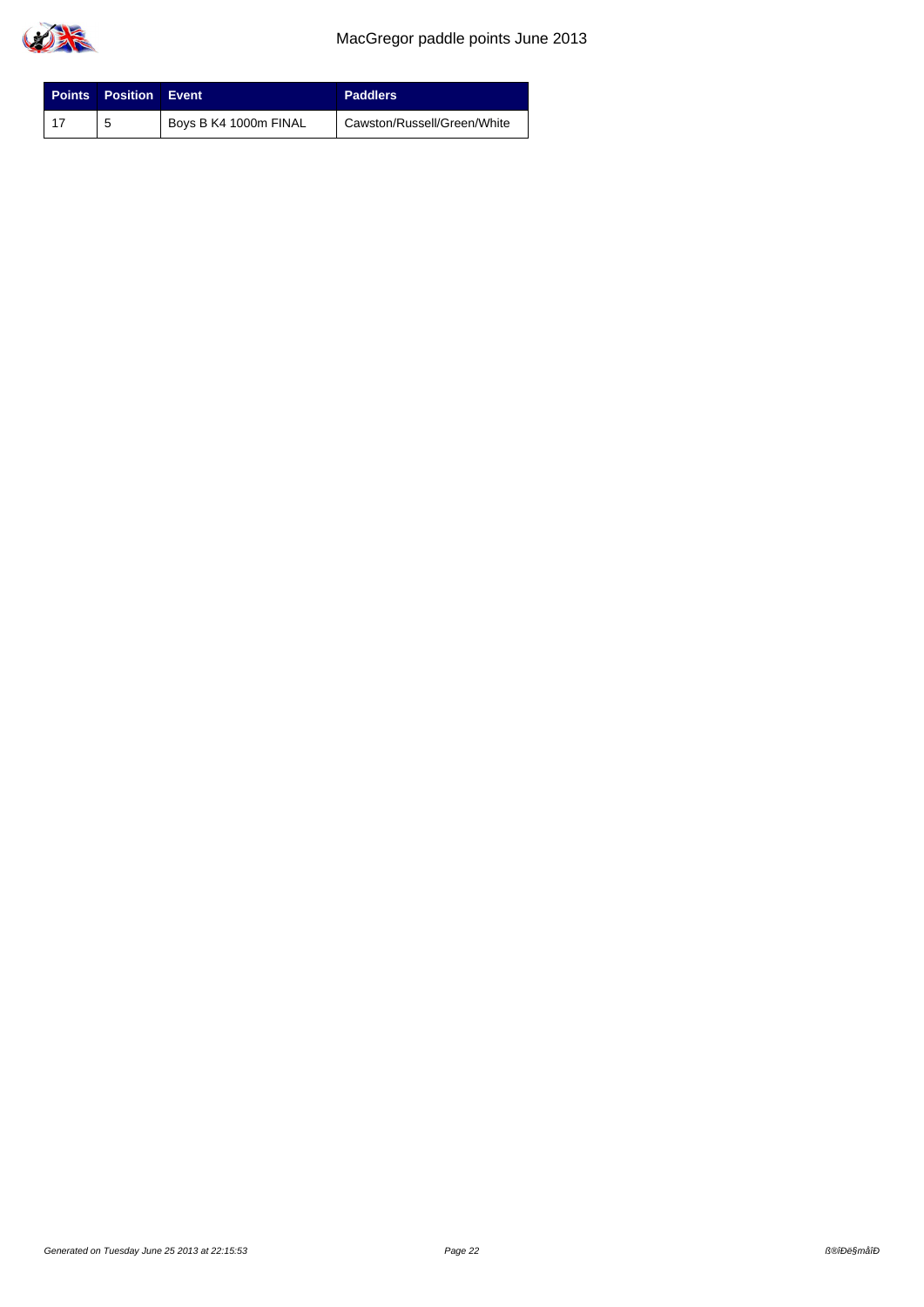

| <b>Points Position Event</b> |                       | <b>Paddlers</b>             |
|------------------------------|-----------------------|-----------------------------|
| 5                            | Boys B K4 1000m FINAL | Cawston/Russell/Green/White |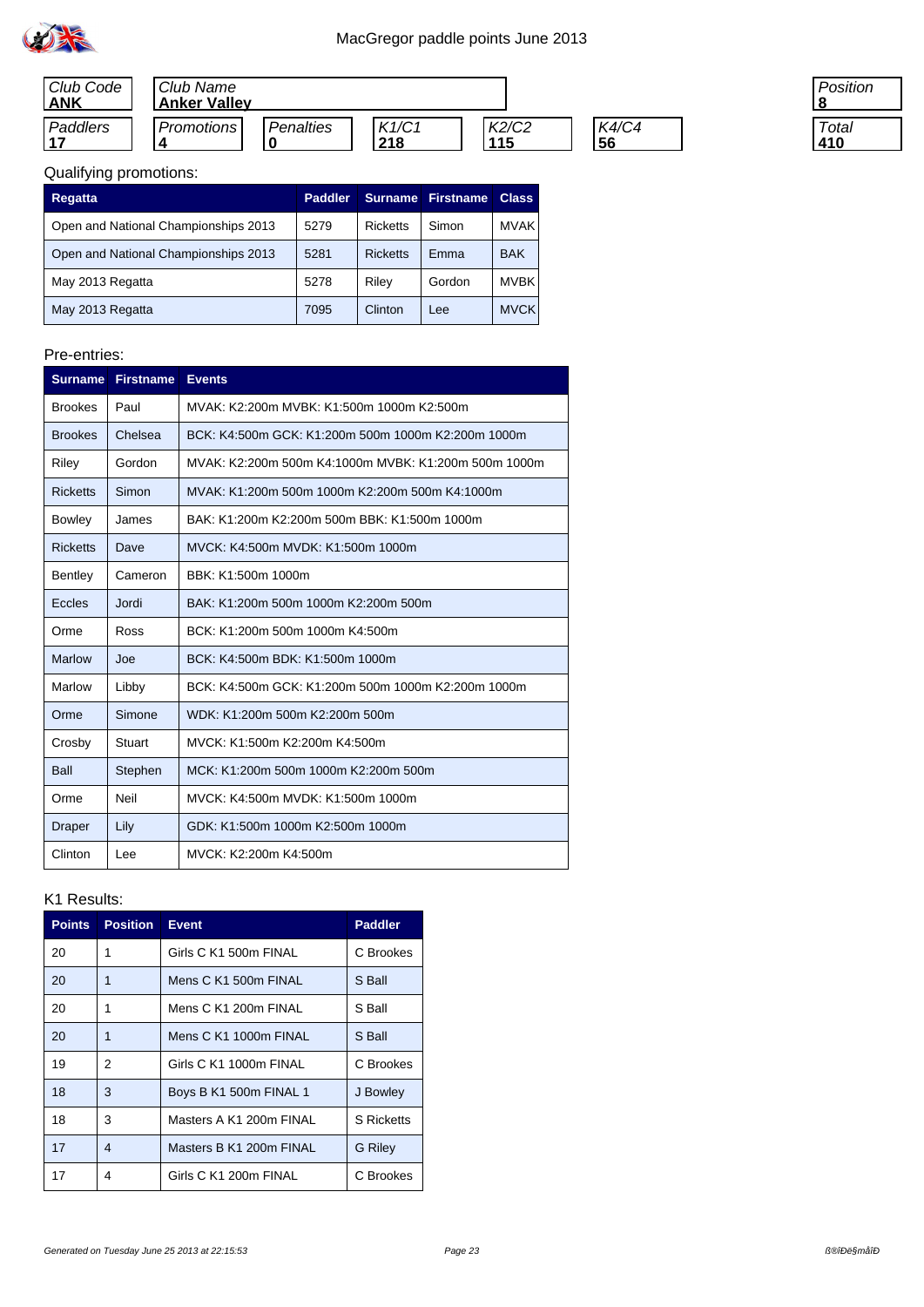| Club Code<br><b>ANK</b> | Club Name<br><b>Anker Valley</b> |           |              |              |                    |
|-------------------------|----------------------------------|-----------|--------------|--------------|--------------------|
| Paddlers<br>147         | <b>Promotions</b>                | Penalties | K1/C1<br>218 | K2/C2<br>115 | K4/C4<br><u>56</u> |

| 'osition |
|----------|
|          |
| Total    |
| ។0       |

### Qualifying promotions:

| Regatta                              | <b>Paddler</b> | <b>Surname</b>  | <b>Firstname</b> | <b>Class</b> |
|--------------------------------------|----------------|-----------------|------------------|--------------|
| Open and National Championships 2013 | 5279           | <b>Ricketts</b> | Simon            | <b>MVAK</b>  |
| Open and National Championships 2013 | 5281           | <b>Ricketts</b> | Emma             | <b>BAK</b>   |
| May 2013 Regatta                     | 5278           | Riley           | Gordon           | <b>MVBK</b>  |
| May 2013 Regatta                     | 7095           | Clinton         | Lee              | <b>MVCK</b>  |

#### Pre-entries:

|                 | <b>Surname Firstname</b> | <b>Events</b>                                        |
|-----------------|--------------------------|------------------------------------------------------|
| <b>Brookes</b>  | Paul                     | MVAK: K2:200m MVBK: K1:500m 1000m K2:500m            |
| <b>Brookes</b>  | Chelsea                  | BCK: K4:500m GCK: K1:200m 500m 1000m K2:200m 1000m   |
| Riley           | Gordon                   | MVAK: K2:200m 500m K4:1000m MVBK: K1:200m 500m 1000m |
| <b>Ricketts</b> | Simon                    | MVAK: K1:200m 500m 1000m K2:200m 500m K4:1000m       |
| <b>Bowley</b>   | James                    | BAK: K1:200m K2:200m 500m BBK: K1:500m 1000m         |
| <b>Ricketts</b> | Dave                     | MVCK: K4:500m MVDK: K1:500m 1000m                    |
| Bentley         | Cameron                  | BBK: K1:500m 1000m                                   |
| <b>Eccles</b>   | Jordi                    | BAK: K1:200m 500m 1000m K2:200m 500m                 |
| Orme            | Ross                     | BCK: K1:200m 500m 1000m K4:500m                      |
| <b>Marlow</b>   | Joe                      | BCK: K4:500m BDK: K1:500m 1000m                      |
| Marlow          | Libby                    | BCK: K4:500m GCK: K1:200m 500m 1000m K2:200m 1000m   |
| Orme            | Simone                   | WDK: K1:200m 500m K2:200m 500m                       |
| Crosby          | <b>Stuart</b>            | MVCK: K1:500m K2:200m K4:500m                        |
| Ball            | Stephen                  | MCK: K1:200m 500m 1000m K2:200m 500m                 |
| Orme            | <b>Neil</b>              | MVCK: K4:500m MVDK: K1:500m 1000m                    |
| Draper          | Lily                     | GDK: K1:500m 1000m K2:500m 1000m                     |
| Clinton         | Lee                      | MVCK: K2:200m K4:500m                                |

| <b>Points</b> | <b>Position</b>          | <b>Event</b>            | <b>Paddler</b>    |
|---------------|--------------------------|-------------------------|-------------------|
| 20            | 1                        | Girls C K1 500m FINAL   | C Brookes         |
| 20            | 1                        | Mens C K1 500m FINAL    | S Ball            |
| 20            | 1                        | Mens C K1 200m FINAL    | S Ball            |
| 20            | 1                        | Mens C K1 1000m FINAL   | S Ball            |
| 19            | 2                        | Girls C K1 1000m FINAL  | C Brookes         |
| 18            | 3                        | Boys B K1 500m FINAL 1  | J Bowley          |
| 18            | 3                        | Masters A K1 200m FINAL | <b>S</b> Ricketts |
| 17            | $\overline{\mathcal{A}}$ | Masters B K1 200m FINAL | G Riley           |
| 17            | 4                        | Girls C K1 200m FINAL   | C Brookes         |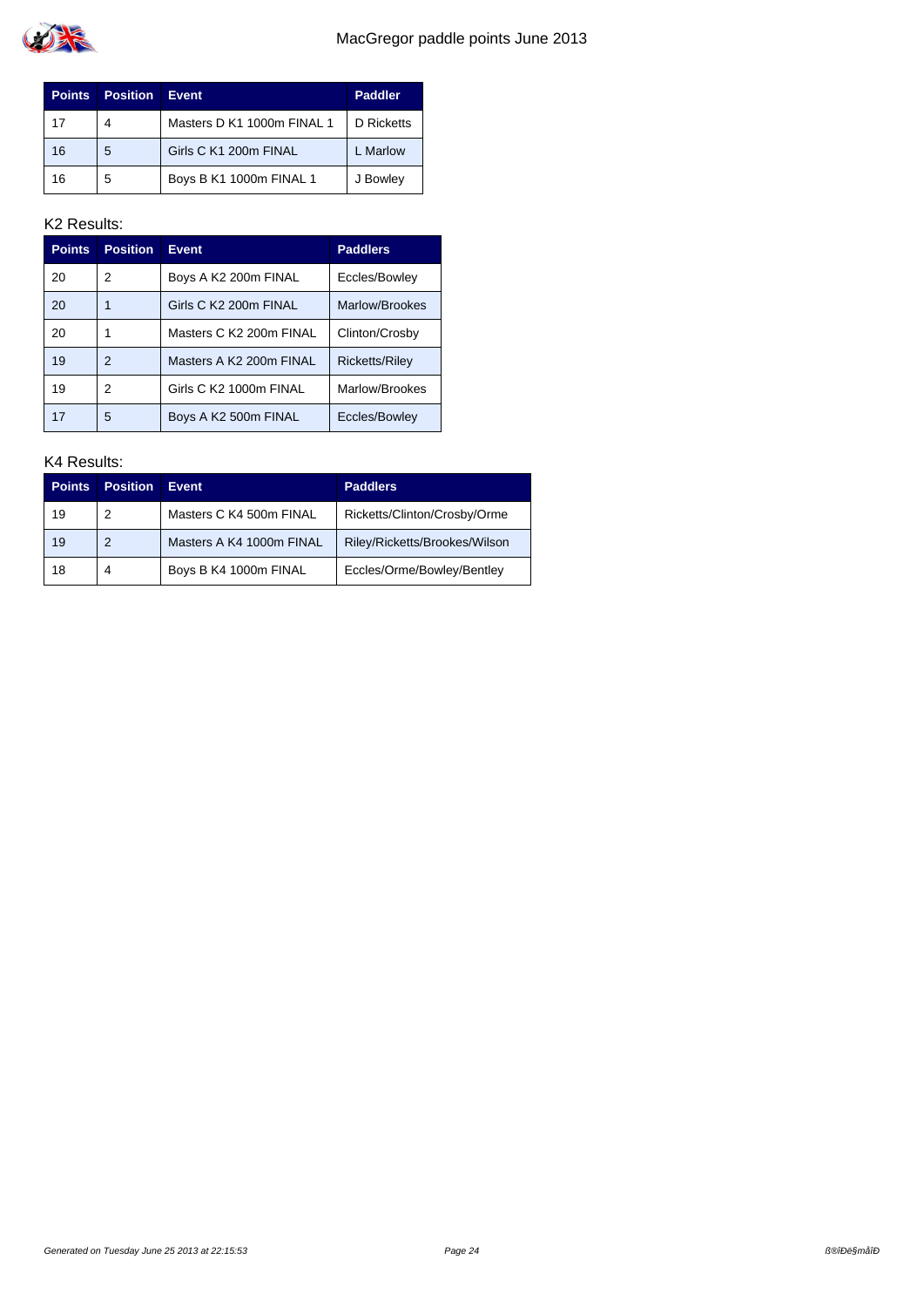

| <b>Points</b> | <b>Position</b> | <b>Event</b>               | <b>Paddler</b> |
|---------------|-----------------|----------------------------|----------------|
| 17            | 4               | Masters D K1 1000m FINAL 1 | D Ricketts     |
| 16            | 5               | Girls C K1 200m FINAL      | L Marlow       |
| 16            | 5               | Boys B K1 1000m FINAL 1    | J Bowley       |

| <b>Points</b> | <b>Position</b> | <b>Event</b>            | <b>Paddlers</b>       |
|---------------|-----------------|-------------------------|-----------------------|
| 20            | 2               | Boys A K2 200m FINAL    | Eccles/Bowley         |
| 20            |                 | Girls C K2 200m FINAL   | Marlow/Brookes        |
| 20            |                 | Masters C K2 200m FINAL | Clinton/Crosby        |
| 19            | 2               | Masters A K2 200m FINAL | <b>Ricketts/Riley</b> |
| 19            | 2               | Girls C K2 1000m FINAL  | Marlow/Brookes        |
| 17            | 5               | Boys A K2 500m FINAL    | Eccles/Bowley         |

| <b>Points</b> | <b>Position</b> | <b>Event</b>             | <b>Paddlers</b>               |
|---------------|-----------------|--------------------------|-------------------------------|
| 19            | 2               | Masters C K4 500m FINAL  | Ricketts/Clinton/Crosby/Orme  |
| 19            | 2               | Masters A K4 1000m FINAL | Riley/Ricketts/Brookes/Wilson |
| 18            | 4               | Boys B K4 1000m FINAL    | Eccles/Orme/Bowley/Bentley    |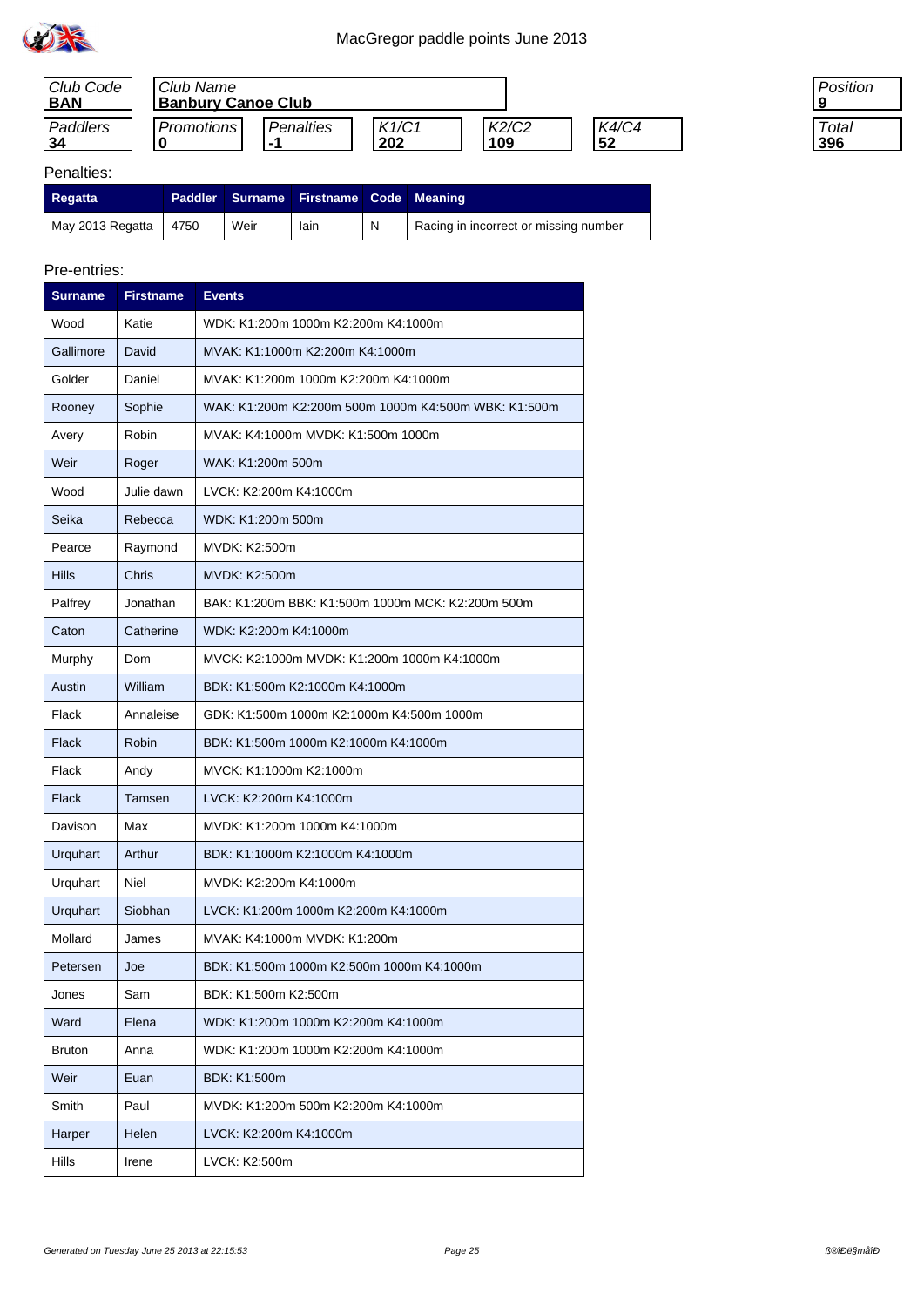

| Club Code<br><b>BAN</b> | Club Name<br><b>Banbury Canoe Club</b> |           |              |              |             |
|-------------------------|----------------------------------------|-----------|--------------|--------------|-------------|
| Paddlers<br>34          | Promotions                             | Penalties | K1/C1<br>202 | K2/C2<br>109 | K4/C4<br>52 |

| 'osition    |
|-------------|
| l otal<br>հ |

#### Penalties:

| <b>Regatta</b>   |      |      | Paddler Surname Firstname Code Meaning |   |                                       |
|------------------|------|------|----------------------------------------|---|---------------------------------------|
| May 2013 Regatta | 4750 | Weir | lain                                   | N | Racing in incorrect or missing number |

| <b>Surname</b> | <b>Firstname</b> | <b>Events</b>                                        |  |  |  |
|----------------|------------------|------------------------------------------------------|--|--|--|
| Wood           | Katie            | WDK: K1:200m 1000m K2:200m K4:1000m                  |  |  |  |
| Gallimore      | David            | MVAK: K1:1000m K2:200m K4:1000m                      |  |  |  |
| Golder         | Daniel           | MVAK: K1:200m 1000m K2:200m K4:1000m                 |  |  |  |
| Rooney         | Sophie           | WAK: K1:200m K2:200m 500m 1000m K4:500m WBK: K1:500m |  |  |  |
| Avery          | Robin            | MVAK: K4:1000m MVDK: K1:500m 1000m                   |  |  |  |
| Weir           | Roger            | WAK: K1:200m 500m                                    |  |  |  |
| Wood           | Julie dawn       | LVCK: K2:200m K4:1000m                               |  |  |  |
| Seika          | Rebecca          | WDK: K1:200m 500m                                    |  |  |  |
| Pearce         | Raymond          | MVDK: K2:500m                                        |  |  |  |
| <b>Hills</b>   | Chris            | MVDK: K2:500m                                        |  |  |  |
| Palfrey        | Jonathan         | BAK: K1:200m BBK: K1:500m 1000m MCK: K2:200m 500m    |  |  |  |
| Caton          | Catherine        | WDK: K2:200m K4:1000m                                |  |  |  |
| Murphy         | Dom              | MVCK: K2:1000m MVDK: K1:200m 1000m K4:1000m          |  |  |  |
| Austin         | William          | BDK: K1:500m K2:1000m K4:1000m                       |  |  |  |
| Flack          | Annaleise        | GDK: K1:500m 1000m K2:1000m K4:500m 1000m            |  |  |  |
| <b>Flack</b>   | Robin            | BDK: K1:500m 1000m K2:1000m K4:1000m                 |  |  |  |
| Flack          | Andy             | MVCK: K1:1000m K2:1000m                              |  |  |  |
| <b>Flack</b>   | Tamsen           | LVCK: K2:200m K4:1000m                               |  |  |  |
| Davison        | Max              | MVDK: K1:200m 1000m K4:1000m                         |  |  |  |
| Urquhart       | Arthur           | BDK: K1:1000m K2:1000m K4:1000m                      |  |  |  |
| Urquhart       | Niel             | MVDK: K2:200m K4:1000m                               |  |  |  |
| Urquhart       | Siobhan          | LVCK: K1:200m 1000m K2:200m K4:1000m                 |  |  |  |
| Mollard        | James            | MVAK: K4:1000m MVDK: K1:200m                         |  |  |  |
| Petersen       | Joe              | BDK: K1:500m 1000m K2:500m 1000m K4:1000m            |  |  |  |
| Jones          | Sam              | BDK: K1:500m K2:500m                                 |  |  |  |
| Ward           | Elena            | WDK: K1:200m 1000m K2:200m K4:1000m                  |  |  |  |
| Bruton         | Anna             | WDK: K1:200m 1000m K2:200m K4:1000m                  |  |  |  |
| Weir           | Euan             | <b>BDK: K1:500m</b>                                  |  |  |  |
| Smith          | Paul             | MVDK: K1:200m 500m K2:200m K4:1000m                  |  |  |  |
| Harper         | Helen            | LVCK: K2:200m K4:1000m                               |  |  |  |
| Hills          | Irene            | LVCK: K2:500m                                        |  |  |  |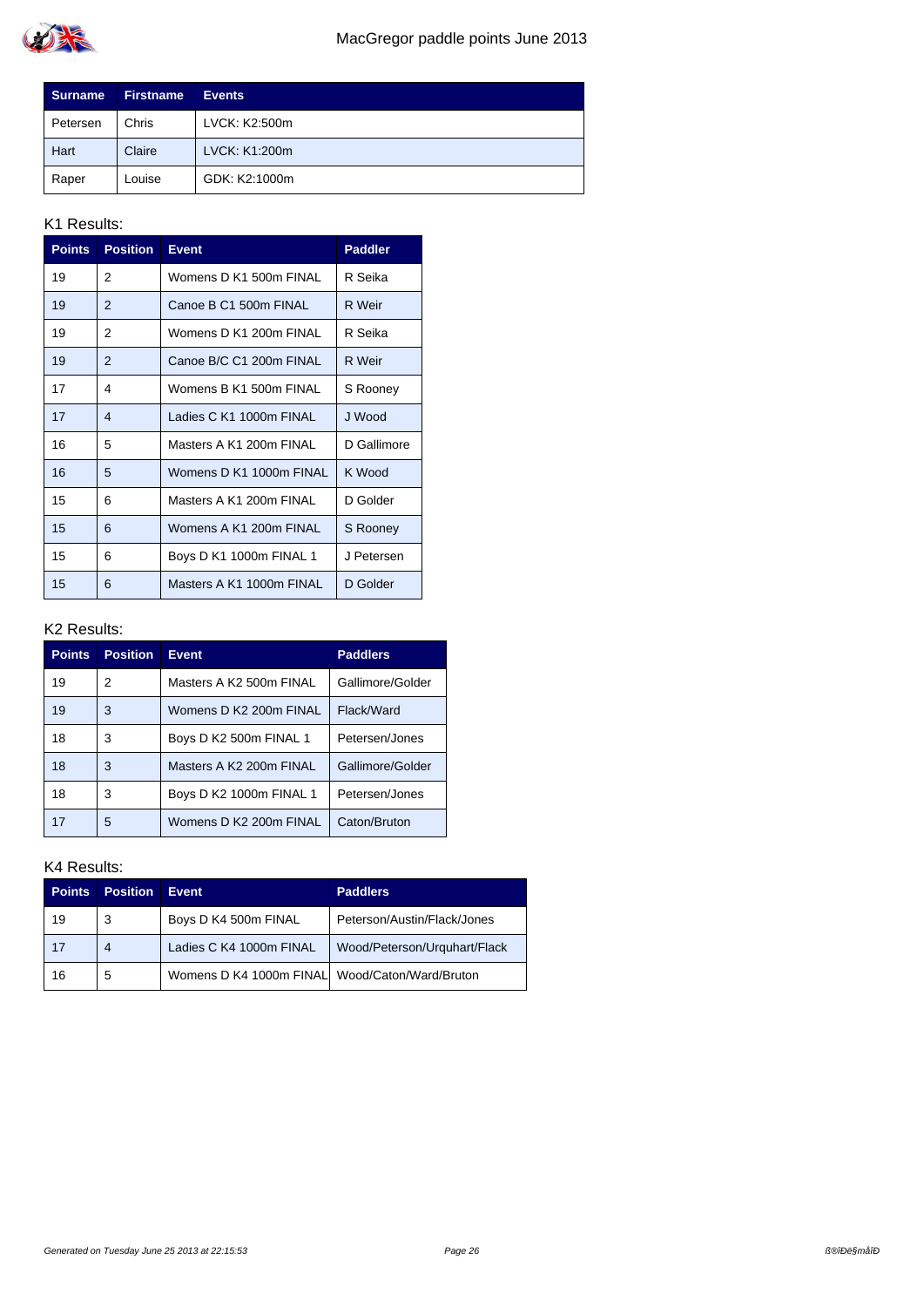

| <b>Surname</b> | <b>Firstname</b> | <b>Events</b> |
|----------------|------------------|---------------|
| Petersen       | Chris            | LVCK: K2:500m |
| Hart           | Claire           | LVCK: K1:200m |
| Raper          | Louise           | GDK: K2:1000m |

| <b>Points</b> | <b>Position</b> | <b>Event</b>             | <b>Paddler</b> |
|---------------|-----------------|--------------------------|----------------|
| 19            | 2               | Womens D K1 500m FINAL   | R Seika        |
| 19            | 2               | Canoe B C1 500m FINAL    | R Weir         |
| 19            | 2               | Womens D K1 200m FINAL   | R Seika        |
| 19            | 2               | Canoe B/C C1 200m FINAL  | R Weir         |
| 17            | 4               | Womens B K1 500m FINAL   | S Rooney       |
| 17            | 4               | Ladies C K1 1000m FINAL  | J Wood         |
| 16            | 5               | Masters A K1 200m FINAL  | D Gallimore    |
| 16            | 5               | Womens D K1 1000m FINAL  | K Wood         |
| 15            | 6               | Masters A K1 200m FINAI  | D Golder       |
| 15            | 6               | Womens A K1 200m FINAL   | S Rooney       |
| 15            | 6               | Boys D K1 1000m FINAL 1  | J Petersen     |
| 15            | 6               | Masters A K1 1000m FINAL | D Golder       |

#### K2 Results:

| <b>Points</b> | <b>Position</b> | <b>Event</b>            | <b>Paddlers</b>  |
|---------------|-----------------|-------------------------|------------------|
| 19            | 2               | Masters A K2 500m FINAL | Gallimore/Golder |
| 19            | 3               | Womens D K2 200m FINAL  | Flack/Ward       |
| 18            | 3               | Boys D K2 500m FINAL 1  | Petersen/Jones   |
| 18            | 3               | Masters A K2 200m FINAL | Gallimore/Golder |
| 18            | 3               | Boys D K2 1000m FINAL 1 | Petersen/Jones   |
| 17            | 5               | Womens D K2 200m FINAL  | Caton/Bruton     |

| <b>Points</b> | <b>Position</b> | Event                                           | <b>Paddlers</b>              |
|---------------|-----------------|-------------------------------------------------|------------------------------|
| 19            | 3               | Boys D K4 500m FINAL                            | Peterson/Austin/Flack/Jones  |
| 17            | 4               | Ladies C K4 1000m FINAL                         | Wood/Peterson/Urguhart/Flack |
| 16            | 5               | Womens D K4 1000m FINALI Wood/Caton/Ward/Bruton |                              |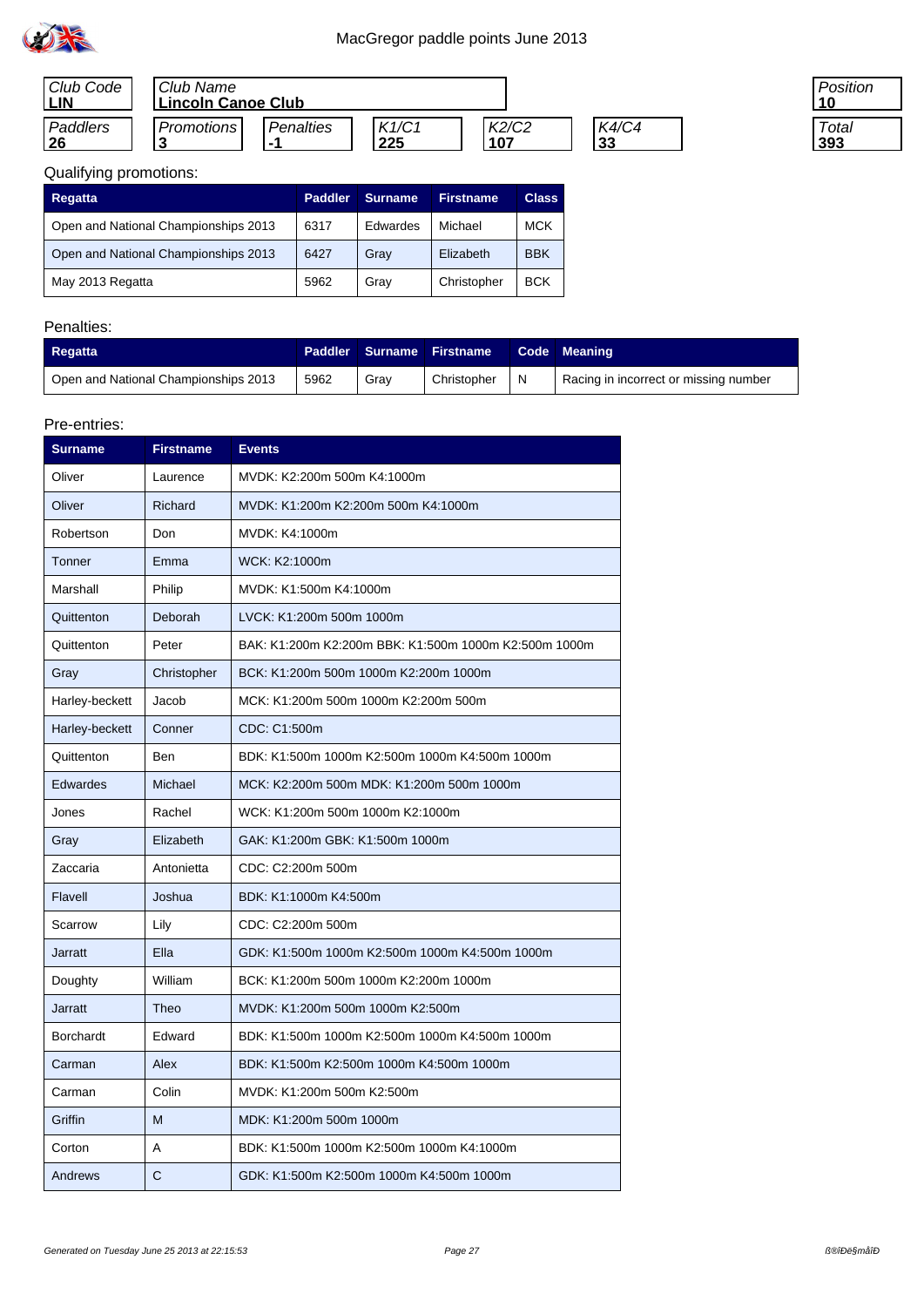

| Club Code<br><b>LIN</b> | Club Name<br><b>Lincoln Canoe Club</b> |           |                     |               |                    |
|-------------------------|----------------------------------------|-----------|---------------------|---------------|--------------------|
| Paddlers<br>26          | Promotions                             | Penalties | K1/C1<br><u>225</u> | K2/C2<br>.107 | K4/C4<br><u>33</u> |

| 'osition |
|----------|
| 「otal    |

# Qualifying promotions:

| <b>Regatta</b>                       | <b>Paddler</b> | Surname. | <b>Firstname</b> | <b>Class</b> |
|--------------------------------------|----------------|----------|------------------|--------------|
| Open and National Championships 2013 | 6317           | Edwardes | Michael          | <b>MCK</b>   |
| Open and National Championships 2013 | 6427           | Grav     | Elizabeth        | <b>BBK</b>   |
| May 2013 Regatta                     | 5962           | Grav     | Christopher      | <b>BCK</b>   |

# Penalties:

| <b>Regatta</b>                       |      |      | <b>Paddler Surname Firstname</b> | Code Meaning                          |
|--------------------------------------|------|------|----------------------------------|---------------------------------------|
| Open and National Championships 2013 | 5962 | Grav | Christopher                      | Racing in incorrect or missing number |

| <b>Surname</b>   | <b>Firstname</b> | <b>Events</b>                                         |
|------------------|------------------|-------------------------------------------------------|
| Oliver           | Laurence         | MVDK: K2:200m 500m K4:1000m                           |
| Oliver           | Richard          | MVDK: K1:200m K2:200m 500m K4:1000m                   |
| Robertson        | Don              | MVDK: K4:1000m                                        |
| Tonner           | Emma             | WCK: K2:1000m                                         |
| Marshall         | Philip           | MVDK: K1:500m K4:1000m                                |
| Quittenton       | Deborah          | LVCK: K1:200m 500m 1000m                              |
| Quittenton       | Peter            | BAK: K1:200m K2:200m BBK: K1:500m 1000m K2:500m 1000m |
| Gray             | Christopher      | BCK: K1:200m 500m 1000m K2:200m 1000m                 |
| Harley-beckett   | Jacob            | MCK: K1:200m 500m 1000m K2:200m 500m                  |
| Harley-beckett   | Conner           | CDC: C1:500m                                          |
| Quittenton       | Ben              | BDK: K1:500m 1000m K2:500m 1000m K4:500m 1000m        |
| <b>Edwardes</b>  | Michael          | MCK: K2:200m 500m MDK: K1:200m 500m 1000m             |
| Jones            | Rachel           | WCK: K1:200m 500m 1000m K2:1000m                      |
| Gray             | Elizabeth        | GAK: K1:200m GBK: K1:500m 1000m                       |
| Zaccaria         | Antonietta       | CDC: C2:200m 500m                                     |
| Flavell          | Joshua           | BDK: K1:1000m K4:500m                                 |
| Scarrow          | Lily             | CDC: C2:200m 500m                                     |
| <b>Jarratt</b>   | Ella             | GDK: K1:500m 1000m K2:500m 1000m K4:500m 1000m        |
| Doughty          | William          | BCK: K1:200m 500m 1000m K2:200m 1000m                 |
| <b>Jarratt</b>   | Theo             | MVDK: K1:200m 500m 1000m K2:500m                      |
| <b>Borchardt</b> | Edward           | BDK: K1:500m 1000m K2:500m 1000m K4:500m 1000m        |
| Carman           | Alex             | BDK: K1:500m K2:500m 1000m K4:500m 1000m              |
| Carman           | Colin            | MVDK: K1:200m 500m K2:500m                            |
| Griffin          | M                | MDK: K1:200m 500m 1000m                               |
| Corton           | Α                | BDK: K1:500m 1000m K2:500m 1000m K4:1000m             |
| Andrews          | C                | GDK: K1:500m K2:500m 1000m K4:500m 1000m              |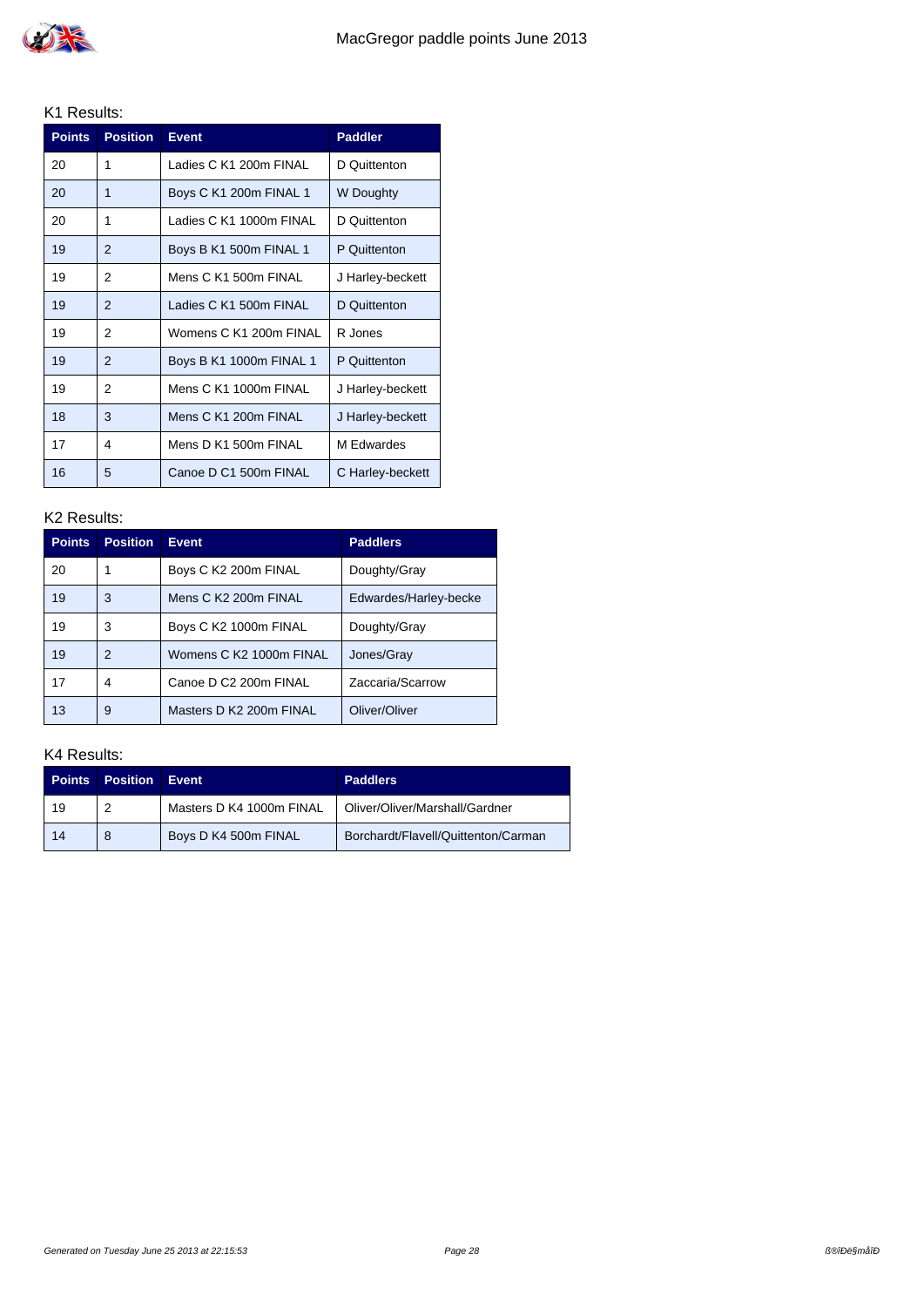| <b>Points</b> | <b>Position</b> | <b>Event</b>            | <b>Paddler</b>   |
|---------------|-----------------|-------------------------|------------------|
| 20            | 1               | Ladies C K1 200m FINAL  | D Quittenton     |
| 20            | 1               | Boys C K1 200m FINAL 1  | W Doughty        |
| 20            | 1               | Ladies C K1 1000m FINAL | D Quittenton     |
| 19            | $\mathfrak{p}$  | Boys B K1 500m FINAL 1  | P Quittenton     |
| 19            | 2               | Mens C K1 500m FINAL    | J Harley-beckett |
| 19            | $\mathfrak{p}$  | Ladies C K1 500m FINAL  | D Quittenton     |
| 19            | 2               | Womens C K1 200m FINAL  | R Jones          |
| 19            | $\mathfrak{p}$  | Boys B K1 1000m FINAL 1 | P Quittenton     |
| 19            | 2               | Mens C K1 1000m FINAL   | J Harley-beckett |
| 18            | 3               | Mens C K1 200m FINAL    | J Harley-beckett |
| 17            | 4               | Mens D K1 500m FINAL    | M Fdwardes       |
| 16            | 5               | Canoe D C1 500m FINAL   | C Harley-beckett |

#### K2 Results:

| <b>Points</b> | <b>Position</b> | <b>Event</b>            | <b>Paddlers</b>       |
|---------------|-----------------|-------------------------|-----------------------|
| 20            |                 | Boys C K2 200m FINAL    | Doughty/Gray          |
| 19            | 3               | Mens C K2 200m FINAL    | Edwardes/Harley-becke |
| 19            | 3               | Boys C K2 1000m FINAL   | Doughty/Gray          |
| 19            | 2               | Womens C K2 1000m FINAL | Jones/Gray            |
| 17            | 4               | Canoe D C2 200m FINAL   | Zaccaria/Scarrow      |
| 13            | 9               | Masters D K2 200m FINAL | Oliver/Oliver         |

| <b>Points</b> | <b>Position</b> | Event                    | <b>Paddlers</b>                     |
|---------------|-----------------|--------------------------|-------------------------------------|
| 19            |                 | Masters D K4 1000m FINAL | Oliver/Oliver/Marshall/Gardner      |
| 14            |                 | Boys D K4 500m FINAL     | Borchardt/Flavell/Quittenton/Carman |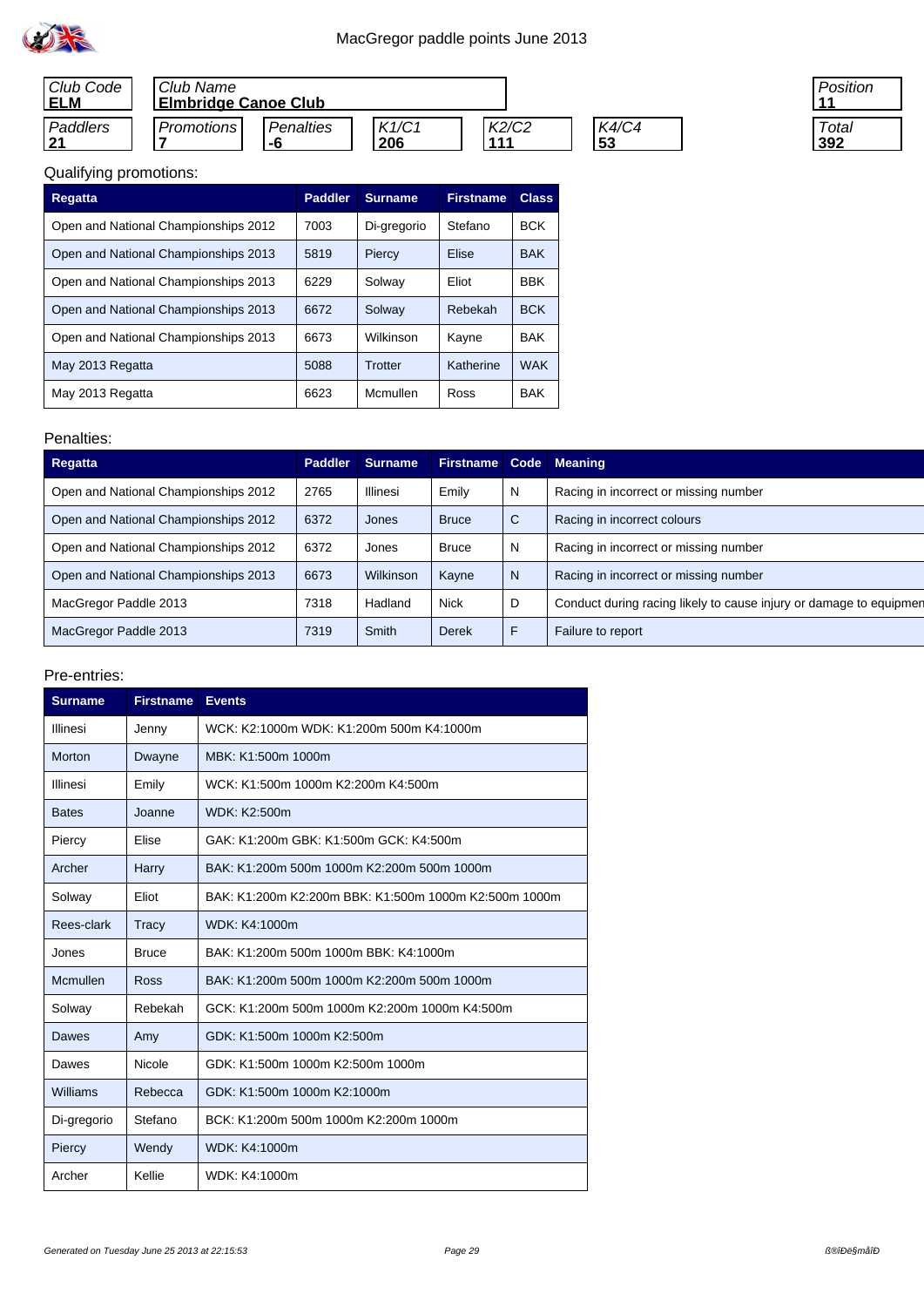

| Club Code<br><b>ELM</b> | Club Name<br><b>Elmbridge Canoe Club</b> |           |       |       |       |
|-------------------------|------------------------------------------|-----------|-------|-------|-------|
| Paddlers                | <b>Promotions</b>                        | Penalties | K1/C1 | K2/C2 | K4/C4 |
| 21                      |                                          | -6        | 206   | 444   | 53    |

| Position<br>l 1 |
|-----------------|
|                 |
| Total           |
| 392             |

# Qualifying promotions:

| Regatta                              | <b>Paddler</b> | <b>Surname</b> | <b>Firstname</b> | <b>Class</b> |
|--------------------------------------|----------------|----------------|------------------|--------------|
| Open and National Championships 2012 | 7003           | Di-gregorio    | Stefano          | <b>BCK</b>   |
| Open and National Championships 2013 | 5819           | Piercy         | Elise            | <b>BAK</b>   |
| Open and National Championships 2013 | 6229           | Solway         | Eliot            | <b>BBK</b>   |
| Open and National Championships 2013 | 6672           | Solway         | Rebekah          | <b>BCK</b>   |
| Open and National Championships 2013 | 6673           | Wilkinson      | Kayne            | <b>BAK</b>   |
| May 2013 Regatta                     | 5088           | Trotter        | Katherine        | <b>WAK</b>   |
| May 2013 Regatta                     | 6623           | Mcmullen       | Ross             | <b>BAK</b>   |

#### Penalties:

| Regatta                              | <b>Paddler</b> | <b>Surname</b>   | <b>Firstname</b> | Code | <b>Meaning</b>                                                     |
|--------------------------------------|----------------|------------------|------------------|------|--------------------------------------------------------------------|
| Open and National Championships 2012 | 2765           | Illinesi         | Emily            | N    | Racing in incorrect or missing number                              |
| Open and National Championships 2012 | 6372           | Jones            | <b>Bruce</b>     | C    | Racing in incorrect colours                                        |
| Open and National Championships 2012 | 6372           | Jones            | <b>Bruce</b>     | N    | Racing in incorrect or missing number                              |
| Open and National Championships 2013 | 6673           | <b>Wilkinson</b> | Kayne            | N    | Racing in incorrect or missing number                              |
| MacGregor Paddle 2013                | 7318           | Hadland          | <b>Nick</b>      | D    | Conduct during racing likely to cause injury or damage to equipmen |
| MacGregor Paddle 2013                | 7319           | Smith            | Derek            | F    | Failure to report                                                  |

| <b>Surname</b> | <b>Firstname</b> | <b>Events</b>                                         |  |
|----------------|------------------|-------------------------------------------------------|--|
| Illinesi       | Jenny            | WCK: K2:1000m WDK: K1:200m 500m K4:1000m              |  |
| Morton         | Dwayne           | MBK: K1:500m 1000m                                    |  |
| Illinesi       | Emily            | WCK: K1:500m 1000m K2:200m K4:500m                    |  |
| <b>Bates</b>   | Joanne           | WDK: K2:500m                                          |  |
| Piercy         | Elise            | GAK: K1:200m GBK: K1:500m GCK: K4:500m                |  |
| Archer         | Harry            | BAK: K1:200m 500m 1000m K2:200m 500m 1000m            |  |
| Solway         | Eliot            | BAK: K1:200m K2:200m BBK: K1:500m 1000m K2:500m 1000m |  |
| Rees-clark     | Tracy            | WDK: K4:1000m                                         |  |
| Jones          | <b>Bruce</b>     | BAK: K1:200m 500m 1000m BBK: K4:1000m                 |  |
| Mcmullen       | Ross             | BAK: K1:200m 500m 1000m K2:200m 500m 1000m            |  |
| Solway         | Rebekah          | GCK: K1:200m 500m 1000m K2:200m 1000m K4:500m         |  |
| Dawes          | Amy              | GDK: K1:500m 1000m K2:500m                            |  |
| Dawes          | Nicole           | GDK: K1:500m 1000m K2:500m 1000m                      |  |
| Williams       | Rebecca          | GDK: K1:500m 1000m K2:1000m                           |  |
| Di-gregorio    | Stefano          | BCK: K1:200m 500m 1000m K2:200m 1000m                 |  |
| Piercy         | Wendy            | WDK: K4:1000m                                         |  |
| Archer         | Kellie           | WDK: K4:1000m                                         |  |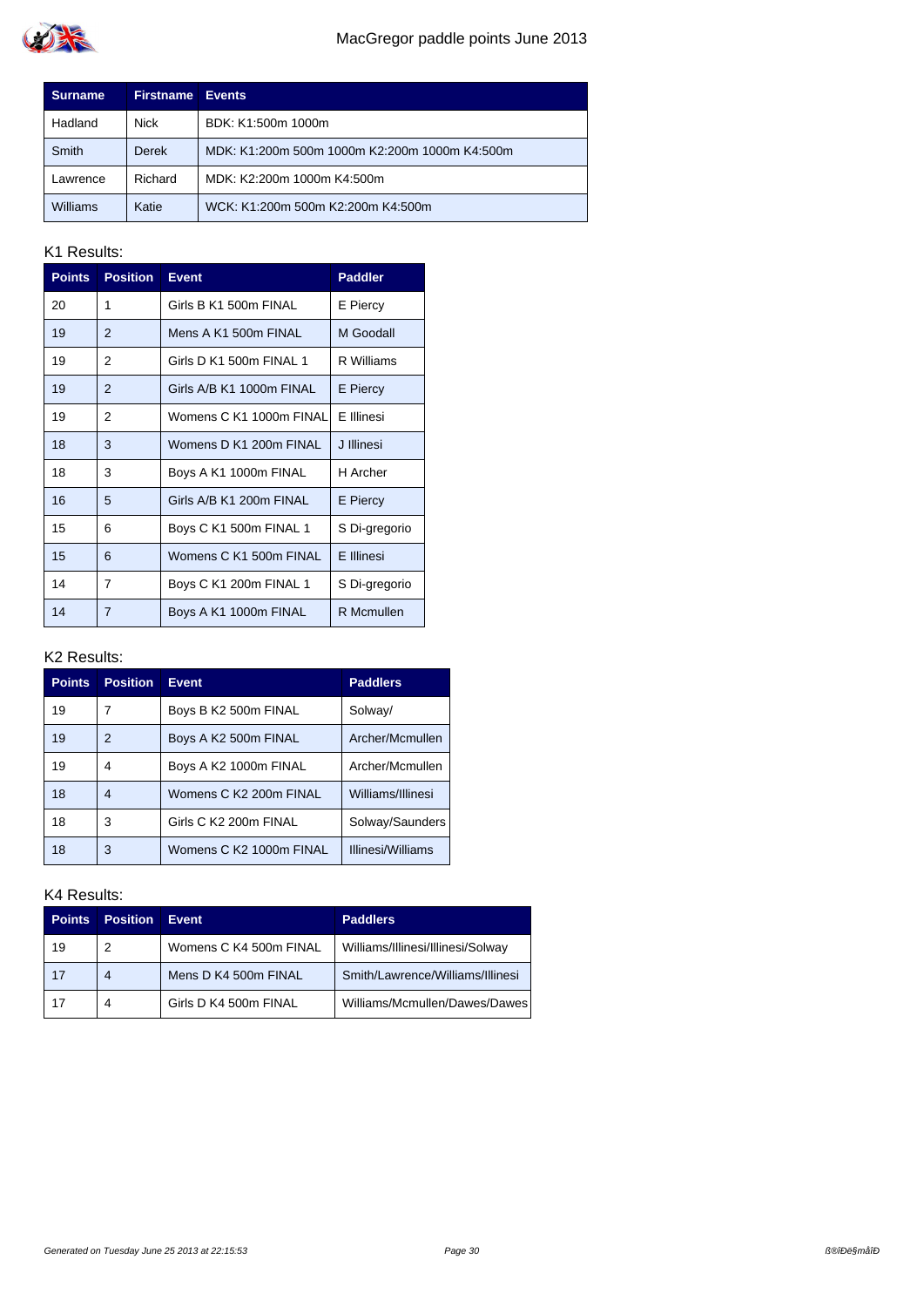

| <b>Surname</b>  | <b>Firstname</b> | <b>Events</b>                                 |
|-----------------|------------------|-----------------------------------------------|
| Hadland         | <b>Nick</b>      | BDK: K1:500m 1000m                            |
| Smith           | <b>Derek</b>     | MDK: K1:200m 500m 1000m K2:200m 1000m K4:500m |
| Lawrence        | Richard          | MDK: K2:200m 1000m K4:500m                    |
| <b>Williams</b> | Katie            | WCK: K1:200m 500m K2:200m K4:500m             |

| <b>Points</b> | <b>Position</b> | <b>Event</b>             | <b>Paddler</b>  |
|---------------|-----------------|--------------------------|-----------------|
| 20            | 1               | Girls B K1 500m FINAL    | E Piercy        |
| 19            | 2               | Mens A K1 500m FINAL     | M Goodall       |
| 19            | 2               | Girls D K1 500m FINAL 1  | R Williams      |
| 19            | $\overline{2}$  | Girls A/B K1 1000m FINAL | <b>E</b> Piercy |
| 19            | 2               | Womens C K1 1000m FINAL  | F Illinesi      |
| 18            | 3               | Womens D K1 200m FINAL   | J Illinesi      |
| 18            | 3               | Boys A K1 1000m FINAL    | H Archer        |
| 16            | 5               | Girls A/B K1 200m FINAL  | <b>E</b> Piercy |
| 15            | 6               | Boys C K1 500m FINAL 1   | S Di-gregorio   |
| 15            | 6               | Womens C K1 500m FINAL   | E Illinesi      |
| 14            | 7               | Boys C K1 200m FINAL 1   | S Di-gregorio   |
| 14            | $\overline{7}$  | Boys A K1 1000m FINAL    | R Mcmullen      |

### K2 Results:

| <b>Points</b> | <b>Position</b> | <b>Event</b>            | <b>Paddlers</b>   |
|---------------|-----------------|-------------------------|-------------------|
| 19            |                 | Boys B K2 500m FINAL    | Solway/           |
| 19            | 2               | Boys A K2 500m FINAL    | Archer/Mcmullen   |
| 19            | 4               | Boys A K2 1000m FINAL   | Archer/Mcmullen   |
| 18            | 4               | Womens C K2 200m FINAL  | Williams/Illinesi |
| 18            | 3               | Girls C K2 200m FINAL   | Solway/Saunders   |
| 18            | 3               | Womens C K2 1000m FINAL | Illinesi/Williams |

| <b>Points</b> | <b>Position</b> | <b>Event</b>           | <b>Paddlers</b>                   |
|---------------|-----------------|------------------------|-----------------------------------|
| 19            | 2               | Womens C K4 500m FINAL | Williams/Illinesi/Illinesi/Solway |
| 17            | 4               | Mens D K4 500m FINAL   | Smith/Lawrence/Williams/Illinesi  |
| 17            | 4               | Girls D K4 500m FINAL  | Williams/Mcmullen/Dawes/Dawes     |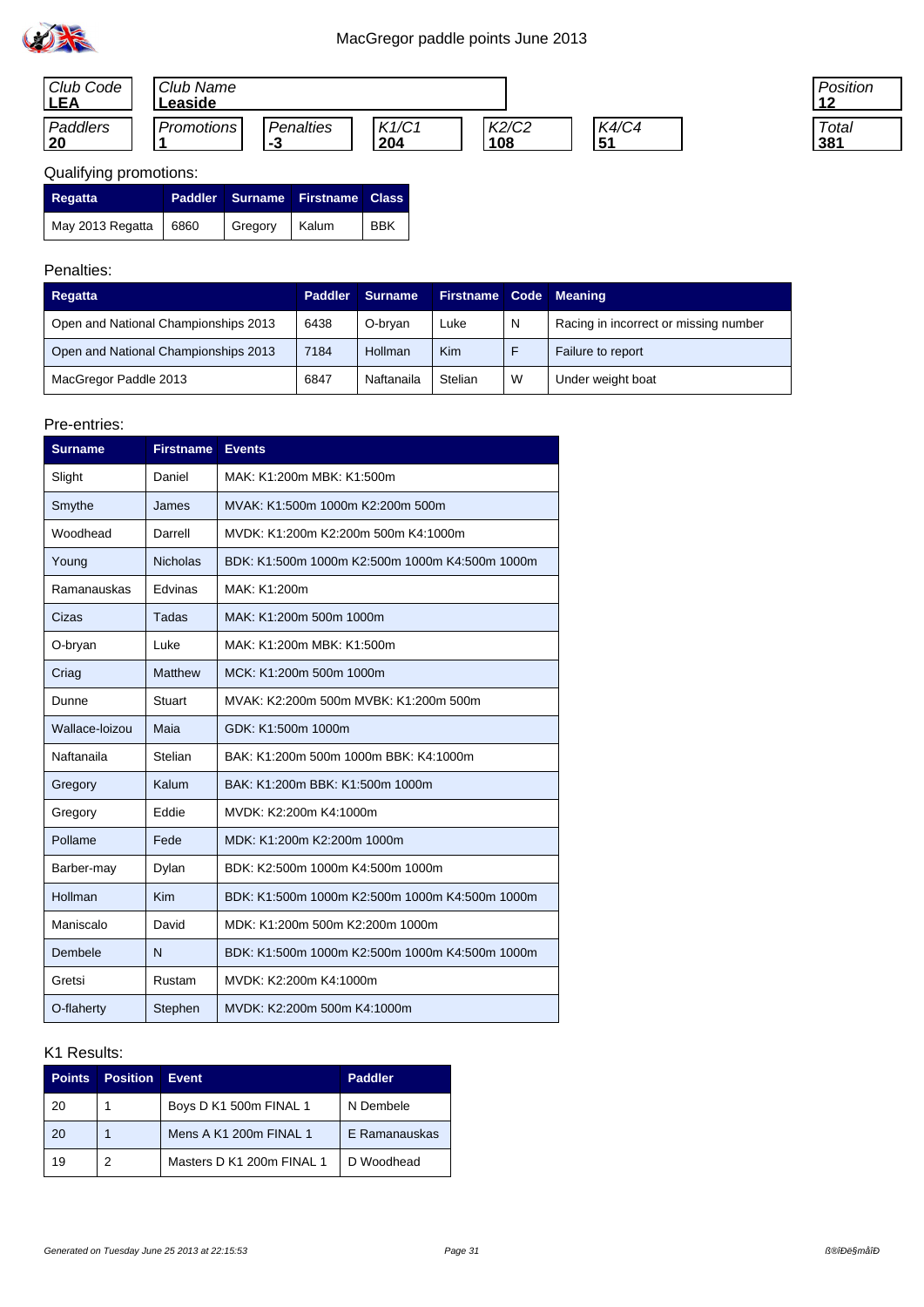



| 'osition |  |
|----------|--|
| Total    |  |

### Qualifying promotions:

| Regatta                 |               | Paddler Surname Firstname Class |            |
|-------------------------|---------------|---------------------------------|------------|
| May 2013 Regatta   6860 | Gregory Kalum |                                 | <b>BBK</b> |

### Penalties:

| Regatta                              | <b>Paddler</b> | <b>Surname</b> | Firstname Code Meaning |   |                                       |
|--------------------------------------|----------------|----------------|------------------------|---|---------------------------------------|
| Open and National Championships 2013 | 6438           | O-brvan        | Luke                   | N | Racing in incorrect or missing number |
| Open and National Championships 2013 | 7184           | Hollman        | Kim                    |   | Failure to report                     |
| MacGregor Paddle 2013                | 6847           | Naftanaila     | Stelian                | W | Under weight boat                     |

#### Pre-entries:

| <b>Surname</b> | <b>Firstname</b> | <b>Events</b>                                  |
|----------------|------------------|------------------------------------------------|
| Slight         | Daniel           | MAK: K1:200m MBK: K1:500m                      |
| Smythe         | James            | MVAK: K1:500m 1000m K2:200m 500m               |
| Woodhead       | Darrell          | MVDK: K1:200m K2:200m 500m K4:1000m            |
| Young          | <b>Nicholas</b>  | BDK: K1:500m 1000m K2:500m 1000m K4:500m 1000m |
| Ramanauskas    | Edvinas          | MAK: K1:200m                                   |
| Cizas          | Tadas            | MAK: K1:200m 500m 1000m                        |
| O-bryan        | Luke             | MAK: K1:200m MBK: K1:500m                      |
| Criag          | <b>Matthew</b>   | MCK: K1:200m 500m 1000m                        |
| Dunne          | Stuart           | MVAK: K2:200m 500m MVBK: K1:200m 500m          |
| Wallace-loizou | Maia             | GDK: K1:500m 1000m                             |
| Naftanaila     | Stelian          | BAK: K1:200m 500m 1000m BBK: K4:1000m          |
| Gregory        | Kalum            | BAK: K1:200m BBK: K1:500m 1000m                |
| Gregory        | Eddie            | MVDK: K2:200m K4:1000m                         |
| Pollame        | Fede             | MDK: K1:200m K2:200m 1000m                     |
| Barber-may     | Dylan            | BDK: K2:500m 1000m K4:500m 1000m               |
| Hollman        | <b>Kim</b>       | BDK: K1:500m 1000m K2:500m 1000m K4:500m 1000m |
| Maniscalo      | David            | MDK: K1:200m 500m K2:200m 1000m                |
| Dembele        | N                | BDK: K1:500m 1000m K2:500m 1000m K4:500m 1000m |
| Gretsi         | Rustam           | MVDK: K2:200m K4:1000m                         |
| O-flaherty     | Stephen          | MVDK: K2:200m 500m K4:1000m                    |

| <b>Points</b> | <b>Position</b> | Event                     | <b>Paddler</b> |
|---------------|-----------------|---------------------------|----------------|
| 20            |                 | Boys D K1 500m FINAL 1    | N Dembele      |
| 20            |                 | Mens A K1 200m FINAL 1    | E Ramanauskas  |
| 19            |                 | Masters D K1 200m FINAL 1 | D Woodhead     |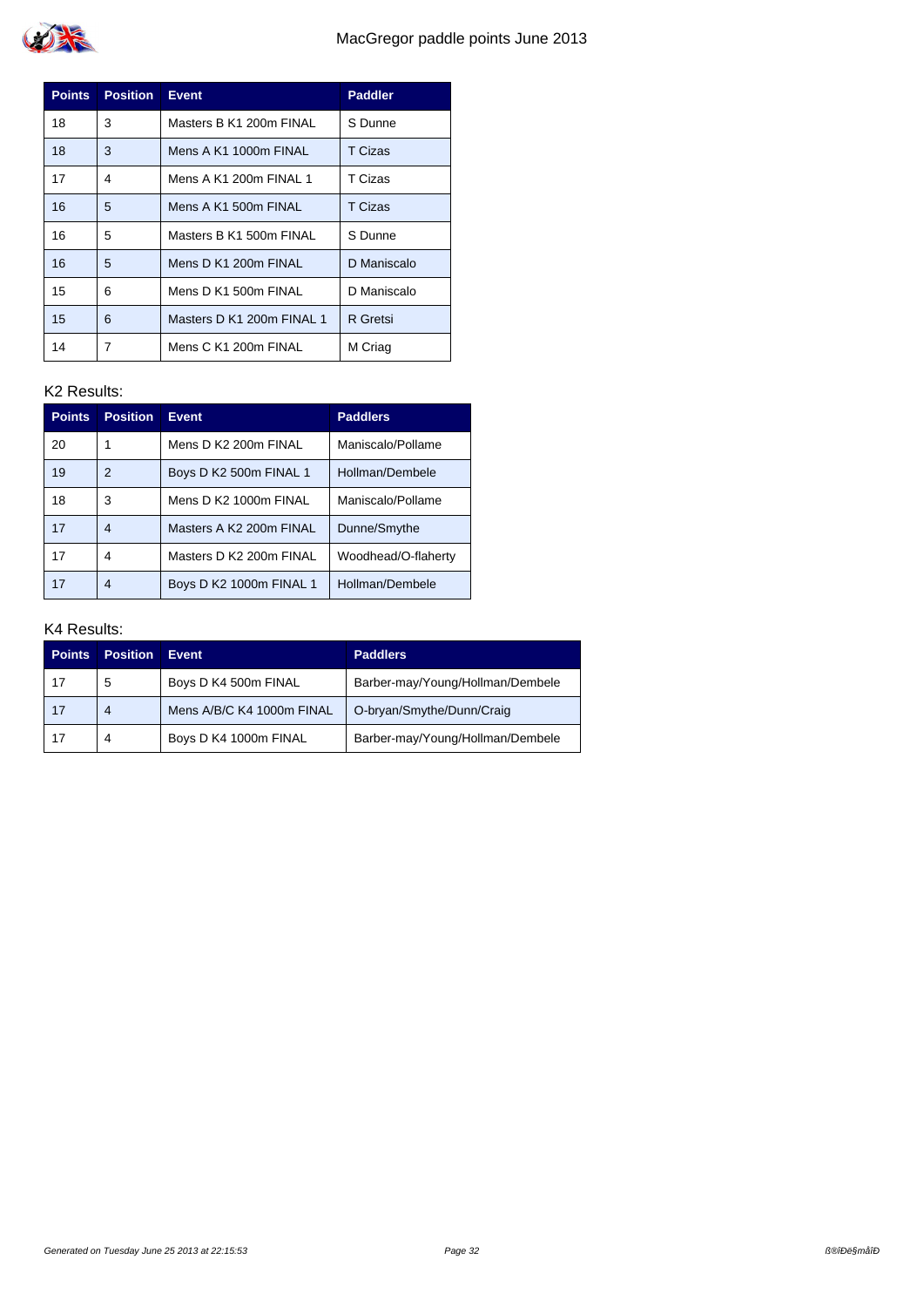| <b>Points</b> | <b>Position</b> | <b>Event</b>              | <b>Paddler</b> |
|---------------|-----------------|---------------------------|----------------|
| 18            | 3               | Masters B K1 200m FINAL   | S Dunne        |
| 18            | 3               | Mens A K1 1000m FINAL     | T Cizas        |
| 17            | 4               | Mens A K1 200m FINAL 1    | T Cizas        |
| 16            | 5               | Mens A K1 500m FINAL      | T Cizas        |
| 16            | 5               | Masters B K1 500m FINAL   | S Dunne        |
| 16            | 5               | Mens D K1 200m FINAL      | D Maniscalo    |
| 15            | 6               | Mens D K1 500m FINAL      | D Maniscalo    |
| 15            | 6               | Masters D K1 200m FINAL 1 | R Gretsi       |
| 14            | 7               | Mens C K1 200m FINAL      | M Criag        |

| <b>Points</b> | <b>Position</b> | <b>Event</b>            | <b>Paddlers</b>     |
|---------------|-----------------|-------------------------|---------------------|
| 20            |                 | Mens D K2 200m FINAL    | Maniscalo/Pollame   |
| 19            | 2               | Boys D K2 500m FINAL 1  | Hollman/Dembele     |
| 18            | 3               | Mens D K2 1000m FINAL   | Maniscalo/Pollame   |
| 17            | 4               | Masters A K2 200m FINAL | Dunne/Smythe        |
| 17            | 4               | Masters D K2 200m FINAL | Woodhead/O-flaherty |
| 17            | 4               | Boys D K2 1000m FINAL 1 | Hollman/Dembele     |

| <b>Points</b> | <b>Position</b> | Event                     | <b>Paddlers</b>                  |
|---------------|-----------------|---------------------------|----------------------------------|
| 17            | 5               | Boys D K4 500m FINAL      | Barber-may/Young/Hollman/Dembele |
| 17            | 4               | Mens A/B/C K4 1000m FINAL | O-bryan/Smythe/Dunn/Craig        |
| 17            | 4               | Boys D K4 1000m FINAL     | Barber-may/Young/Hollman/Dembele |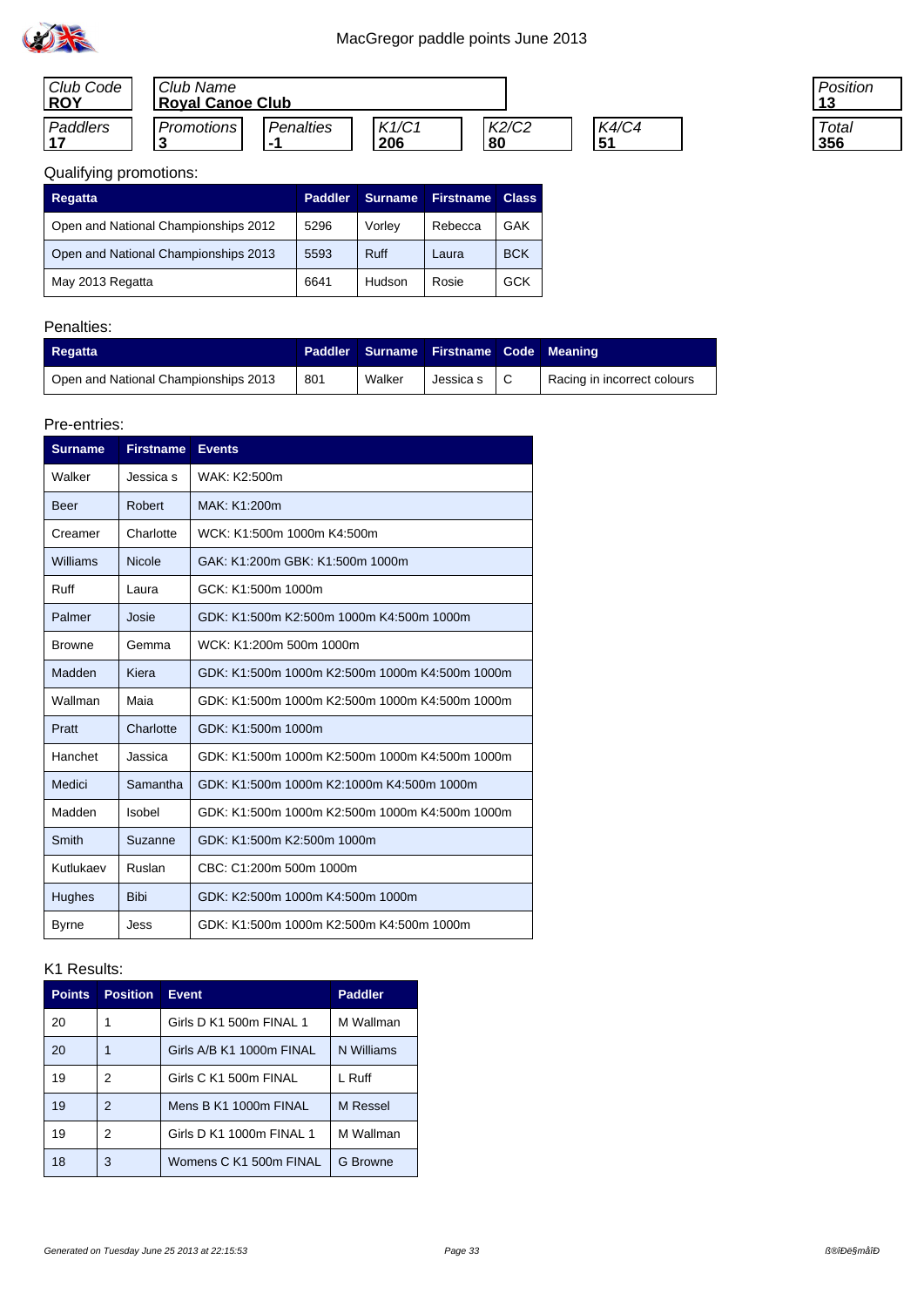

| Club Code<br><b>IROY</b> | Club Name<br><b>Royal Canoe Club</b> |                  |              |             |                    |
|--------------------------|--------------------------------------|------------------|--------------|-------------|--------------------|
| Paddlers                 | <b>Promotions</b>                    | <i>Penalties</i> | K1/C1<br>206 | K2/C2<br>80 | <b>K4/C4</b><br>51 |

| 'osition |  |
|----------|--|
| Total    |  |

# Qualifying promotions:

| Regatta                              | <b>Paddler</b> | <b>Surname</b> | <b>Firstname</b> | <b>Class</b> |
|--------------------------------------|----------------|----------------|------------------|--------------|
| Open and National Championships 2012 | 5296           | Vorley         | Rebecca          | GAK          |
| Open and National Championships 2013 | 5593           | <b>Ruff</b>    | Laura            | <b>BCK</b>   |
| May 2013 Regatta                     | 6641           | Hudson         | Rosie            | GCK          |

### Penalties:

| Regatta                              |     |        | Paddler Surname Firstname Code Meaning |                             |
|--------------------------------------|-----|--------|----------------------------------------|-----------------------------|
| Open and National Championships 2013 | 801 | Walker | Jessica s $\mid$ C                     | Racing in incorrect colours |

#### Pre-entries:

| <b>Surname</b> | <b>Firstname</b> | <b>Events</b>                                  |
|----------------|------------------|------------------------------------------------|
| Walker         | Jessica s        | WAK: K2:500m                                   |
| Beer           | Robert           | MAK: K1:200m                                   |
| Creamer        | Charlotte        | WCK: K1:500m 1000m K4:500m                     |
| Williams       | <b>Nicole</b>    | GAK: K1:200m GBK: K1:500m 1000m                |
| <b>Ruff</b>    | Laura            | GCK: K1:500m 1000m                             |
| Palmer         | Josie            | GDK: K1:500m K2:500m 1000m K4:500m 1000m       |
| <b>Browne</b>  | Gemma            | WCK: K1:200m 500m 1000m                        |
| Madden         | Kiera            | GDK: K1:500m 1000m K2:500m 1000m K4:500m 1000m |
| Wallman        | Maia             | GDK: K1:500m 1000m K2:500m 1000m K4:500m 1000m |
| Pratt          | Charlotte        | GDK: K1:500m 1000m                             |
| Hanchet        | Jassica          | GDK: K1:500m 1000m K2:500m 1000m K4:500m 1000m |
| Medici         | Samantha         | GDK: K1:500m 1000m K2:1000m K4:500m 1000m      |
| Madden         | Isobel           | GDK: K1:500m 1000m K2:500m 1000m K4:500m 1000m |
| Smith          | Suzanne          | GDK: K1:500m K2:500m 1000m                     |
| Kutlukaev      | Ruslan           | CBC: C1:200m 500m 1000m                        |
| <b>Hughes</b>  | <b>Bibi</b>      | GDK: K2:500m 1000m K4:500m 1000m               |
| <b>Byrne</b>   | Jess             | GDK: K1:500m 1000m K2:500m K4:500m 1000m       |

| <b>Points</b> | <b>Position</b> | <b>Event</b>             | <b>Paddler</b> |
|---------------|-----------------|--------------------------|----------------|
| 20            | 1               | Girls D K1 500m FINAL 1  | M Wallman      |
| 20            | 1               | Girls A/B K1 1000m FINAL | N Williams     |
| 19            | 2               | Girls C K1 500m FINAL    | L Ruff         |
| 19            | 2               | Mens B K1 1000m FINAL    | M Ressel       |
| 19            | 2               | Girls D K1 1000m FINAL 1 | M Wallman      |
| 18            | 3               | Womens C K1 500m FINAL   | G Browne       |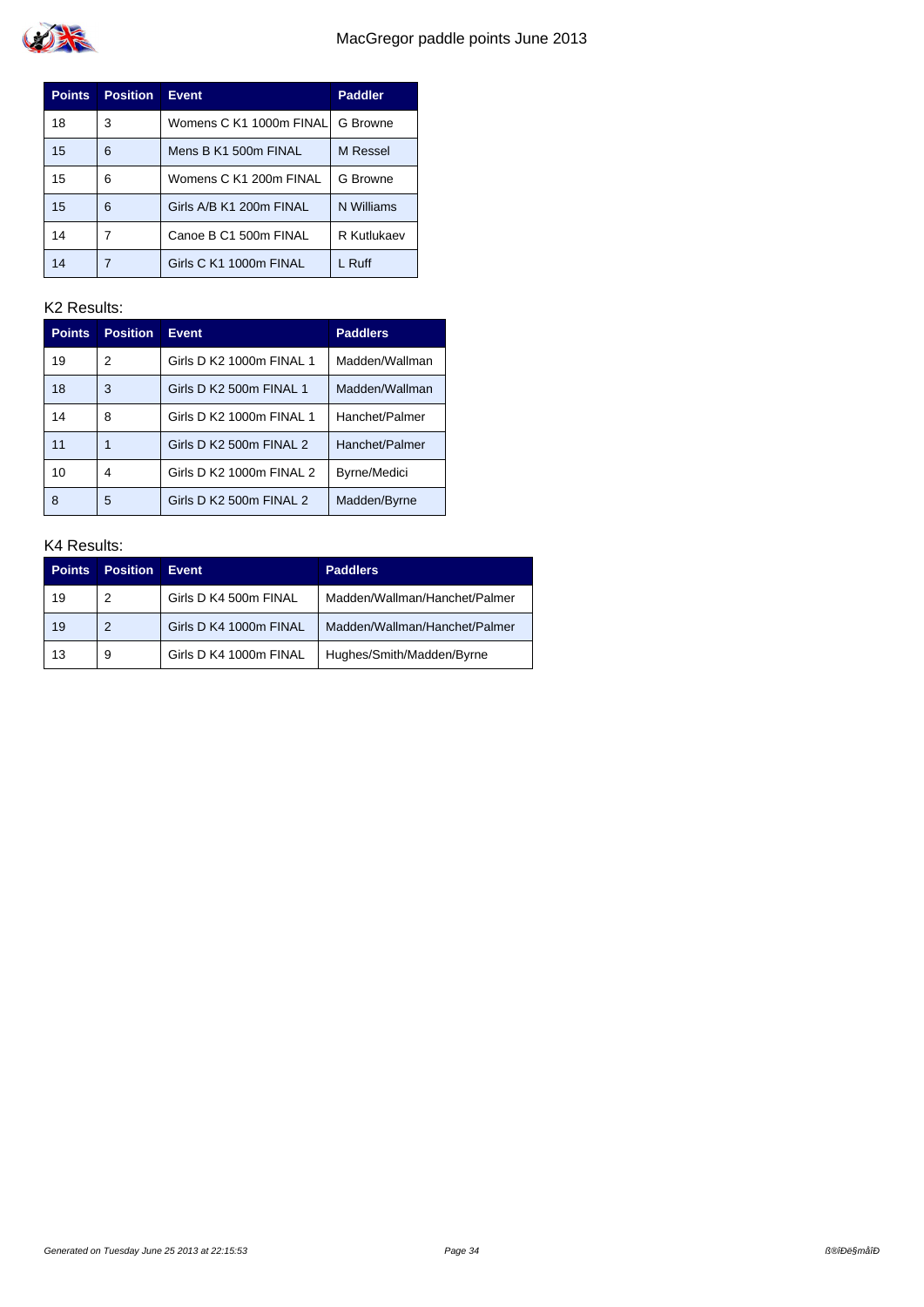

| <b>Points</b> | <b>Position</b> | <b>Event</b>             | <b>Paddler</b> |
|---------------|-----------------|--------------------------|----------------|
| 18            | 3               | Womens C K1 1000m FINALI | G Browne       |
| 15            | 6               | Mens B K1 500m FINAL     | M Ressel       |
| 15            | 6               | Womens C K1 200m FINAL   | G Browne       |
| 15            | 6               | Girls A/B K1 200m FINAL  | N Williams     |
| 14            | 7               | Canoe B C1 500m FINAL    | R Kutlukaev    |
|               | 7               | Girls C K1 1000m FINAL   | L Ruff         |

| <b>Points</b> | <b>Position</b> | <b>Event</b>             | <b>Paddlers</b> |
|---------------|-----------------|--------------------------|-----------------|
| 19            | 2               | Girls D K2 1000m FINAL 1 | Madden/Wallman  |
| 18            | 3               | Girls D K2 500m FINAL 1  | Madden/Wallman  |
| 14            | 8               | Girls D K2 1000m FINAL 1 | Hanchet/Palmer  |
| 11            | 1               | Girls D K2 500m FINAL 2  | Hanchet/Palmer  |
| 10            | 4               | Girls D K2 1000m FINAL 2 | Byrne/Medici    |
| 8             | 5               | Girls D K2 500m FINAL 2  | Madden/Byrne    |

| <b>Points</b> | <b>Position</b> | Event                  | <b>Paddlers</b>               |
|---------------|-----------------|------------------------|-------------------------------|
| 19            | 2               | Girls D K4 500m FINAL  | Madden/Wallman/Hanchet/Palmer |
| 19            | 2               | Girls D K4 1000m FINAL | Madden/Wallman/Hanchet/Palmer |
| 13            | 9               | Girls D K4 1000m FINAL | Hughes/Smith/Madden/Byrne     |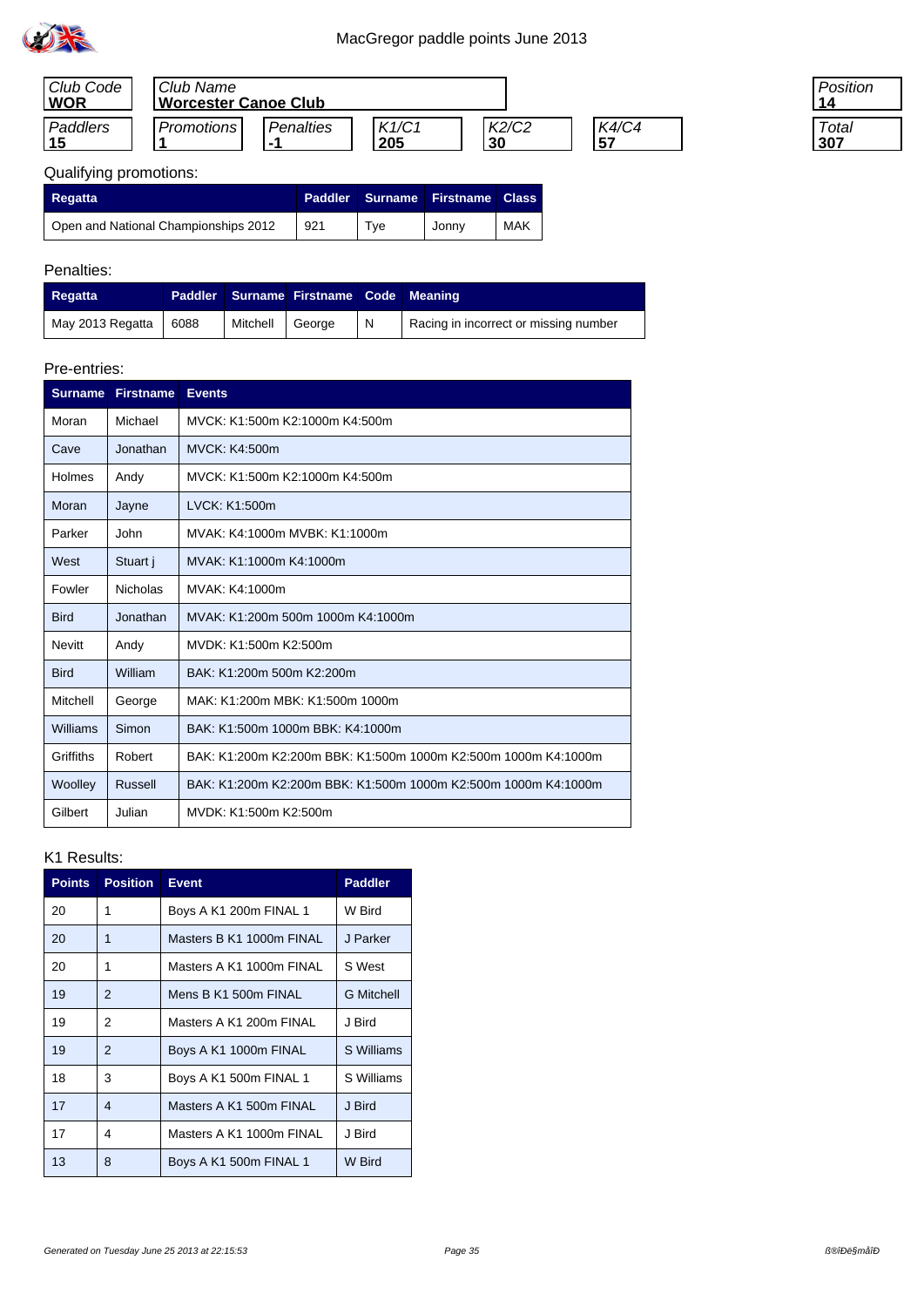

| Club Code<br><b>WOR</b> | Club Name<br><b>Worcester Canoe Club</b> |                  |              |             |                      |
|-------------------------|------------------------------------------|------------------|--------------|-------------|----------------------|
| Paddlers                | <b>Promotions</b>                        | Penalties<br>. . | K1/C1<br>205 | K2/C2<br>30 | <b>K4/C4</b><br>. 57 |

| 'osition |  |
|----------|--|
|          |  |
| Total    |  |
| 07       |  |

# Qualifying promotions:

| <b>Regatta</b>                       | <b>Paddler</b> |     | Surname Firstname | <b>Class</b> |
|--------------------------------------|----------------|-----|-------------------|--------------|
| Open and National Championships 2012 | 921            | Tve | Jonny             | MAK          |

## Penalties:

| Regatta          |      |          | Paddler Surname Firstname Code Meaning |   |                                       |
|------------------|------|----------|----------------------------------------|---|---------------------------------------|
| May 2013 Regatta | 6088 | Mitchell | George                                 | N | Racing in incorrect or missing number |

### Pre-entries:

| <b>Surname</b> | <b>Firstname</b> | <b>Events</b>                                                  |
|----------------|------------------|----------------------------------------------------------------|
| Moran          | Michael          | MVCK: K1:500m K2:1000m K4:500m                                 |
| Cave           | Jonathan         | MVCK: K4:500m                                                  |
| Holmes         | Andy             | MVCK: K1:500m K2:1000m K4:500m                                 |
| Moran          | Jayne            | LVCK: K1:500m                                                  |
| Parker         | John             | MVAK: K4:1000m MVBK: K1:1000m                                  |
| West           | Stuart j         | MVAK: K1:1000m K4:1000m                                        |
| Fowler         | <b>Nicholas</b>  | MVAK: K4:1000m                                                 |
| <b>Bird</b>    | Jonathan         | MVAK: K1:200m 500m 1000m K4:1000m                              |
| <b>Nevitt</b>  | Andy             | MVDK: K1:500m K2:500m                                          |
| <b>Bird</b>    | William          | BAK: K1:200m 500m K2:200m                                      |
| Mitchell       | George           | MAK: K1:200m MBK: K1:500m 1000m                                |
| Williams       | Simon            | BAK: K1:500m 1000m BBK: K4:1000m                               |
| Griffiths      | Robert           | BAK: K1:200m K2:200m BBK: K1:500m 1000m K2:500m 1000m K4:1000m |
| Woolley        | Russell          | BAK: K1:200m K2:200m BBK: K1:500m 1000m K2:500m 1000m K4:1000m |
| Gilbert        | Julian           | MVDK: K1:500m K2:500m                                          |

| <b>Points</b> | <b>Position</b> | <b>Event</b>             | <b>Paddler</b>    |
|---------------|-----------------|--------------------------|-------------------|
| 20            | 1               | Boys A K1 200m FINAL 1   | W Bird            |
| 20            | 1               | Masters B K1 1000m FINAL | J Parker          |
| 20            | 1               | Masters A K1 1000m FINAL | S West            |
| 19            | 2               | Mens B K1 500m FINAL     | <b>G</b> Mitchell |
| 19            | 2               | Masters A K1 200m FINAL  | J Bird            |
| 19            | $\mathcal{P}$   | Boys A K1 1000m FINAL    | S Williams        |
| 18            | 3               | Boys A K1 500m FINAL 1   | S Williams        |
| 17            | 4               | Masters A K1 500m FINAL  | J Bird            |
| 17            | 4               | Masters A K1 1000m FINAL | J Bird            |
| 13            | 8               | Boys A K1 500m FINAL 1   | W Bird            |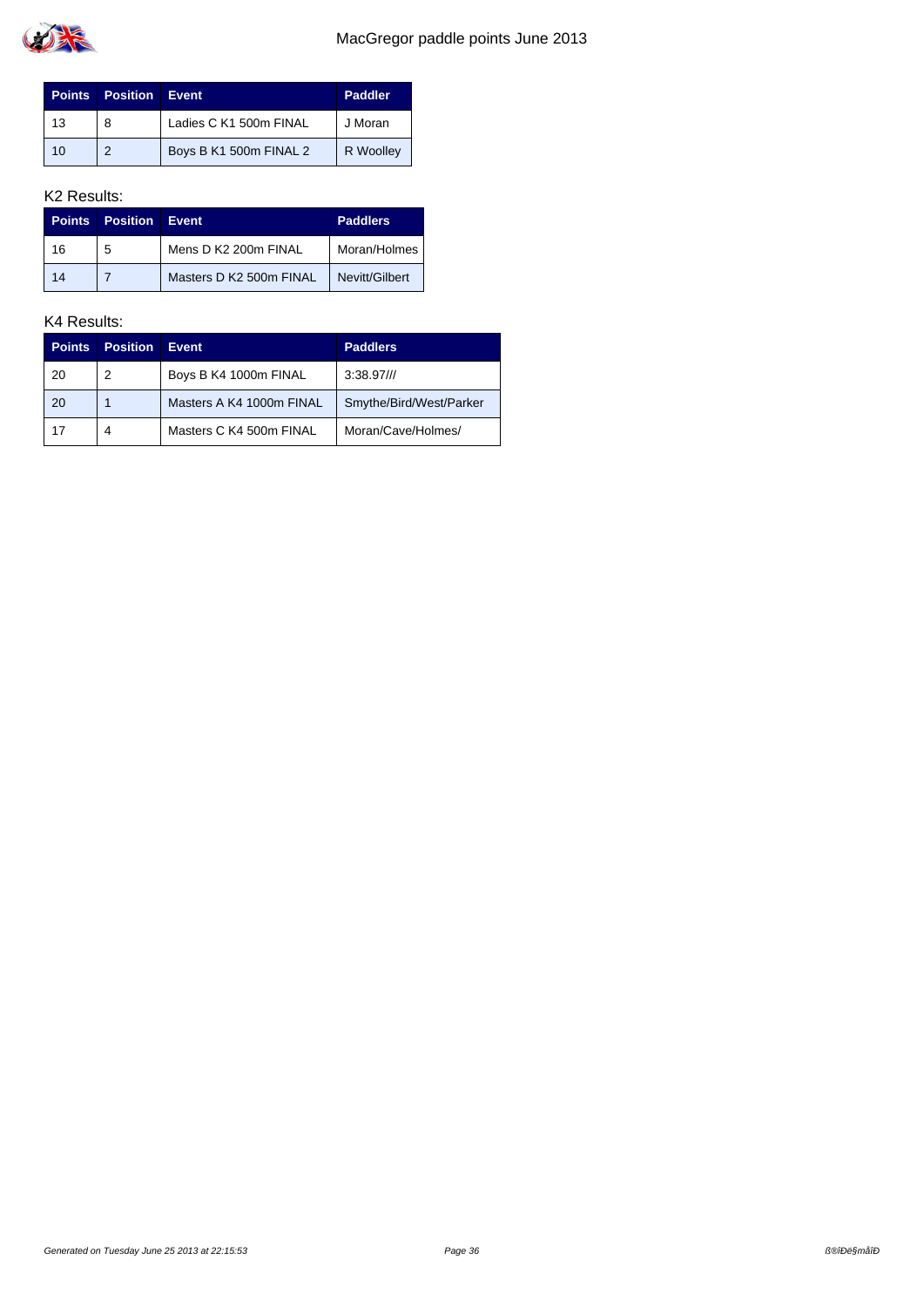

| <b>Points</b> | <b>Position Event</b> |                        | <b>Paddler</b> |
|---------------|-----------------------|------------------------|----------------|
| 13            | 8                     | Ladies C K1 500m FINAL | J Moran        |
| 10            | $\mathcal{P}$         | Boys B K1 500m FINAL 2 | R Woolley      |

| <b>Points</b> | <b>Position</b> | Event                   | <b>Paddlers</b> |
|---------------|-----------------|-------------------------|-----------------|
| 16            | 5               | Mens D K2 200m FINAL    | Moran/Holmes    |
| 14            |                 | Masters D K2 500m FINAL | Nevitt/Gilbert  |

| <b>Points</b> | <b>Position</b> | Event                    | <b>Paddlers</b>         |
|---------------|-----------------|--------------------------|-------------------------|
| 20            | 2               | Boys B K4 1000m FINAL    | $3:38.97$ ///           |
| 20            |                 | Masters A K4 1000m FINAL | Smythe/Bird/West/Parker |
| 17            | 4               | Masters C K4 500m FINAL  | Moran/Cave/Holmes/      |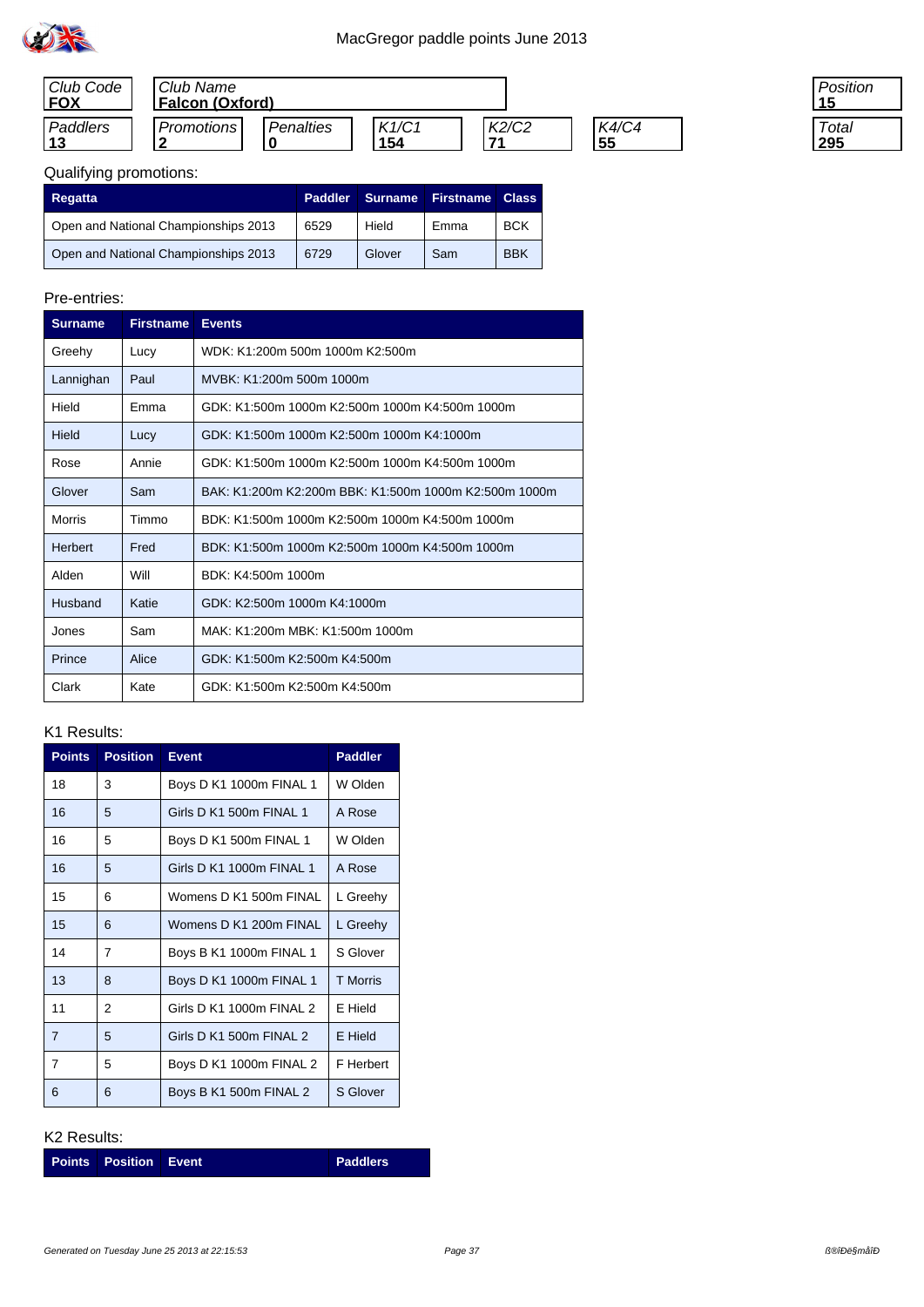

| Club Code<br><b>FOX</b> | Club Name<br><b>Falcon (Oxford)</b> |           |              |             |                    |
|-------------------------|-------------------------------------|-----------|--------------|-------------|--------------------|
| Paddlers<br>13          | Promotions                          | Penalties | K1/C1<br>154 | K2/C2<br>74 | <b>K4/C4</b><br>55 |

| 'osition |
|----------|
|          |
| Total    |
|          |

| Regatta                              | Paddler | <b>Surname</b> | <b>Firstname</b> | <b>Class</b> |
|--------------------------------------|---------|----------------|------------------|--------------|
| Open and National Championships 2013 | 6529    | Hield          | Emma             | <b>BCK</b>   |
| Open and National Championships 2013 | 6729    | Glover         | Sam              | <b>BBK</b>   |

## Pre-entries:

| <b>Surname</b> | <b>Firstname</b> | <b>Events</b>                                         |
|----------------|------------------|-------------------------------------------------------|
| Greehy         | Lucy             | WDK: K1:200m 500m 1000m K2:500m                       |
| Lannighan      | Paul             | MVBK: K1:200m 500m 1000m                              |
| Hield          | Emma             | GDK: K1:500m 1000m K2:500m 1000m K4:500m 1000m        |
| Hield          | Lucy             | GDK: K1:500m 1000m K2:500m 1000m K4:1000m             |
| Rose           | Annie            | GDK: K1:500m 1000m K2:500m 1000m K4:500m 1000m        |
| Glover         | Sam              | BAK: K1:200m K2:200m BBK: K1:500m 1000m K2:500m 1000m |
| Morris         | Timmo            | BDK: K1:500m 1000m K2:500m 1000m K4:500m 1000m        |
| <b>Herbert</b> | Fred             | BDK: K1:500m 1000m K2:500m 1000m K4:500m 1000m        |
| Alden          | Will             | BDK: K4:500m 1000m                                    |
| Husband        | Katie            | GDK: K2:500m 1000m K4:1000m                           |
| Jones          | Sam              | MAK: K1:200m MBK: K1:500m 1000m                       |
| Prince         | Alice            | GDK: K1:500m K2:500m K4:500m                          |
| Clark          | Kate             | GDK: K1:500m K2:500m K4:500m                          |

### K1 Results:

| <b>Points</b>  | <b>Position</b> | <b>Event</b>             | <b>Paddler</b>  |
|----------------|-----------------|--------------------------|-----------------|
| 18             | 3               | Boys D K1 1000m FINAL 1  | W Olden         |
| 16             | 5               | Girls D K1 500m FINAL 1  | A Rose          |
| 16             | 5               | Boys D K1 500m FINAL 1   | W Olden         |
| 16             | 5               | Girls D K1 1000m FINAL 1 | A Rose          |
| 15             | 6               | Womens D K1 500m FINAL   | L Greehy        |
| 15             | 6               | Womens D K1 200m FINAL   | L Greehy        |
| 14             | 7               | Boys B K1 1000m FINAL 1  | S Glover        |
| 13             | 8               | Boys D K1 1000m FINAL 1  | <b>T</b> Morris |
| 11             | 2               | Girls D K1 1000m FINAL 2 | E Hield         |
| $\overline{7}$ | 5               | Girls D K1 500m FINAL 2  | E Hield         |
| 7              | 5               | Boys D K1 1000m FINAL 2  | F Herbert       |
| 6              | 6               | Boys B K1 500m FINAL 2   | S Glover        |

### K2 Results:

**Points Position Event Paddlers**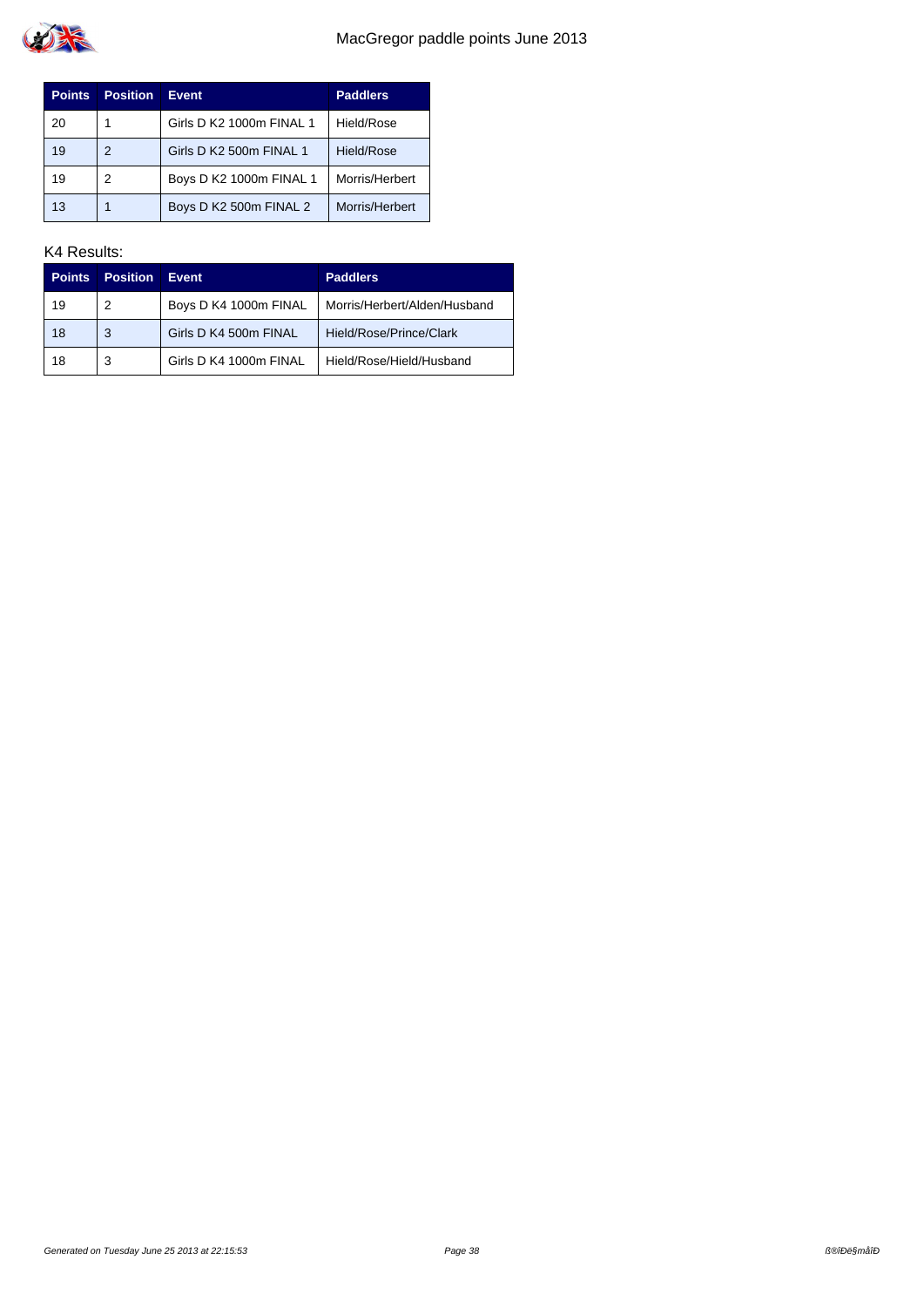

| <b>Points</b> | <b>Position</b> | <b>Event</b>             | <b>Paddlers</b> |
|---------------|-----------------|--------------------------|-----------------|
| 20            |                 | Girls D K2 1000m FINAL 1 | Hield/Rose      |
| 19            | 2               | Girls D K2 500m FINAL 1  | Hield/Rose      |
| 19            | 2               | Boys D K2 1000m FINAL 1  | Morris/Herbert  |
| 13            |                 | Boys D K2 500m FINAL 2   | Morris/Herbert  |

| <b>Points</b> | <b>Position</b> | Event                  | <b>Paddlers</b>              |
|---------------|-----------------|------------------------|------------------------------|
| 19            | 2               | Boys D K4 1000m FINAL  | Morris/Herbert/Alden/Husband |
| 18            | 3               | Girls D K4 500m FINAL  | Hield/Rose/Prince/Clark      |
| 18            | 3               | Girls D K4 1000m FINAL | Hield/Rose/Hield/Husband     |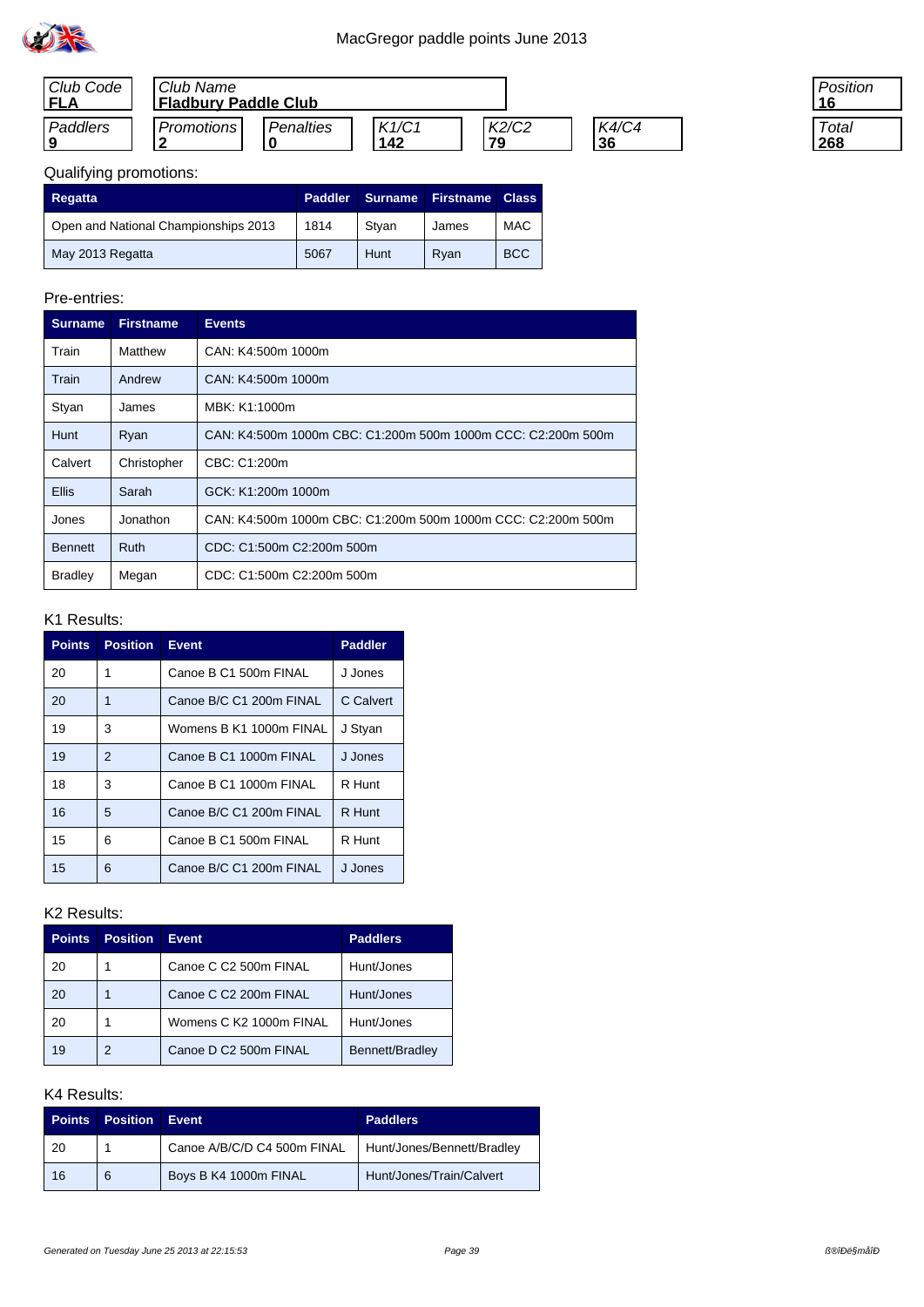

| Club Code<br>FLA | Club Name<br>'Fladbury Paddle Club |           |              |             |             |
|------------------|------------------------------------|-----------|--------------|-------------|-------------|
| Paddlers         | <b>Promotions</b>                  | Penalties | K1/C1<br>142 | K2/C2<br>79 | K4/C4<br>36 |

| 'osition<br>6 |  |
|---------------|--|
| Total<br>268  |  |

| Regatta                              | Paddler | Surname A | <b>Firstname</b> | <b>Class</b> |
|--------------------------------------|---------|-----------|------------------|--------------|
| Open and National Championships 2013 | 1814    | Stvan     | James            | <b>MAC</b>   |
| May 2013 Regatta                     | 5067    | Hunt      | Rvan             | <b>BCC</b>   |

## Pre-entries:

| <b>Surname</b> | <b>Firstname</b> | <b>Events</b>                                                |
|----------------|------------------|--------------------------------------------------------------|
| Train          | Matthew          | CAN: K4:500m 1000m                                           |
| Train          | Andrew           | CAN: K4:500m 1000m                                           |
| Styan          | James            | MBK: K1:1000m                                                |
| <b>Hunt</b>    | Ryan             | CAN: K4:500m 1000m CBC: C1:200m 500m 1000m CCC: C2:200m 500m |
| Calvert        | Christopher      | CBC: C1:200m                                                 |
| <b>Ellis</b>   | Sarah            | GCK: K1:200m 1000m                                           |
| Jones          | Jonathon         | CAN: K4:500m 1000m CBC: C1:200m 500m 1000m CCC: C2:200m 500m |
| <b>Bennett</b> | Ruth             | CDC: C1:500m C2:200m 500m                                    |
| <b>Bradley</b> | Megan            | CDC: C1:500m C2:200m 500m                                    |

#### K1 Results:

| <b>Points</b> | <b>Position</b> | <b>Event</b>            | <b>Paddler</b> |
|---------------|-----------------|-------------------------|----------------|
| 20            |                 | Canoe B C1 500m FINAL   | J Jones        |
| 20            | 1               | Canoe B/C C1 200m FINAL | C Calvert      |
| 19            | 3               | Womens B K1 1000m FINAL | J Styan        |
| 19            | $\overline{2}$  | Canoe B C1 1000m FINAL  | J Jones        |
| 18            | 3               | Canoe B C1 1000m FINAL  | R Hunt         |
| 16            | 5               | Canoe B/C C1 200m FINAL | R Hunt         |
| 15            | 6               | Canoe B C1 500m FINAL   | R Hunt         |
| 15            | 6               | Canoe B/C C1 200m FINAL | J Jones        |

## K2 Results:

| <b>Points</b> | <b>Position</b> | <b>Event</b>            | <b>Paddlers</b> |
|---------------|-----------------|-------------------------|-----------------|
| 20            |                 | Canoe C C2 500m FINAL   | Hunt/Jones      |
| 20            |                 | Canoe C C2 200m FINAL   | Hunt/Jones      |
| 20            |                 | Womens C K2 1000m FINAL | Hunt/Jones      |
| 19            | 2               | Canoe D C2 500m FINAL   | Bennett/Bradley |

| <b>Points</b> | <b>Position</b> | Event                       | <b>Paddlers</b>            |
|---------------|-----------------|-----------------------------|----------------------------|
| -20           |                 | Canoe A/B/C/D C4 500m FINAL | Hunt/Jones/Bennett/Bradley |
| 16            | 6               | Boys B K4 1000m FINAL       | Hunt/Jones/Train/Calvert   |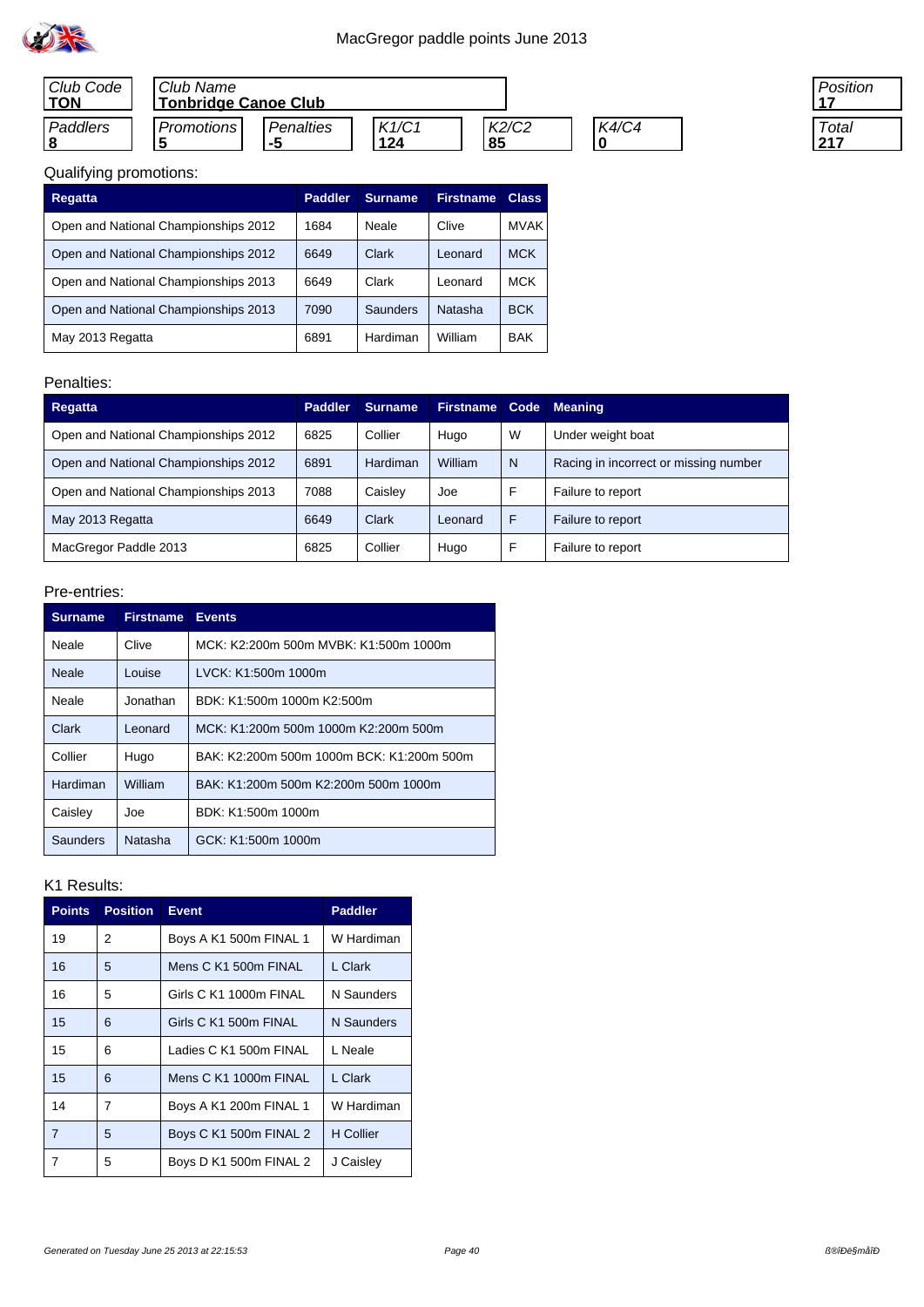| Club Code<br><b>TON</b> | Club Name  | <b>Tonbridge Canoe Club</b> |              |             |       |  |  |  |
|-------------------------|------------|-----------------------------|--------------|-------------|-------|--|--|--|
| Paddlers                | Promotions | <b>Penalties</b><br>-5      | K1/C1<br>124 | K2/C2<br>85 | K4/C4 |  |  |  |

| 'osition |  |
|----------|--|
| Total    |  |

| Regatta                              | <b>Paddler</b> | <b>Surname</b> | <b>Firstname</b> | <b>Class</b> |
|--------------------------------------|----------------|----------------|------------------|--------------|
| Open and National Championships 2012 | 1684           | Neale          | Clive            | <b>MVAK</b>  |
| Open and National Championships 2012 | 6649           | Clark          | Leonard          | <b>MCK</b>   |
| Open and National Championships 2013 | 6649           | Clark          | Leonard          | <b>MCK</b>   |
| Open and National Championships 2013 | 7090           | Saunders       | Natasha          | <b>BCK</b>   |
| May 2013 Regatta                     | 6891           | Hardiman       | William          | <b>BAK</b>   |

### Penalties:

| Regatta                              | <b>Paddler</b> | <b>Surname</b>  | <b>Firstname</b> | Code | <b>Meaning</b>                        |
|--------------------------------------|----------------|-----------------|------------------|------|---------------------------------------|
| Open and National Championships 2012 | 6825           | Collier         | Hugo             | W    | Under weight boat                     |
| Open and National Championships 2012 | 6891           | <b>Hardiman</b> | William          | N    | Racing in incorrect or missing number |
| Open and National Championships 2013 | 7088           | Caisley         | Joe              | F    | Failure to report                     |
| May 2013 Regatta                     | 6649           | Clark           | Leonard          | F    | Failure to report                     |
| MacGregor Paddle 2013                | 6825           | Collier         | Hugo             | F    | Failure to report                     |

## Pre-entries:

| <b>Surname</b> | <b>Firstname</b> | <b>Events</b>                             |
|----------------|------------------|-------------------------------------------|
| Neale          | Clive            | MCK: K2:200m 500m MVBK: K1:500m 1000m     |
| Neale          | Louise           | LVCK: K1:500m 1000m                       |
| Neale          | Jonathan         | BDK: K1:500m 1000m K2:500m                |
| Clark          | Leonard          | MCK: K1:200m 500m 1000m K2:200m 500m      |
| Collier        | Hugo             | BAK: K2:200m 500m 1000m BCK: K1:200m 500m |
| Hardiman       | William          | BAK: K1:200m 500m K2:200m 500m 1000m      |
| Caisley        | Joe              | BDK: K1:500m 1000m                        |
| Saunders       | Natasha          | GCK: K1:500m 1000m                        |

| <b>Points</b> | <b>Position</b> | <b>Event</b>           | <b>Paddler</b>   |
|---------------|-----------------|------------------------|------------------|
| 19            | 2               | Boys A K1 500m FINAL 1 | W Hardiman       |
| 16            | 5               | Mens C K1 500m FINAL   | L Clark          |
| 16            | 5               | Girls C K1 1000m FINAL | N Saunders       |
| 15            | 6               | Girls C K1 500m FINAL  | N Saunders       |
| 15            | 6               | Ladies C K1 500m FINAL | L Neale          |
| 15            | 6               | Mens C K1 1000m FINAL  | L Clark          |
| 14            | $\overline{7}$  | Boys A K1 200m FINAL 1 | W Hardiman       |
| 7             | 5               | Boys C K1 500m FINAL 2 | <b>H</b> Collier |
| 7             | 5               | Boys D K1 500m FINAL 2 | J Caisley        |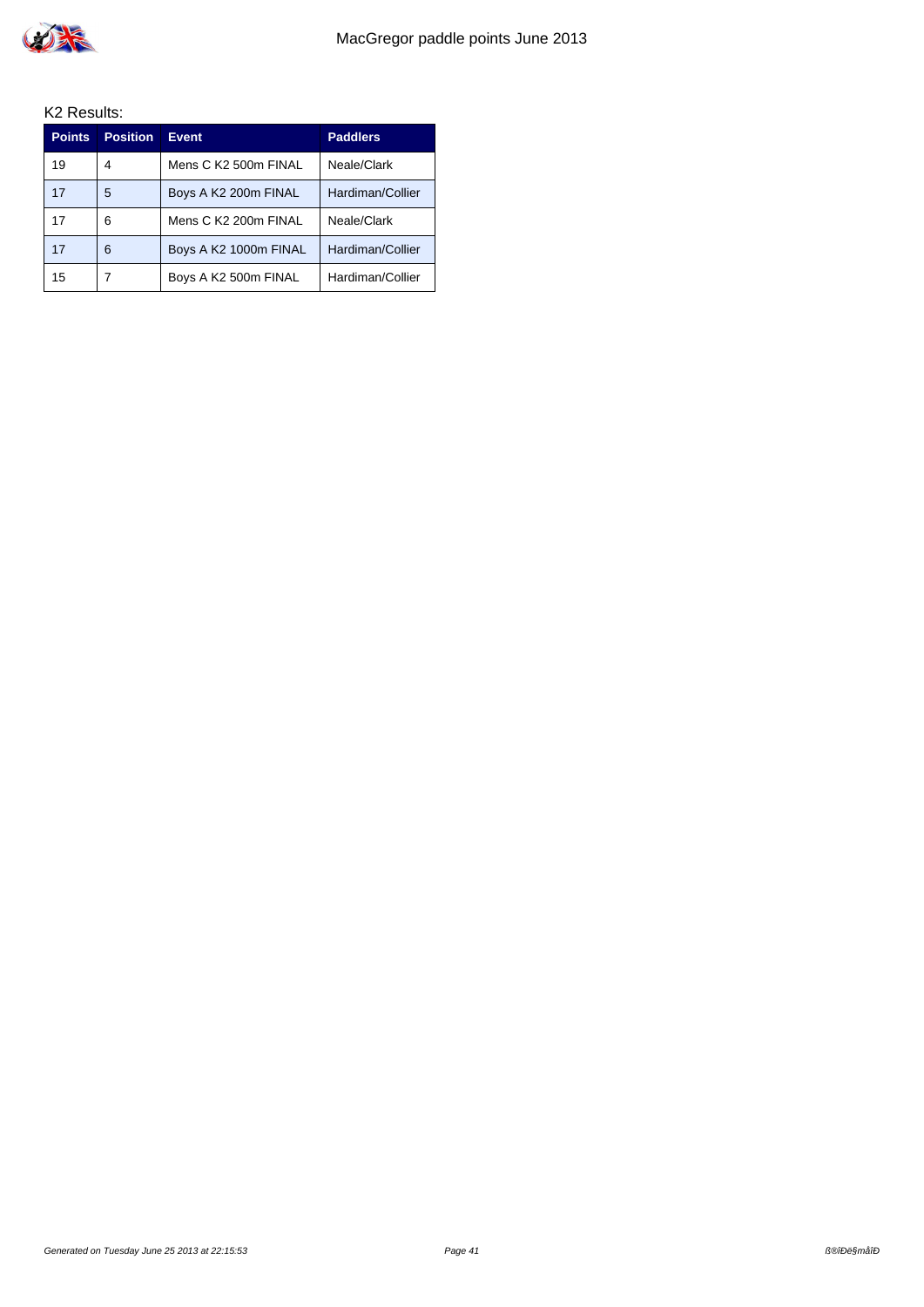

| <b>Points</b> | <b>Position</b> | <b>Event</b>          | <b>Paddlers</b>  |
|---------------|-----------------|-----------------------|------------------|
| 19            | 4               | Mens C K2 500m FINAL  | Neale/Clark      |
| 17            | 5               | Boys A K2 200m FINAL  | Hardiman/Collier |
| 17            | 6               | Mens C K2 200m FINAL  | Neale/Clark      |
| 17            | 6               | Boys A K2 1000m FINAL | Hardiman/Collier |
| 15            |                 | Boys A K2 500m FINAL  | Hardiman/Collier |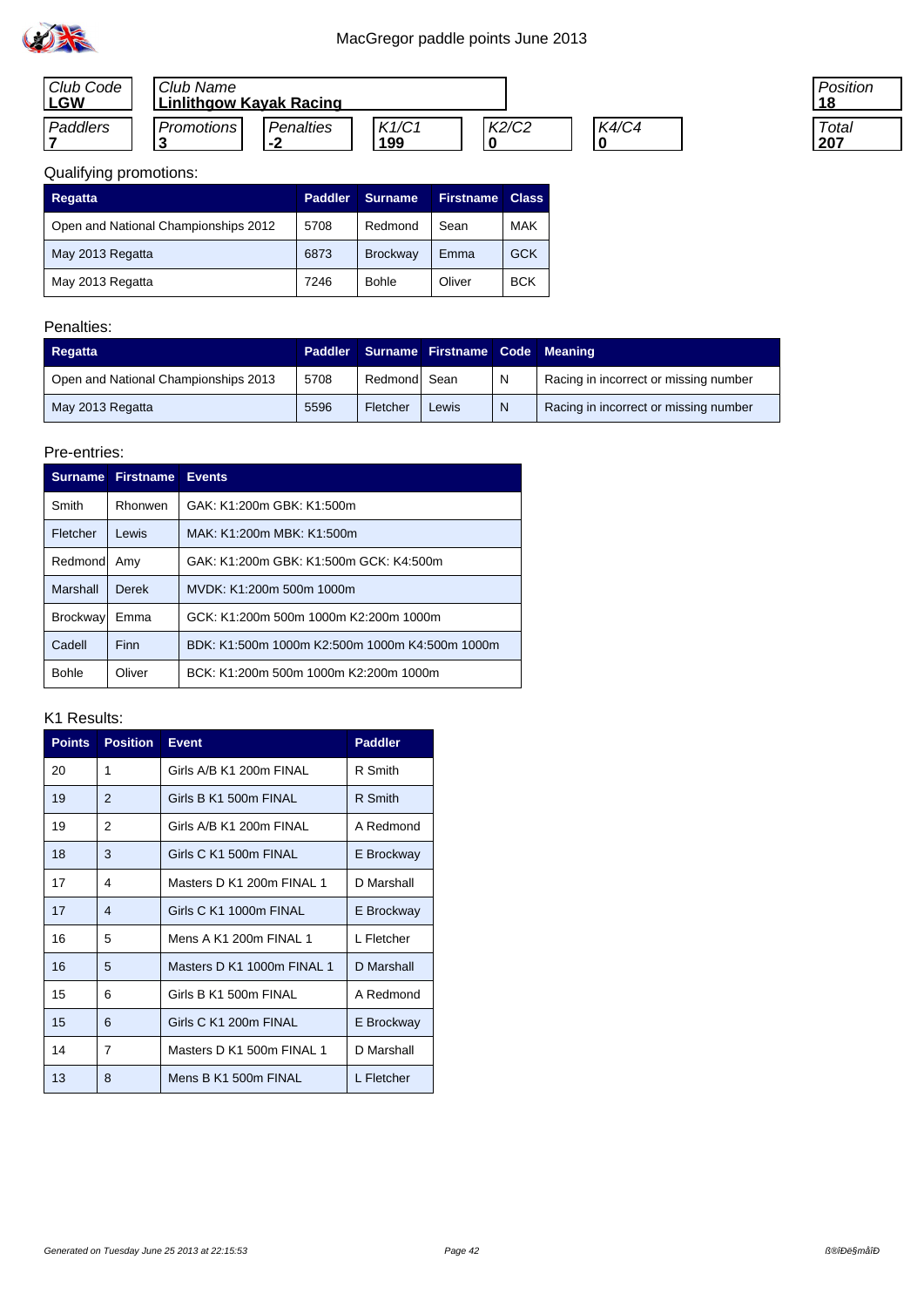

| Club Code<br>∟GW | Club Name<br><b>Linlithgow Kayak Racing</b> |                                    |              |       |       |
|------------------|---------------------------------------------|------------------------------------|--------------|-------|-------|
| Paddlers         | <b>Promotions</b>                           | <b>Penalties</b><br>$\blacksquare$ | K1/C1<br>199 | K2/C2 | K4/C4 |

| 'osition<br>8 |  |
|---------------|--|
| Total         |  |

| <b>Regatta</b>                       | <b>Paddler</b> | Surname.        | <b>Firstname</b> | <b>Class</b> |
|--------------------------------------|----------------|-----------------|------------------|--------------|
| Open and National Championships 2012 | 5708           | Redmond         | Sean             | <b>MAK</b>   |
| May 2013 Regatta                     | 6873           | <b>Brockway</b> | Emma             | <b>GCK</b>   |
| May 2013 Regatta                     | 7246           | <b>Bohle</b>    | Oliver           | <b>BCK</b>   |

## Penalties:

| Regatta                              |      |              | Paddler Surname Firstname Code Meaning |              |                                       |
|--------------------------------------|------|--------------|----------------------------------------|--------------|---------------------------------------|
| Open and National Championships 2013 | 5708 | Redmond Sean |                                        | $\mathsf{N}$ | Racing in incorrect or missing number |
| May 2013 Regatta                     | 5596 | Fletcher     | Lewis                                  | <sup>N</sup> | Racing in incorrect or missing number |

### Pre-entries:

| <b>Surname</b>  | <b>Firstname</b> | <b>Events</b>                                  |
|-----------------|------------------|------------------------------------------------|
| Smith           | Rhonwen          | GAK: K1:200m GBK: K1:500m                      |
| Fletcher        | Lewis            | MAK: K1:200m MBK: K1:500m                      |
| Redmond         | Amy              | GAK: K1:200m GBK: K1:500m GCK: K4:500m         |
| Marshall        | Derek            | MVDK: K1:200m 500m 1000m                       |
| <b>Brockway</b> | Emma             | GCK: K1:200m 500m 1000m K2:200m 1000m          |
| Cadell          | Finn             | BDK: K1:500m 1000m K2:500m 1000m K4:500m 1000m |
| <b>Bohle</b>    | Oliver           | BCK: K1:200m 500m 1000m K2:200m 1000m          |

| <b>Points</b> | <b>Position</b> | <b>Event</b>               | <b>Paddler</b> |
|---------------|-----------------|----------------------------|----------------|
| 20            | 1               | Girls A/B K1 200m FINAL    | R Smith        |
| 19            | $\mathfrak{p}$  | Girls B K1 500m FINAL      | R Smith        |
| 19            | 2               | Girls A/B K1 200m FINAL    | A Redmond      |
| 18            | 3               | Girls C K1 500m FINAL      | E Brockway     |
| 17            | 4               | Masters D K1 200m FINAL 1  | D Marshall     |
| 17            | 4               | Girls C K1 1000m FINAL     | E Brockway     |
| 16            | 5               | Mens A K1 200m FINAL 1     | L Fletcher     |
| 16            | 5               | Masters D K1 1000m FINAL 1 | D Marshall     |
| 15            | 6               | Girls B K1 500m FINAL      | A Redmond      |
| 15            | 6               | Girls C K1 200m FINAL      | E Brockway     |
| 14            | 7               | Masters D K1 500m FINAL 1  | D Marshall     |
| 13            | 8               | Mens B K1 500m FINAL       | L Fletcher     |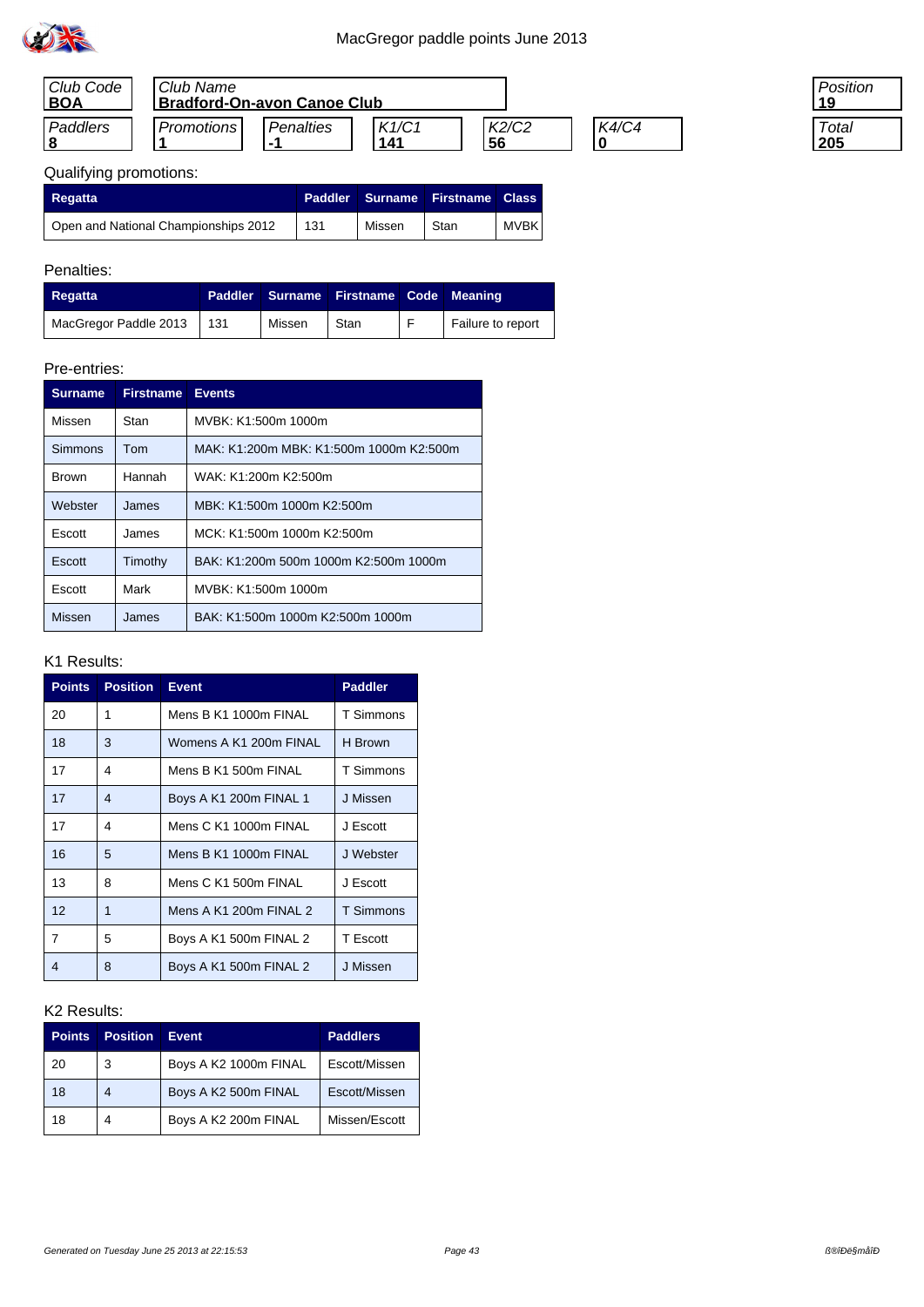

| Club Code  | Club Name                          |                    |              |             |       |  |
|------------|------------------------------------|--------------------|--------------|-------------|-------|--|
| <b>BOA</b> | <b>Bradford-On-avon Canoe Club</b> |                    |              |             |       |  |
| Paddlers   | Promotions                         | Penalties<br>. – 1 | K1/C1<br>141 | K2/C2<br>56 | K4/C4 |  |

| 'osition |  |
|----------|--|
| Total    |  |

# Qualifying promotions:

| Regatta                              | <b>Paddler</b> |        | Surname Firstname Class |       |
|--------------------------------------|----------------|--------|-------------------------|-------|
| Open and National Championships 2012 | 131            | Missen | Stan                    | MVBK, |

## Penalties:

| Regatta                   | Paddler |        | Surname Firstname Code Meaning |                   |
|---------------------------|---------|--------|--------------------------------|-------------------|
| MacGregor Paddle 2013 131 |         | Missen | Stan                           | Failure to report |

## Pre-entries:

| <b>Surname</b> | <b>Firstname</b> | <b>Events</b>                           |  |  |  |
|----------------|------------------|-----------------------------------------|--|--|--|
| Missen         | Stan             | MVBK: K1:500m 1000m                     |  |  |  |
| Simmons        | Tom              | MAK: K1:200m MBK: K1:500m 1000m K2:500m |  |  |  |
| <b>Brown</b>   | Hannah           | WAK: K1:200m K2:500m                    |  |  |  |
| Webster        | James            | MBK: K1:500m 1000m K2:500m              |  |  |  |
| Escott         | James            | MCK: K1:500m 1000m K2:500m              |  |  |  |
| Escott         | Timothy          | BAK: K1:200m 500m 1000m K2:500m 1000m   |  |  |  |
| Escott         | Mark             | MVBK: K1:500m 1000m                     |  |  |  |
| Missen         | James            | BAK: K1:500m 1000m K2:500m 1000m        |  |  |  |

### K1 Results:

| <b>Points</b> | <b>Position</b> | <b>Event</b>           | <b>Paddler</b> |
|---------------|-----------------|------------------------|----------------|
| 20            | 1               | Mens B K1 1000m FINAL  | T Simmons      |
| 18            | 3               | Womens A K1 200m FINAL | H Brown        |
| 17            | 4               | Mens B K1 500m FINAL   | T Simmons      |
| 17            | 4               | Boys A K1 200m FINAL 1 | J Missen       |
| 17            | 4               | Mens C K1 1000m FINAL  | J Escott       |
| 16            | 5               | Mens B K1 1000m FINAL  | J Webster      |
| 13            | 8               | Mens C K1 500m FINAL   | J Escott       |
| 12            | 1               | Mens A K1 200m FINAL 2 | T Simmons      |
| 7             | 5               | Boys A K1 500m FINAL 2 | T Escott       |
| 4             | 8               | Boys A K1 500m FINAL 2 | J Missen       |

| Points | <b>Position</b> | <b>Event</b>          | <b>Paddlers</b> |
|--------|-----------------|-----------------------|-----------------|
| 20     | 3               | Boys A K2 1000m FINAL | Escott/Missen   |
| 18     | 4               | Boys A K2 500m FINAL  | Escott/Missen   |
| 18     | 4               | Boys A K2 200m FINAL  | Missen/Escott   |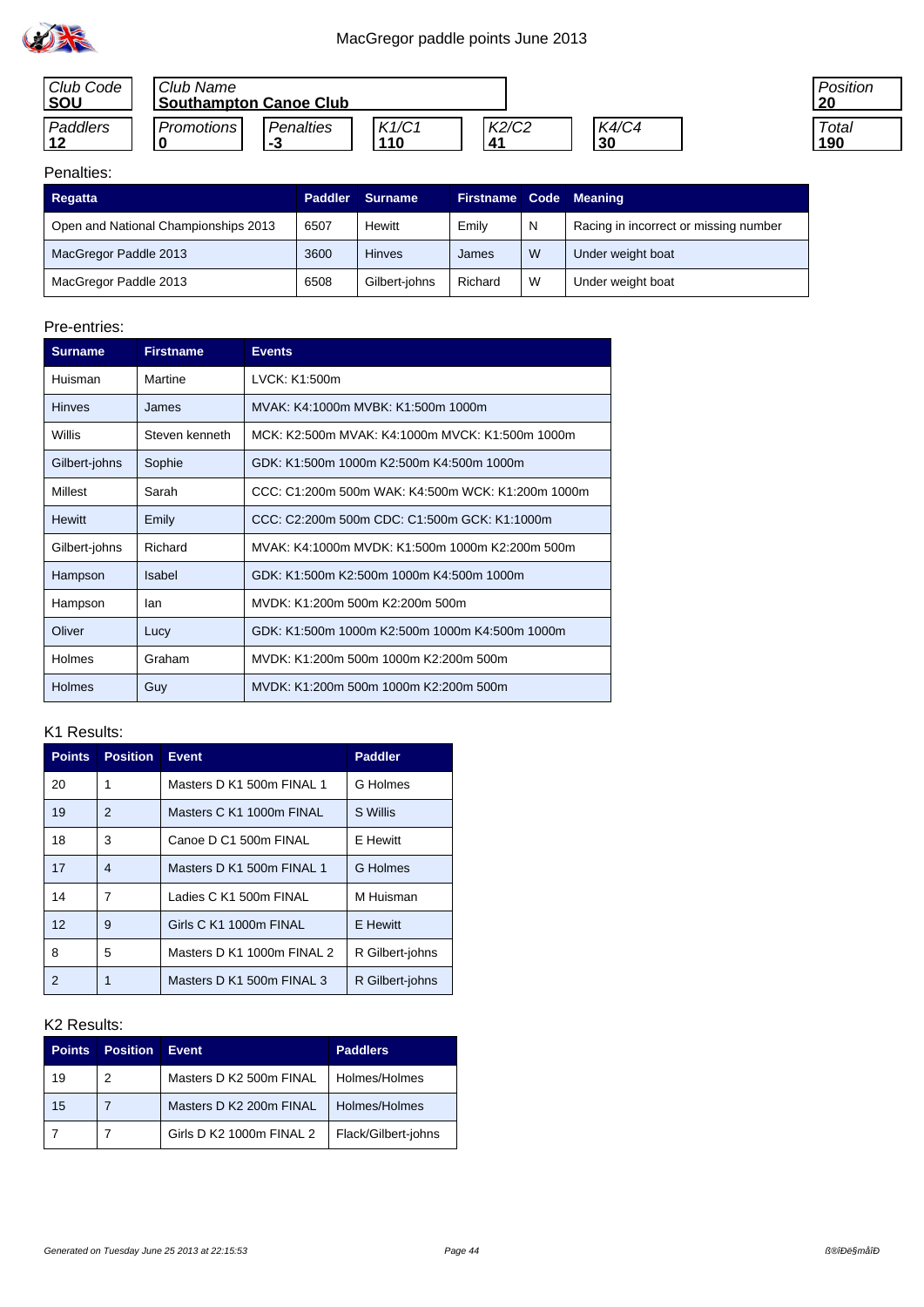

| Club Code<br><b>SOU</b> | Club Name<br><b>Southampton Canoe Club</b> |                         |              |               |                      | <b>Positior</b><br>-20 |
|-------------------------|--------------------------------------------|-------------------------|--------------|---------------|----------------------|------------------------|
| Paddlers                | Promotions I                               | <b>Penalties</b><br>- 3 | K1/C1<br>110 | K2/C2<br>. 41 | <b>K4/C4</b><br>l 30 | Total<br>190           |

### Penalties:

| Regatta                              | <b>Paddler</b> | <b>Surname</b> | Firstname Code Meaning |   |                                       |
|--------------------------------------|----------------|----------------|------------------------|---|---------------------------------------|
| Open and National Championships 2013 | 6507           | Hewitt         | Emily                  | N | Racing in incorrect or missing number |
| MacGregor Paddle 2013                | 3600           | <b>Hinves</b>  | James                  | W | Under weight boat                     |
| MacGregor Paddle 2013                | 6508           | Gilbert-johns  | Richard                | W | Under weight boat                     |

### Pre-entries:

| <b>Surname</b> | <b>Firstname</b> | <b>Events</b>                                     |
|----------------|------------------|---------------------------------------------------|
| Huisman        | Martine          | LVCK: K1:500m                                     |
| <b>Hinves</b>  | James            | MVAK: K4:1000m MVBK: K1:500m 1000m                |
| Willis         | Steven kenneth   | MCK: K2:500m MVAK: K4:1000m MVCK: K1:500m 1000m   |
| Gilbert-johns  | Sophie           | GDK: K1:500m 1000m K2:500m K4:500m 1000m          |
| Millest        | Sarah            | CCC: C1:200m 500m WAK: K4:500m WCK: K1:200m 1000m |
| <b>Hewitt</b>  | Emily            | CCC: C2:200m 500m CDC: C1:500m GCK: K1:1000m      |
| Gilbert-johns  | Richard          | MVAK: K4:1000m MVDK: K1:500m 1000m K2:200m 500m   |
| Hampson        | Isabel           | GDK: K1:500m K2:500m 1000m K4:500m 1000m          |
| Hampson        | lan              | MVDK: K1:200m 500m K2:200m 500m                   |
| Oliver         | Lucy             | GDK: K1:500m 1000m K2:500m 1000m K4:500m 1000m    |
| <b>Holmes</b>  | Graham           | MVDK: K1:200m 500m 1000m K2:200m 500m             |
| <b>Holmes</b>  | Guy              | MVDK: K1:200m 500m 1000m K2:200m 500m             |

## K1 Results:

| <b>Points</b> | <b>Position</b> | <b>Event</b>               | <b>Paddler</b>  |
|---------------|-----------------|----------------------------|-----------------|
| 20            | 1               | Masters D K1 500m FINAL 1  | G Holmes        |
| 19            | 2               | Masters C K1 1000m FINAL   | S Willis        |
| 18            | 3               | Canoe D C1 500m FINAL      | E Hewitt        |
| 17            | 4               | Masters D K1 500m FINAL 1  | G Holmes        |
| 14            | 7               | Ladies C K1 500m FINAL     | M Huisman       |
| 12            | 9               | Girls C K1 1000m FINAL     | <b>E</b> Hewitt |
| 8             | 5               | Masters D K1 1000m FINAL 2 | R Gilbert-johns |
| 2             | 1               | Masters D K1 500m FINAL 3  | R Gilbert-johns |

| <b>Points</b> | <b>Position</b> | <b>Event</b>             | <b>Paddlers</b>     |
|---------------|-----------------|--------------------------|---------------------|
| 19            | 2               | Masters D K2 500m FINAL  | Holmes/Holmes       |
| 15            |                 | Masters D K2 200m FINAL  | Holmes/Holmes       |
|               |                 | Girls D K2 1000m FINAL 2 | Flack/Gilbert-johns |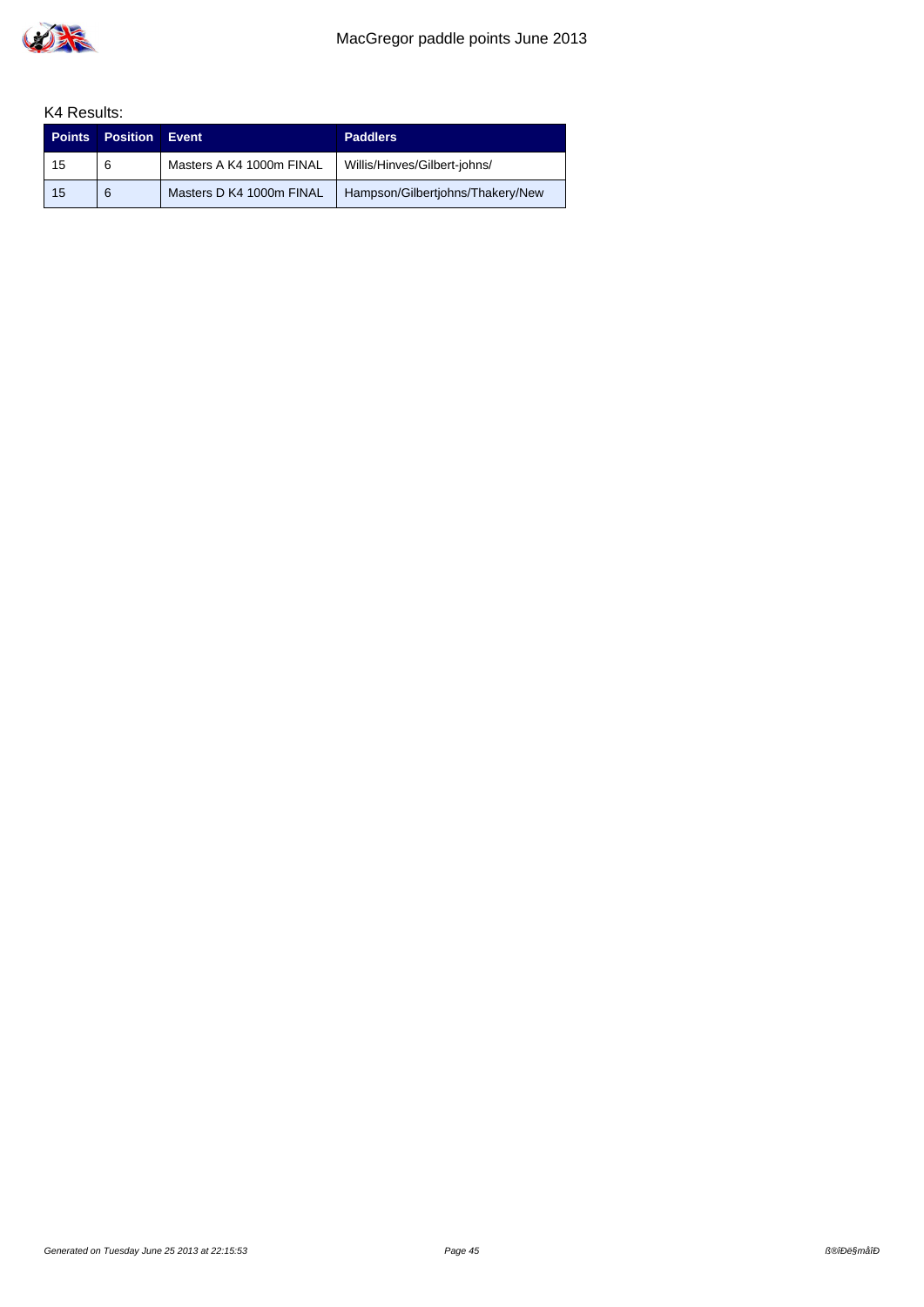

| <b>Points</b> | <b>Position</b> | Event                    | <b>Paddlers</b>                  |
|---------------|-----------------|--------------------------|----------------------------------|
| 15            | 6               | Masters A K4 1000m FINAL | Willis/Hinves/Gilbert-johns/     |
| 15            | 6               | Masters D K4 1000m FINAL | Hampson/Gilbertjohns/Thakery/New |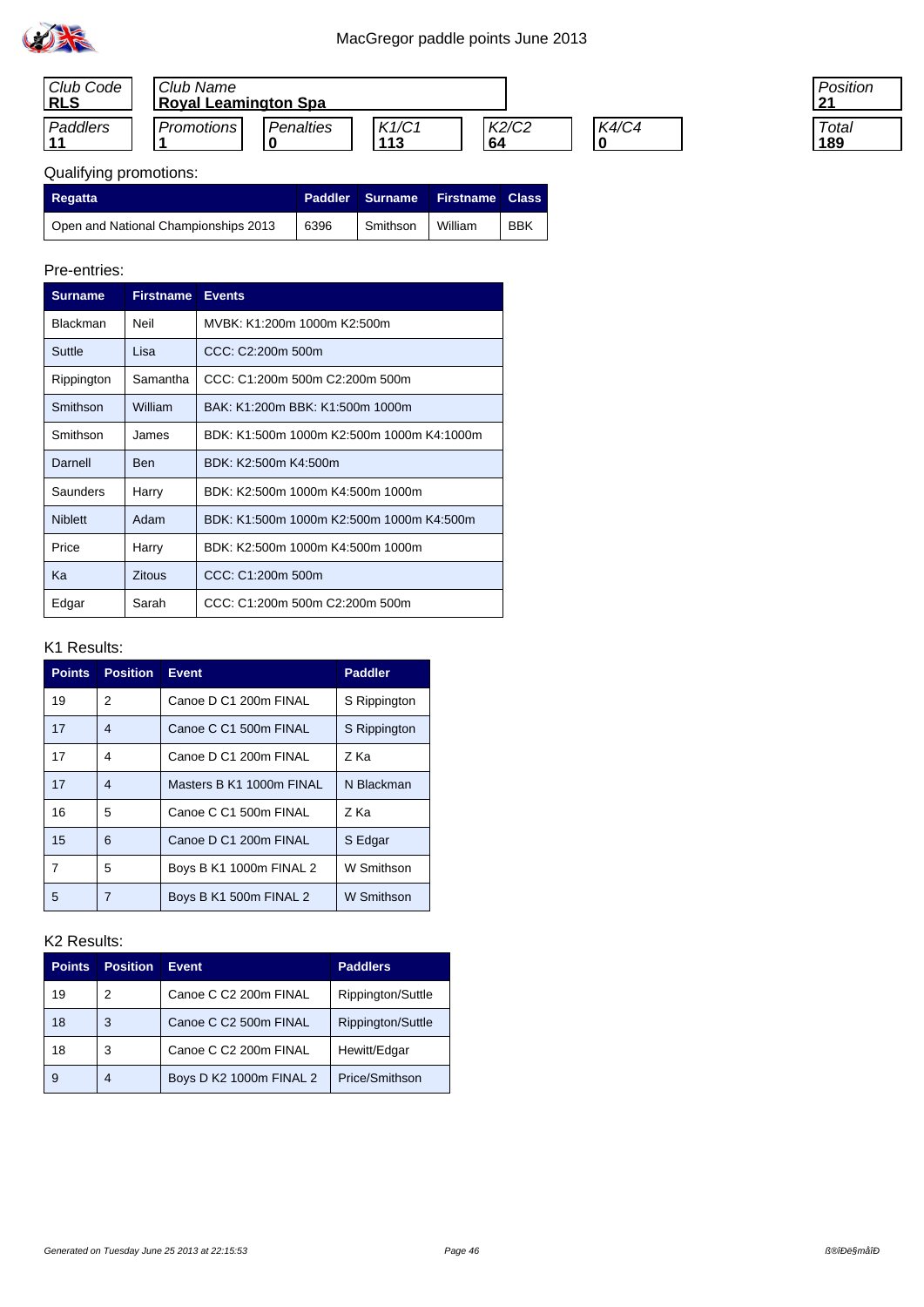

| Club Code<br><b>RLS</b> | Club Name<br><b>Royal Leamington Spa</b> |           |              |              |       |
|-------------------------|------------------------------------------|-----------|--------------|--------------|-------|
| Paddlers                | <b>Promotions</b>                        | Penalties | K1/C1<br>113 | K2/C2<br>-64 | K4/C4 |

| ⊃osition    |  |
|-------------|--|
| Total<br>89 |  |

# Qualifying promotions:

| <b>Regatta</b>                       |      | Paddler Surname | <b>Firstname Class</b> |            |
|--------------------------------------|------|-----------------|------------------------|------------|
| Open and National Championships 2013 | 6396 | Smithson        | William                | <b>BBK</b> |

#### Pre-entries:

| <b>Surname</b>  | <b>Firstname</b> | <b>Events</b>                             |
|-----------------|------------------|-------------------------------------------|
| <b>Blackman</b> | Neil             | MVBK: K1:200m 1000m K2:500m               |
| Suttle          | Lisa             | CCC: C2:200m 500m                         |
| Rippington      | Samantha         | CCC: C1:200m 500m C2:200m 500m            |
| Smithson        | William          | BAK: K1:200m BBK: K1:500m 1000m           |
| Smithson        | James            | BDK: K1:500m 1000m K2:500m 1000m K4:1000m |
| Darnell         | <b>Ben</b>       | BDK: K2:500m K4:500m                      |
| Saunders        | Harry            | BDK: K2:500m 1000m K4:500m 1000m          |
| <b>Niblett</b>  | Adam             | BDK: K1:500m 1000m K2:500m 1000m K4:500m  |
| Price           | Harry            | BDK: K2:500m 1000m K4:500m 1000m          |
| Kа              | <b>Zitous</b>    | CCC: C1:200m 500m                         |
| Edgar           | Sarah            | CCC: C1:200m 500m C2:200m 500m            |

## K1 Results:

| <b>Points</b>  | <b>Position</b>          | <b>Event</b>             | <b>Paddler</b> |
|----------------|--------------------------|--------------------------|----------------|
| 19             | 2                        | Canoe D C1 200m FINAL    | S Rippington   |
| 17             | $\overline{\mathcal{A}}$ | Canoe C C1 500m FINAL    | S Rippington   |
| 17             | 4                        | Canoe D C1 200m FINAL    | Z Ka           |
| 17             | $\overline{\mathcal{A}}$ | Masters B K1 1000m FINAL | N Blackman     |
| 16             | 5                        | Canoe C C1 500m FINAL    | Z Ka           |
| 15             | 6                        | Canoe D C1 200m FINAL    | S Edgar        |
| $\overline{7}$ | 5                        | Boys B K1 1000m FINAL 2  | W Smithson     |
| 5              | 7                        | Boys B K1 500m FINAL 2   | W Smithson     |

| <b>Points</b> | <b>Position</b> | Event                   | <b>Paddlers</b>   |
|---------------|-----------------|-------------------------|-------------------|
| 19            | 2               | Canoe C C2 200m FINAL   | Rippington/Suttle |
| 18            | 3               | Canoe C C2 500m FINAL   | Rippington/Suttle |
| 18            | 3               | Canoe C C2 200m FINAL   | Hewitt/Edgar      |
| 9             |                 | Boys D K2 1000m FINAL 2 | Price/Smithson    |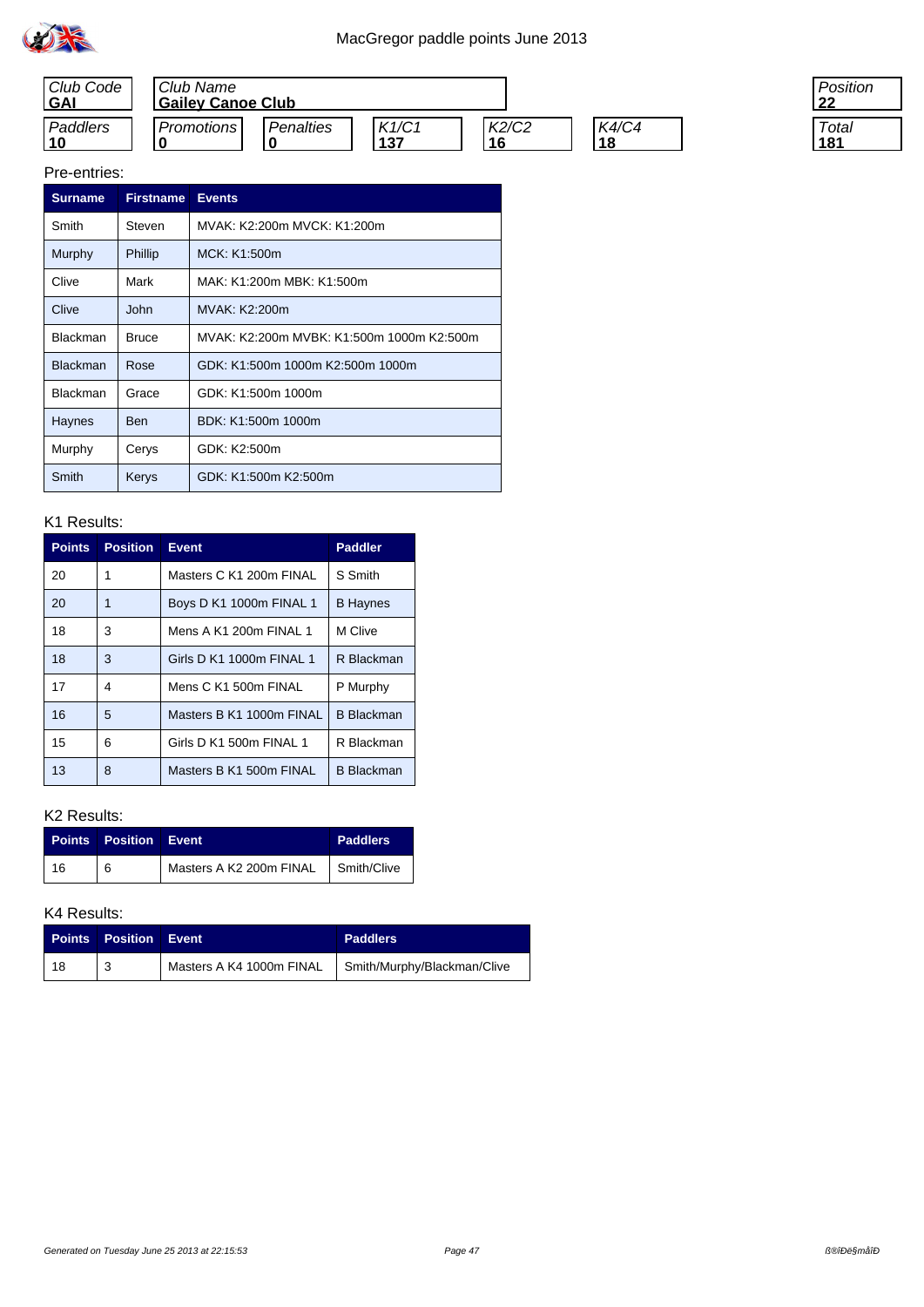



| 'osition    |  |
|-------------|--|
| Total<br>81 |  |

| <b>Surname</b>  | <b>Firstname</b> | <b>Events</b>                             |
|-----------------|------------------|-------------------------------------------|
| Smith           | Steven           | MVAK: K2:200m MVCK: K1:200m               |
| Murphy          | Phillip          | MCK: K1:500m                              |
| Clive           | Mark             | MAK: K1:200m MBK: K1:500m                 |
| Clive           | John             | MVAK: K2:200m                             |
| <b>Blackman</b> | <b>Bruce</b>     | MVAK: K2:200m MVBK: K1:500m 1000m K2:500m |
| <b>Blackman</b> | Rose             | GDK: K1:500m 1000m K2:500m 1000m          |
| <b>Blackman</b> | Grace            | GDK: K1:500m 1000m                        |
| Haynes          | <b>Ben</b>       | BDK: K1:500m 1000m                        |
| Murphy          | Cerys            | GDK: K2:500m                              |
| Smith           | <b>Kerys</b>     | GDK: K1:500m K2:500m                      |

#### K1 Results:

| <b>Points</b> | <b>Position</b> | <b>Event</b>             | <b>Paddler</b>    |
|---------------|-----------------|--------------------------|-------------------|
| 20            | 1               | Masters C K1 200m FINAL  | S Smith           |
| 20            | 1               | Boys D K1 1000m FINAL 1  | <b>B</b> Haynes   |
| 18            | 3               | Mens A K1 200m FINAL 1   | M Clive           |
| 18            | 3               | Girls D K1 1000m FINAL 1 | R Blackman        |
| 17            | 4               | Mens C K1 500m FINAL     | P Murphy          |
| 16            | 5               | Masters B K1 1000m FINAL | <b>B</b> Blackman |
| 15            | 6               | Girls D K1 500m FINAL 1  | R Blackman        |
| 13            | 8               | Masters B K1 500m FINAL  | <b>B</b> Blackman |

## K2 Results:

|    | <b>Points Position Event</b> |                         | <b>Paddlers</b> |
|----|------------------------------|-------------------------|-----------------|
| 16 | 6                            | Masters A K2 200m FINAL | Smith/Clive     |

|    | <b>Points Position Event</b> |                          | <b>Paddlers</b>             |
|----|------------------------------|--------------------------|-----------------------------|
| 18 |                              | Masters A K4 1000m FINAL | Smith/Murphy/Blackman/Clive |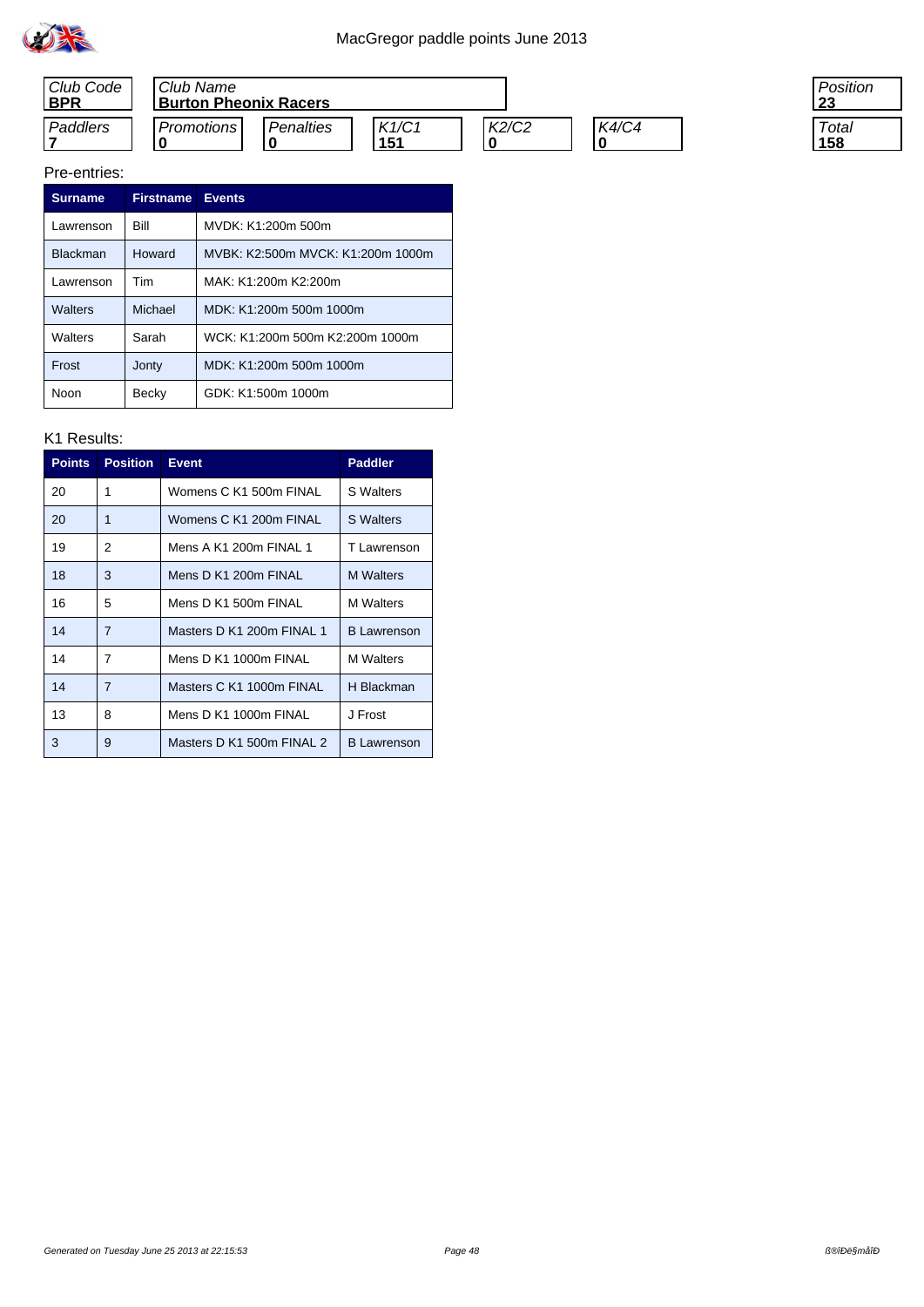



#### Pre-entries:

| <b>Surname</b>  | <b>Firstname</b> | <b>Events</b>                     |
|-----------------|------------------|-----------------------------------|
| Lawrenson       | Bill             | MVDK: K1:200m 500m                |
| <b>Blackman</b> | Howard           | MVBK: K2:500m MVCK: K1:200m 1000m |
| Lawrenson       | Tim              | MAK: K1:200m K2:200m              |
| Walters         | Michael          | MDK: K1:200m 500m 1000m           |
| Walters         | Sarah            | WCK: K1:200m 500m K2:200m 1000m   |
| Frost           | Jonty            | MDK: K1:200m 500m 1000m           |
| Noon            | Becky            | GDK: K1:500m 1000m                |

#### K1 Results:

| <b>Points</b> | <b>Position</b> | <b>Event</b>              | <b>Paddler</b>     |
|---------------|-----------------|---------------------------|--------------------|
| 20            | 1               | Womens C K1 500m FINAL    | <b>S</b> Walters   |
| 20            | 1               | Womens C K1 200m FINAL    | <b>S</b> Walters   |
| 19            | 2               | Mens A K1 200m FINAL 1    | T Lawrenson        |
| 18            | 3               | Mens D K1 200m FINAL      | <b>M</b> Walters   |
| 16            | 5               | Mens D K1 500m FINAL      | <b>M</b> Walters   |
| 14            | $\overline{7}$  | Masters D K1 200m FINAL 1 | <b>B</b> Lawrenson |
| 14            | $\overline{7}$  | Mens D K1 1000m FINAL     | <b>M</b> Walters   |
| 14            | $\overline{7}$  | Masters C K1 1000m FINAL  | <b>H</b> Blackman  |
| 13            | 8               | Mens D K1 1000m FINAL     | J Frost            |
| 3             | 9               | Masters D K1 500m FINAL 2 | <b>B</b> Lawrenson |

Position **23**

**Total 158**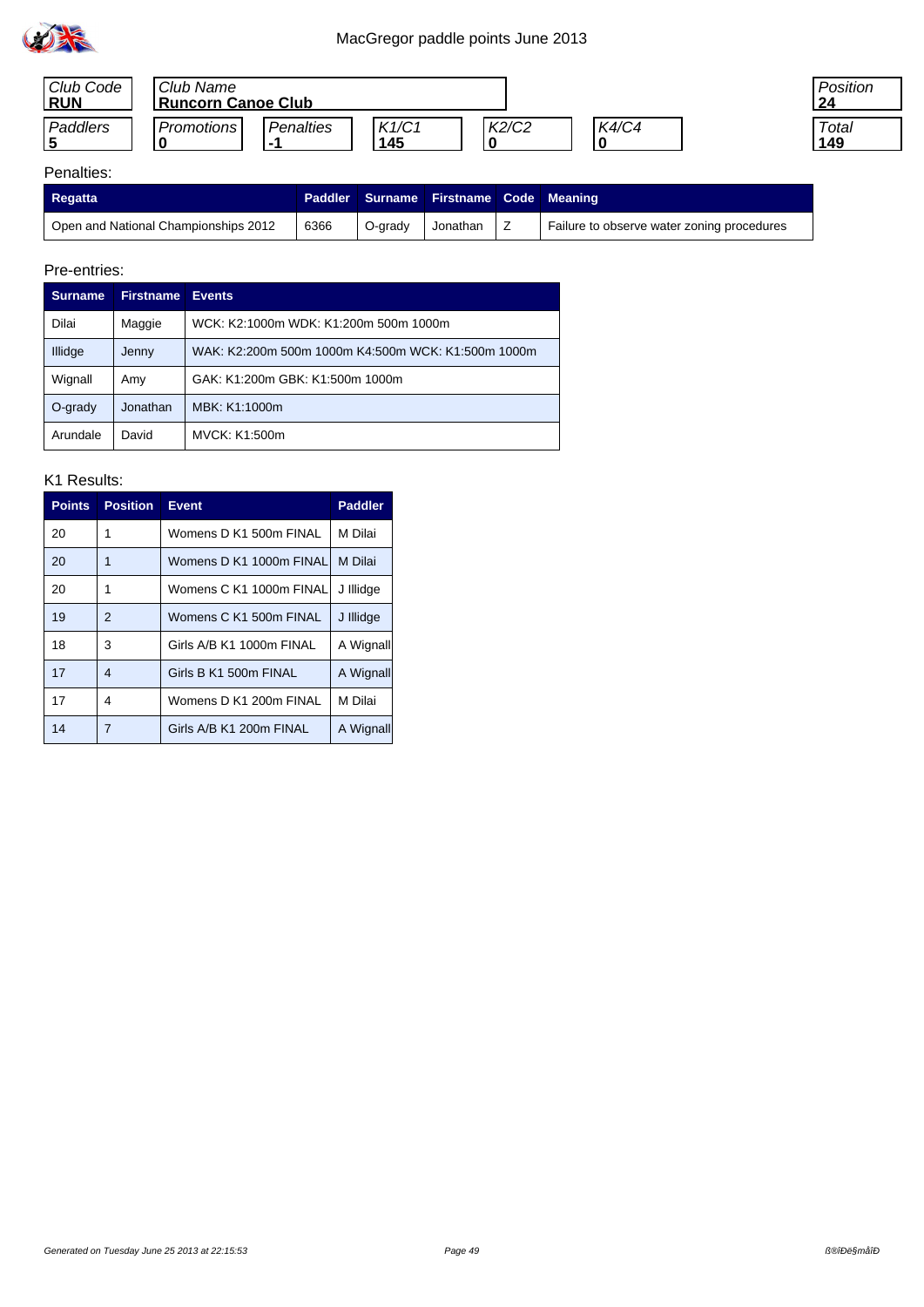





### Penalties:

| Regatta                              |      |         | Paddler   Surname   Firstname   Code   Meaning |   |                                            |
|--------------------------------------|------|---------|------------------------------------------------|---|--------------------------------------------|
| Open and National Championships 2012 | 6366 | O-grady | Jonathan                                       | - | Failure to observe water zoning procedures |

#### Pre-entries:

| <b>Surname</b> | <b>Firstname</b> | <b>Events</b>                                      |
|----------------|------------------|----------------------------------------------------|
| Dilai          | Maggie           | WCK: K2:1000m WDK: K1:200m 500m 1000m              |
| Illidge        | Jenny            | WAK: K2:200m 500m 1000m K4:500m WCK: K1:500m 1000m |
| Wignall        | Amy              | GAK: K1:200m GBK: K1:500m 1000m                    |
| $O$ -grady     | Jonathan         | MBK: K1:1000m                                      |
| Arundale       | David            | MVCK: K1:500m                                      |

| <b>Points</b> | <b>Position</b> | <b>Event</b>             | <b>Paddler</b> |
|---------------|-----------------|--------------------------|----------------|
| 20            | 1               | Womens D K1 500m FINAL   | M Dilai        |
| 20            | 1               | Womens D K1 1000m FINAL  | M Dilai        |
| 20            | 1               | Womens C K1 1000m FINAL  | J Illidge      |
| 19            | 2               | Womens C K1 500m FINAL   | J Illidge      |
| 18            | 3               | Girls A/B K1 1000m FINAL | A Wignall      |
| 17            | 4               | Girls B K1 500m FINAL    | A Wignall      |
| 17            | 4               | Womens D K1 200m FINAL   | M Dilai        |
| 14            | 7               | Girls A/B K1 200m FINAL  | A Wignall      |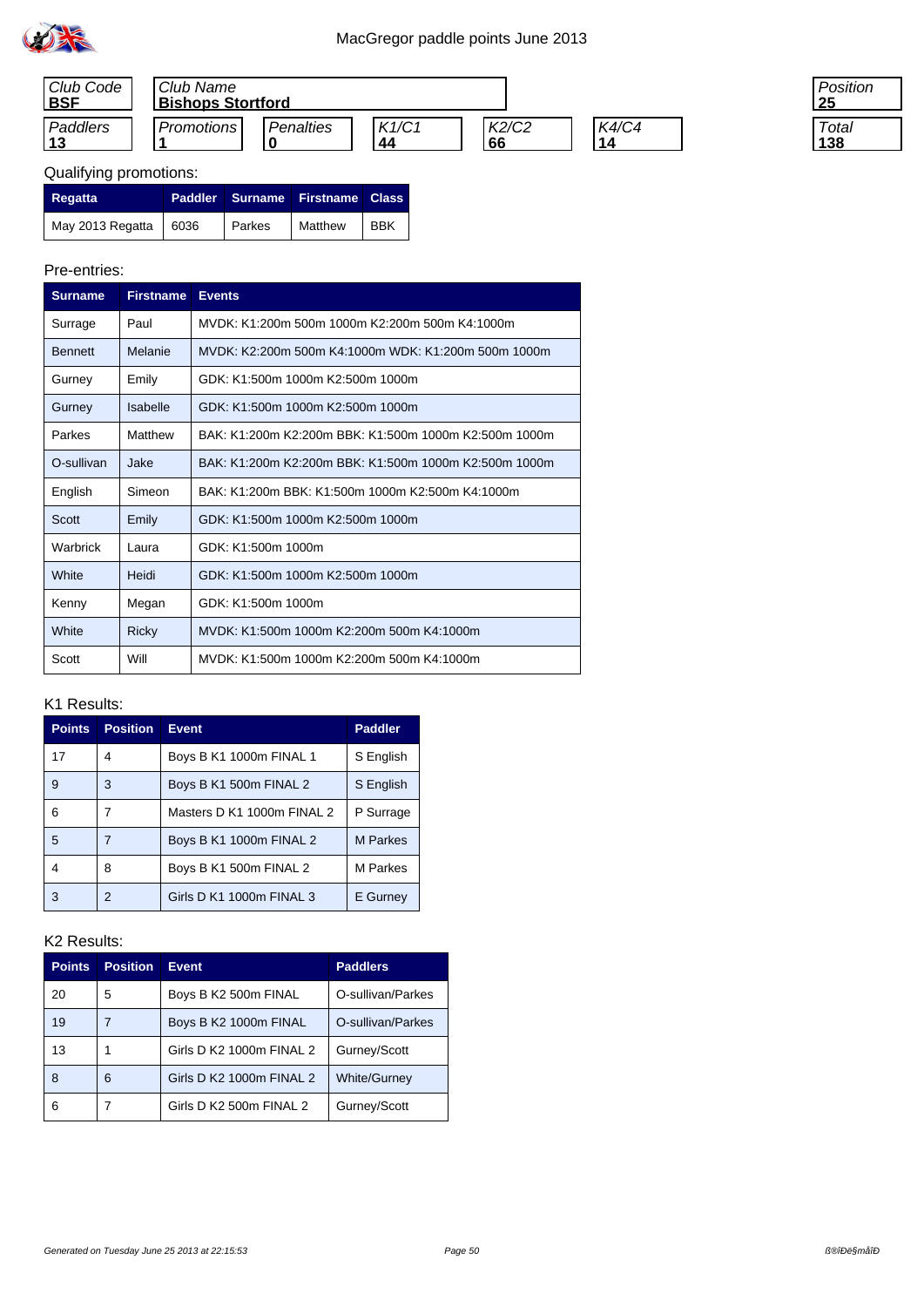

| Club Code<br><b>BSF</b> | Club Name  | <b>Bishops Stortford</b> |             |             |                    |
|-------------------------|------------|--------------------------|-------------|-------------|--------------------|
| Paddlers                | Promotions | Penalties                | K1/C1<br>44 | K2/C2<br>66 | <b>K4/C4</b><br>14 |

| 'osition |
|----------|
|          |
| Total    |
|          |
|          |

| Regatta                 |        | Paddler Surname Firstname Class |     |
|-------------------------|--------|---------------------------------|-----|
| May 2013 Regatta   6036 | Parkes | Matthew                         | BBK |

### Pre-entries:

| <b>Surname</b> | <b>Firstname</b> | <b>Events</b>                                         |
|----------------|------------------|-------------------------------------------------------|
| Surrage        | Paul             | MVDK: K1:200m 500m 1000m K2:200m 500m K4:1000m        |
| <b>Bennett</b> | Melanie          | MVDK: K2:200m 500m K4:1000m WDK: K1:200m 500m 1000m   |
| Gurney         | Emily            | GDK: K1:500m 1000m K2:500m 1000m                      |
| Gurney         | Isabelle         | GDK: K1:500m 1000m K2:500m 1000m                      |
| Parkes         | Matthew          | BAK: K1:200m K2:200m BBK: K1:500m 1000m K2:500m 1000m |
| O-sullivan     | Jake             | BAK: K1:200m K2:200m BBK: K1:500m 1000m K2:500m 1000m |
| English        | Simeon           | BAK: K1:200m BBK: K1:500m 1000m K2:500m K4:1000m      |
| Scott          | Emily            | GDK: K1:500m 1000m K2:500m 1000m                      |
| Warbrick       | Laura            | GDK: K1:500m 1000m                                    |
| White          | Heidi            | GDK: K1:500m 1000m K2:500m 1000m                      |
| Kenny          | Megan            | GDK: K1:500m 1000m                                    |
| White          | <b>Ricky</b>     | MVDK: K1:500m 1000m K2:200m 500m K4:1000m             |
| Scott          | Will             | MVDK: K1:500m 1000m K2:200m 500m K4:1000m             |

### K1 Results:

| <b>Points</b> | <b>Position</b> | <b>Event</b>               | <b>Paddler</b>  |
|---------------|-----------------|----------------------------|-----------------|
| 17            | 4               | Boys B K1 1000m FINAL 1    | S English       |
| 9             | 3               | Boys B K1 500m FINAL 2     | S English       |
| 6             |                 | Masters D K1 1000m FINAL 2 | P Surrage       |
| 5             | 7               | Boys B K1 1000m FINAL 2    | <b>M</b> Parkes |
| 4             | 8               | Boys B K1 500m FINAL 2     | M Parkes        |
| 3             | 2               | Girls D K1 1000m FINAL 3   | E Gurney        |

| <b>Points</b> | <b>Position</b> | <b>Event</b>             | <b>Paddlers</b>     |
|---------------|-----------------|--------------------------|---------------------|
| 20            | 5               | Boys B K2 500m FINAL     | O-sullivan/Parkes   |
| 19            |                 | Boys B K2 1000m FINAL    | O-sullivan/Parkes   |
| 13            |                 | Girls D K2 1000m FINAL 2 | Gurney/Scott        |
| 8             | 6               | Girls D K2 1000m FINAL 2 | <b>White/Gurney</b> |
| 6             |                 | Girls D K2 500m FINAL 2  | Gurney/Scott        |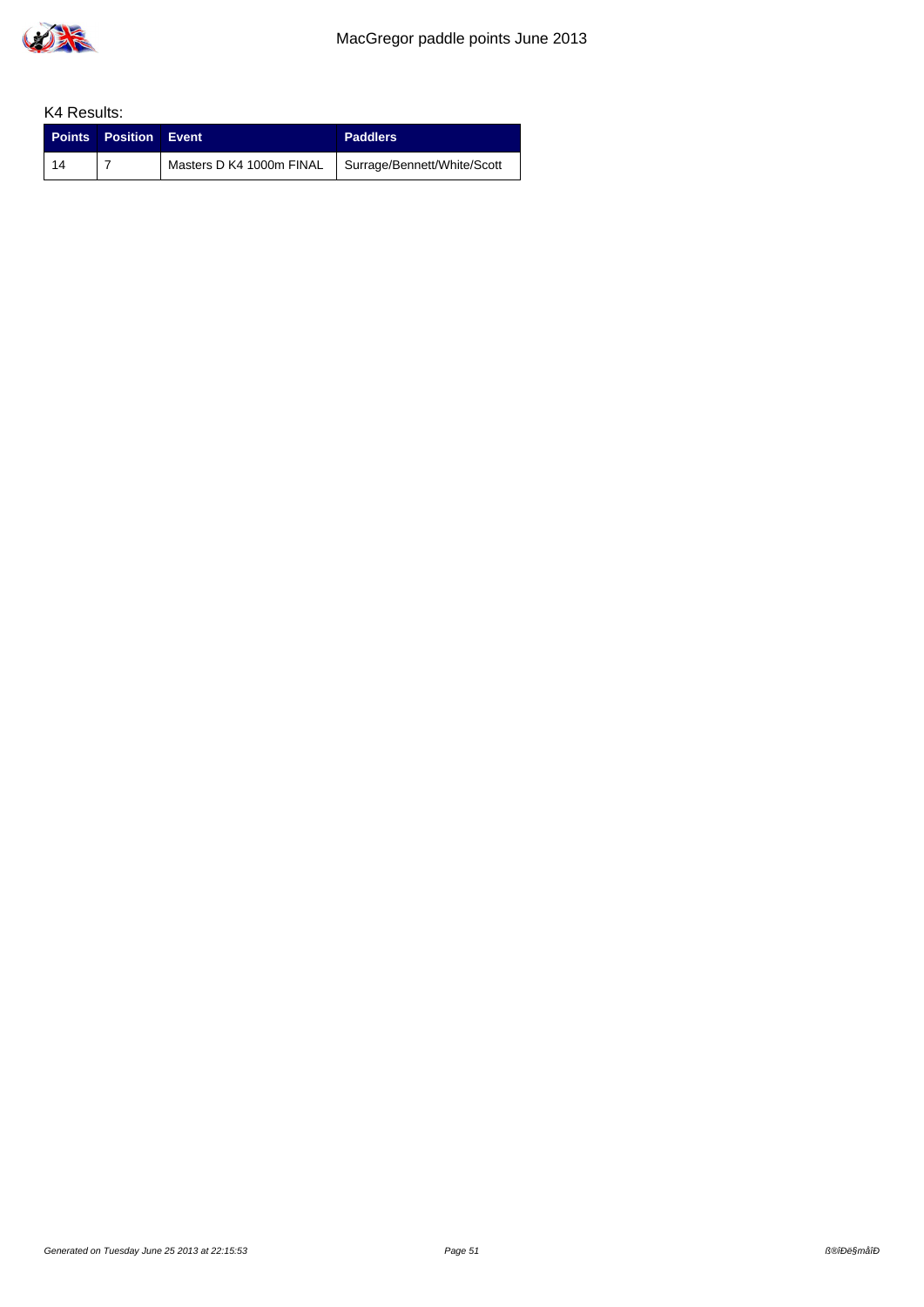

|            | <b>Points Position Event</b> |                                                        | <b>Paddlers</b> |
|------------|------------------------------|--------------------------------------------------------|-----------------|
| $\vert$ 14 |                              | Masters D K4 1000m FINAL   Surrage/Bennett/White/Scott |                 |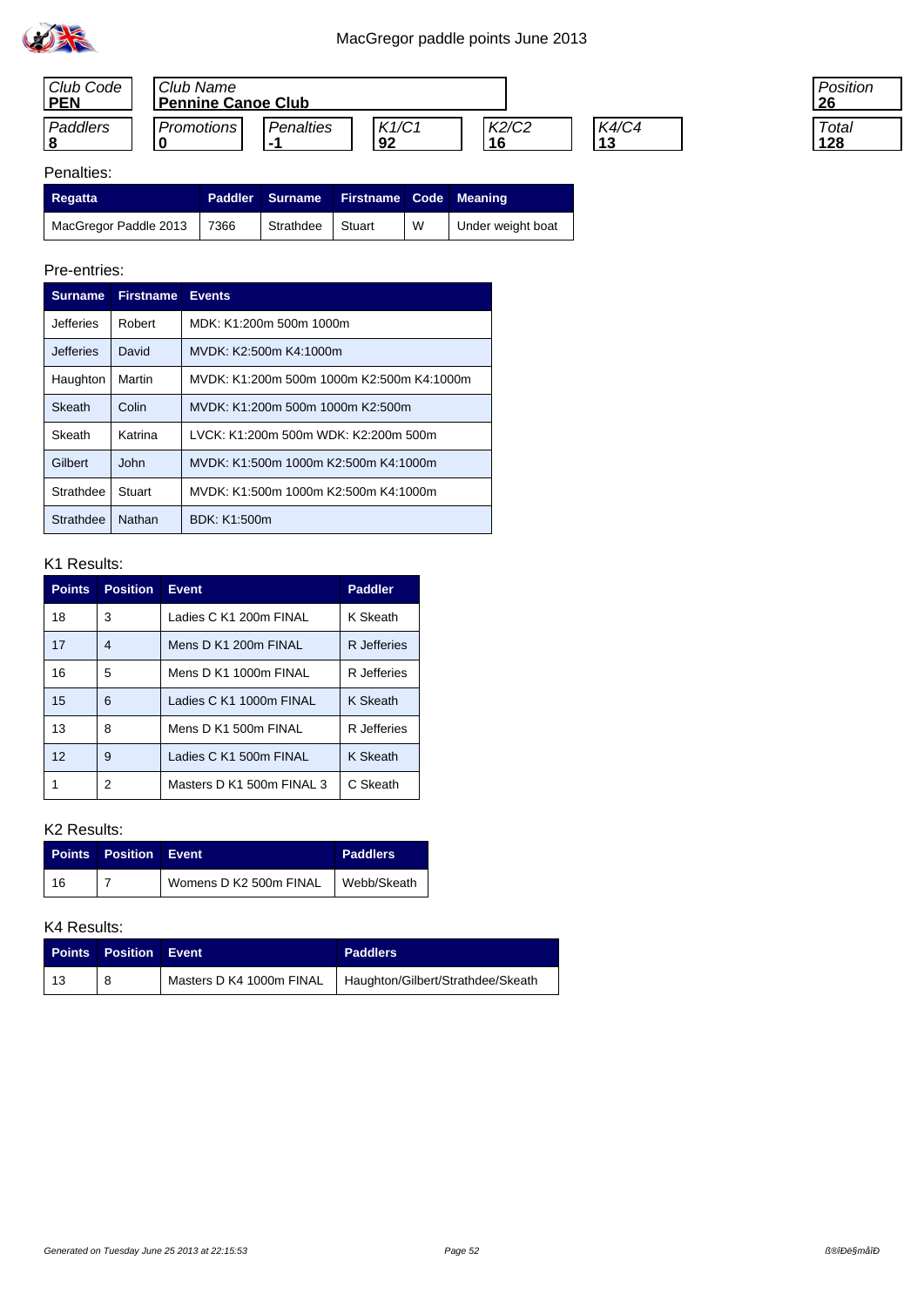

| Club Code<br><b>PEN</b> | Club Name  | <b>Pennine Canoe Club</b> |             |       |                    |  |  |
|-------------------------|------------|---------------------------|-------------|-------|--------------------|--|--|
| Paddlers                | Promotions | Penalties                 | K1/C1<br>92 | K2/C2 | <b>K4/C4</b><br>12 |  |  |

| Position<br>26 |  |
|----------------|--|
| Total<br>28    |  |

## Penalties:

| Regatta                    | Paddler Surname  | <b>Firstname Code Meaning</b> |   |                   |
|----------------------------|------------------|-------------------------------|---|-------------------|
| MacGregor Paddle 2013 7366 | Strathdee Stuart |                               | W | Under weight boat |

#### Pre-entries:

| <b>Surname</b>   | <b>Firstname</b> | <b>Events</b>                             |
|------------------|------------------|-------------------------------------------|
| <b>Jefferies</b> | Robert           | MDK: K1:200m 500m 1000m                   |
| <b>Jefferies</b> | David            | MVDK: K2:500m K4:1000m                    |
| Haughton         | Martin           | MVDK: K1:200m 500m 1000m K2:500m K4:1000m |
| Skeath           | Colin            | MVDK: K1:200m 500m 1000m K2:500m          |
| Skeath           | Katrina          | LVCK: K1:200m 500m WDK: K2:200m 500m      |
| Gilbert          | John             | MVDK: K1:500m 1000m K2:500m K4:1000m      |
| Strathdee        | Stuart           | MVDK: K1:500m 1000m K2:500m K4:1000m      |
| <b>Strathdee</b> | Nathan           | BDK: K1:500m                              |

### K1 Results:

| <b>Points</b>   | <b>Position</b> | <b>Event</b>              | <b>Paddler</b>  |
|-----------------|-----------------|---------------------------|-----------------|
| 18              | 3               | Ladies C K1 200m FINAL    | K Skeath        |
| 17              | 4               | Mens D K1 200m FINAL      | R Jefferies     |
| 16              | 5               | Mens D K1 1000m FINAL     | R Jefferies     |
| 15              | 6               | Ladies C K1 1000m FINAL   | K Skeath        |
| 13              | 8               | Mens D K1 500m FINAL      | R Jefferies     |
| 12 <sup>°</sup> | 9               | Ladies C K1 500m FINAL    | <b>K</b> Skeath |
|                 | 2               | Masters D K1 500m FINAL 3 | C Skeath        |

### K2 Results:

|    | <b>Points Position Event</b> |                                      | <b>Paddlers</b> |
|----|------------------------------|--------------------------------------|-----------------|
| 16 |                              | Womens D K2 500m FINAL   Webb/Skeath |                 |

| <b>Points</b> | <b>Position Event</b> | <b>Paddlers</b>                                              |
|---------------|-----------------------|--------------------------------------------------------------|
|               |                       | Masters D K4 1000m FINAL   Haughton/Gilbert/Strathdee/Skeath |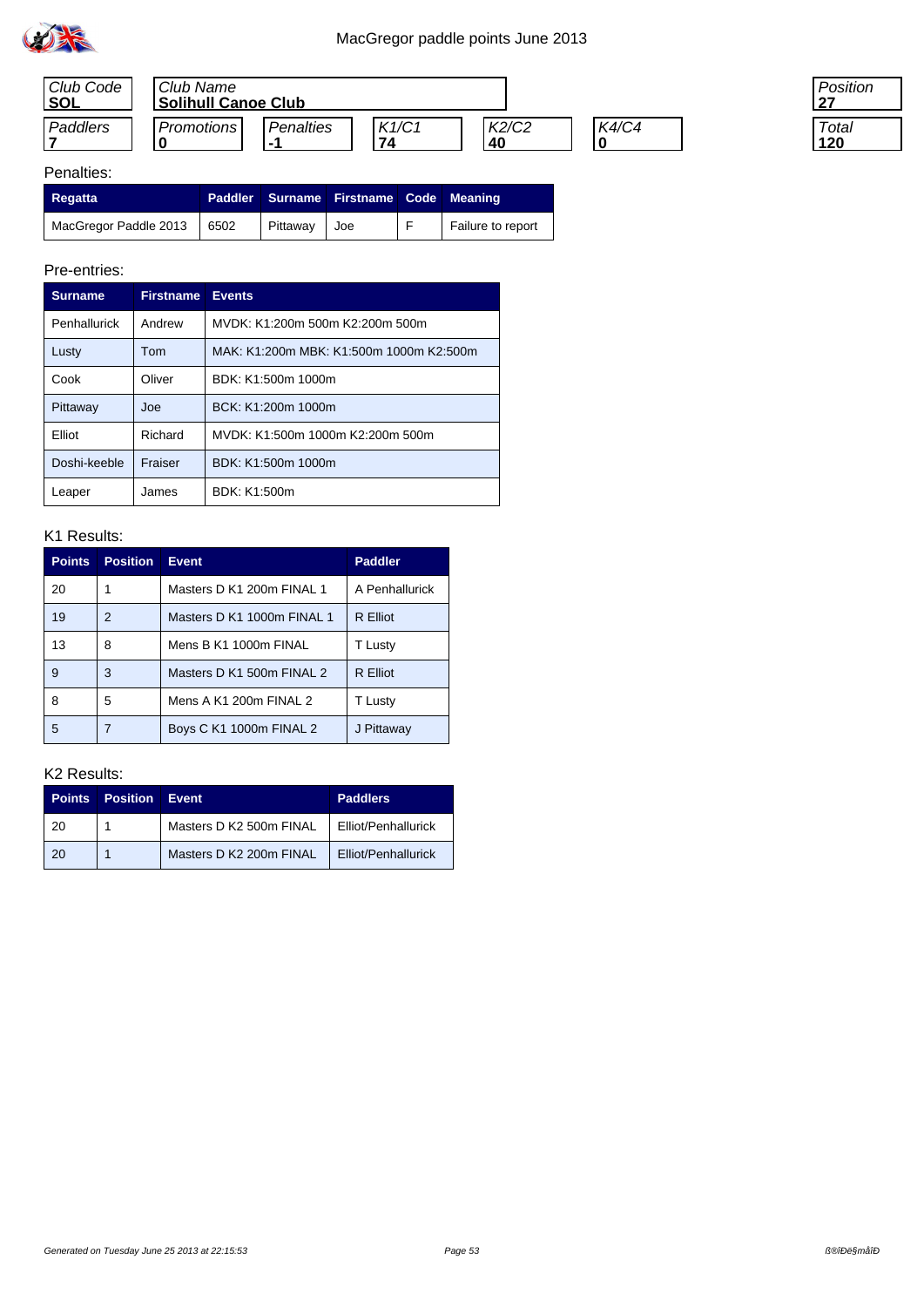

| Club Code   | Club Name                  |                         |             |             |              |  |
|-------------|----------------------------|-------------------------|-------------|-------------|--------------|--|
| <b>ISOL</b> | <b>Solihull Canoe Club</b> |                         |             |             |              |  |
| Paddlers    | Promotions                 | Penalties<br>. <u>.</u> | K1/C1<br>74 | K2/C2<br>40 | <b>K4/C4</b> |  |

| 'osition    |  |
|-------------|--|
| Total<br>ΖU |  |

## Penalties:

| <b>Regatta</b>                             |                 | Paddler Surname Firstname Code Meaning |                   |
|--------------------------------------------|-----------------|----------------------------------------|-------------------|
| $\frac{1}{2}$ MacGregor Paddle 2013   6502 | <b>Pittaway</b> | l Joe                                  | Failure to report |

#### Pre-entries:

|                        | <b>Surname</b> | <b>Firstname</b> | <b>Events</b>                           |
|------------------------|----------------|------------------|-----------------------------------------|
| Penhallurick<br>Andrew |                |                  | MVDK: K1:200m 500m K2:200m 500m         |
|                        | Lusty          | Tom              | MAK: K1:200m MBK: K1:500m 1000m K2:500m |
|                        | Cook           | Oliver           | BDK: K1:500m 1000m                      |
|                        | Pittaway       | Joe              | BCK: K1:200m 1000m                      |
|                        | Flliot         | Richard          | MVDK: K1:500m 1000m K2:200m 500m        |
|                        | Doshi-keeble   | Fraiser          | BDK: K1:500m 1000m                      |
|                        | Leaper         | James            | BDK: K1:500m                            |

### K1 Results:

| <b>Points</b> | <b>Position</b> | <b>Event</b>               | <b>Paddler</b>  |
|---------------|-----------------|----------------------------|-----------------|
| 20            |                 | Masters D K1 200m FINAL 1  | A Penhallurick  |
| 19            | 2               | Masters D K1 1000m FINAL 1 | <b>R</b> Elliot |
| 13            | 8               | Mens B K1 1000m FINAL      | T Lusty         |
| 9             | 3               | Masters D K1 500m FINAL 2  | R Elliot        |
| 8             | 5               | Mens A K1 200m FINAL 2     | T Lusty         |
| 5             |                 | Boys C K1 1000m FINAL 2    | J Pittaway      |

| <b>Points</b> | <b>Position</b> | Event                   | <b>Paddlers</b>     |
|---------------|-----------------|-------------------------|---------------------|
| 20            |                 | Masters D K2 500m FINAL | Elliot/Penhallurick |
| -20           |                 | Masters D K2 200m FINAL | Elliot/Penhallurick |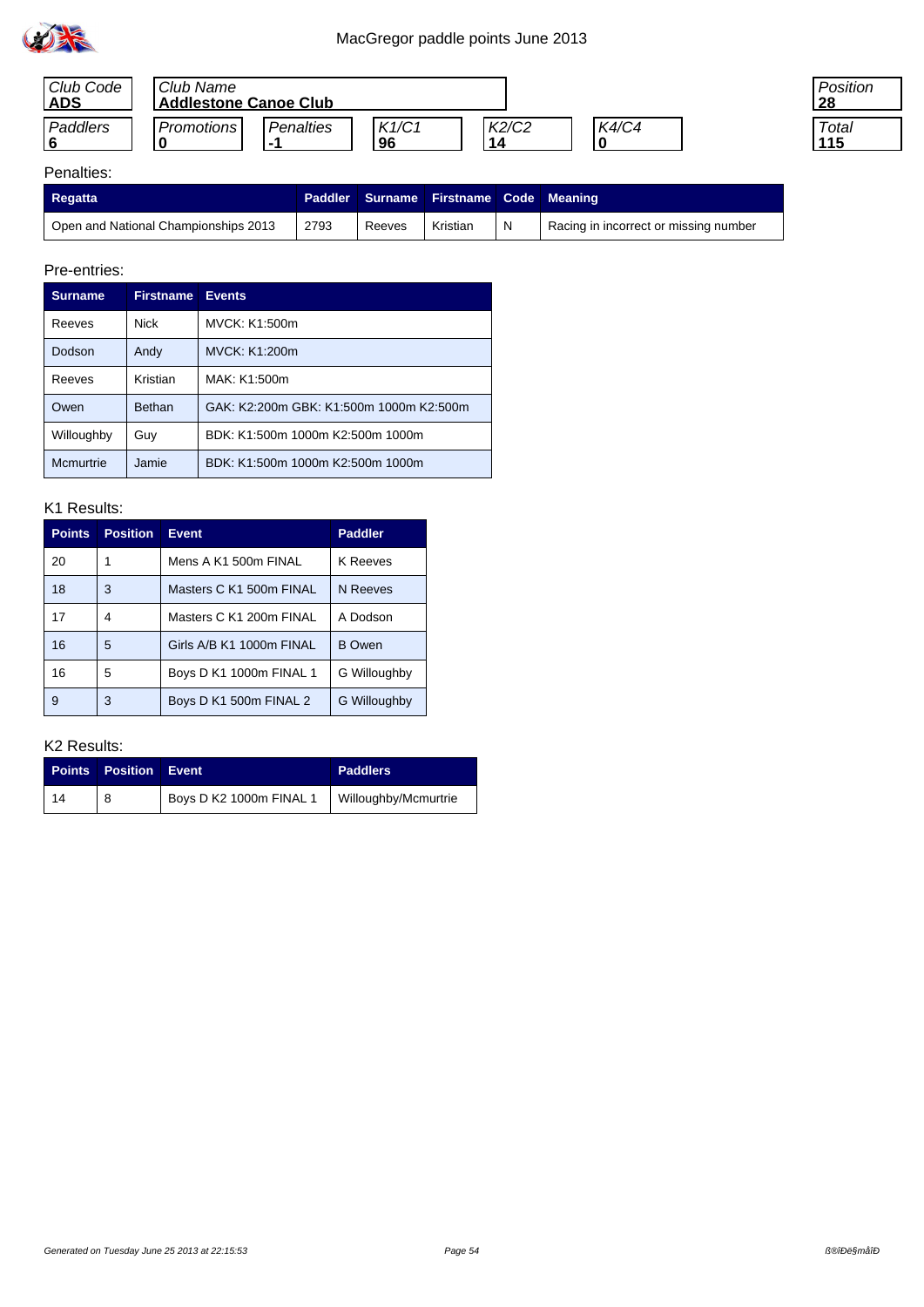

| Club Code<br><b>ADS</b> | Club Name<br><b>Addlestone Canoe Club</b> |           |             |             |       |
|-------------------------|-------------------------------------------|-----------|-------------|-------------|-------|
| Paddlers                | Promotions                                | Penalties | K1/C1<br>96 | K2/C2<br>14 | K4/C4 |

| 'osition |
|----------|
| Total    |

## Penalties:

| <b>Regatta</b>                       |      |        | Paddler   Surname   Firstname   Code   Meaning |   |                                       |
|--------------------------------------|------|--------|------------------------------------------------|---|---------------------------------------|
| Open and National Championships 2013 | 2793 | Reeves | Kristian                                       | N | Racing in incorrect or missing number |

### Pre-entries:

|                       | <b>Surname</b> | <b>Firstname</b> | <b>Events</b>                           |
|-----------------------|----------------|------------------|-----------------------------------------|
| <b>Nick</b><br>Reeves |                |                  | MVCK: K1:500m                           |
|                       | Dodson         | Andy             | <b>MVCK: K1:200m</b>                    |
|                       | Reeves         | Kristian         | MAK: K1:500m                            |
|                       | Owen           | <b>Bethan</b>    | GAK: K2:200m GBK: K1:500m 1000m K2:500m |
|                       | Willoughby     | Guy              | BDK: K1:500m 1000m K2:500m 1000m        |
|                       | Mcmurtrie      | Jamie            | BDK: K1:500m 1000m K2:500m 1000m        |

#### K1 Results:

| <b>Points</b> | <b>Position</b> | <b>Event</b>             | <b>Paddler</b>      |
|---------------|-----------------|--------------------------|---------------------|
| 20            | 1               | Mens A K1 500m FINAL     | K Reeves            |
| 18            | 3               | Masters C K1 500m FINAL  | N Reeves            |
| 17            | 4               | Masters C K1 200m FINAL  | A Dodson            |
| 16            | 5               | Girls A/B K1 1000m FINAL | <b>B</b> Owen       |
| 16            | 5               | Boys D K1 1000m FINAL 1  | G Willoughby        |
| 9             | 3               | Boys D K1 500m FINAL 2   | <b>G</b> Willoughby |

| <b>Points</b> | <b>Position Event</b> |                                                | <b>Paddlers</b> |
|---------------|-----------------------|------------------------------------------------|-----------------|
| -14           |                       | Boys D K2 1000m FINAL 1   Willoughby/Mcmurtrie |                 |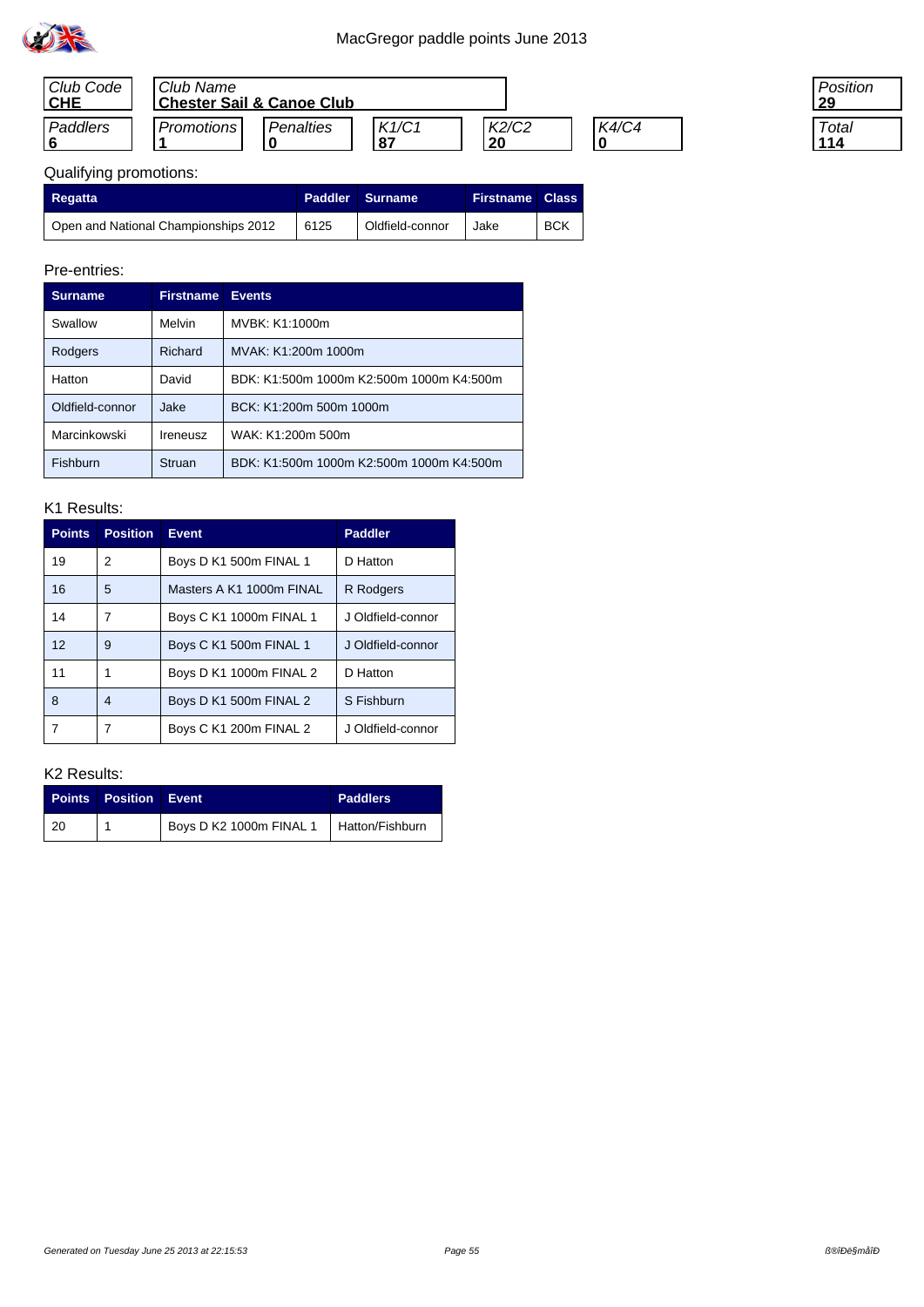

| Club Code<br><b>CHE</b> | Club Name<br><b>Chester Sail &amp; Canoe Club</b> |                  |             |             |       |
|-------------------------|---------------------------------------------------|------------------|-------------|-------------|-------|
| Paddlers                | Promotions                                        | <b>Penalties</b> | K1/C1<br>87 | K2/C2<br>20 | K4/C4 |

| Position        |
|-----------------|
| Total<br>.<br>4 |

# Qualifying promotions:

| <b>Regatta</b>                       |      | Paddler Surname | <b>Firstname Class</b> |            |
|--------------------------------------|------|-----------------|------------------------|------------|
| Open and National Championships 2012 | 6125 | Oldfield-connor | Jake                   | <b>BCK</b> |

## Pre-entries:

| <b>Surname</b>  | <b>Firstname</b> | <b>Events</b>                            |
|-----------------|------------------|------------------------------------------|
| Swallow         | Melvin           | MVBK: K1:1000m                           |
| Rodgers         | Richard          | MVAK: K1:200m 1000m                      |
| Hatton          | David            | BDK: K1:500m 1000m K2:500m 1000m K4:500m |
| Oldfield-connor | Jake             | BCK: K1:200m 500m 1000m                  |
| Marcinkowski    | Ireneusz         | WAK: K1:200m 500m                        |
| Fishburn        | Struan           | BDK: K1:500m 1000m K2:500m 1000m K4:500m |

#### K1 Results:

| <b>Points</b>   | <b>Position</b> | <b>Event</b>             | <b>Paddler</b>    |
|-----------------|-----------------|--------------------------|-------------------|
| 19              | 2               | Boys D K1 500m FINAL 1   | D Hatton          |
| 16              | 5               | Masters A K1 1000m FINAL | <b>R</b> Rodgers  |
| 14              | 7               | Boys C K1 1000m FINAL 1  | J Oldfield-connor |
| 12 <sup>2</sup> | 9               | Boys C K1 500m FINAL 1   | J Oldfield-connor |
| 11              |                 | Boys D K1 1000m FINAL 2  | D Hatton          |
| 8               | 4               | Boys D K1 500m FINAL 2   | S Fishburn        |
|                 |                 | Boys C K1 200m FINAL 2   | J Oldfield-connor |

|           | <b>Points Position Event</b> |                                           | <b>Paddlers</b> |
|-----------|------------------------------|-------------------------------------------|-----------------|
| $\mid$ 20 |                              | Boys D K2 1000m FINAL 1   Hatton/Fishburn |                 |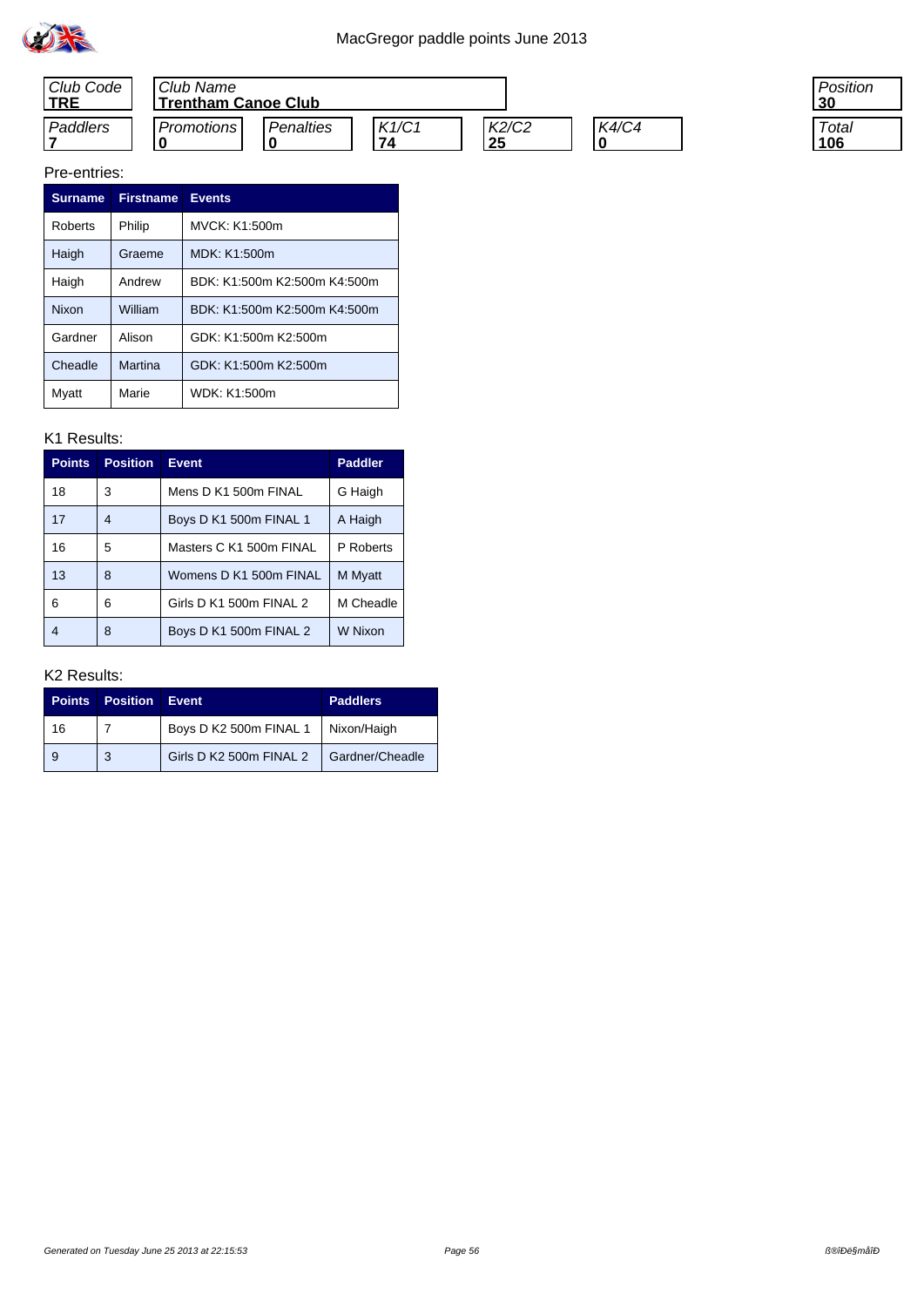



#### Pre-entries:

| <b>Surname</b> | <b>Firstname</b> | <b>Events</b>                |
|----------------|------------------|------------------------------|
| Roberts        | Philip           | MVCK: K1:500m                |
| Haigh          | Graeme           | MDK: K1:500m                 |
| Haigh          | Andrew           | BDK: K1:500m K2:500m K4:500m |
| Nixon          | William          | BDK: K1:500m K2:500m K4:500m |
| Gardner        | Alison           | GDK: K1:500m K2:500m         |
| Cheadle        | Martina          | GDK: K1:500m K2:500m         |
| Myatt          | Marie            | WDK: K1:500m                 |

### K1 Results:

| <b>Points</b> | <b>Position</b> | <b>Event</b>            | <b>Paddler</b> |
|---------------|-----------------|-------------------------|----------------|
| 18            | 3               | Mens D K1 500m FINAL    | G Haigh        |
| 17            | 4               | Boys D K1 500m FINAL 1  | A Haigh        |
| 16            | 5               | Masters C K1 500m FINAL | P Roberts      |
| 13            | 8               | Womens D K1 500m FINAL  | M Myatt        |
| 6             | 6               | Girls D K1 500m FINAL 2 | M Cheadle      |
| 4             | 8               | Boys D K1 500m FINAL 2  | W Nixon        |

### K2 Results:

| <b>Points</b> | <b>Position</b> | Event                   | <b>Paddlers</b> |
|---------------|-----------------|-------------------------|-----------------|
| 16            |                 | Boys D K2 500m FINAL 1  | Nixon/Haigh     |
| 9             | 3               | Girls D K2 500m FINAL 2 | Gardner/Cheadle |

Position **30**

**Total 106**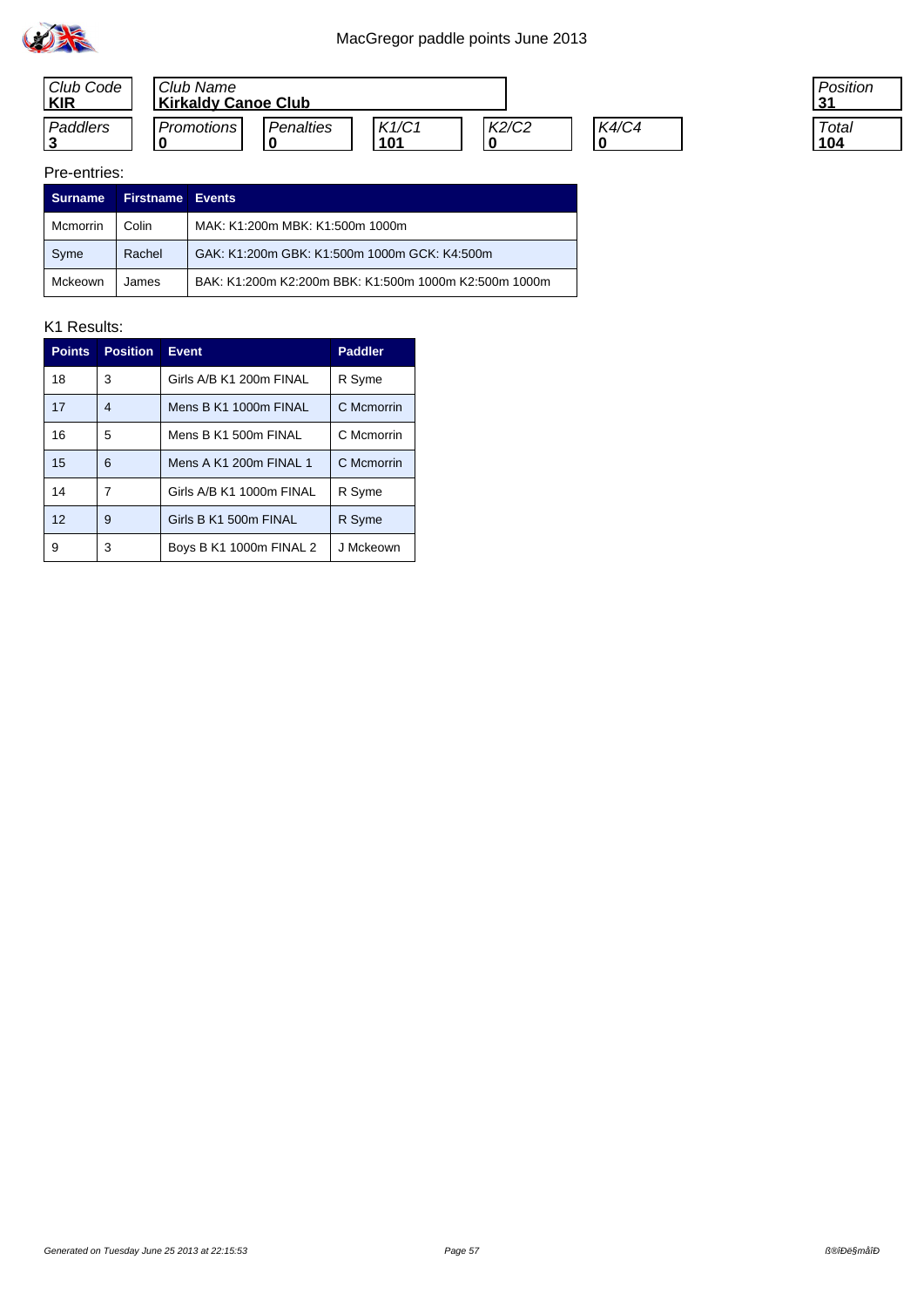



| 'osition   |  |
|------------|--|
| Total<br>4 |  |

#### Pre-entries:

| <b>Surname</b> | <b>Firstname Events</b> |                                                       |
|----------------|-------------------------|-------------------------------------------------------|
| Mcmorrin       | Colin                   | MAK: K1:200m MBK: K1:500m 1000m                       |
| Syme           | Rachel                  | GAK: K1:200m GBK: K1:500m 1000m GCK: K4:500m          |
| Mckeown        | James                   | BAK: K1:200m K2:200m BBK: K1:500m 1000m K2:500m 1000m |

| <b>Points</b> | <b>Position</b> | <b>Event</b>             | <b>Paddler</b> |
|---------------|-----------------|--------------------------|----------------|
| 18            | 3               | Girls A/B K1 200m FINAL  | R Syme         |
| 17            | 4               | Mens B K1 1000m FINAL    | C Mcmorrin     |
| 16            | 5               | Mens B K1 500m FINAL     | C Mcmorrin     |
| 15            | 6               | Mens A K1 200m FINAL 1   | C Mcmorrin     |
| 14            | 7               | Girls A/B K1 1000m FINAL | R Syme         |
| 12            | 9               | Girls B K1 500m FINAL    | R Syme         |
| 9             | 3               | Boys B K1 1000m FINAL 2  | J Mckeown      |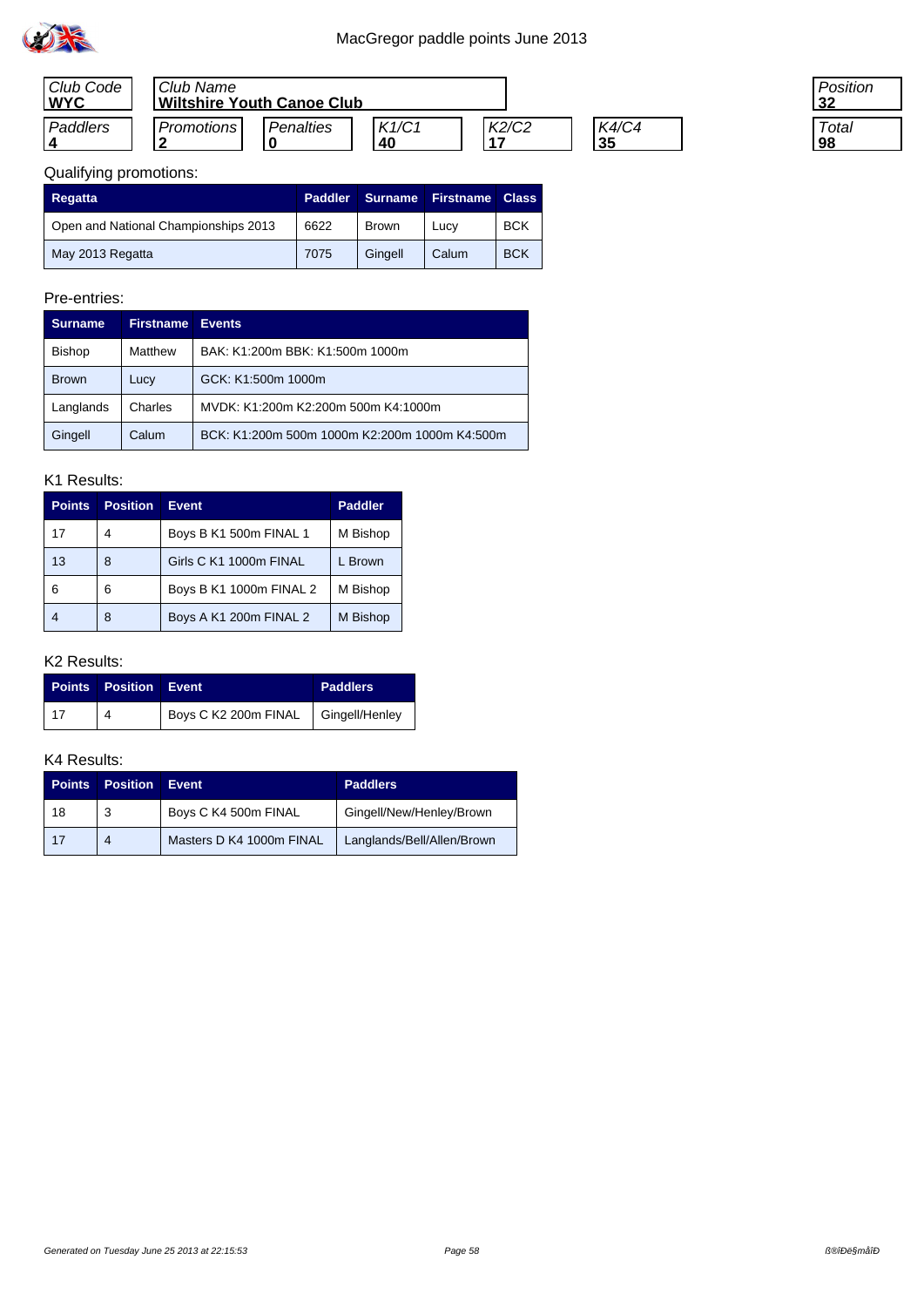

| Club Code<br><b>WYC</b> | Club Name<br><b>Wiltshire Youth Canoe Club</b> |                  |             |       |                    |
|-------------------------|------------------------------------------------|------------------|-------------|-------|--------------------|
| Paddlers                | <b>Promotions</b><br>$\cdot$                   | <b>Penalties</b> | K1/C1<br>40 | K2/C2 | <b>K4/C4</b><br>35 |

| 'osition |  |
|----------|--|
|          |  |
| Total    |  |
|          |  |

## Qualifying promotions:

| Regatta                              | <b>Paddler</b> | Surname      | <b>Firstname</b> | <b>Class</b> |
|--------------------------------------|----------------|--------------|------------------|--------------|
| Open and National Championships 2013 | 6622           | <b>Brown</b> | Lucy             | <b>BCK</b>   |
| May 2013 Regatta                     | 7075           | Gingell      | Calum            | <b>BCK</b>   |

## Pre-entries:

| <b>Surname</b> | <b>Firstname</b> | <b>Events</b>                                 |  |
|----------------|------------------|-----------------------------------------------|--|
| <b>Bishop</b>  | Matthew          | BAK: K1:200m BBK: K1:500m 1000m               |  |
| <b>Brown</b>   | Lucy             | GCK: K1:500m 1000m                            |  |
| Langlands      | Charles          | MVDK: K1:200m K2:200m 500m K4:1000m           |  |
| Gingell        | Calum            | BCK: K1:200m 500m 1000m K2:200m 1000m K4:500m |  |

#### K1 Results:

| <b>Points</b> | <b>Position</b> | <b>Event</b>            | <b>Paddler</b> |
|---------------|-----------------|-------------------------|----------------|
| 17            | 4               | Boys B K1 500m FINAL 1  | M Bishop       |
| 13            | 8               | Girls C K1 1000m FINAL  | L Brown        |
| 6             | 6               | Boys B K1 1000m FINAL 2 | M Bishop       |
|               | 8               | Boys A K1 200m FINAL 2  | M Bishop       |

### K2 Results:

|            | <b>Points Position Event</b> |                                     | <b>Paddlers</b> |
|------------|------------------------------|-------------------------------------|-----------------|
| $\vert$ 17 |                              | Boys C K2 200m FINAL Gingell/Henley |                 |

| <b>Points</b> | <b>Position</b> | Event                    | <b>Paddlers</b>            |
|---------------|-----------------|--------------------------|----------------------------|
| 18            | 3               | Boys C K4 500m FINAL     | Gingell/New/Henley/Brown   |
| 17            | 4               | Masters D K4 1000m FINAL | Langlands/Bell/Allen/Brown |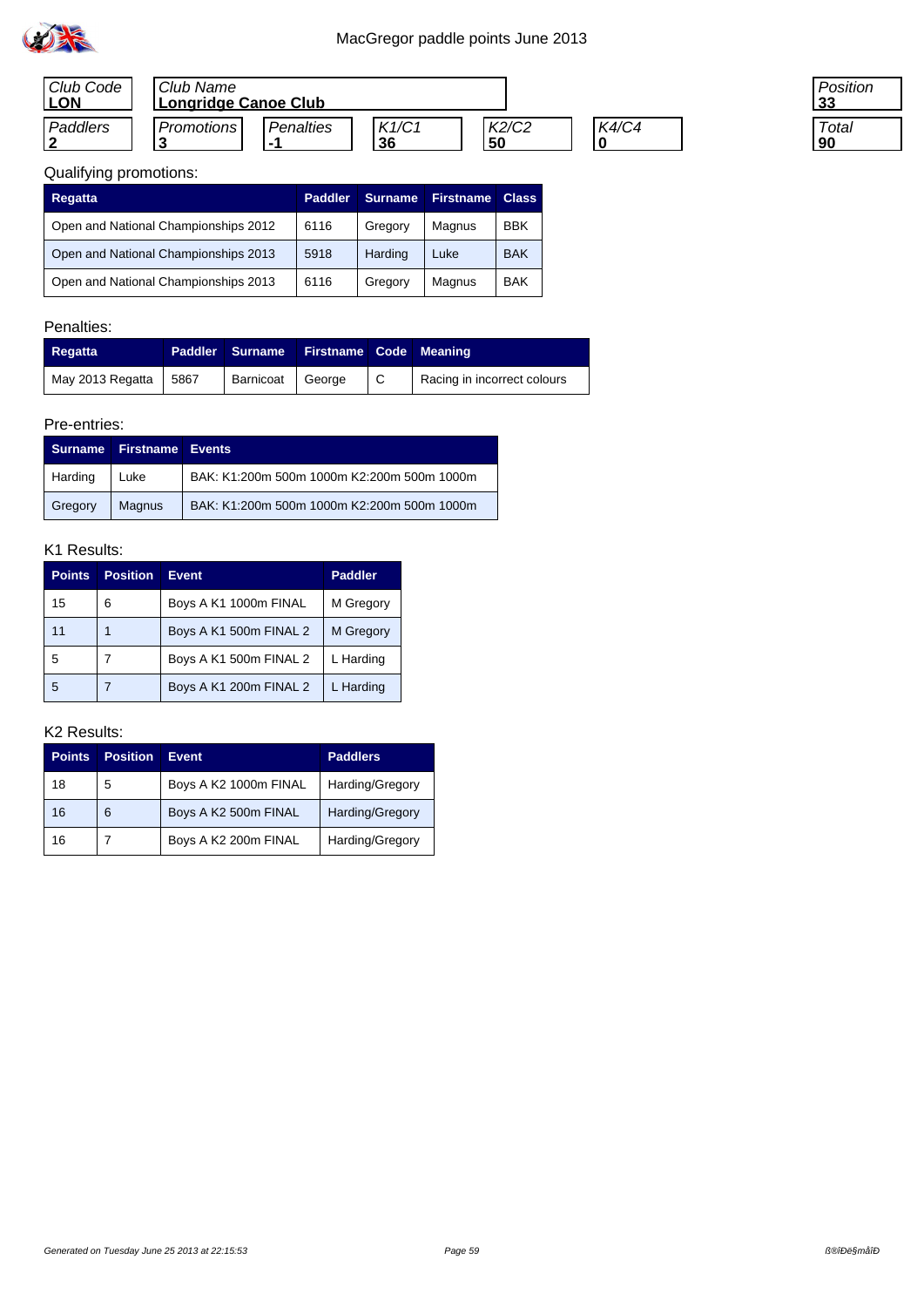

| Club Code<br><b>LON</b> | l Club Name<br>Longridge Canoe Club |           |             |             |              |
|-------------------------|-------------------------------------|-----------|-------------|-------------|--------------|
| Paddlers                | Promotions                          | Penalties | K1/C1<br>36 | K2/C2<br>50 | <b>K4/C4</b> |

| 'osition |  |
|----------|--|
| Total    |  |

| <b>Regatta</b>                       | <b>Paddler</b> | <b>Surname</b> | <b>Firstname</b> | <b>Class</b> |
|--------------------------------------|----------------|----------------|------------------|--------------|
| Open and National Championships 2012 | 6116           | Gregory        | Magnus           | <b>BBK</b>   |
| Open and National Championships 2013 | 5918           | Harding        | Luke             | <b>BAK</b>   |
| Open and National Championships 2013 | 6116           | Gregory        | Magnus           | <b>BAK</b>   |

## Penalties:

| Regatta          |      | Paddler Surname    | <b>Firstname Code Meaning</b> |     |                             |
|------------------|------|--------------------|-------------------------------|-----|-----------------------------|
| May 2013 Regatta | 5867 | Barnicoat   George |                               | ∣ C | Racing in incorrect colours |

## Pre-entries:

| <b>Surname</b> | <b>Firstname Events</b> |                                            |
|----------------|-------------------------|--------------------------------------------|
| Harding        | Luke                    | BAK: K1:200m 500m 1000m K2:200m 500m 1000m |
| Gregory        | Magnus                  | BAK: K1:200m 500m 1000m K2:200m 500m 1000m |

### K1 Results:

| <b>Points</b> | <b>Position</b> | <b>Event</b>           | <b>Paddler</b> |
|---------------|-----------------|------------------------|----------------|
| 15            | 6               | Boys A K1 1000m FINAL  | M Gregory      |
| 11            |                 | Boys A K1 500m FINAL 2 | M Gregory      |
| 5             |                 | Boys A K1 500m FINAL 2 | L Harding      |
| -5            |                 | Boys A K1 200m FINAL 2 | L Harding      |

| <b>Points</b> | <b>Position</b> | <b>Event</b>          | <b>Paddlers</b> |
|---------------|-----------------|-----------------------|-----------------|
| 18            | 5               | Boys A K2 1000m FINAL | Harding/Gregory |
| 16            | 6               | Boys A K2 500m FINAL  | Harding/Gregory |
| 16            |                 | Boys A K2 200m FINAL  | Harding/Gregory |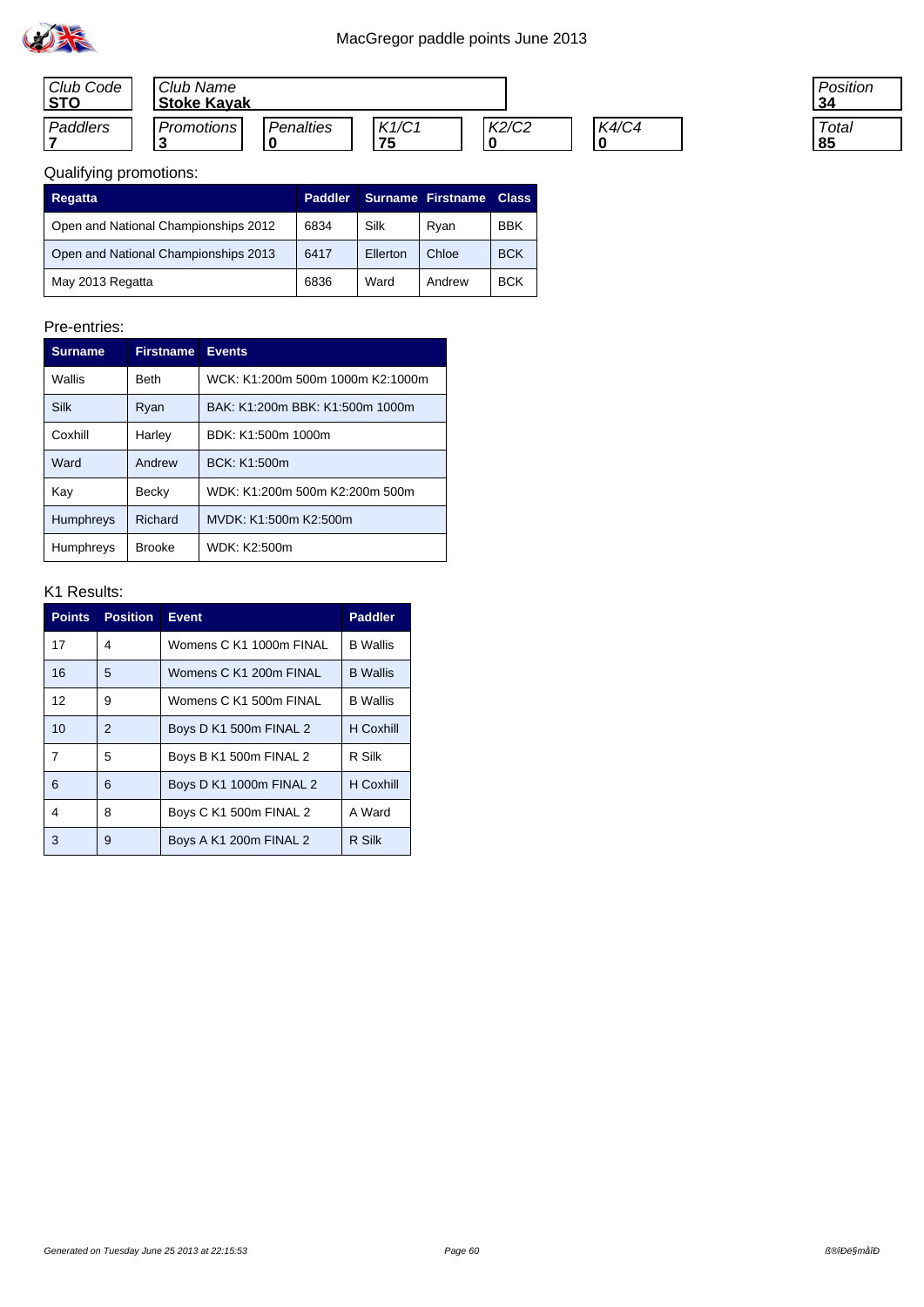

| Club Code<br>l STO | Club Name<br><b>Stoke Kayak</b> |                  |             |       |       |
|--------------------|---------------------------------|------------------|-------------|-------|-------|
| Paddlers           | Promotions                      | <b>Penalties</b> | K1/C1<br>75 | K2/C2 | K4/C4 |

| 'osition |  |
|----------|--|
| Total    |  |

| Regatta                              | <b>Paddler</b> |          | <b>Surname Firstname</b> | <b>Class</b> |
|--------------------------------------|----------------|----------|--------------------------|--------------|
| Open and National Championships 2012 | 6834           | Silk     | Ryan                     | <b>BBK</b>   |
| Open and National Championships 2013 | 6417           | Ellerton | Chloe                    | <b>BCK</b>   |
| May 2013 Regatta                     | 6836           | Ward     | Andrew                   | <b>BCK</b>   |

### Pre-entries:

| <b>Surname</b>   | <b>Firstname</b> | <b>Events</b>                    |
|------------------|------------------|----------------------------------|
| Wallis           | <b>Beth</b>      | WCK: K1:200m 500m 1000m K2:1000m |
| <b>Silk</b>      | Ryan             | BAK: K1:200m BBK: K1:500m 1000m  |
| Coxhill          | Harley           | BDK: K1:500m 1000m               |
| Ward             | Andrew           | BCK: K1:500m                     |
| Kay              | Becky            | WDK: K1:200m 500m K2:200m 500m   |
| <b>Humphreys</b> | Richard          | MVDK: K1:500m K2:500m            |
| <b>Humphreys</b> | <b>Brooke</b>    | WDK: K2:500m                     |

| <b>Points</b> | <b>Position</b> | Event                   | <b>Paddler</b>  |
|---------------|-----------------|-------------------------|-----------------|
| 17            | 4               | Womens C K1 1000m FINAL | <b>B</b> Wallis |
| 16            | 5               | Womens C K1 200m FINAL  | <b>B</b> Wallis |
| 12            | 9               | Womens C K1 500m FINAL  | <b>B</b> Wallis |
| 10            | $\mathfrak{p}$  | Boys D K1 500m FINAL 2  | H Coxhill       |
| 7             | 5               | Boys B K1 500m FINAL 2  | R Silk          |
| 6             | 6               | Boys D K1 1000m FINAL 2 | H Coxhill       |
| 4             | 8               | Boys C K1 500m FINAL 2  | A Ward          |
| 3             | 9               | Boys A K1 200m FINAL 2  | R Silk          |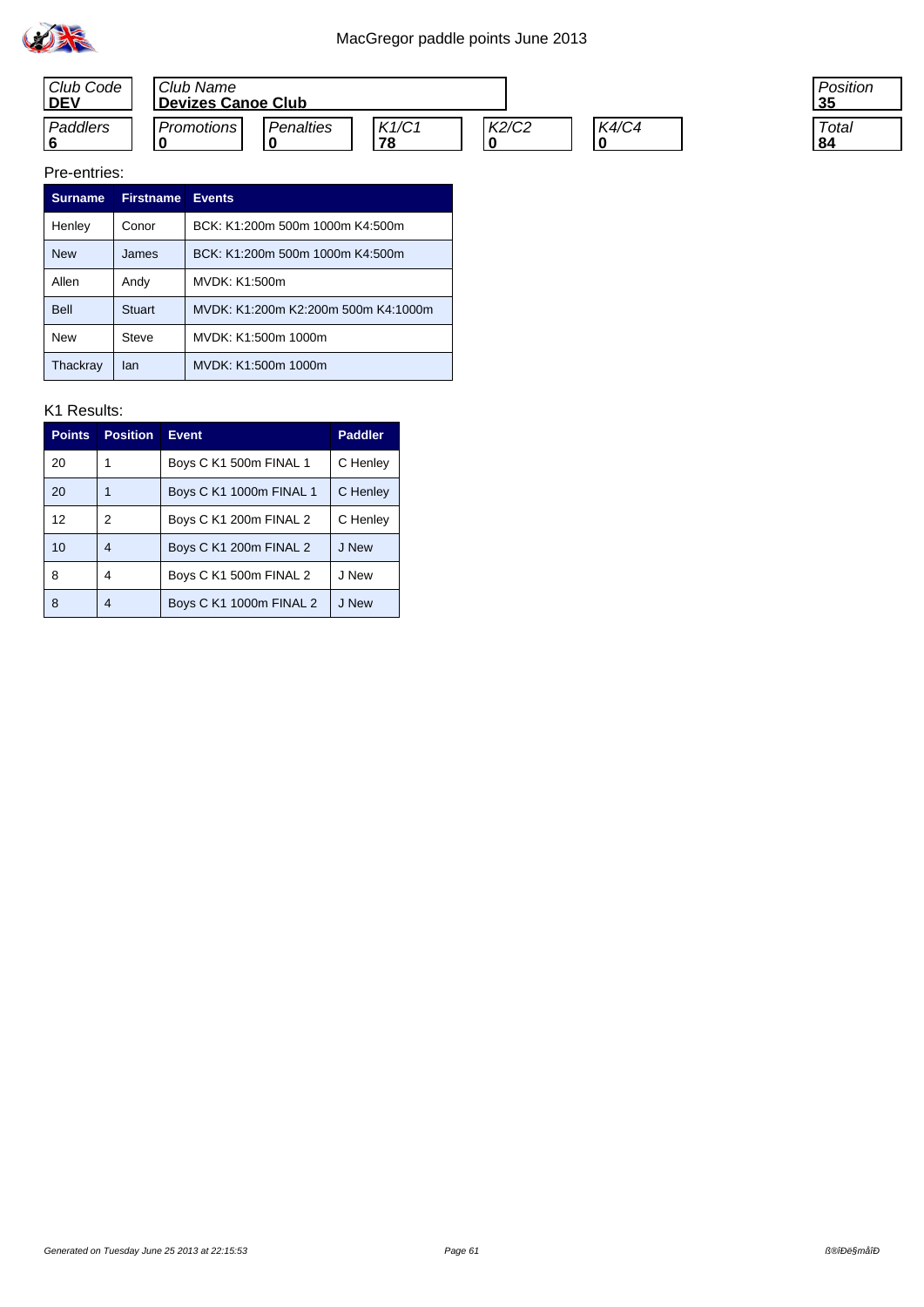



#### Pre-entries:

| <b>Surname</b> | Firstname     | <b>Events</b>                       |
|----------------|---------------|-------------------------------------|
| Henley         | Conor         | BCK: K1:200m 500m 1000m K4:500m     |
| <b>New</b>     | James         | BCK: K1:200m 500m 1000m K4:500m     |
| Allen          | Andy          | MVDK: K1:500m                       |
| Bell           | <b>Stuart</b> | MVDK: K1:200m K2:200m 500m K4:1000m |
| <b>New</b>     | Steve         | MVDK: K1:500m 1000m                 |
| Thackray       | lan           | MVDK: K1:500m 1000m                 |

| <b>Points</b>     | <b>Position</b> | <b>Event</b>            | <b>Paddler</b> |
|-------------------|-----------------|-------------------------|----------------|
| 20                |                 | Boys C K1 500m FINAL 1  | C Henley       |
| 20                |                 | Boys C K1 1000m FINAL 1 | C Henley       |
| $12 \overline{ }$ | 2               | Boys C K1 200m FINAL 2  | C Henley       |
| 10                | 4               | Boys C K1 200m FINAL 2  | J New          |
| 8                 | 4               | Boys C K1 500m FINAL 2  | J New          |
| 8                 | 4               | Boys C K1 1000m FINAL 2 | J New          |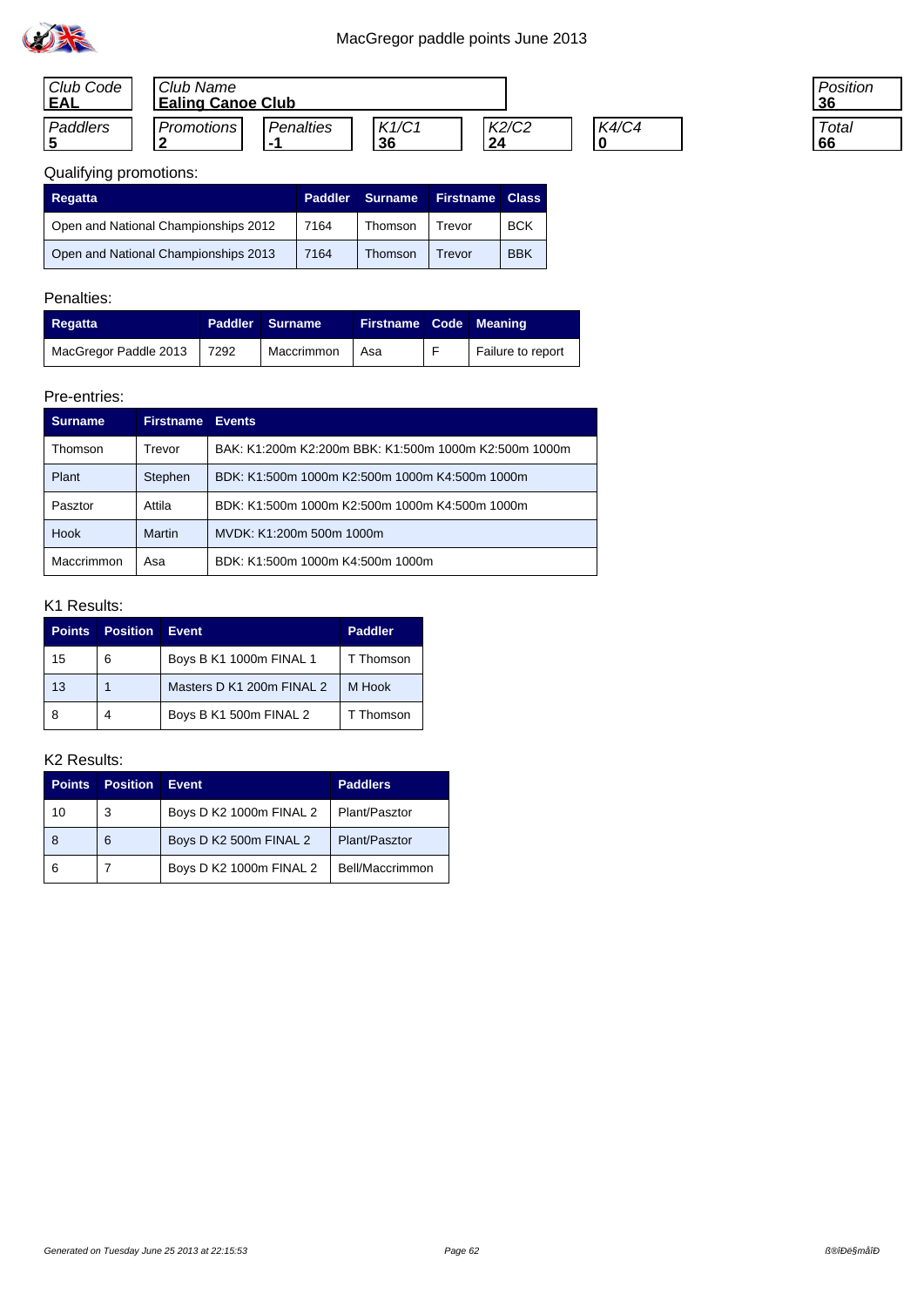

| Club Code<br>'EAL | Club Name<br><b>Ealing Canoe Club</b> |                         |             |             |              |
|-------------------|---------------------------------------|-------------------------|-------------|-------------|--------------|
| Paddlers          | Promotions                            | Penalties<br>. <u>.</u> | K1/C1<br>36 | K2/C2<br>24 | <b>K4/C4</b> |

| 'osition<br>6 |  |
|---------------|--|
| Total<br>ñĥ   |  |

| Regatta                              | <b>Paddler</b> | Surname | <b>Firstname</b> | <b>Class</b> |
|--------------------------------------|----------------|---------|------------------|--------------|
| Open and National Championships 2012 | 7164           | Thomson | Trevor           | <b>BCK</b>   |
| Open and National Championships 2013 | 7164           | Thomson | Trevor           | <b>BBK</b>   |

## Penalties:

| Regatta               |      | <b>Paddler Surname</b> | Firstname Code Meaning |                   |
|-----------------------|------|------------------------|------------------------|-------------------|
| MacGregor Paddle 2013 | 7292 | Maccrimmon             | Asa                    | Failure to report |

### Pre-entries:

| <b>Surname</b> | <b>Firstname</b> | <b>Events</b>                                         |
|----------------|------------------|-------------------------------------------------------|
| Thomson        | Trevor           | BAK: K1:200m K2:200m BBK: K1:500m 1000m K2:500m 1000m |
| Plant          | Stephen          | BDK: K1:500m 1000m K2:500m 1000m K4:500m 1000m        |
| Pasztor        | Attila           | BDK: K1:500m 1000m K2:500m 1000m K4:500m 1000m        |
| <b>Hook</b>    | Martin           | MVDK: K1:200m 500m 1000m                              |
| Maccrimmon     | Asa              | BDK: K1:500m 1000m K4:500m 1000m                      |

## K1 Results:

| Points | <b>Position</b> | Event.                    | <b>Paddler</b> |
|--------|-----------------|---------------------------|----------------|
| 15     | 6               | Boys B K1 1000m FINAL 1   | T Thomson      |
| 13     |                 | Masters D K1 200m FINAL 2 | M Hook         |
| 8      | 4               | Boys B K1 500m FINAL 2    | T Thomson      |

| <b>Points</b> | <b>Position</b> | Event                   | <b>Paddlers</b> |
|---------------|-----------------|-------------------------|-----------------|
| 10            | 3               | Boys D K2 1000m FINAL 2 | Plant/Pasztor   |
| 8             | 6               | Boys D K2 500m FINAL 2  | Plant/Pasztor   |
| 6             |                 | Boys D K2 1000m FINAL 2 | Bell/Maccrimmon |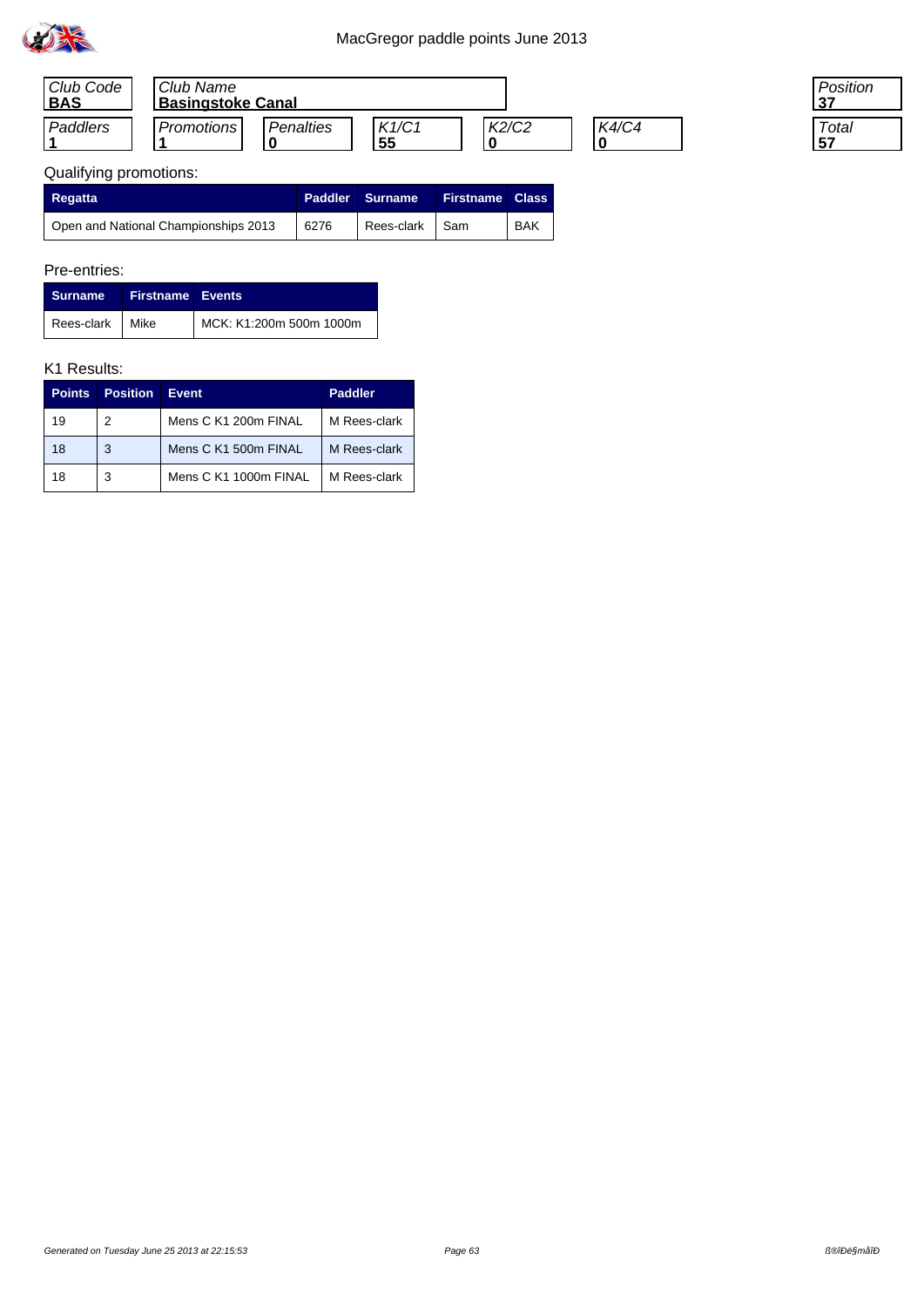

| Club Code<br><b>BAS</b> | Club Name<br><b>Basingstoke Canal</b> |                  |             |       |       |
|-------------------------|---------------------------------------|------------------|-------------|-------|-------|
| Paddlers                | <b>Promotions</b>                     | <b>Penalties</b> | K1/C1<br>55 | K2/C2 | K4/C4 |

| 'osition |  |
|----------|--|
| Total    |  |

# Qualifying promotions:

| Regatta                              | Paddler | Surname <sup>1</sup> | Firstname Class \ |            |
|--------------------------------------|---------|----------------------|-------------------|------------|
| Open and National Championships 2013 | 6276    | Rees-clark           | l Sam             | <b>BAK</b> |

## Pre-entries:

| Surname           | <b>Firstname Events</b> |                         |
|-------------------|-------------------------|-------------------------|
| Rees-clark   Mike |                         | MCK: K1:200m 500m 1000m |

| <b>Points</b> | <b>Position</b> | <b>Event</b>          | <b>Paddler</b> |
|---------------|-----------------|-----------------------|----------------|
| 19            | 2               | Mens C K1 200m FINAL  | M Rees-clark   |
| 18            | 3               | Mens C K1 500m FINAL  | M Rees-clark   |
| 18            | 3               | Mens C K1 1000m FINAL | M Rees-clark   |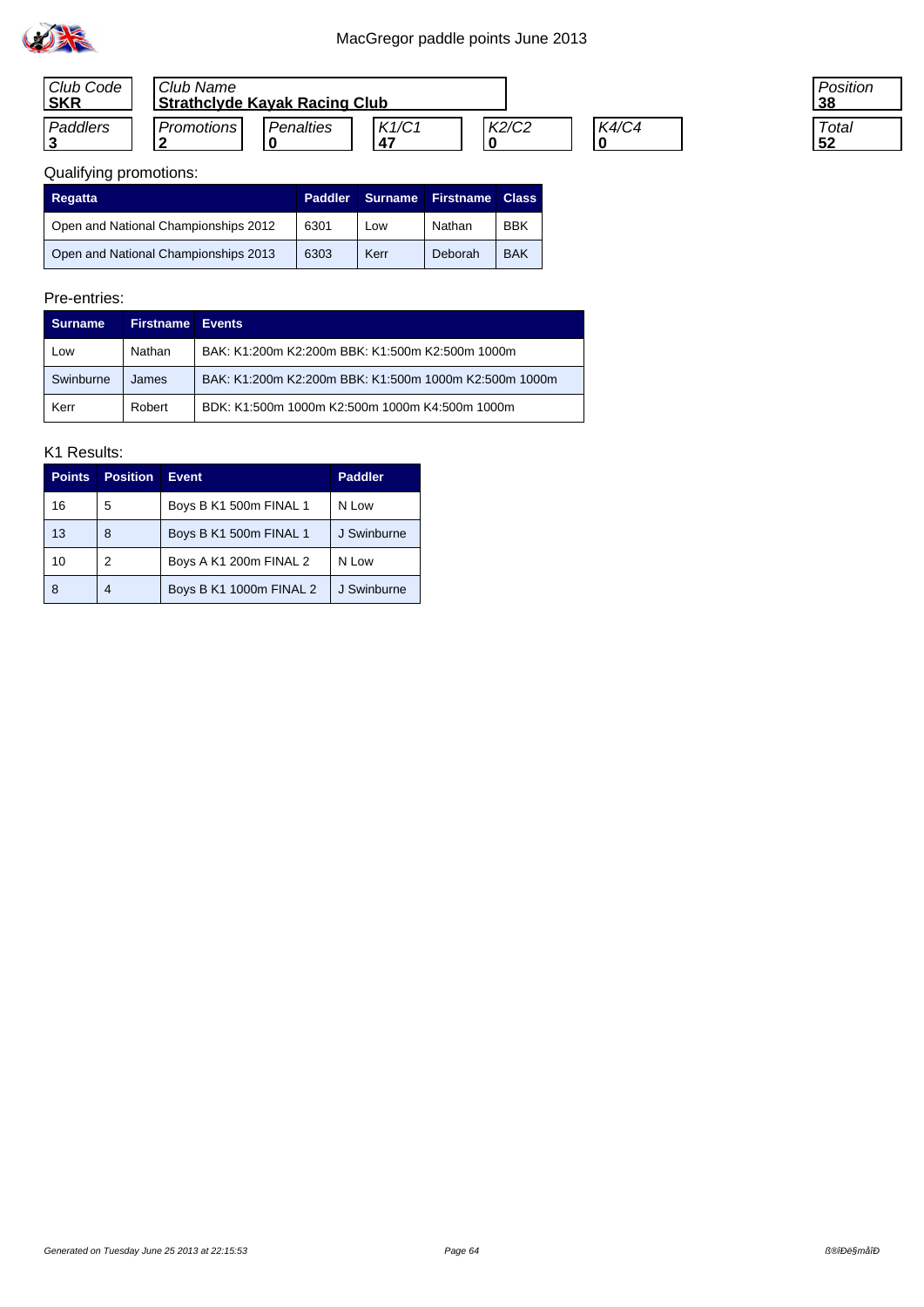

| Club Code<br><b>SKR</b> | Club Name<br>  Strathclyde Kayak Racing Club |           |              |       |       |
|-------------------------|----------------------------------------------|-----------|--------------|-------|-------|
| Paddlers                | Promotions                                   | Penalties | K1/C1<br>-47 | K2/C2 | K4/C4 |

| 'osition |
|----------|
| Total    |

## Qualifying promotions:

| Regatta                              | <b>Paddler</b> | <b>Surname</b> | <b>Firstname</b> | <b>Class</b> |
|--------------------------------------|----------------|----------------|------------------|--------------|
| Open and National Championships 2012 | 6301           | Low            | Nathan           | <b>BBK</b>   |
| Open and National Championships 2013 | 6303           | Kerr           | Deborah          | <b>BAK</b>   |

## Pre-entries:

| Surname   | <b>Firstname Events</b> |                                                       |
|-----------|-------------------------|-------------------------------------------------------|
| Low       | Nathan                  | BAK: K1:200m K2:200m BBK: K1:500m K2:500m 1000m       |
| Swinburne | James                   | BAK: K1:200m K2:200m BBK: K1:500m 1000m K2:500m 1000m |
| Kerr      | Robert                  | BDK: K1:500m 1000m K2:500m 1000m K4:500m 1000m        |

| <b>Points</b> | <b>Position</b> | <b>Event</b>            | <b>Paddler</b> |
|---------------|-----------------|-------------------------|----------------|
| 16            | 5               | Boys B K1 500m FINAL 1  | N Low          |
| 13            | 8               | Boys B K1 500m FINAL 1  | J Swinburne    |
| 10            | 2               | Boys A K1 200m FINAL 2  | N Low          |
| 8             | 4               | Boys B K1 1000m FINAL 2 | J Swinburne    |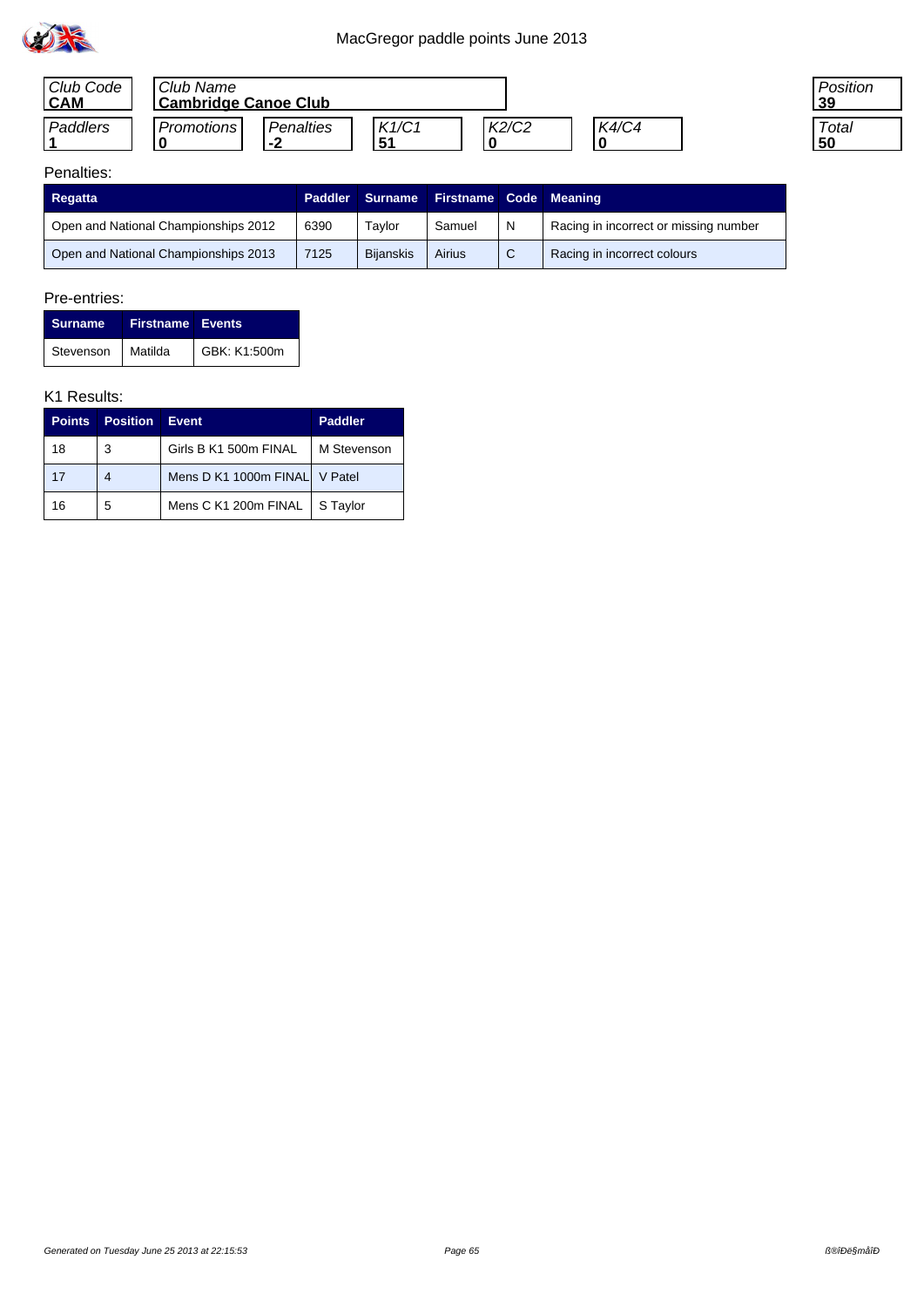

| Club Code<br><b>CAM</b> | Club Name<br>  Cambridge Canoe Club |                                            |              |       |       |
|-------------------------|-------------------------------------|--------------------------------------------|--------------|-------|-------|
| Paddlers                | Promotions I                        | Penalties<br>n<br>$\overline{\phantom{a}}$ | K1/C1<br>-51 | K2/C2 | K4/C4 |

| osition? |  |
|----------|--|
| Total    |  |

## Penalties:

| Regatta                              | <b>Paddler</b> | <b>Surname</b>   | <b>Firstname Code Meaning</b> |   |                                       |
|--------------------------------------|----------------|------------------|-------------------------------|---|---------------------------------------|
| Open and National Championships 2012 | 6390           | Tavlor           | Samuel                        | N | Racing in incorrect or missing number |
| Open and National Championships 2013 | 7125           | <b>Bijanskis</b> | Airius                        |   | Racing in incorrect colours           |

### Pre-entries:

| Surname Firstname Events |              |
|--------------------------|--------------|
| Stevenson Matilda        | GBK: K1:500m |

| <b>Points</b> | <b>Position</b> | Event                         | <b>Paddler</b> |
|---------------|-----------------|-------------------------------|----------------|
| 18            | 3               | Girls B K1 500m FINAL         | M Stevenson    |
| 17            | 4               | Mens D K1 1000m FINAL V Patel |                |
| 16            | 5               | Mens C K1 200m FINAL          | S Taylor       |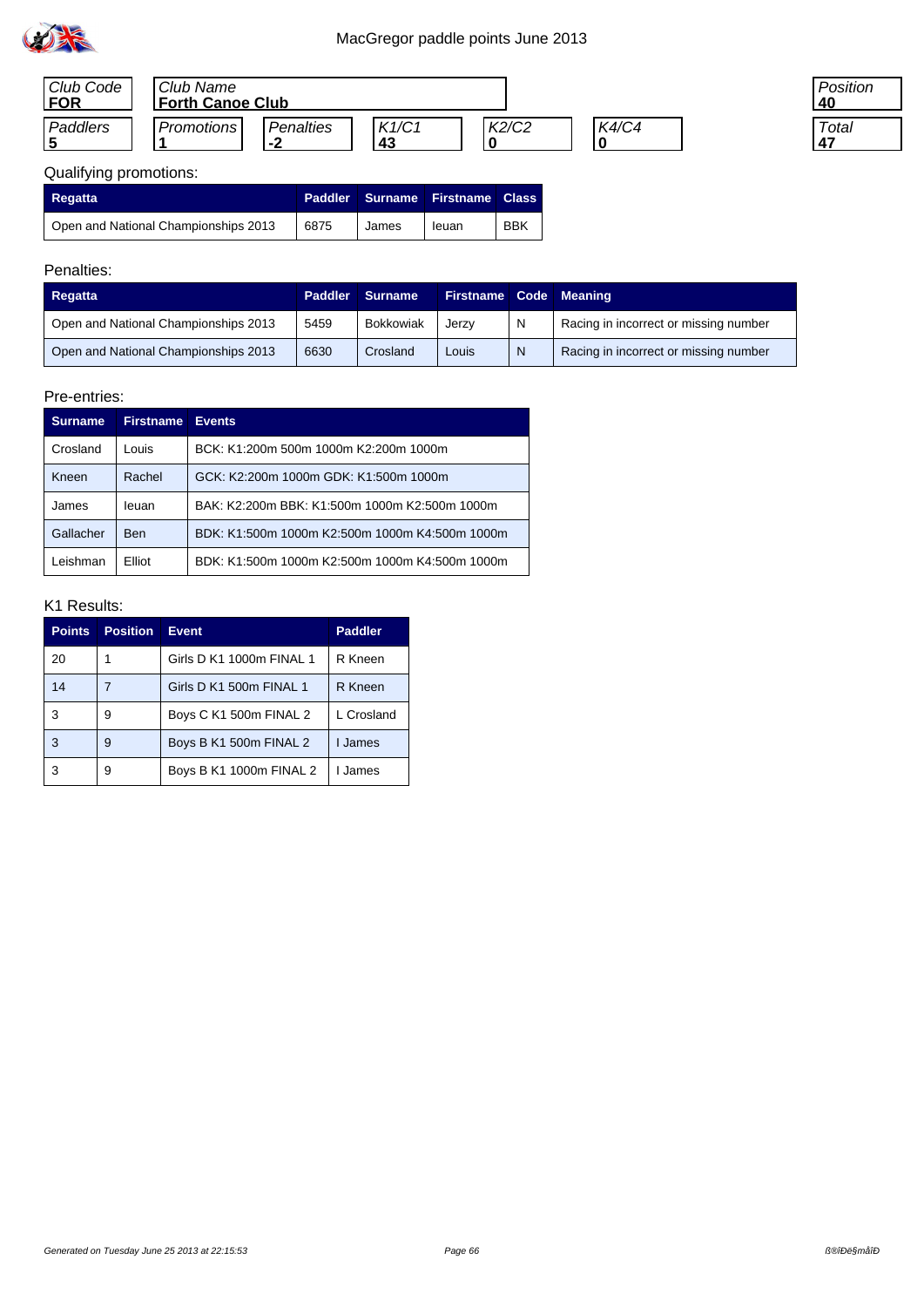

| Club Code<br><b>FOR</b> | Club Name<br><b>Forth Canoe Club</b> |                     |             |       |              |
|-------------------------|--------------------------------------|---------------------|-------------|-------|--------------|
| Paddlers                | <b>Promotions</b>                    | Penalties<br>$\sim$ | K1/C1<br>43 | K2/C2 | <b>K4/C4</b> |

| Position<br>N |  |
|---------------|--|
| Total         |  |

# Qualifying promotions:

| Regatta                              |      |       | <b>Paddler Surname Firstname Class</b> |            |
|--------------------------------------|------|-------|----------------------------------------|------------|
| Open and National Championships 2013 | 6875 | James | leuan                                  | <b>BBK</b> |

## Penalties:

| Regatta                              | <b>Paddler</b> | <b>Surname</b> | <b>Firstname Code Meaning</b> |   |                                       |
|--------------------------------------|----------------|----------------|-------------------------------|---|---------------------------------------|
| Open and National Championships 2013 | 5459           | Bokkowiak      | Jerzy                         | N | Racing in incorrect or missing number |
| Open and National Championships 2013 | 6630           | Crosland       | Louis                         | N | Racing in incorrect or missing number |

### Pre-entries:

| <b>Surname</b> | <b>Firstname</b> | <b>Events</b>                                  |
|----------------|------------------|------------------------------------------------|
| Crosland       | Louis            | BCK: K1:200m 500m 1000m K2:200m 1000m          |
| Kneen          | Rachel           | GCK: K2:200m 1000m GDK: K1:500m 1000m          |
| James          | leuan            | BAK: K2:200m BBK: K1:500m 1000m K2:500m 1000m  |
| Gallacher      | <b>Ben</b>       | BDK: K1:500m 1000m K2:500m 1000m K4:500m 1000m |
| Leishman       | Elliot           | BDK: K1:500m 1000m K2:500m 1000m K4:500m 1000m |

| <b>Points</b> | <b>Position</b> | <b>Event</b>             | <b>Paddler</b> |
|---------------|-----------------|--------------------------|----------------|
| 20            |                 | Girls D K1 1000m FINAL 1 | R Kneen        |
| 14            |                 | Girls D K1 500m FINAL 1  | R Kneen        |
| 3             | 9               | Boys C K1 500m FINAL 2   | L Crosland     |
| 3             | 9               | Boys B K1 500m FINAL 2   | I James        |
|               | 9               | Boys B K1 1000m FINAL 2  | I James        |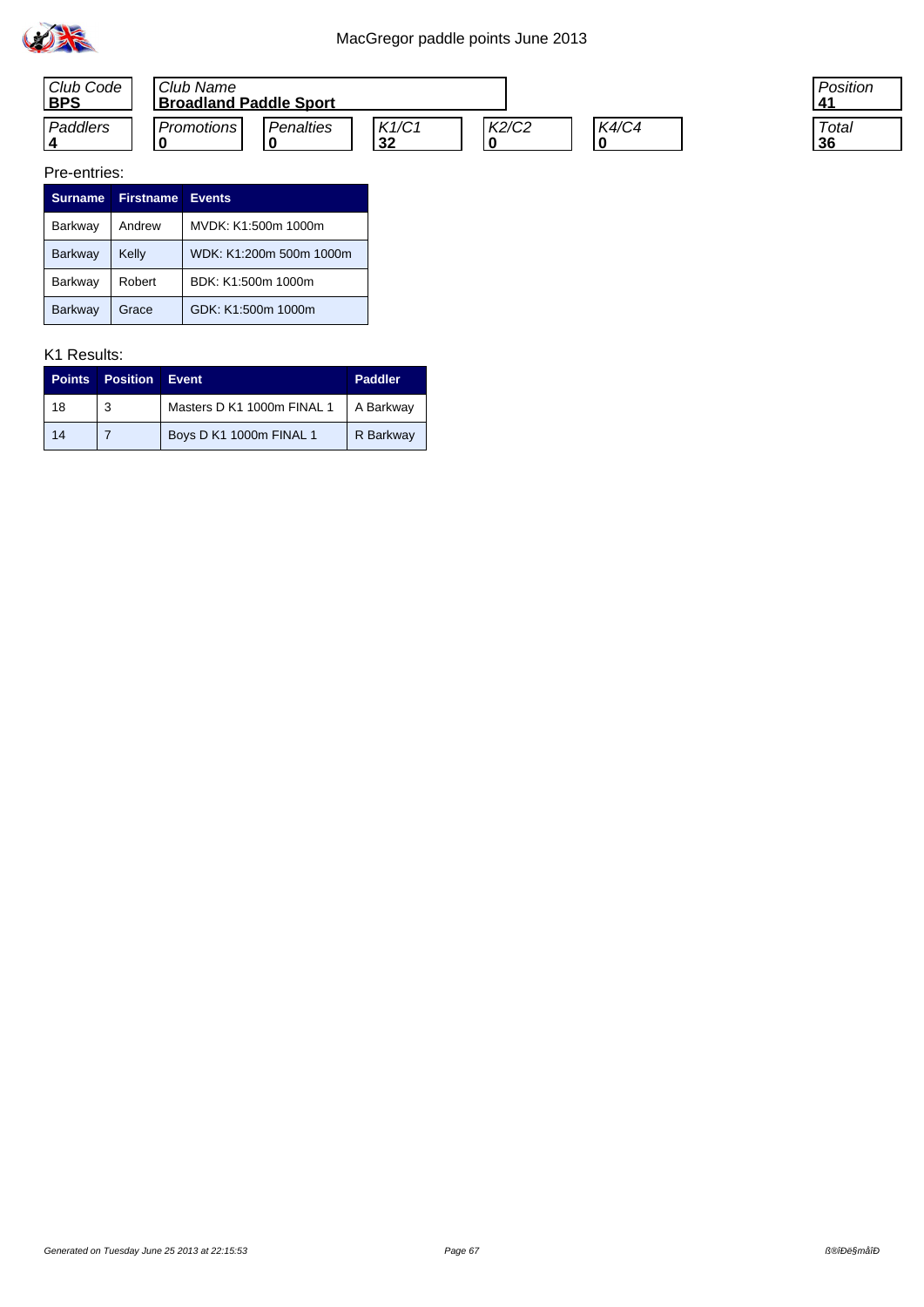



| 'osition   |
|------------|
| Total<br>ñ |

| <b>Surname</b> | <b>Firstname</b> | <b>Events</b>           |
|----------------|------------------|-------------------------|
| Barkway        | Andrew           | MVDK: K1:500m 1000m     |
| Barkway        | Kelly            | WDK: K1:200m 500m 1000m |
| Barkway        | Robert           | BDK: K1:500m 1000m      |
| <b>Barkway</b> | Grace            | GDK: K1:500m 1000m      |

| <b>Points</b> | <b>Position</b> | Event                      | Paddler   |
|---------------|-----------------|----------------------------|-----------|
| 18            | 3               | Masters D K1 1000m FINAL 1 | A Barkway |
| 14            |                 | Boys D K1 1000m FINAL 1    | R Barkway |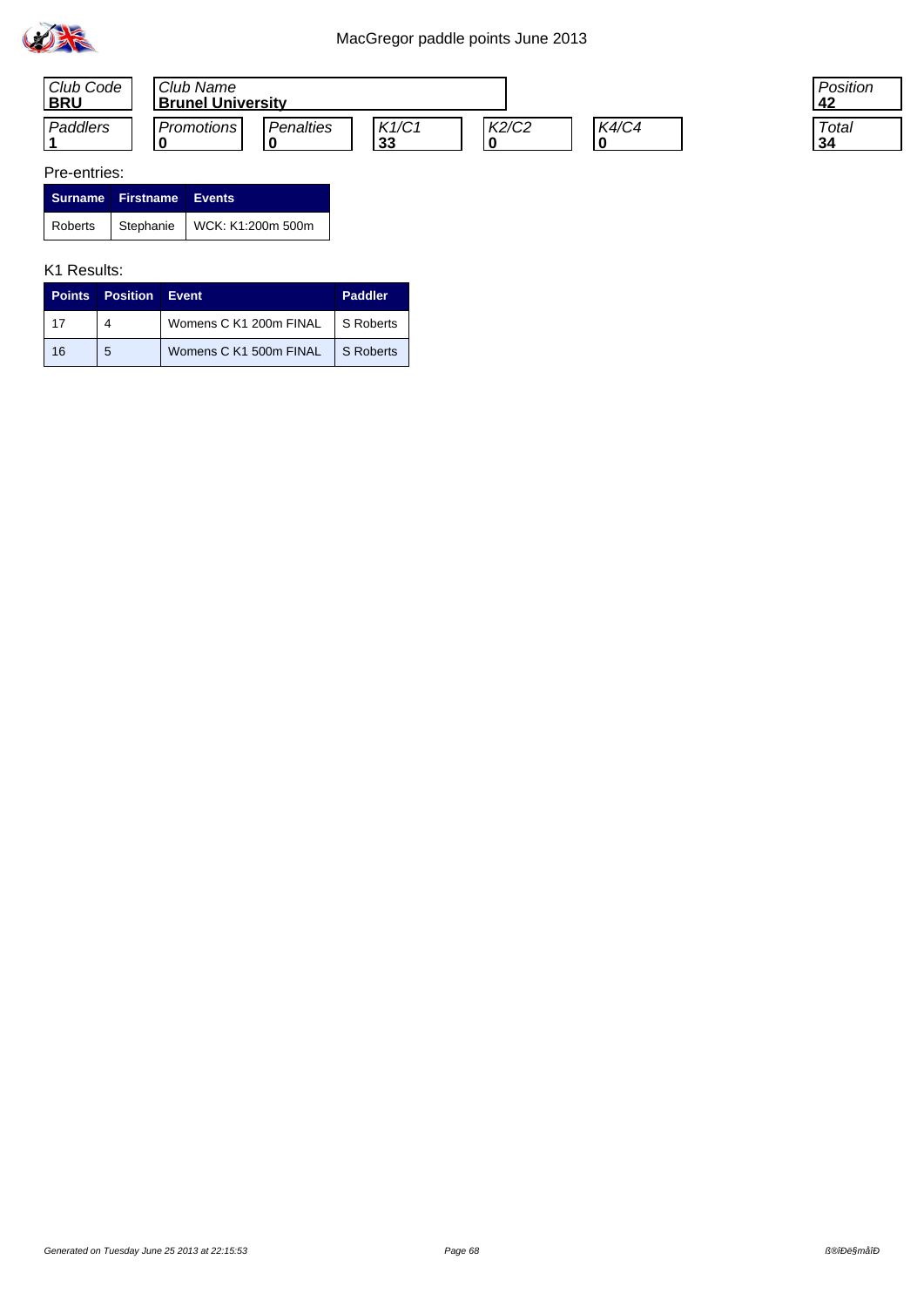



| Surname Firstname Events |                                         |
|--------------------------|-----------------------------------------|
|                          | Roberts   Stephanie   WCK: K1:200m 500m |

#### K1 Results:

|    | <b>Points Position Event</b> |                        | <b>Paddler</b> |
|----|------------------------------|------------------------|----------------|
|    | 4                            | Womens C K1 200m FINAL | S Roberts      |
| 16 | 5                            | Womens C K1 500m FINAL | S Roberts      |

Position **42**

**Total 34**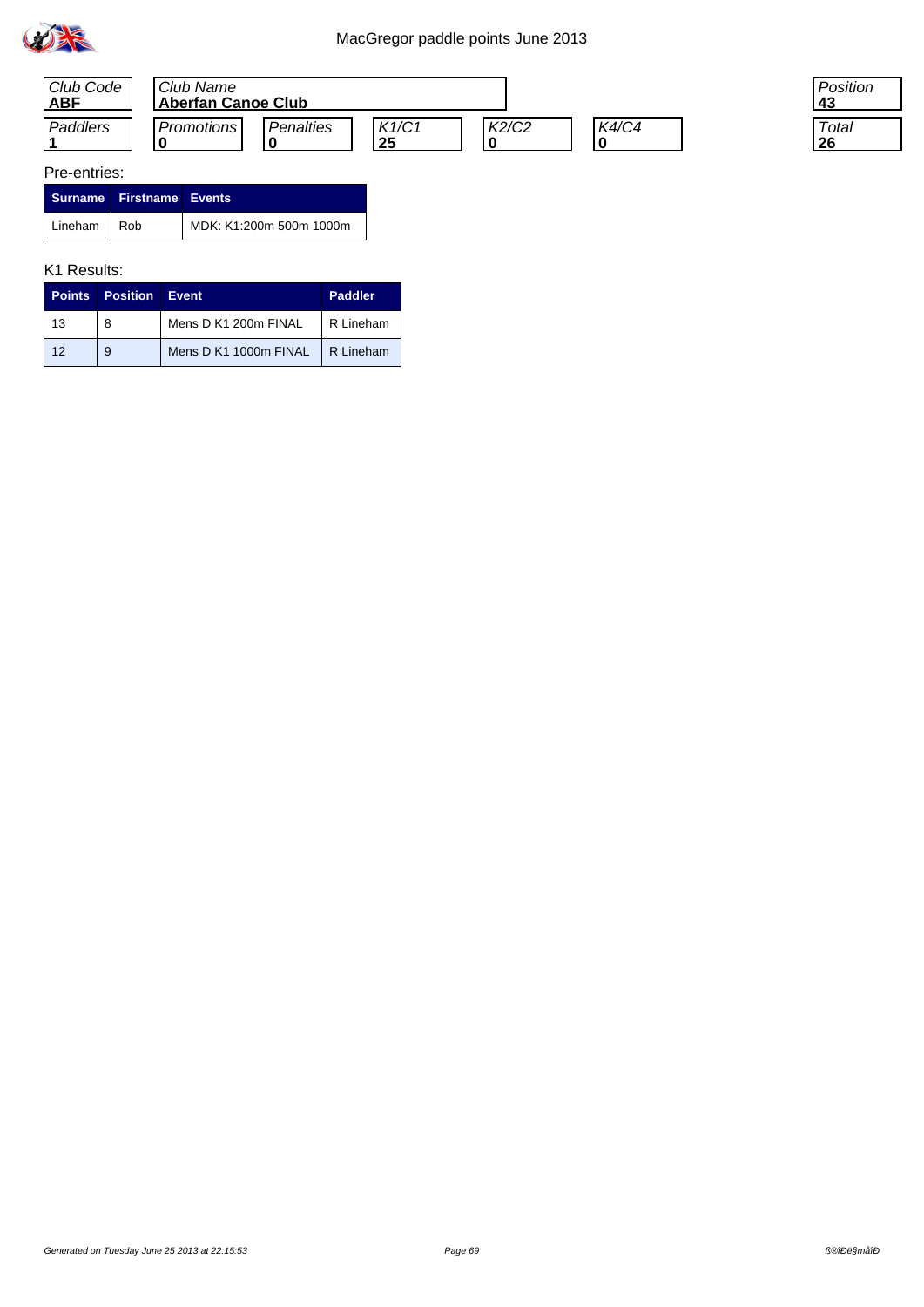



|               | Surname Firstname Events |                         |
|---------------|--------------------------|-------------------------|
| Lineham   Rob |                          | MDK: K1:200m 500m 1000m |

#### K1 Results:

|     | <b>Points Position Event</b> |                                   | Paddler   |
|-----|------------------------------|-----------------------------------|-----------|
| 13  | 8                            | Mens D K1 200m FINAL              | R Lineham |
| -12 | 9                            | Mens D K1 1000m FINAL   R Lineham |           |

Position **43**

**Total 26**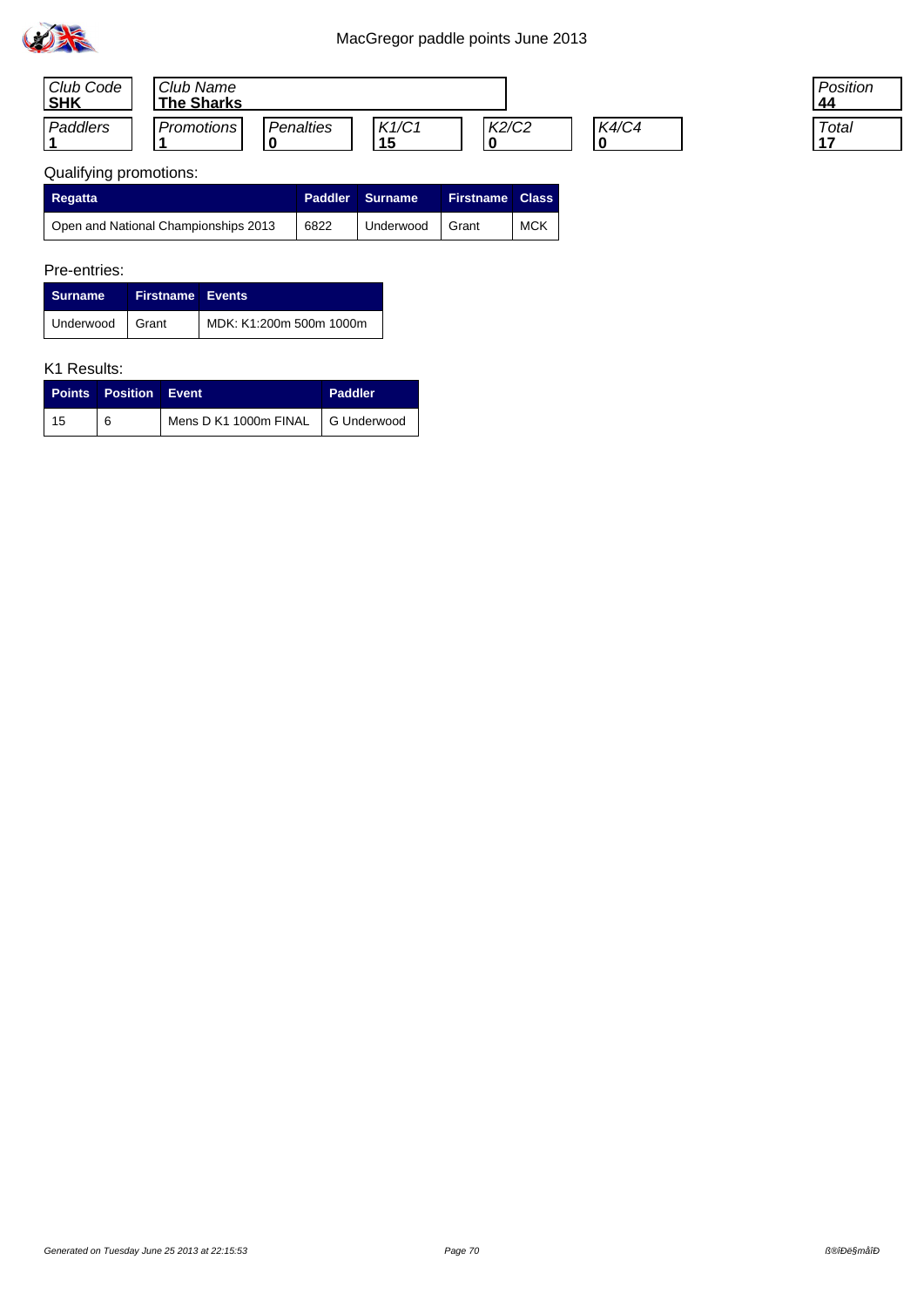

| Club Code<br><b>SHK</b> | Club Name<br><b>The Sharks</b> |           |             |       |              |
|-------------------------|--------------------------------|-----------|-------------|-------|--------------|
| Paddlers                | <b>Promotions</b>              | Penalties | K1/C1<br>15 | K2/C2 | <b>K4/C4</b> |

| 'osition |
|----------|
| otal     |

# Qualifying promotions:

| <b>Regatta</b>                                    |      | <b>Paddler Surname</b> | <b>Firstname Class</b> |            |
|---------------------------------------------------|------|------------------------|------------------------|------------|
| <sup>1</sup> Open and National Championships 2013 | 6822 | Underwood              | Grant                  | <b>MCK</b> |

## Pre-entries:

| <b>Surname</b>  | <b>Firstname Events</b> |                         |
|-----------------|-------------------------|-------------------------|
| Underwood Grant |                         | MDK: K1:200m 500m 1000m |

|    | <b>Points Position Event</b> |                                   | <b>Paddler</b> |
|----|------------------------------|-----------------------------------|----------------|
| 15 | 6                            | Mens D K1 1000m FINAL G Underwood |                |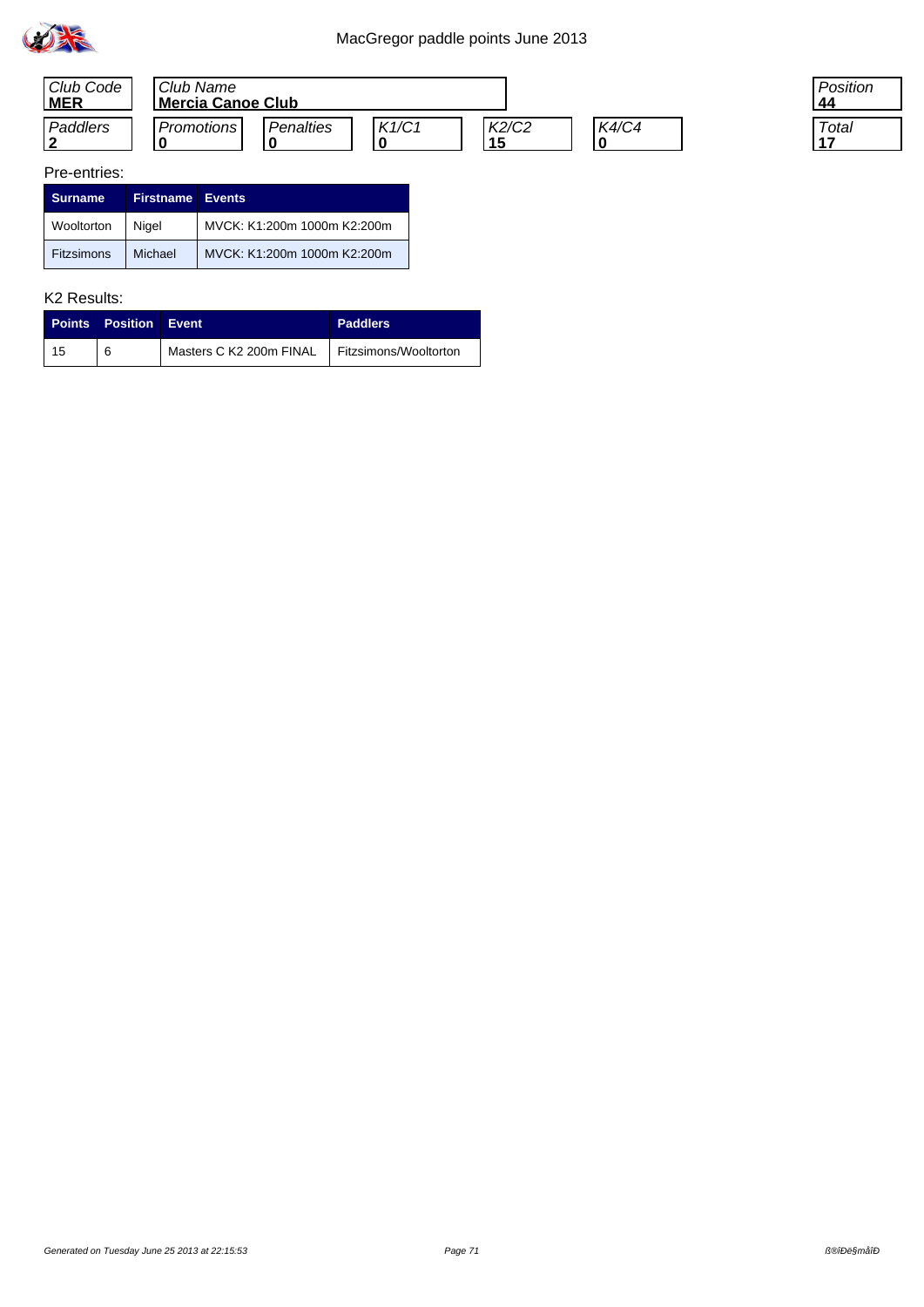



| csition?<br>Δ |  |
|---------------|--|
| Total         |  |

| <b>Surname</b>    | <b>Firstname Events</b> |                             |
|-------------------|-------------------------|-----------------------------|
| Wooltorton        | Nigel                   | MVCK: K1:200m 1000m K2:200m |
| <b>Fitzsimons</b> | Michael                 | MVCK: K1:200m 1000m K2:200m |

|    | <b>Points Position Event</b> |                         | <b>Paddlers</b>       |
|----|------------------------------|-------------------------|-----------------------|
| 15 |                              | Masters C K2 200m FINAL | Fitzsimons/Wooltorton |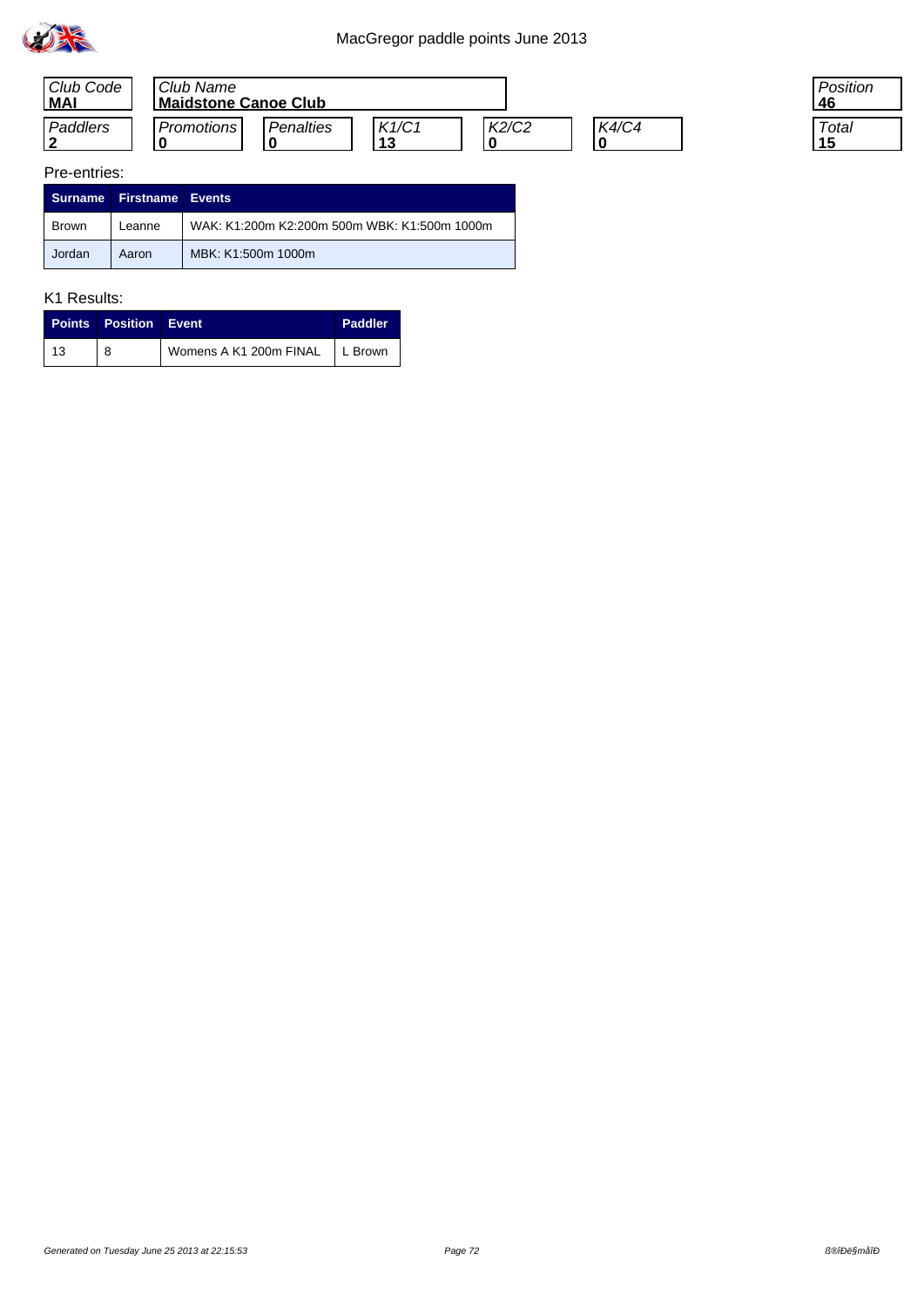

| Club Code<br><b>MAI</b> | Club Name<br><b>Maidstone Canoe Club</b> |           |       |       |              |
|-------------------------|------------------------------------------|-----------|-------|-------|--------------|
| Paddlers                | <b>Promotions</b>                        | Penalties | K1/C1 | K2/C2 | <b>K4/C4</b> |

### Pre-entries:

|              | Surname Firstname Events |                                              |
|--------------|--------------------------|----------------------------------------------|
| <b>Brown</b> | Leanne                   | WAK: K1:200m K2:200m 500m WBK: K1:500m 1000m |
| Jordan       | Aaron                    | MBK: K1:500m 1000m                           |

## K1 Results:

|            | <b>Points Position Event</b> |                                  | Paddler |
|------------|------------------------------|----------------------------------|---------|
| $\vert$ 13 |                              | Womens A K1 200m FINAL   L Brown |         |

Position **46**

**Total 15**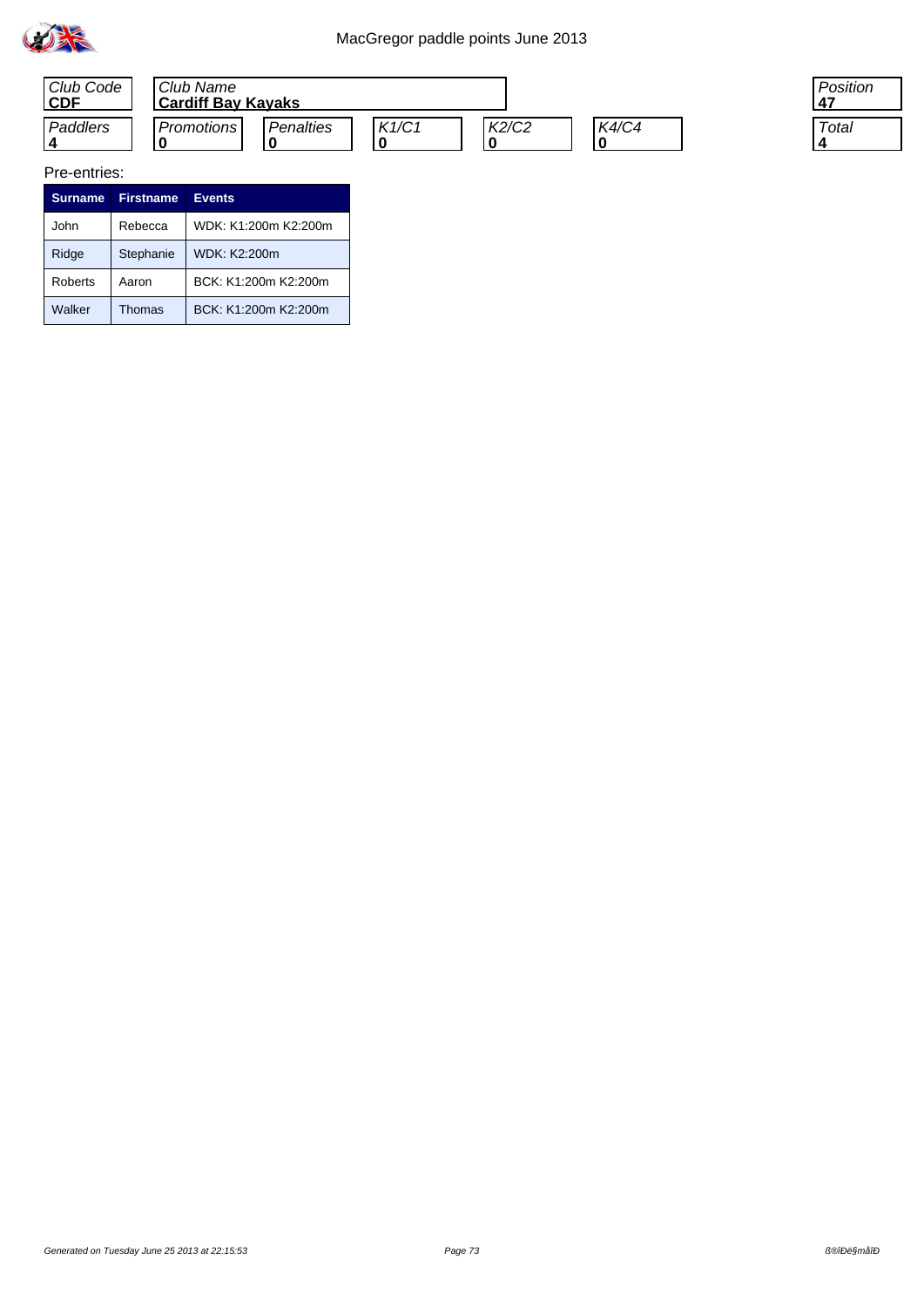



Pre-entries:

| <b>Surname</b> | <b>Firstname</b> | <b>Events</b>        |
|----------------|------------------|----------------------|
| John           | Rebecca          | WDK: K1:200m K2:200m |
| Ridge          | Stephanie        | WDK: K2:200m         |
| Roberts        | Aaron            | BCK: K1:200m K2:200m |
| Walker         | Thomas           | BCK: K1:200m K2:200m |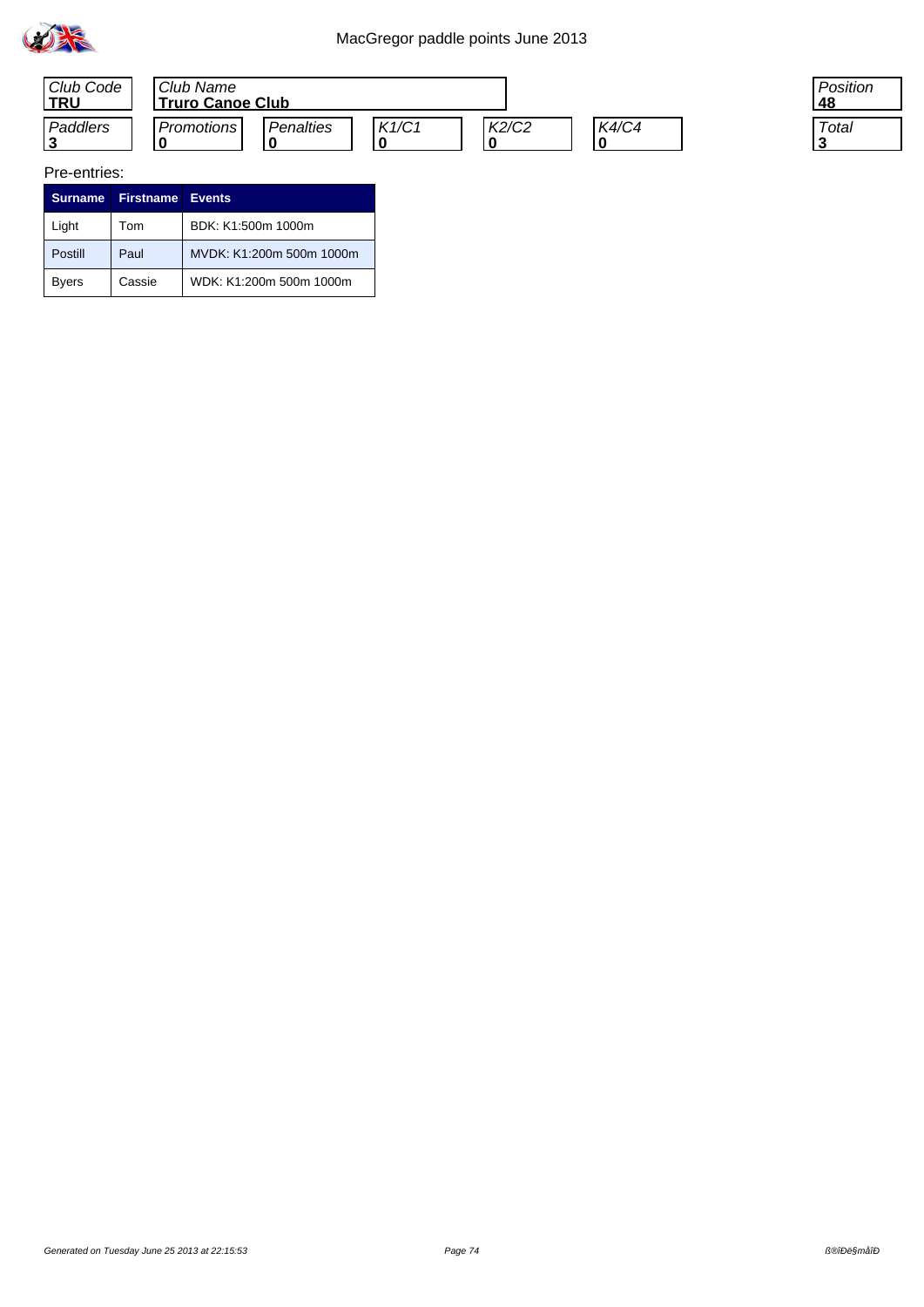



#### Pre-entries:

| <b>Surname</b> | <b>Firstname Events</b> |                          |
|----------------|-------------------------|--------------------------|
| Light          | Tom                     | BDK: K1:500m 1000m       |
| Postill        | Paul                    | MVDK: K1:200m 500m 1000m |
| Byers          | Cassie                  | WDK: K1:200m 500m 1000m  |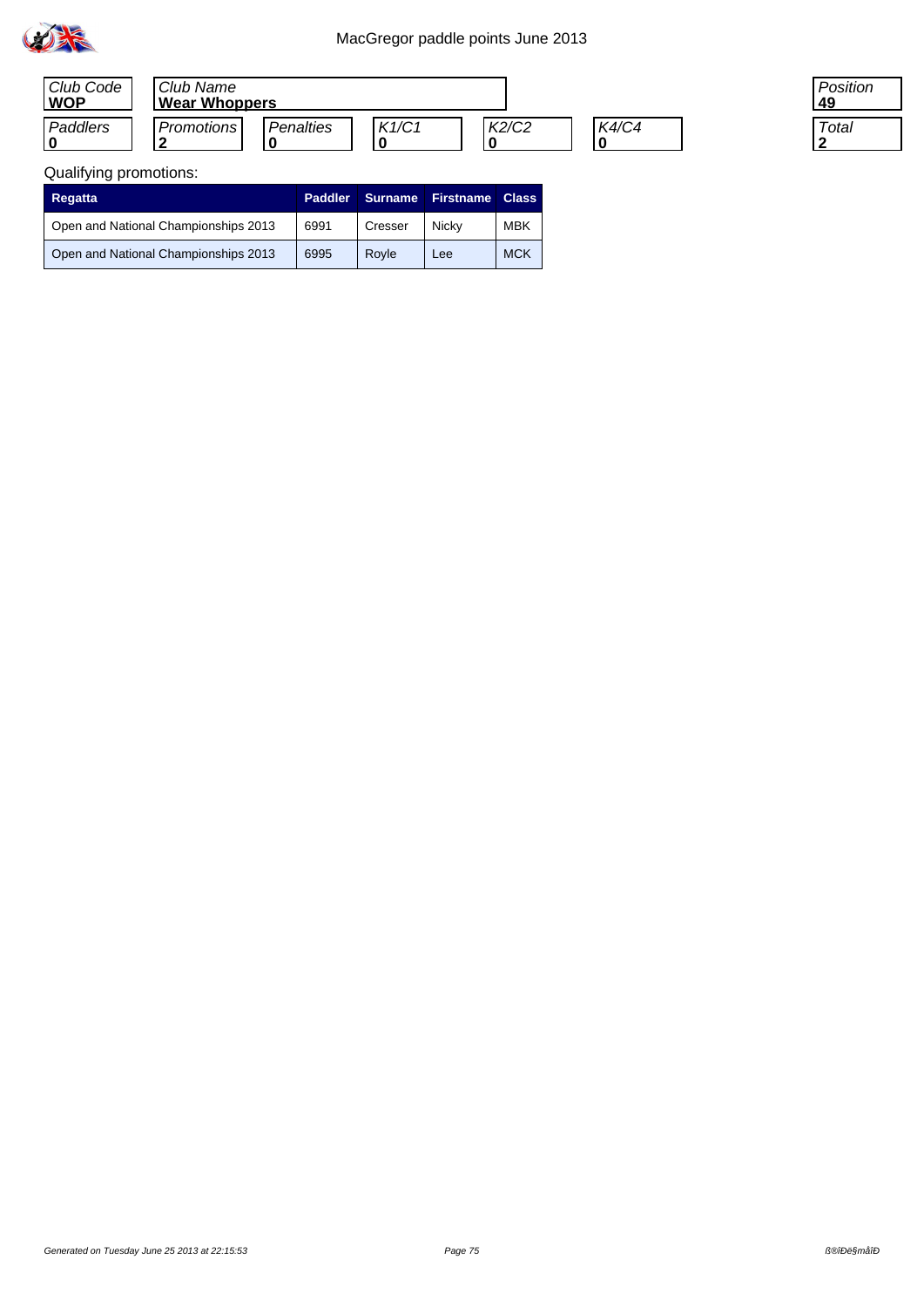

| Club Code<br><b>WOP</b> | Club Name<br><b>Wear Whoppers</b> |           |       |       |              |  |
|-------------------------|-----------------------------------|-----------|-------|-------|--------------|--|
| Paddlers                | Promotions I                      | Penalties | K1/C1 | K2/C2 | <b>K4/C4</b> |  |

| Position<br>49 |  |
|----------------|--|
| Total          |  |

## Qualifying promotions:

| Regatta                              | <b>Paddler</b> | <b>Surname</b> | <b>Firstname</b> | <b>Class</b> |
|--------------------------------------|----------------|----------------|------------------|--------------|
| Open and National Championships 2013 | 6991           | Cresser        | Nicky            | <b>MBK</b>   |
| Open and National Championships 2013 | 6995           | Rovle          | Lee              | <b>MCK</b>   |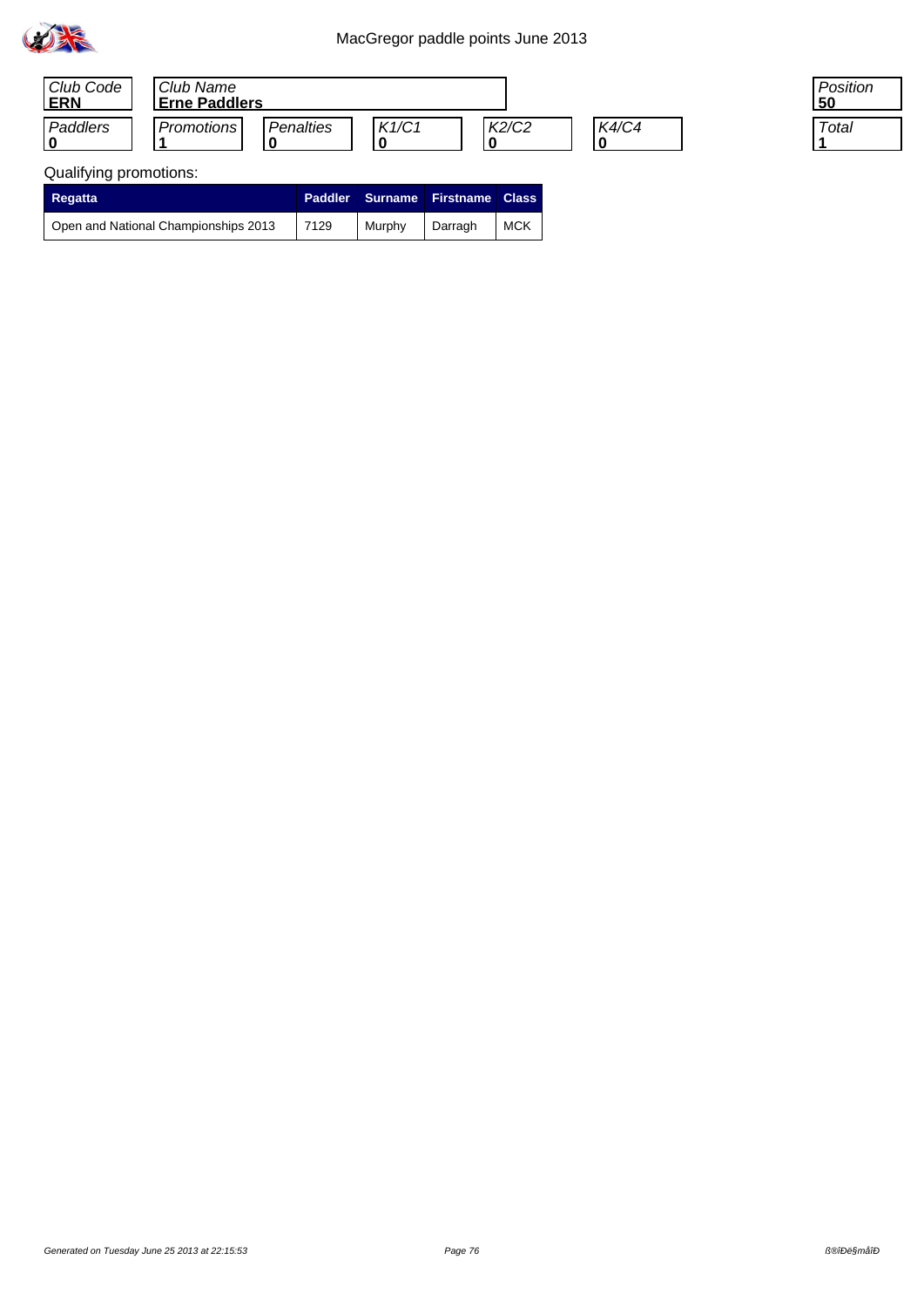

| Club Code<br>ERN | Club Name<br><b>Erne Paddlers</b> |           |       |                                |              |
|------------------|-----------------------------------|-----------|-------|--------------------------------|--------------|
| Paddlers         | Promotions                        | Penalties | K1/C1 | K <sub>2</sub> /C <sub>2</sub> | <b>K4/C4</b> |

### Qualifying promotions:

| <b>Regatta</b>                       |      |        | Paddler Surname Firstname Class |            |
|--------------------------------------|------|--------|---------------------------------|------------|
| Open and National Championships 2013 | 7129 | Murphy | Darragh                         | <b>MCK</b> |

Position<br>50

Total 11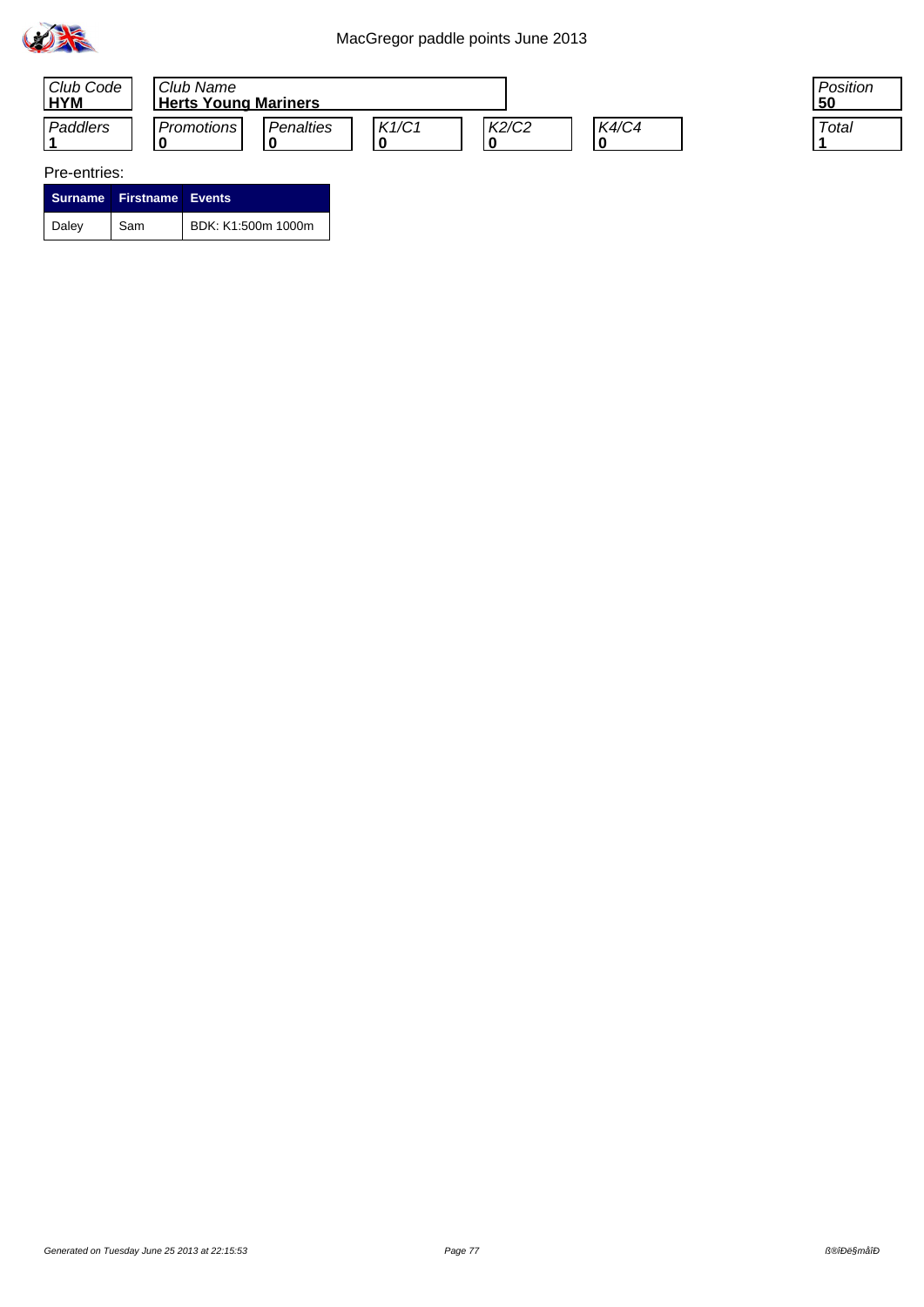



#### Pre-entries:

|       | Surname Firstname Events |                    |
|-------|--------------------------|--------------------|
| Daley | Sam                      | BDK: K1:500m 1000m |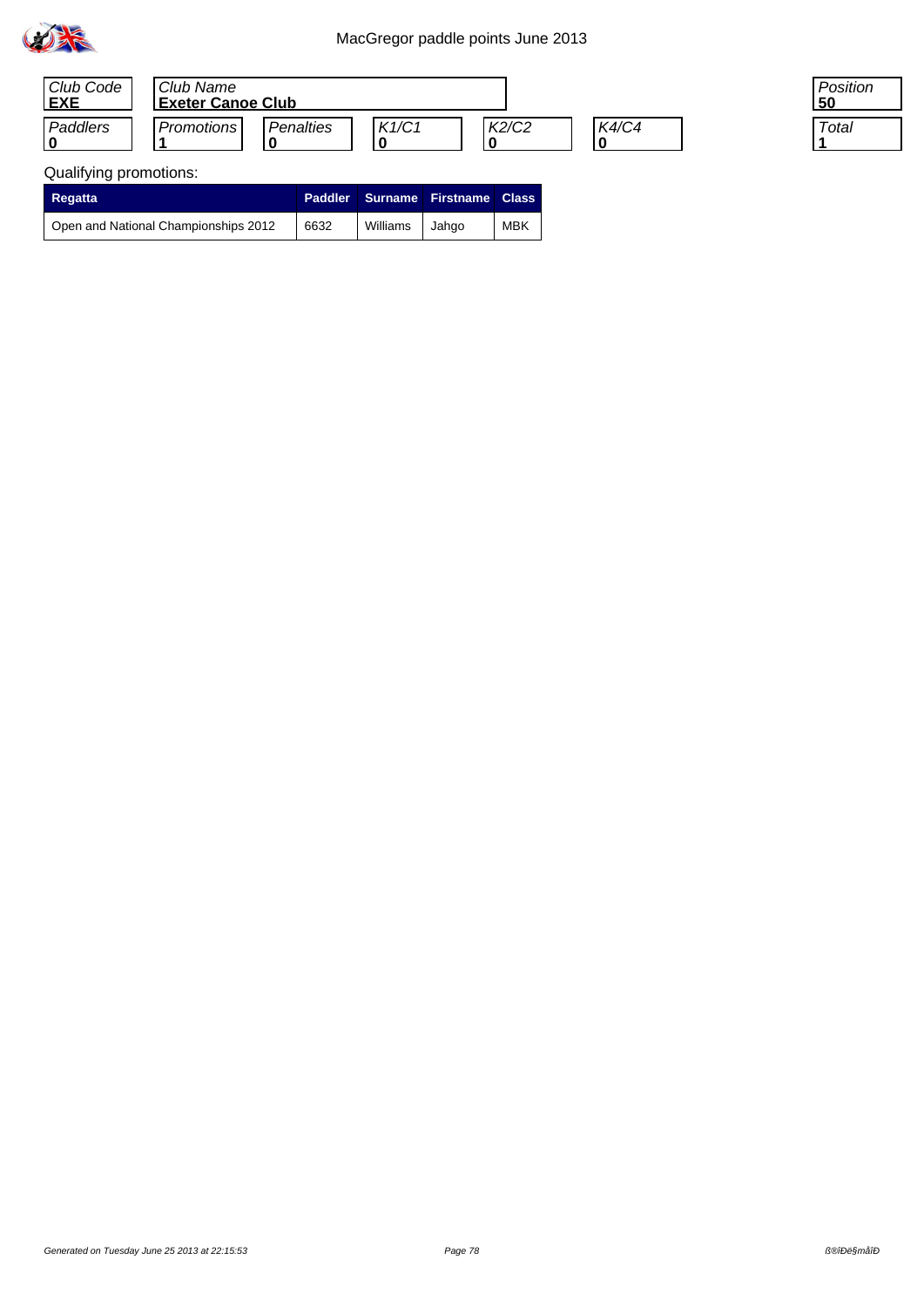

| Club Code<br><b>EXE</b> | Club Name<br><b>Exeter Canoe Club</b> |           |       |       |       |
|-------------------------|---------------------------------------|-----------|-------|-------|-------|
| Paddlers                | <b>Promotions</b>                     | Penalties | K1/C1 | K2/C2 | K4/C4 |

# Qualifying promotions:

| <b>Regatta</b>                       |      |                | <b>Paddler Surname Firstname Class</b> |            |
|--------------------------------------|------|----------------|----------------------------------------|------------|
| Open and National Championships 2012 | 6632 | Williams Jahgo |                                        | <b>MBK</b> |

Position<br>50

Total <u>|1</u>